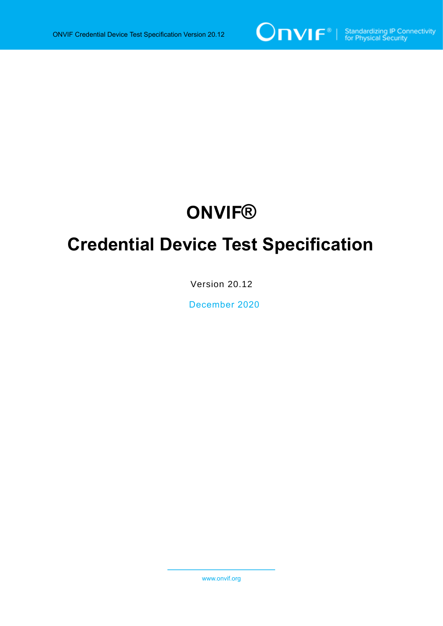

# **ONVIF®**

# **Credential Device Test Specification**

Version 20.12

December 2020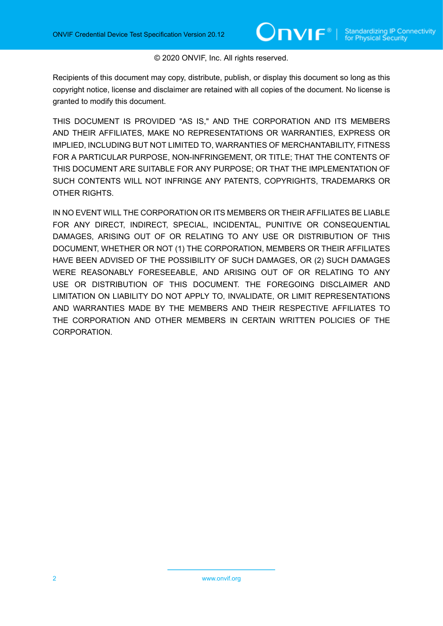#### © 2020 ONVIF, Inc. All rights reserved.

Recipients of this document may copy, distribute, publish, or display this document so long as this copyright notice, license and disclaimer are retained with all copies of the document. No license is granted to modify this document.

THIS DOCUMENT IS PROVIDED "AS IS," AND THE CORPORATION AND ITS MEMBERS AND THEIR AFFILIATES, MAKE NO REPRESENTATIONS OR WARRANTIES, EXPRESS OR IMPLIED, INCLUDING BUT NOT LIMITED TO, WARRANTIES OF MERCHANTABILITY, FITNESS FOR A PARTICULAR PURPOSE, NON-INFRINGEMENT, OR TITLE; THAT THE CONTENTS OF THIS DOCUMENT ARE SUITABLE FOR ANY PURPOSE; OR THAT THE IMPLEMENTATION OF SUCH CONTENTS WILL NOT INFRINGE ANY PATENTS, COPYRIGHTS, TRADEMARKS OR OTHER RIGHTS.

IN NO EVENT WILL THE CORPORATION OR ITS MEMBERS OR THEIR AFFILIATES BE LIABLE FOR ANY DIRECT, INDIRECT, SPECIAL, INCIDENTAL, PUNITIVE OR CONSEQUENTIAL DAMAGES, ARISING OUT OF OR RELATING TO ANY USE OR DISTRIBUTION OF THIS DOCUMENT, WHETHER OR NOT (1) THE CORPORATION, MEMBERS OR THEIR AFFILIATES HAVE BEEN ADVISED OF THE POSSIBILITY OF SUCH DAMAGES, OR (2) SUCH DAMAGES WERE REASONABLY FORESEEABLE, AND ARISING OUT OF OR RELATING TO ANY USE OR DISTRIBUTION OF THIS DOCUMENT. THE FOREGOING DISCLAIMER AND LIMITATION ON LIABILITY DO NOT APPLY TO, INVALIDATE, OR LIMIT REPRESENTATIONS AND WARRANTIES MADE BY THE MEMBERS AND THEIR RESPECTIVE AFFILIATES TO THE CORPORATION AND OTHER MEMBERS IN CERTAIN WRITTEN POLICIES OF THE CORPORATION.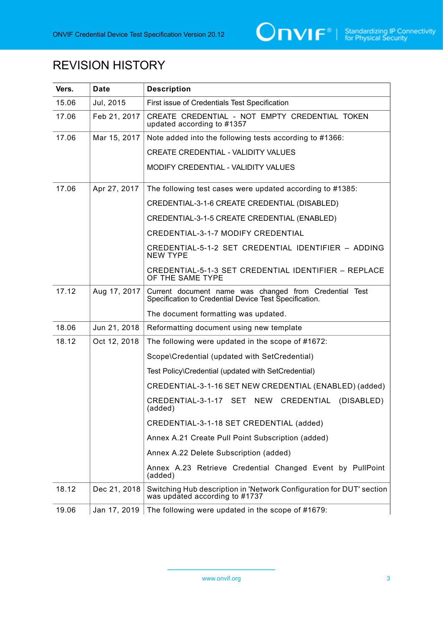

# REVISION HISTORY

| Vers. | <b>Date</b>  | <b>Description</b>                                                                                               |
|-------|--------------|------------------------------------------------------------------------------------------------------------------|
| 15.06 | Jul, 2015    | First issue of Credentials Test Specification                                                                    |
| 17.06 | Feb 21, 2017 | CREATE CREDENTIAL - NOT EMPTY CREDENTIAL TOKEN<br>updated according to #1357                                     |
| 17.06 | Mar 15, 2017 | Note added into the following tests according to #1366:                                                          |
|       |              | CREATE CREDENTIAL - VALIDITY VALUES                                                                              |
|       |              | MODIFY CREDENTIAL - VALIDITY VALUES                                                                              |
| 17.06 | Apr 27, 2017 | The following test cases were updated according to #1385:                                                        |
|       |              | CREDENTIAL-3-1-6 CREATE CREDENTIAL (DISABLED)                                                                    |
|       |              | CREDENTIAL-3-1-5 CREATE CREDENTIAL (ENABLED)                                                                     |
|       |              | <b>CREDENTIAL-3-1-7 MODIFY CREDENTIAL</b>                                                                        |
|       |              | CREDENTIAL-5-1-2 SET CREDENTIAL IDENTIFIER - ADDING<br><b>NEW TYPE</b>                                           |
|       |              | CREDENTIAL-5-1-3 SET CREDENTIAL IDENTIFIER - REPLACE<br>OF THE SAME TYPE                                         |
| 17.12 | Aug 17, 2017 | Current document name was changed from Credential Test<br>Specification to Credential Device Test Specification. |
|       |              | The document formatting was updated.                                                                             |
| 18.06 | Jun 21, 2018 | Reformatting document using new template                                                                         |
| 18.12 | Oct 12, 2018 | The following were updated in the scope of #1672:                                                                |
|       |              | Scope\Credential (updated with SetCredential)                                                                    |
|       |              | Test Policy\Credential (updated with SetCredential)                                                              |
|       |              | CREDENTIAL-3-1-16 SET NEW CREDENTIAL (ENABLED) (added)                                                           |
|       |              | CREDENTIAL-3-1-17 SET NEW CREDENTIAL (DISABLED)<br>(added)                                                       |
|       |              | CREDENTIAL-3-1-18 SET CREDENTIAL (added)                                                                         |
|       |              | Annex A.21 Create Pull Point Subscription (added)                                                                |
|       |              | Annex A.22 Delete Subscription (added)                                                                           |
|       |              | Annex A.23 Retrieve Credential Changed Event by PullPoint<br>(added)                                             |
| 18.12 | Dec 21, 2018 | Switching Hub description in 'Network Configuration for DUT' section<br>was updated according to #1737           |
| 19.06 | Jan 17, 2019 | The following were updated in the scope of #1679:                                                                |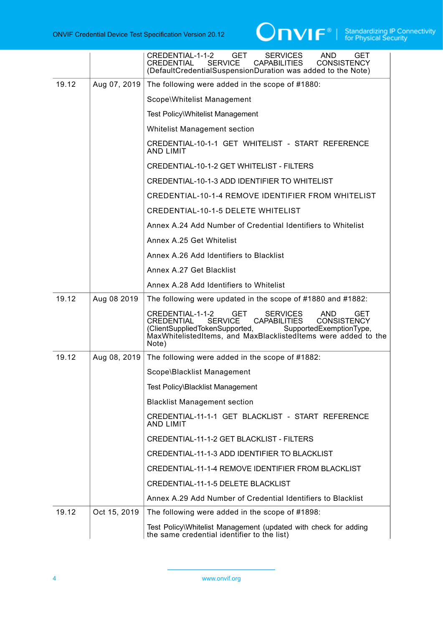

|       |              | <b>GET</b><br>CREDENTIAL-1-1-2<br><b>SERVICES</b><br>AND.<br><b>GET</b><br><b>SERVICE</b><br><b>CONSISTENCY</b><br><b>CREDENTIAL</b><br><b>CAPABILITIES</b><br>(DefaultCredentialSuspensionDuration was added to the Note)                                                                  |
|-------|--------------|---------------------------------------------------------------------------------------------------------------------------------------------------------------------------------------------------------------------------------------------------------------------------------------------|
| 19.12 | Aug 07, 2019 | The following were added in the scope of #1880:                                                                                                                                                                                                                                             |
|       |              | Scope\Whitelist Management                                                                                                                                                                                                                                                                  |
|       |              | Test Policy\Whitelist Management                                                                                                                                                                                                                                                            |
|       |              | <b>Whitelist Management section</b>                                                                                                                                                                                                                                                         |
|       |              | CREDENTIAL-10-1-1 GET WHITELIST - START REFERENCE<br><b>AND LIMIT</b>                                                                                                                                                                                                                       |
|       |              | <b>CREDENTIAL-10-1-2 GET WHITELIST - FILTERS</b>                                                                                                                                                                                                                                            |
|       |              | CREDENTIAL-10-1-3 ADD IDENTIFIER TO WHITELIST                                                                                                                                                                                                                                               |
|       |              | CREDENTIAL-10-1-4 REMOVE IDENTIFIER FROM WHITELIST                                                                                                                                                                                                                                          |
|       |              | <b>CREDENTIAL-10-1-5 DELETE WHITELIST</b>                                                                                                                                                                                                                                                   |
|       |              | Annex A.24 Add Number of Credential Identifiers to Whitelist                                                                                                                                                                                                                                |
|       |              | Annex A.25 Get Whitelist                                                                                                                                                                                                                                                                    |
|       |              | Annex A.26 Add Identifiers to Blacklist                                                                                                                                                                                                                                                     |
|       |              | Annex A.27 Get Blacklist                                                                                                                                                                                                                                                                    |
|       |              | Annex A.28 Add Identifiers to Whitelist                                                                                                                                                                                                                                                     |
| 19.12 | Aug 08 2019  | The following were updated in the scope of #1880 and #1882:                                                                                                                                                                                                                                 |
|       |              | <b>GET</b><br><b>SERVICES</b><br>CREDENTIAL-1-1-2<br>AND<br>GET<br><b>SERVICE</b><br><b>CAPABILITIES</b><br><b>CONSISTENCY</b><br><b>CREDENTIAL</b><br>(ClientSuppliedTokenSupported,<br>SupportedExemptionType,<br>MaxWhitelistedItems, and MaxBlacklistedItems were added to the<br>Note) |
| 19.12 | Aug 08, 2019 | The following were added in the scope of #1882:                                                                                                                                                                                                                                             |
|       |              | Scope\Blacklist Management                                                                                                                                                                                                                                                                  |
|       |              | Test Policy\Blacklist Management                                                                                                                                                                                                                                                            |
|       |              | <b>Blacklist Management section</b>                                                                                                                                                                                                                                                         |
|       |              | CREDENTIAL-11-1-1 GET BLACKLIST - START REFERENCE<br><b>AND LIMIT</b>                                                                                                                                                                                                                       |
|       |              | CREDENTIAL-11-1-2 GET BLACKLIST - FILTERS                                                                                                                                                                                                                                                   |
|       |              | CREDENTIAL-11-1-3 ADD IDENTIFIER TO BLACKLIST                                                                                                                                                                                                                                               |
|       |              | CREDENTIAL-11-1-4 REMOVE IDENTIFIER FROM BLACKLIST                                                                                                                                                                                                                                          |
|       |              | CREDENTIAL-11-1-5 DELETE BLACKLIST                                                                                                                                                                                                                                                          |
|       |              | Annex A.29 Add Number of Credential Identifiers to Blacklist                                                                                                                                                                                                                                |
| 19.12 | Oct 15, 2019 | The following were added in the scope of #1898:                                                                                                                                                                                                                                             |
|       |              | Test Policy\Whitelist Management (updated with check for adding the same credential identifier to the list)                                                                                                                                                                                 |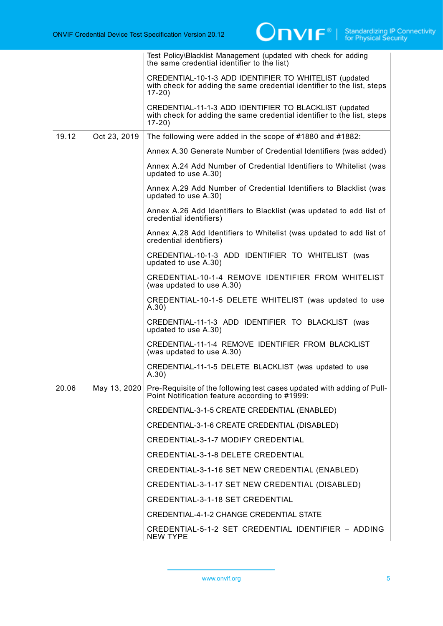|       |              | Test Policy\Blacklist Management (updated with check for adding<br>the same credential identifier to the list)                               |
|-------|--------------|----------------------------------------------------------------------------------------------------------------------------------------------|
|       |              | CREDENTIAL-10-1-3 ADD IDENTIFIER TO WHITELIST (updated<br>with check for adding the same credential identifier to the list, steps<br>$17-20$ |
|       |              | CREDENTIAL-11-1-3 ADD IDENTIFIER TO BLACKLIST (updated<br>with check for adding the same credential identifier to the list, steps<br>$17-20$ |
| 19.12 | Oct 23, 2019 | The following were added in the scope of #1880 and #1882:                                                                                    |
|       |              | Annex A.30 Generate Number of Credential Identifiers (was added)                                                                             |
|       |              | Annex A.24 Add Number of Credential Identifiers to Whitelist (was<br>updated to use A.30)                                                    |
|       |              | Annex A.29 Add Number of Credential Identifiers to Blacklist (was<br>updated to use A.30)                                                    |
|       |              | Annex A.26 Add Identifiers to Blacklist (was updated to add list of<br>credential identifiers)                                               |
|       |              | Annex A.28 Add Identifiers to Whitelist (was updated to add list of<br>credential identifiers)                                               |
|       |              | CREDENTIAL-10-1-3 ADD IDENTIFIER TO WHITELIST (was<br>updated to use A.30)                                                                   |
|       |              | CREDENTIAL-10-1-4 REMOVE IDENTIFIER FROM WHITELIST<br>(was updated to use A.30)                                                              |
|       |              | CREDENTIAL-10-1-5 DELETE WHITELIST (was updated to use<br>A.30)                                                                              |
|       |              | CREDENTIAL-11-1-3 ADD IDENTIFIER TO BLACKLIST (was<br>updated to use A.30)                                                                   |
|       |              | CREDENTIAL-11-1-4 REMOVE IDENTIFIER FROM BLACKLIST<br>(was updated to use A.30)                                                              |
|       |              | CREDENTIAL-11-1-5 DELETE BLACKLIST (was updated to use<br>A.30)                                                                              |
| 20.06 | May 13, 2020 | Pre-Requisite of the following test cases updated with adding of Pull-<br>Point Notification feature according to #1999:                     |
|       |              | CREDENTIAL-3-1-5 CREATE CREDENTIAL (ENABLED)                                                                                                 |
|       |              | CREDENTIAL-3-1-6 CREATE CREDENTIAL (DISABLED)                                                                                                |
|       |              | <b>CREDENTIAL-3-1-7 MODIFY CREDENTIAL</b>                                                                                                    |
|       |              | <b>CREDENTIAL-3-1-8 DELETE CREDENTIAL</b>                                                                                                    |
|       |              | CREDENTIAL-3-1-16 SET NEW CREDENTIAL (ENABLED)                                                                                               |
|       |              | CREDENTIAL-3-1-17 SET NEW CREDENTIAL (DISABLED)                                                                                              |
|       |              | CREDENTIAL-3-1-18 SET CREDENTIAL                                                                                                             |
|       |              | <b>CREDENTIAL-4-1-2 CHANGE CREDENTIAL STATE</b>                                                                                              |
|       |              | CREDENTIAL-5-1-2 SET CREDENTIAL IDENTIFIER - ADDING<br><b>NEW TYPE</b>                                                                       |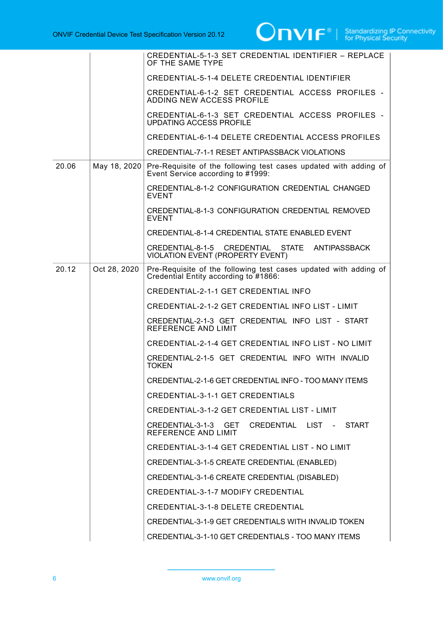

|       |              | CREDENTIAL-5-1-3 SET CREDENTIAL IDENTIFIER - REPLACE<br>OF THE SAME TYPE                                  |
|-------|--------------|-----------------------------------------------------------------------------------------------------------|
|       |              | CREDENTIAL-5-1-4 DELETE CREDENTIAL IDENTIFIER                                                             |
|       |              | CREDENTIAL-6-1-2 SET CREDENTIAL ACCESS PROFILES -<br>ADDING NEW ACCESS PROFILE                            |
|       |              | CREDENTIAL-6-1-3 SET CREDENTIAL ACCESS PROFILES -<br><b>UPDATING ACCESS PROFILE</b>                       |
|       |              | CREDENTIAL-6-1-4 DELETE CREDENTIAL ACCESS PROFILES                                                        |
|       |              | CREDENTIAL-7-1-1 RESET ANTIPASSBACK VIOLATIONS                                                            |
| 20.06 | May 18, 2020 | Pre-Requisite of the following test cases updated with adding of<br>Event Service according to #1999:     |
|       |              | <b>CREDENTIAL-8-1-2 CONFIGURATION CREDENTIAL CHANGED</b><br><b>EVENT</b>                                  |
|       |              | CREDENTIAL-8-1-3 CONFIGURATION CREDENTIAL REMOVED<br><b>EVENT</b>                                         |
|       |              | CREDENTIAL-8-1-4 CREDENTIAL STATE ENABLED EVENT                                                           |
|       |              | CREDENTIAL-8-1-5 CREDENTIAL STATE<br>ANTIPASSBACK<br>VIOLATION EVENT (PROPERTY EVENT)                     |
| 20.12 | Oct 28, 2020 | Pre-Requisite of the following test cases updated with adding of<br>Credential Entity according to #1866: |
|       |              | CREDENTIAL-2-1-1 GET CREDENTIAL INFO                                                                      |
|       |              | CREDENTIAL-2-1-2 GET CREDENTIAL INFO LIST - LIMIT                                                         |
|       |              | CREDENTIAL-2-1-3 GET CREDENTIAL INFO LIST - START<br>REFERENCE AND LIMIT                                  |
|       |              | CREDENTIAL-2-1-4 GET CREDENTIAL INFO LIST - NO LIMIT                                                      |
|       |              | CREDENTIAL-2-1-5 GET CREDENTIAL INFO WITH INVALID<br><b>TOKEN</b>                                         |
|       |              | CREDENTIAL-2-1-6 GET CREDENTIAL INFO - TOO MANY ITEMS                                                     |
|       |              | <b>CREDENTIAL-3-1-1 GET CREDENTIALS</b>                                                                   |
|       |              | CREDENTIAL-3-1-2 GET CREDENTIAL LIST - LIMIT                                                              |
|       |              | CREDENTIAL-3-1-3 GET CREDENTIAL LIST - START<br>REFERENCE AND LIMIT                                       |
|       |              | CREDENTIAL-3-1-4 GET CREDENTIAL LIST - NO LIMIT                                                           |
|       |              | CREDENTIAL-3-1-5 CREATE CREDENTIAL (ENABLED)                                                              |
|       |              | CREDENTIAL-3-1-6 CREATE CREDENTIAL (DISABLED)                                                             |
|       |              | <b>CREDENTIAL-3-1-7 MODIFY CREDENTIAL</b>                                                                 |
|       |              | <b>CREDENTIAL-3-1-8 DELETE CREDENTIAL</b>                                                                 |
|       |              | CREDENTIAL-3-1-9 GET CREDENTIALS WITH INVALID TOKEN                                                       |
|       |              | CREDENTIAL-3-1-10 GET CREDENTIALS - TOO MANY ITEMS                                                        |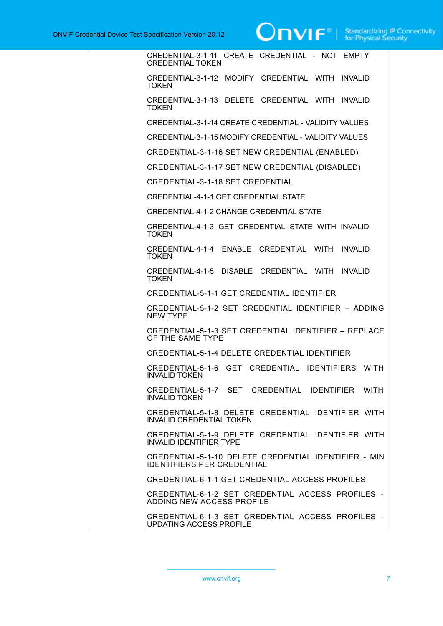# **TVI**  $\boldsymbol{\mathsf{F}}^{\circledast}$  | Standardizing IP Connectivity

CREDENTIAL-3-1-11 CREATE CREDENTIAL - NOT EMPTY CREDENTIAL TOKEN CREDENTIAL-3-1-12 MODIFY CREDENTIAL WITH INVALID **TOKEN** CREDENTIAL-3-1-13 DELETE CREDENTIAL WITH INVALID **TOKEN** CREDENTIAL-3-1-14 CREATE CREDENTIAL - VALIDITY VALUES CREDENTIAL-3-1-15 MODIFY CREDENTIAL - VALIDITY VALUES CREDENTIAL-3-1-16 SET NEW CREDENTIAL (ENABLED) CREDENTIAL-3-1-17 SET NEW CREDENTIAL (DISABLED) CREDENTIAL-3-1-18 SET CREDENTIAL CREDENTIAL-4-1-1 GET CREDENTIAL STATE CREDENTIAL-4-1-2 CHANGE CREDENTIAL STATE CREDENTIAL-4-1-3 GET CREDENTIAL STATE WITH INVALID **TOKEN** CREDENTIAL-4-1-4 ENABLE CREDENTIAL WITH INVALID **TOKEN** CREDENTIAL-4-1-5 DISABLE CREDENTIAL WITH INVALID **TOKEN** CREDENTIAL-5-1-1 GET CREDENTIAL IDENTIFIER CREDENTIAL-5-1-2 SET CREDENTIAL IDENTIFIER – ADDING NEW TYPE CREDENTIAL-5-1-3 SET CREDENTIAL IDENTIFIER – REPLACE OF THE SAME TYPE CREDENTIAL-5-1-4 DELETE CREDENTIAL IDENTIFIER CREDENTIAL-5-1-6 GET CREDENTIAL IDENTIFIERS WITH INVALID TOKEN CREDENTIAL-5-1-7 SET CREDENTIAL IDENTIFIER WITH INVALID TOKEN CREDENTIAL-5-1-8 DELETE CREDENTIAL IDENTIFIER WITH INVALID CREDENTIAL TOKEN CREDENTIAL-5-1-9 DELETE CREDENTIAL IDENTIFIER WITH INVALID IDENTIFIER TYPE CREDENTIAL-5-1-10 DELETE CREDENTIAL IDENTIFIER - MIN IDENTIFIERS PER CREDENTIAL CREDENTIAL-6-1-1 GET CREDENTIAL ACCESS PROFILES CREDENTIAL-6-1-2 SET CREDENTIAL ACCESS PROFILES - ADDING NEW ACCESS PROFILE CREDENTIAL-6-1-3 SET CREDENTIAL ACCESS PROFILES - UPDATING ACCESS PROFILE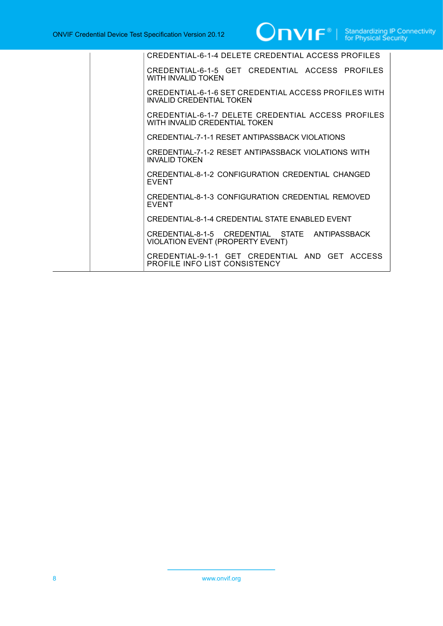| CREDENTIAL-6-1-4 DELETE CREDENTIAL ACCESS PROFILES                                        |
|-------------------------------------------------------------------------------------------|
| CREDENTIAL-6-1-5 GET CREDENTIAL ACCESS PROFILES<br>WITH INVALID TOKEN                     |
| CREDENTIAL-6-1-6 SET CREDENTIAL ACCESS PROFILES WITH<br>INVALID CREDENTIAL TOKEN          |
| CREDENTIAL-6-1-7 DELETE CREDENTIAL ACCESS PROFILES<br>WITH INVALID CREDENTIAL TOKEN       |
| CREDENTIAL-7-1-1 RESET ANTIPASSBACK VIOLATIONS                                            |
| CREDENTIAL-7-1-2 RESET ANTIPASSBACK VIOLATIONS WITH<br><b>INVALID TOKEN</b>               |
| CREDENTIAL-8-1-2 CONFIGURATION CREDENTIAL CHANGED<br><b>EVENT</b>                         |
| CREDENTIAL-8-1-3 CONFIGURATION CREDENTIAL REMOVED<br><b>FVFNT</b>                         |
| CREDENTIAL-8-1-4 CREDENTIAL STATE ENABLED EVENT                                           |
| CREDENTIAL-8-1-5 CREDENTIAL STATE ANTIPASSBACK<br><b>VIOLATION EVENT (PROPERTY EVENT)</b> |
| CREDENTIAL-9-1-1 GET CREDENTIAL AND GET ACCESS<br>PROFILE INFO LIST CONSISTENCY           |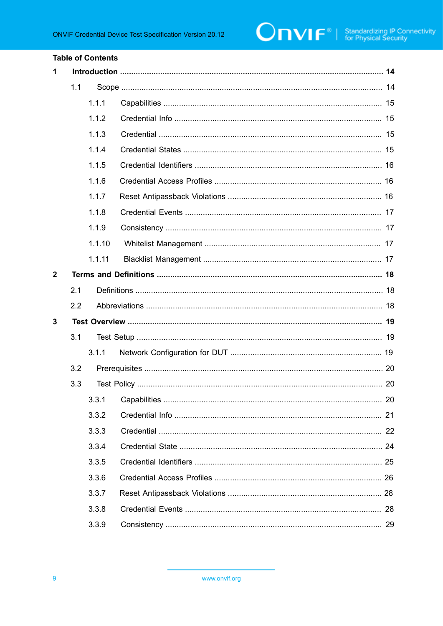#### **Table of Contents**

| 1            |     |        |  |  |
|--------------|-----|--------|--|--|
|              | 1.1 |        |  |  |
|              |     | 1.1.1  |  |  |
|              |     | 1.1.2  |  |  |
|              |     | 1.1.3  |  |  |
|              |     | 1.1.4  |  |  |
|              |     | 1.1.5  |  |  |
|              |     | 1.1.6  |  |  |
|              |     | 1.1.7  |  |  |
|              |     | 1.1.8  |  |  |
|              |     | 1.1.9  |  |  |
|              |     | 1.1.10 |  |  |
|              |     | 1.1.11 |  |  |
| $\mathbf{2}$ |     |        |  |  |
|              | 2.1 |        |  |  |
|              | 2.2 |        |  |  |
| 3            |     |        |  |  |
|              | 3.1 |        |  |  |
|              |     | 3.1.1  |  |  |
|              | 3.2 |        |  |  |
|              | 3.3 |        |  |  |
|              |     |        |  |  |
|              |     | 3.3.2  |  |  |
|              |     | 3.3.3  |  |  |
|              |     | 3.3.4  |  |  |
|              |     | 3.3.5  |  |  |
|              |     | 3.3.6  |  |  |
|              |     | 3.3.7  |  |  |
|              |     | 3.3.8  |  |  |
|              |     | 3.3.9  |  |  |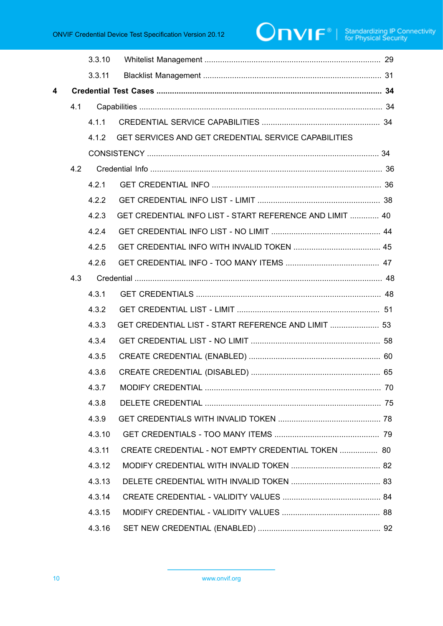# $\boxed{\color{red} \bigcap \textbf{VIF}^{\textcolor{red}{\circ}} \; | \; \; \substack{\textnormal{Standardizing IP Connectivity} \\ \textnormal{for Physical Security}}}$

|     | 3.3.10 |                                                      |                                                                                                                                                                       |
|-----|--------|------------------------------------------------------|-----------------------------------------------------------------------------------------------------------------------------------------------------------------------|
|     | 3.3.11 |                                                      |                                                                                                                                                                       |
|     |        |                                                      |                                                                                                                                                                       |
| 4.1 |        |                                                      |                                                                                                                                                                       |
|     | 4.1.1  |                                                      |                                                                                                                                                                       |
|     | 4.1.2  | GET SERVICES AND GET CREDENTIAL SERVICE CAPABILITIES |                                                                                                                                                                       |
|     |        |                                                      |                                                                                                                                                                       |
| 4.2 |        |                                                      |                                                                                                                                                                       |
|     | 4.2.1  |                                                      |                                                                                                                                                                       |
|     | 4.2.2  |                                                      |                                                                                                                                                                       |
|     | 4.2.3  |                                                      |                                                                                                                                                                       |
|     | 4.2.4  |                                                      |                                                                                                                                                                       |
|     | 4.2.5  |                                                      |                                                                                                                                                                       |
|     | 4.2.6  |                                                      |                                                                                                                                                                       |
| 4.3 |        |                                                      |                                                                                                                                                                       |
|     | 4.3.1  |                                                      |                                                                                                                                                                       |
|     | 4.3.2  |                                                      |                                                                                                                                                                       |
|     | 4.3.3  |                                                      |                                                                                                                                                                       |
|     | 4.3.4  |                                                      |                                                                                                                                                                       |
|     | 4.3.5  |                                                      |                                                                                                                                                                       |
|     | 4.3.6  |                                                      |                                                                                                                                                                       |
|     | 4.3.7  | <b>MODIEY CREDENTIAL</b>                             | 70                                                                                                                                                                    |
|     | 4.3.8  |                                                      |                                                                                                                                                                       |
|     | 4.3.9  |                                                      |                                                                                                                                                                       |
|     | 4.3.10 |                                                      |                                                                                                                                                                       |
|     | 4.3.11 |                                                      |                                                                                                                                                                       |
|     | 4.3.12 |                                                      |                                                                                                                                                                       |
|     | 4.3.13 |                                                      |                                                                                                                                                                       |
|     | 4.3.14 |                                                      |                                                                                                                                                                       |
|     | 4.3.15 |                                                      |                                                                                                                                                                       |
|     | 4.3.16 |                                                      |                                                                                                                                                                       |
|     |        |                                                      | GET CREDENTIAL INFO LIST - START REFERENCE AND LIMIT  40<br>GET CREDENTIAL LIST - START REFERENCE AND LIMIT  53<br>CREATE CREDENTIAL - NOT EMPTY CREDENTIAL TOKEN  80 |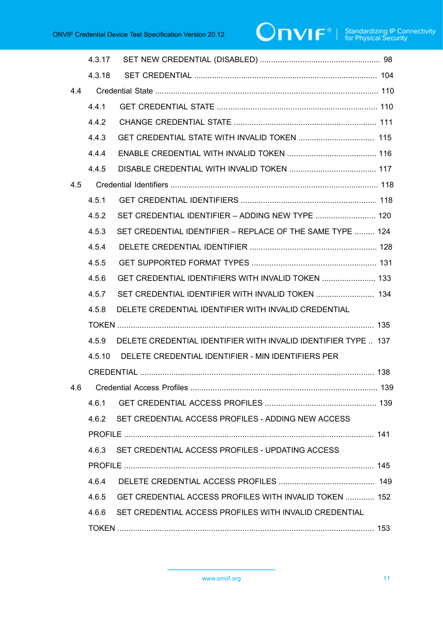# $\boxed{\color{red} \bigcap \textbf{VIF}^{\textcolor{red}{\circ}} \; | \; \; \substack{\textnormal{Standardizing IP Connectivity} \\ \textnormal{for Physical Security}}}$

|     | 4.3.17 |                                                                |  |
|-----|--------|----------------------------------------------------------------|--|
|     | 4.3.18 |                                                                |  |
| 4.4 |        |                                                                |  |
|     | 4.4.1  |                                                                |  |
|     | 4.4.2  |                                                                |  |
|     | 4.4.3  |                                                                |  |
|     | 4.4.4  |                                                                |  |
|     | 4.4.5  |                                                                |  |
| 4.5 |        |                                                                |  |
|     | 4.5.1  |                                                                |  |
|     | 4.5.2  | SET CREDENTIAL IDENTIFIER - ADDING NEW TYPE  120               |  |
|     | 4.5.3  | SET CREDENTIAL IDENTIFIER - REPLACE OF THE SAME TYPE  124      |  |
|     | 4.5.4  |                                                                |  |
|     | 4.5.5  |                                                                |  |
|     | 4.5.6  | GET CREDENTIAL IDENTIFIERS WITH INVALID TOKEN  133             |  |
|     | 4.5.7  | SET CREDENTIAL IDENTIFIER WITH INVALID TOKEN  134              |  |
|     | 4.5.8  | DELETE CREDENTIAL IDENTIFIER WITH INVALID CREDENTIAL           |  |
|     |        |                                                                |  |
|     | 4.5.9  | DELETE CREDENTIAL IDENTIFIER WITH INVALID IDENTIFIER TYPE  137 |  |
|     | 4.5.10 | DELETE CREDENTIAL IDENTIFIER - MIN IDENTIFIERS PER             |  |
|     |        |                                                                |  |
| 4.6 |        |                                                                |  |
|     | 4.6.1  |                                                                |  |
|     |        | 4.6.2 SET CREDENTIAL ACCESS PROFILES - ADDING NEW ACCESS       |  |
|     |        |                                                                |  |
|     | 4.6.3  | SET CREDENTIAL ACCESS PROFILES - UPDATING ACCESS               |  |
|     |        |                                                                |  |
|     | 4.6.4  |                                                                |  |
|     |        | 4.6.5 GET CREDENTIAL ACCESS PROFILES WITH INVALID TOKEN  152   |  |
|     | 4.6.6  | SET CREDENTIAL ACCESS PROFILES WITH INVALID CREDENTIAL         |  |
|     |        |                                                                |  |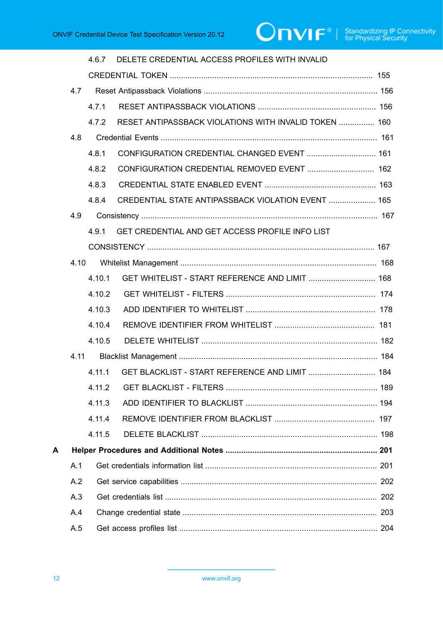# **ONVIF**<sup>®</sup> | Standardizing IP Connectivity

|   |      | 4.6.7  | DELETE CREDENTIAL ACCESS PROFILES WITH INVALID        |  |
|---|------|--------|-------------------------------------------------------|--|
|   |      |        |                                                       |  |
|   | 4.7  |        |                                                       |  |
|   |      | 471    |                                                       |  |
|   |      | 4.7.2  | RESET ANTIPASSBACK VIOLATIONS WITH INVALID TOKEN  160 |  |
|   | 4.8  |        |                                                       |  |
|   |      | 4.8.1  | CONFIGURATION CREDENTIAL CHANGED EVENT  161           |  |
|   |      | 4.8.2  | CONFIGURATION CREDENTIAL REMOVED EVENT  162           |  |
|   |      | 4.8.3  |                                                       |  |
|   |      | 4.8.4  | CREDENTIAL STATE ANTIPASSBACK VIOLATION EVENT  165    |  |
|   | 4.9  |        |                                                       |  |
|   |      | 4.9.1  | GET CREDENTIAL AND GET ACCESS PROFILE INFO LIST       |  |
|   |      |        |                                                       |  |
|   | 4.10 |        |                                                       |  |
|   |      | 4.10.1 | GET WHITELIST - START REFERENCE AND LIMIT  168        |  |
|   |      | 4.10.2 |                                                       |  |
|   |      | 4.10.3 |                                                       |  |
|   |      | 4.10.4 |                                                       |  |
|   |      | 4.10.5 |                                                       |  |
|   | 4.11 |        |                                                       |  |
|   |      | 4.11.1 | GET BLACKLIST - START REFERENCE AND LIMIT  184        |  |
|   |      | 4.11.2 |                                                       |  |
|   |      | 4.11.3 |                                                       |  |
|   |      | 4.11.4 |                                                       |  |
|   |      | 4.11.5 |                                                       |  |
| А |      |        |                                                       |  |
|   | A.1  |        |                                                       |  |
|   | A.2  |        |                                                       |  |
|   | A.3  |        |                                                       |  |
|   | A.4  |        |                                                       |  |
|   | A.5  |        |                                                       |  |
|   |      |        |                                                       |  |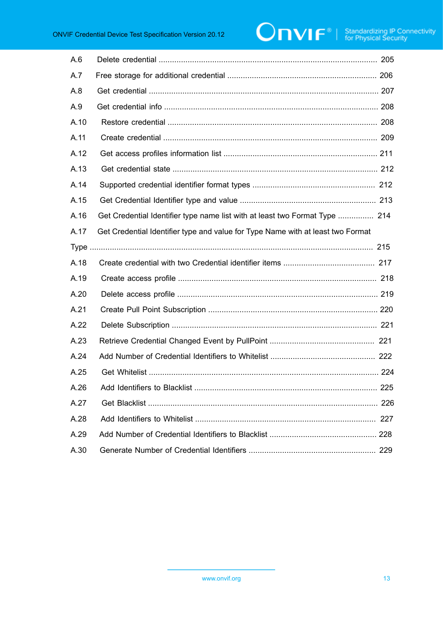# **ONVIF**<sup>®</sup> | Standardizing IP Connectivity

| A.6  |                                                                                 |
|------|---------------------------------------------------------------------------------|
| A.7  |                                                                                 |
| A.8  |                                                                                 |
| A.9  |                                                                                 |
| A.10 |                                                                                 |
| A.11 |                                                                                 |
| A.12 |                                                                                 |
| A.13 |                                                                                 |
| A.14 |                                                                                 |
| A.15 |                                                                                 |
| A.16 | Get Credential Identifier type name list with at least two Format Type  214     |
| A.17 | Get Credential Identifier type and value for Type Name with at least two Format |
|      |                                                                                 |
|      |                                                                                 |
| A.18 |                                                                                 |
| A.19 |                                                                                 |
| A.20 |                                                                                 |
| A.21 |                                                                                 |
| A.22 |                                                                                 |
| A.23 |                                                                                 |
| A.24 |                                                                                 |
| A.25 |                                                                                 |
| A.26 | 225<br>Add Identifiers to Blacklist                                             |
| A.27 |                                                                                 |
| A.28 |                                                                                 |
| A.29 |                                                                                 |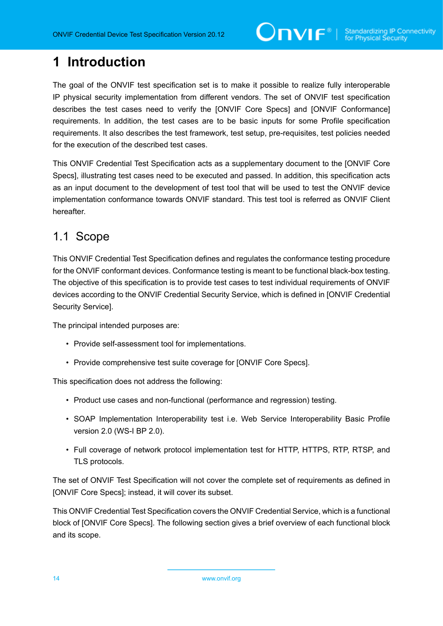# <span id="page-13-0"></span>**1 Introduction**

The goal of the ONVIF test specification set is to make it possible to realize fully interoperable IP physical security implementation from different vendors. The set of ONVIF test specification describes the test cases need to verify the [ONVIF Core Specs] and [ONVIF Conformance] requirements. In addition, the test cases are to be basic inputs for some Profile specification requirements. It also describes the test framework, test setup, pre-requisites, test policies needed for the execution of the described test cases.

This ONVIF Credential Test Specification acts as a supplementary document to the [ONVIF Core Specs], illustrating test cases need to be executed and passed. In addition, this specification acts as an input document to the development of test tool that will be used to test the ONVIF device implementation conformance towards ONVIF standard. This test tool is referred as ONVIF Client hereafter.

#### <span id="page-13-1"></span>1.1 Scope

This ONVIF Credential Test Specification defines and regulates the conformance testing procedure for the ONVIF conformant devices. Conformance testing is meant to be functional black-box testing. The objective of this specification is to provide test cases to test individual requirements of ONVIF devices according to the ONVIF Credential Security Service, which is defined in [ONVIF Credential Security Service].

The principal intended purposes are:

- Provide self-assessment tool for implementations.
- Provide comprehensive test suite coverage for [ONVIF Core Specs].

This specification does not address the following:

- Product use cases and non-functional (performance and regression) testing.
- SOAP Implementation Interoperability test i.e. Web Service Interoperability Basic Profile version 2.0 (WS-I BP 2.0).
- Full coverage of network protocol implementation test for HTTP, HTTPS, RTP, RTSP, and TLS protocols.

The set of ONVIF Test Specification will not cover the complete set of requirements as defined in [ONVIF Core Specs]; instead, it will cover its subset.

This ONVIF Credential Test Specification covers the ONVIF Credential Service, which is a functional block of [ONVIF Core Specs]. The following section gives a brief overview of each functional block and its scope.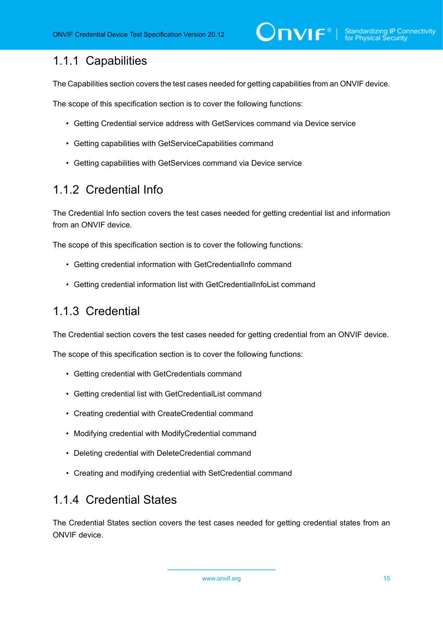#### <span id="page-14-0"></span>1.1.1 Capabilities

The Capabilities section covers the test cases needed for getting capabilities from an ONVIF device.

The scope of this specification section is to cover the following functions:

- Getting Credential service address with GetServices command via Device service
- Getting capabilities with GetServiceCapabilities command
- Getting capabilities with GetServices command via Device service

#### <span id="page-14-1"></span>1.1.2 Credential Info

The Credential Info section covers the test cases needed for getting credential list and information from an ONVIF device.

The scope of this specification section is to cover the following functions:

- Getting credential information with GetCredentialInfo command
- Getting credential information list with GetCredentialInfoList command

#### <span id="page-14-2"></span>1.1.3 Credential

The Credential section covers the test cases needed for getting credential from an ONVIF device.

The scope of this specification section is to cover the following functions:

- Getting credential with GetCredentials command
- Getting credential list with GetCredentialList command
- Creating credential with CreateCredential command
- Modifying credential with ModifyCredential command
- Deleting credential with DeleteCredential command
- Creating and modifying credential with SetCredential command

#### <span id="page-14-3"></span>1.1.4 Credential States

The Credential States section covers the test cases needed for getting credential states from an ONVIF device.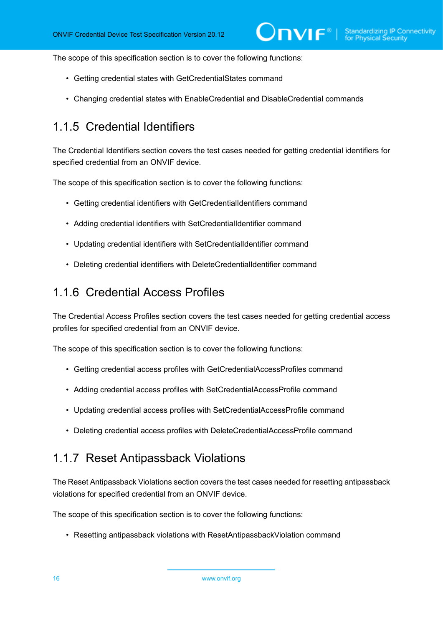The scope of this specification section is to cover the following functions:

- Getting credential states with GetCredentialStates command
- Changing credential states with EnableCredential and DisableCredential commands

#### <span id="page-15-0"></span>1.1.5 Credential Identifiers

The Credential Identifiers section covers the test cases needed for getting credential identifiers for specified credential from an ONVIF device.

The scope of this specification section is to cover the following functions:

- Getting credential identifiers with GetCredentialIdentifiers command
- Adding credential identifiers with SetCredentialIdentifier command
- Updating credential identifiers with SetCredentialIdentifier command
- Deleting credential identifiers with DeleteCredentialIdentifier command

#### <span id="page-15-1"></span>1.1.6 Credential Access Profiles

The Credential Access Profiles section covers the test cases needed for getting credential access profiles for specified credential from an ONVIF device.

The scope of this specification section is to cover the following functions:

- Getting credential access profiles with GetCredentialAccessProfiles command
- Adding credential access profiles with SetCredentialAccessProfile command
- Updating credential access profiles with SetCredentialAccessProfile command
- Deleting credential access profiles with DeleteCredentialAccessProfile command

#### <span id="page-15-2"></span>1.1.7 Reset Antipassback Violations

The Reset Antipassback Violations section covers the test cases needed for resetting antipassback violations for specified credential from an ONVIF device.

The scope of this specification section is to cover the following functions:

• Resetting antipassback violations with ResetAntipassbackViolation command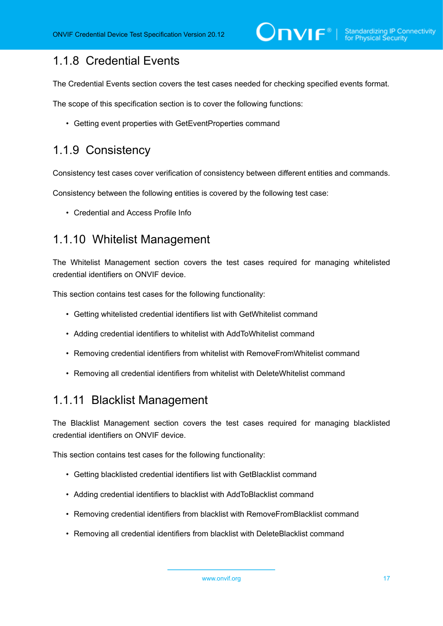#### <span id="page-16-0"></span>1.1.8 Credential Events

The Credential Events section covers the test cases needed for checking specified events format.

The scope of this specification section is to cover the following functions:

• Getting event properties with GetEventProperties command

#### <span id="page-16-1"></span>1.1.9 Consistency

Consistency test cases cover verification of consistency between different entities and commands.

Consistency between the following entities is covered by the following test case:

• Credential and Access Profile Info

#### <span id="page-16-2"></span>1.1.10 Whitelist Management

The Whitelist Management section covers the test cases required for managing whitelisted credential identifiers on ONVIF device.

This section contains test cases for the following functionality:

- Getting whitelisted credential identifiers list with GetWhitelist command
- Adding credential identifiers to whitelist with AddToWhitelist command
- Removing credential identifiers from whitelist with RemoveFromWhitelist command
- Removing all credential identifiers from whitelist with DeleteWhitelist command

#### <span id="page-16-3"></span>1.1.11 Blacklist Management

The Blacklist Management section covers the test cases required for managing blacklisted credential identifiers on ONVIF device.

This section contains test cases for the following functionality:

- Getting blacklisted credential identifiers list with GetBlacklist command
- Adding credential identifiers to blacklist with AddToBlacklist command
- Removing credential identifiers from blacklist with RemoveFromBlacklist command
- Removing all credential identifiers from blacklist with DeleteBlacklist command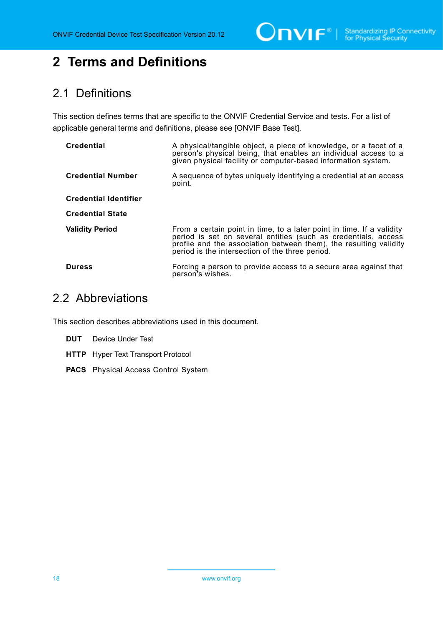$\bigcirc$   $\bigcap$   $\bigvee$   $\bigcap$   $\bigcirc$   $\bigcirc$   $\bigcirc$  Standardizing IP Connectivity

## <span id="page-17-0"></span>**2 Terms and Definitions**

### <span id="page-17-1"></span>2.1 Definitions

This section defines terms that are specific to the ONVIF Credential Service and tests. For a list of applicable general terms and definitions, please see [ONVIF Base Test].

| <b>Credential</b>            | A physical/tangible object, a piece of knowledge, or a facet of a<br>person's physical being, that enables an individual access to a<br>given physical facility or computer-based information system.                                                           |
|------------------------------|-----------------------------------------------------------------------------------------------------------------------------------------------------------------------------------------------------------------------------------------------------------------|
| <b>Credential Number</b>     | A sequence of bytes uniquely identifying a credential at an access<br>point.                                                                                                                                                                                    |
| <b>Credential Identifier</b> |                                                                                                                                                                                                                                                                 |
| <b>Credential State</b>      |                                                                                                                                                                                                                                                                 |
| <b>Validity Period</b>       | From a certain point in time, to a later point in time. If a validity<br>period is set on several entities (such as credentials, access<br>profile and the association between them), the resulting validity<br>period is the intersection of the three period. |
| <b>Duress</b>                | Forcing a person to provide access to a secure area against that<br>person's wishes.                                                                                                                                                                            |

#### <span id="page-17-2"></span>2.2 Abbreviations

This section describes abbreviations used in this document.

- **DUT** Device Under Test
- **HTTP** Hyper Text Transport Protocol
- **PACS** Physical Access Control System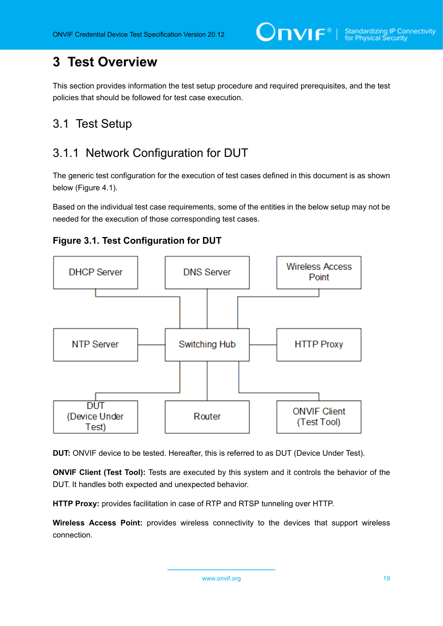# <span id="page-18-0"></span>**3 Test Overview**

This section provides information the test setup procedure and required prerequisites, and the test policies that should be followed for test case execution.

## <span id="page-18-1"></span>3.1 Test Setup

## <span id="page-18-2"></span>3.1.1 Network Configuration for DUT

The generic test configuration for the execution of test cases defined in this document is as shown below (Figure 4.1).

Based on the individual test case requirements, some of the entities in the below setup may not be needed for the execution of those corresponding test cases.





**DUT:** ONVIF device to be tested. Hereafter, this is referred to as DUT (Device Under Test).

**ONVIF Client (Test Tool):** Tests are executed by this system and it controls the behavior of the DUT. It handles both expected and unexpected behavior.

**HTTP Proxy:** provides facilitation in case of RTP and RTSP tunneling over HTTP.

**Wireless Access Point:** provides wireless connectivity to the devices that support wireless connection.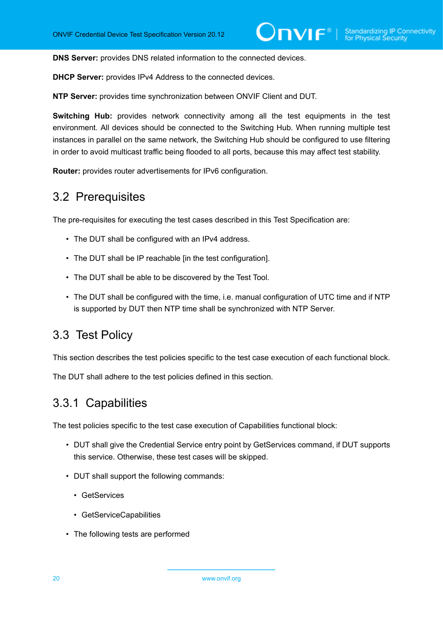**DNS Server:** provides DNS related information to the connected devices.

**DHCP Server:** provides IPv4 Address to the connected devices.

**NTP Server:** provides time synchronization between ONVIF Client and DUT.

**Switching Hub:** provides network connectivity among all the test equipments in the test environment. All devices should be connected to the Switching Hub. When running multiple test instances in parallel on the same network, the Switching Hub should be configured to use filtering in order to avoid multicast traffic being flooded to all ports, because this may affect test stability.

<span id="page-19-0"></span>**Router:** provides router advertisements for IPv6 configuration.

#### 3.2 Prerequisites

The pre-requisites for executing the test cases described in this Test Specification are:

- The DUT shall be configured with an IPv4 address.
- The DUT shall be IP reachable lin the test configuration.
- The DUT shall be able to be discovered by the Test Tool.
- The DUT shall be configured with the time, i.e. manual configuration of UTC time and if NTP is supported by DUT then NTP time shall be synchronized with NTP Server.

#### <span id="page-19-1"></span>3.3 Test Policy

This section describes the test policies specific to the test case execution of each functional block.

<span id="page-19-2"></span>The DUT shall adhere to the test policies defined in this section.

#### 3.3.1 Capabilities

The test policies specific to the test case execution of Capabilities functional block:

- DUT shall give the Credential Service entry point by GetServices command, if DUT supports this service. Otherwise, these test cases will be skipped.
- DUT shall support the following commands:
	- GetServices
	- GetServiceCapabilities
- The following tests are performed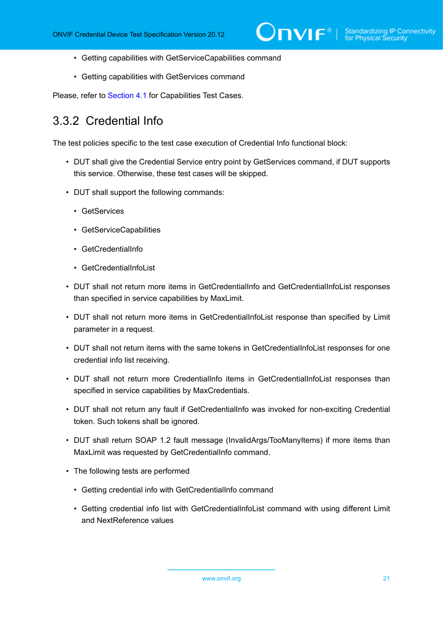- Getting capabilities with GetServiceCapabilities command
- Getting capabilities with GetServices command

<span id="page-20-0"></span>Please, refer to [Section 4.1](#page-33-1) for Capabilities Test Cases.

#### 3.3.2 Credential Info

The test policies specific to the test case execution of Credential Info functional block:

- DUT shall give the Credential Service entry point by GetServices command, if DUT supports this service. Otherwise, these test cases will be skipped.
- DUT shall support the following commands:
	- GetServices
	- GetServiceCapabilities
	- GetCredentialInfo
	- GetCredentialInfoList
- DUT shall not return more items in GetCredentialInfo and GetCredentialInfoList responses than specified in service capabilities by MaxLimit.
- DUT shall not return more items in GetCredentialInfoList response than specified by Limit parameter in a request.
- DUT shall not return items with the same tokens in GetCredentialInfoList responses for one credential info list receiving.
- DUT shall not return more CredentialInfo items in GetCredentialInfoList responses than specified in service capabilities by MaxCredentials.
- DUT shall not return any fault if GetCredentialInfo was invoked for non-exciting Credential token. Such tokens shall be ignored.
- DUT shall return SOAP 1.2 fault message (InvalidArgs/TooManyItems) if more items than MaxLimit was requested by GetCredentialInfo command.
- The following tests are performed
	- Getting credential info with GetCredentialInfo command
	- Getting credential info list with GetCredentialInfoList command with using different Limit and NextReference values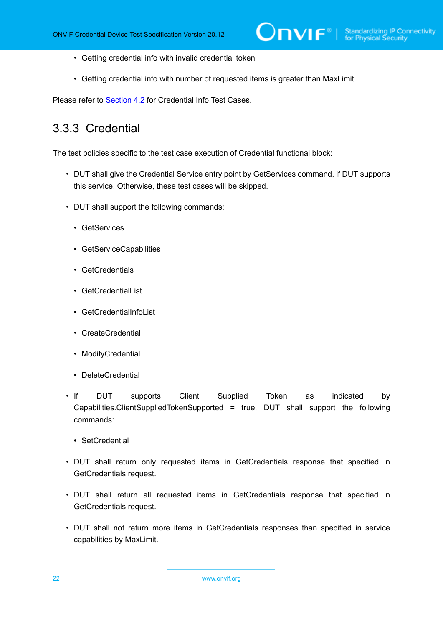- Getting credential info with invalid credential token
- Getting credential info with number of requested items is greater than MaxLimit

<span id="page-21-0"></span>Please refer to [Section 4.2](#page-35-0) for Credential Info Test Cases.

#### 3.3.3 Credential

The test policies specific to the test case execution of Credential functional block:

- DUT shall give the Credential Service entry point by GetServices command, if DUT supports this service. Otherwise, these test cases will be skipped.
- DUT shall support the following commands:
	- GetServices
	- GetServiceCapabilities
	- GetCredentials
	- GetCredentialList
	- GetCredentialInfoList
	- CreateCredential
	- ModifyCredential
	- DeleteCredential
- If DUT supports Client Supplied Token as indicated by Capabilities.ClientSuppliedTokenSupported = true, DUT shall support the following commands:
	- SetCredential
- DUT shall return only requested items in GetCredentials response that specified in GetCredentials request.
- DUT shall return all requested items in GetCredentials response that specified in GetCredentials request.
- DUT shall not return more items in GetCredentials responses than specified in service capabilities by MaxLimit.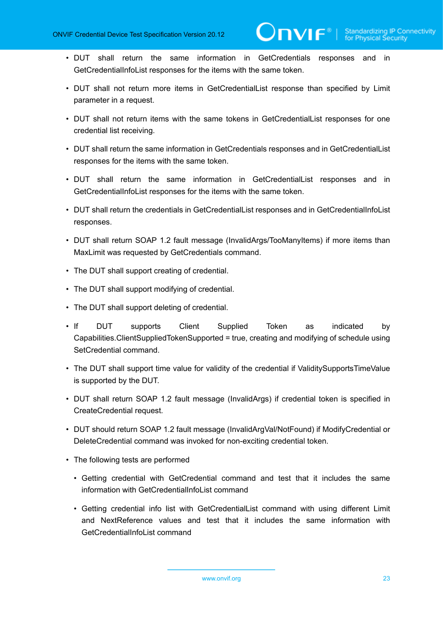• DUT shall return the same information in GetCredentials responses and in GetCredentialInfoList responses for the items with the same token.

 $\partial$ DVIF $^{\circ}$ l

- DUT shall not return more items in GetCredentialList response than specified by Limit parameter in a request.
- DUT shall not return items with the same tokens in GetCredentialList responses for one credential list receiving.
- DUT shall return the same information in GetCredentials responses and in GetCredentialList responses for the items with the same token.
- DUT shall return the same information in GetCredentialList responses and in GetCredentialInfoList responses for the items with the same token.
- DUT shall return the credentials in GetCredentialList responses and in GetCredentialInfoList responses.
- DUT shall return SOAP 1.2 fault message (InvalidArgs/TooManyItems) if more items than MaxLimit was requested by GetCredentials command.
- The DUT shall support creating of credential.
- The DUT shall support modifying of credential.
- The DUT shall support deleting of credential.
- If DUT supports Client Supplied Token as indicated by Capabilities.ClientSuppliedTokenSupported = true, creating and modifying of schedule using SetCredential command.
- The DUT shall support time value for validity of the credential if ValiditySupportsTimeValue is supported by the DUT.
- DUT shall return SOAP 1.2 fault message (InvalidArgs) if credential token is specified in CreateCredential request.
- DUT should return SOAP 1.2 fault message (InvalidArgVal/NotFound) if ModifyCredential or DeleteCredential command was invoked for non-exciting credential token.
- The following tests are performed
	- Getting credential with GetCredential command and test that it includes the same information with GetCredentialInfoList command
	- Getting credential info list with GetCredentialList command with using different Limit and NextReference values and test that it includes the same information with GetCredentialInfoList command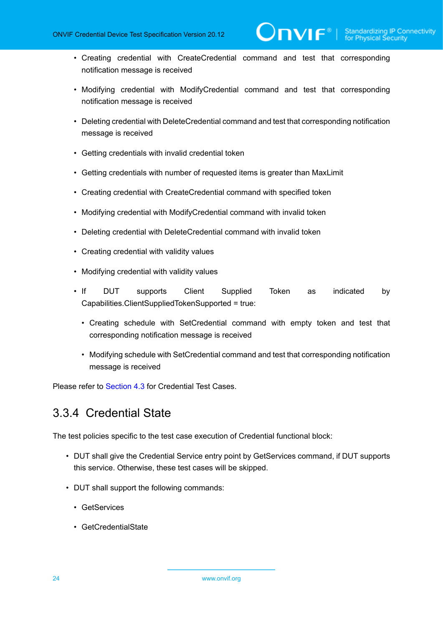• Creating credential with CreateCredential command and test that corresponding notification message is received

 $\mathsf{DnvIF}^*$  i

- Modifying credential with ModifyCredential command and test that corresponding notification message is received
- Deleting credential with DeleteCredential command and test that corresponding notification message is received
- Getting credentials with invalid credential token
- Getting credentials with number of requested items is greater than MaxLimit
- Creating credential with CreateCredential command with specified token
- Modifying credential with ModifyCredential command with invalid token
- Deleting credential with DeleteCredential command with invalid token
- Creating credential with validity values
- Modifying credential with validity values
- If DUT supports Client Supplied Token as indicated by Capabilities.ClientSuppliedTokenSupported = true:
	- Creating schedule with SetCredential command with empty token and test that corresponding notification message is received
	- Modifying schedule with SetCredential command and test that corresponding notification message is received

<span id="page-23-0"></span>Please refer to [Section 4.3](#page-47-0) for Credential Test Cases.

#### 3.3.4 Credential State

The test policies specific to the test case execution of Credential functional block:

- DUT shall give the Credential Service entry point by GetServices command, if DUT supports this service. Otherwise, these test cases will be skipped.
- DUT shall support the following commands:
	- GetServices
	- GetCredentialState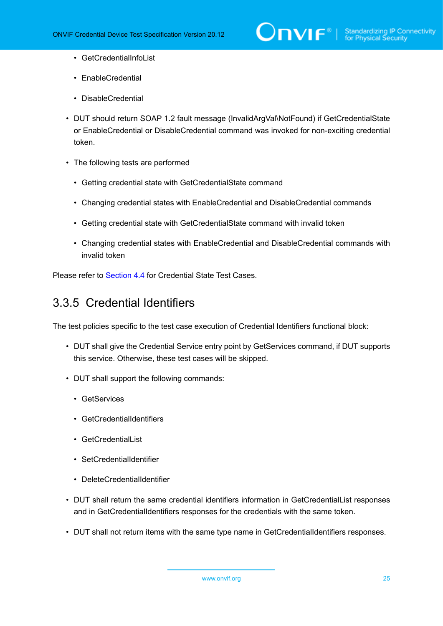- GetCredentialInfoList
- EnableCredential
- DisableCredential
- DUT should return SOAP 1.2 fault message (InvalidArgVal\NotFound) if GetCredentialState or EnableCredential or DisableCredential command was invoked for non-exciting credential token.
- The following tests are performed
	- Getting credential state with GetCredentialState command
	- Changing credential states with EnableCredential and DisableCredential commands
	- Getting credential state with GetCredentialState command with invalid token
	- Changing credential states with EnableCredential and DisableCredential commands with invalid token

<span id="page-24-0"></span>Please refer to [Section 4.4](#page-109-0) for Credential State Test Cases.

### 3.3.5 Credential Identifiers

The test policies specific to the test case execution of Credential Identifiers functional block:

- DUT shall give the Credential Service entry point by GetServices command, if DUT supports this service. Otherwise, these test cases will be skipped.
- DUT shall support the following commands:
	- GetServices
	- GetCredentialIdentifiers
	- GetCredentialList
	- SetCredentialIdentifier
	- DeleteCredentialIdentifier
- DUT shall return the same credential identifiers information in GetCredentialList responses and in GetCredentialIdentifiers responses for the credentials with the same token.
- DUT shall not return items with the same type name in GetCredentialIdentifiers responses.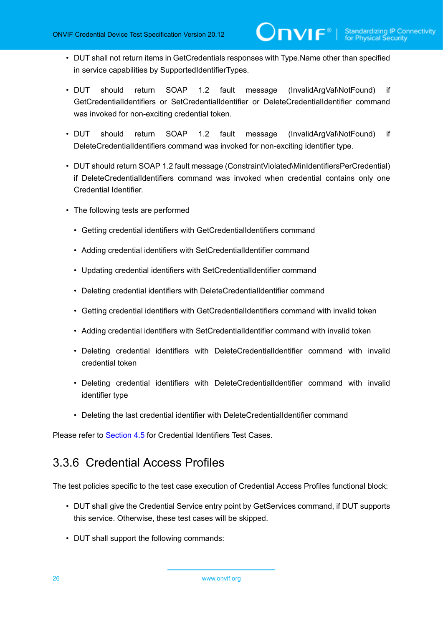- DUT shall not return items in GetCredentials responses with Type.Name other than specified in service capabilities by SupportedIdentifierTypes.
- DUT should return SOAP 1.2 fault message (InvalidArgVal\NotFound) if GetCredentialIdentifiers or SetCredentialIdentifier or DeleteCredentialIdentifier command was invoked for non-exciting credential token.
- DUT should return SOAP 1.2 fault message (InvalidArgVal\NotFound) if DeleteCredentialIdentifiers command was invoked for non-exciting identifier type.
- DUT should return SOAP 1.2 fault message (ConstraintViolated\MinIdentifiersPerCredential) if DeleteCredentialIdentifiers command was invoked when credential contains only one Credential Identifier.
- The following tests are performed
	- Getting credential identifiers with GetCredentialIdentifiers command
	- Adding credential identifiers with SetCredentialIdentifier command
	- Updating credential identifiers with SetCredentialIdentifier command
	- Deleting credential identifiers with DeleteCredentialIdentifier command
	- Getting credential identifiers with GetCredentialIdentifiers command with invalid token
	- Adding credential identifiers with SetCredentialIdentifier command with invalid token
	- Deleting credential identifiers with DeleteCredentialIdentifier command with invalid credential token
	- Deleting credential identifiers with DeleteCredentialIdentifier command with invalid identifier type
	- Deleting the last credential identifier with DeleteCredentialIdentifier command

<span id="page-25-0"></span>Please refer to [Section 4.5](#page-117-0) for Credential Identifiers Test Cases.

#### 3.3.6 Credential Access Profiles

The test policies specific to the test case execution of Credential Access Profiles functional block:

- DUT shall give the Credential Service entry point by GetServices command, if DUT supports this service. Otherwise, these test cases will be skipped.
- DUT shall support the following commands: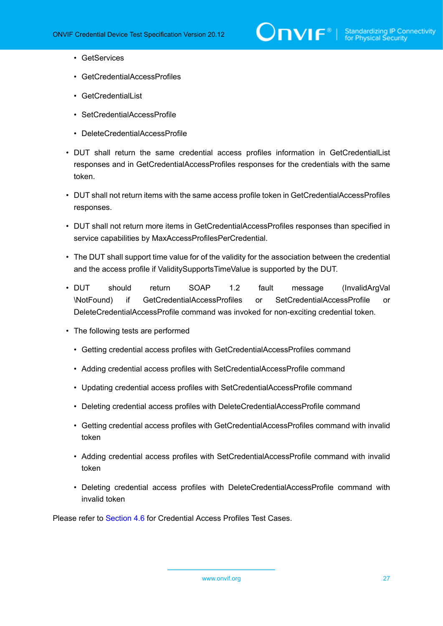

- GetServices
- GetCredentialAccessProfiles
- GetCredentialList
- SetCredentialAccessProfile
- DeleteCredentialAccessProfile
- DUT shall return the same credential access profiles information in GetCredentialList responses and in GetCredentialAccessProfiles responses for the credentials with the same token.
- DUT shall not return items with the same access profile token in GetCredentialAccessProfiles responses.
- DUT shall not return more items in GetCredentialAccessProfiles responses than specified in service capabilities by MaxAccessProfilesPerCredential.
- The DUT shall support time value for of the validity for the association between the credential and the access profile if ValiditySupportsTimeValue is supported by the DUT.
- DUT should return SOAP 1.2 fault message (InvalidArgVal \NotFound) if GetCredentialAccessProfiles or SetCredentialAccessProfile or DeleteCredentialAccessProfile command was invoked for non-exciting credential token.
- The following tests are performed
	- Getting credential access profiles with GetCredentialAccessProfiles command
	- Adding credential access profiles with SetCredentialAccessProfile command
	- Updating credential access profiles with SetCredentialAccessProfile command
	- Deleting credential access profiles with DeleteCredentialAccessProfile command
	- Getting credential access profiles with GetCredentialAccessProfiles command with invalid token
	- Adding credential access profiles with SetCredentialAccessProfile command with invalid token
	- Deleting credential access profiles with DeleteCredentialAccessProfile command with invalid token

Please refer to [Section 4.6](#page-138-0) for Credential Access Profiles Test Cases.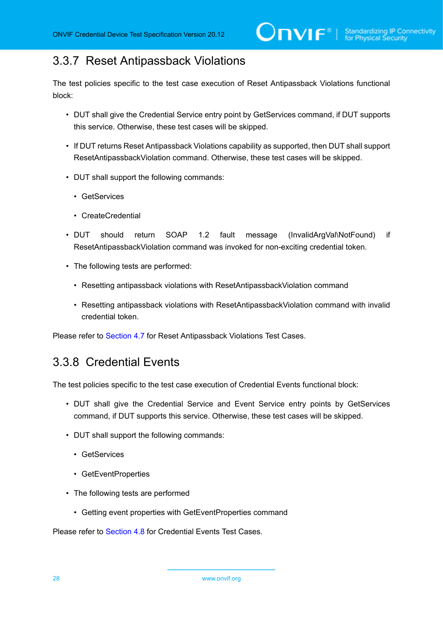### <span id="page-27-0"></span>3.3.7 Reset Antipassback Violations

The test policies specific to the test case execution of Reset Antipassback Violations functional block:

- DUT shall give the Credential Service entry point by GetServices command, if DUT supports this service. Otherwise, these test cases will be skipped.
- If DUT returns Reset Antipassback Violations capability as supported, then DUT shall support ResetAntipassbackViolation command. Otherwise, these test cases will be skipped.
- DUT shall support the following commands:
	- GetServices
	- CreateCredential
- DUT should return SOAP 1.2 fault message (InvalidArgVal\NotFound) if ResetAntipassbackViolation command was invoked for non-exciting credential token.
- The following tests are performed:
	- Resetting antipassback violations with ResetAntipassbackViolation command
	- Resetting antipassback violations with ResetAntipassbackViolation command with invalid credential token.

<span id="page-27-1"></span>Please refer to [Section 4.7](#page-155-0) for Reset Antipassback Violations Test Cases.

### 3.3.8 Credential Events

The test policies specific to the test case execution of Credential Events functional block:

- DUT shall give the Credential Service and Event Service entry points by GetServices command, if DUT supports this service. Otherwise, these test cases will be skipped.
- DUT shall support the following commands:
	- GetServices
	- GetEventProperties
- The following tests are performed
	- Getting event properties with GetEventProperties command

Please refer to [Section 4.8](#page-160-0) for Credential Events Test Cases.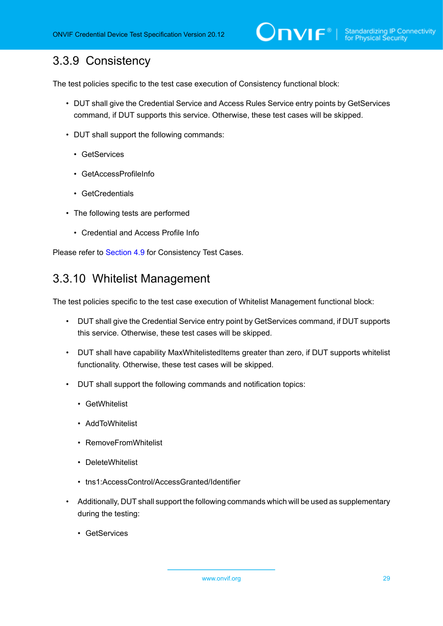### <span id="page-28-0"></span>3.3.9 Consistency

The test policies specific to the test case execution of Consistency functional block:

- DUT shall give the Credential Service and Access Rules Service entry points by GetServices command, if DUT supports this service. Otherwise, these test cases will be skipped.
- DUT shall support the following commands:
	- GetServices
	- GetAccessProfileInfo
	- GetCredentials
- The following tests are performed
	- Credential and Access Profile Info

<span id="page-28-1"></span>Please refer to [Section 4.9](#page-166-0) for Consistency Test Cases.

#### 3.3.10 Whitelist Management

The test policies specific to the test case execution of Whitelist Management functional block:

- DUT shall give the Credential Service entry point by GetServices command, if DUT supports this service. Otherwise, these test cases will be skipped.
- DUT shall have capability MaxWhitelistedItems greater than zero, if DUT supports whitelist functionality. Otherwise, these test cases will be skipped.
- DUT shall support the following commands and notification topics:
	- GetWhitelist
	- AddToWhitelist
	- RemoveFromWhitelist
	- DeleteWhitelist
	- tns1:AccessControl/AccessGranted/Identifier
- Additionally, DUT shall support the following commands which will be used as supplementary during the testing:
	- GetServices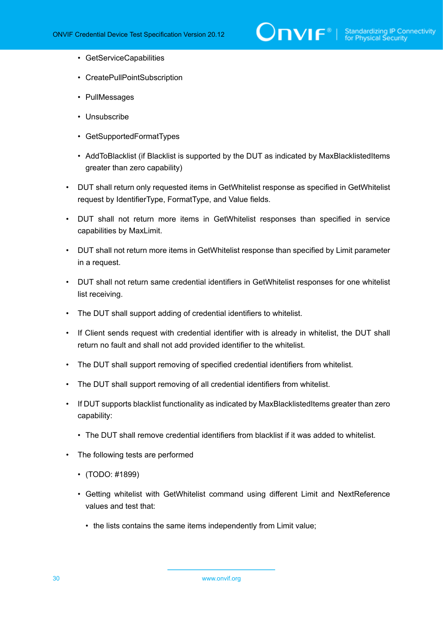# $\sum_{\text{IVIF}^\text{\tiny\textcircled{\tiny{N}}}}$  | Standardizing IP Connectivity

- GetServiceCapabilities
- CreatePullPointSubscription
- PullMessages
- Unsubscribe
- GetSupportedFormatTypes
- AddToBlacklist (if Blacklist is supported by the DUT as indicated by MaxBlacklistedItems greater than zero capability)
- DUT shall return only requested items in GetWhitelist response as specified in GetWhitelist request by IdentifierType, FormatType, and Value fields.
- DUT shall not return more items in GetWhitelist responses than specified in service capabilities by MaxLimit.
- DUT shall not return more items in GetWhitelist response than specified by Limit parameter in a request.
- DUT shall not return same credential identifiers in GetWhitelist responses for one whitelist list receiving.
- The DUT shall support adding of credential identifiers to whitelist.
- If Client sends request with credential identifier with is already in whitelist, the DUT shall return no fault and shall not add provided identifier to the whitelist.
- The DUT shall support removing of specified credential identifiers from whitelist.
- The DUT shall support removing of all credential identifiers from whitelist.
- If DUT supports blacklist functionality as indicated by MaxBlacklistedItems greater than zero capability:
	- The DUT shall remove credential identifiers from blacklist if it was added to whitelist.
- The following tests are performed
	- (TODO: #1899)
	- Getting whitelist with GetWhitelist command using different Limit and NextReference values and test that:
		- the lists contains the same items independently from Limit value;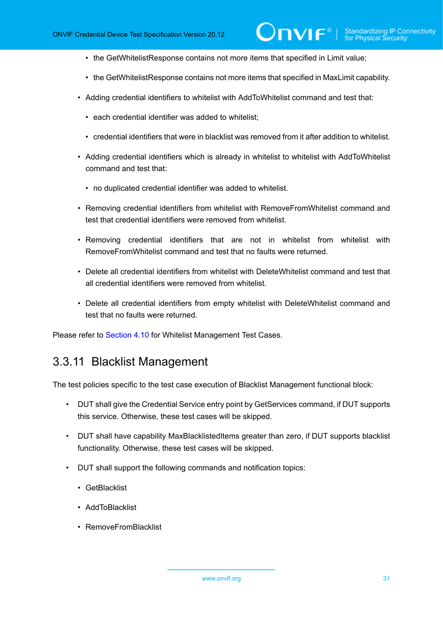- the GetWhitelistResponse contains not more items that specified in Limit value;
- the GetWhitelistResponse contains not more items that specified in MaxLimit capability.
- Adding credential identifiers to whitelist with AddToWhitelist command and test that:
	- each credential identifier was added to whitelist;
	- credential identifiers that were in blacklist was removed from it after addition to whitelist.
- Adding credential identifiers which is already in whitelist to whitelist with AddToWhitelist command and test that:
	- no duplicated credential identifier was added to whitelist.
- Removing credential identifiers from whitelist with RemoveFromWhitelist command and test that credential identifiers were removed from whitelist.
- Removing credential identifiers that are not in whitelist from whitelist with RemoveFromWhitelist command and test that no faults were returned.
- Delete all credential identifiers from whitelist with DeleteWhitelist command and test that all credential identifiers were removed from whitelist.
- Delete all credential identifiers from empty whitelist with DeleteWhitelist command and test that no faults were returned.

<span id="page-30-0"></span>Please refer to [Section 4.10](#page-167-0) for Whitelist Management Test Cases.

#### 3.3.11 Blacklist Management

The test policies specific to the test case execution of Blacklist Management functional block:

- DUT shall give the Credential Service entry point by GetServices command, if DUT supports this service. Otherwise, these test cases will be skipped.
- DUT shall have capability MaxBlacklistedItems greater than zero, if DUT supports blacklist functionality. Otherwise, these test cases will be skipped.
- DUT shall support the following commands and notification topics:
	- GetBlacklist
	- AddToBlacklist
	- RemoveFromBlacklist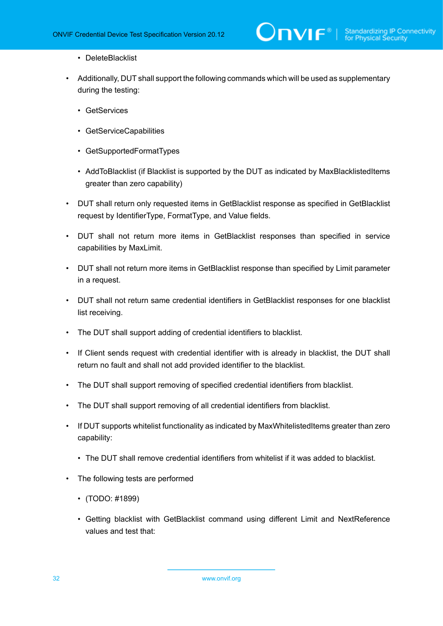- DeleteBlacklist
- Additionally, DUT shall support the following commands which will be used as supplementary during the testing:
	- GetServices
	- GetServiceCapabilities
	- GetSupportedFormatTypes
	- AddToBlacklist (if Blacklist is supported by the DUT as indicated by MaxBlacklistedItems greater than zero capability)
- DUT shall return only requested items in GetBlacklist response as specified in GetBlacklist request by IdentifierType, FormatType, and Value fields.
- DUT shall not return more items in GetBlacklist responses than specified in service capabilities by MaxLimit.
- DUT shall not return more items in GetBlacklist response than specified by Limit parameter in a request.
- DUT shall not return same credential identifiers in GetBlacklist responses for one blacklist list receiving.
- The DUT shall support adding of credential identifiers to blacklist.
- If Client sends request with credential identifier with is already in blacklist, the DUT shall return no fault and shall not add provided identifier to the blacklist.
- The DUT shall support removing of specified credential identifiers from blacklist.
- The DUT shall support removing of all credential identifiers from blacklist.
- If DUT supports whitelist functionality as indicated by MaxWhitelistedItems greater than zero capability:
	- The DUT shall remove credential identifiers from whitelist if it was added to blacklist.
- The following tests are performed
	- (TODO: #1899)
	- Getting blacklist with GetBlacklist command using different Limit and NextReference values and test that: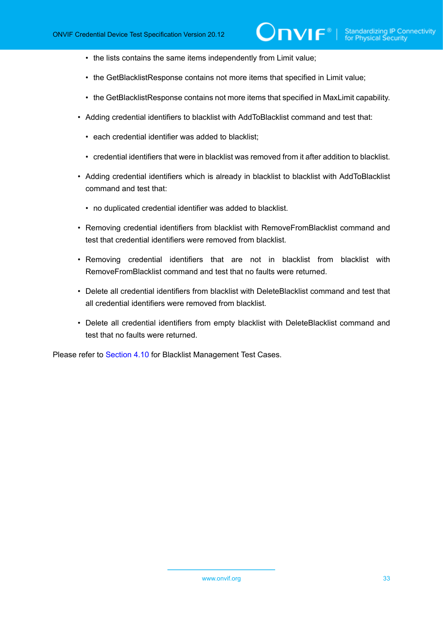- the lists contains the same items independently from Limit value;
- the GetBlacklistResponse contains not more items that specified in Limit value;
- the GetBlacklistResponse contains not more items that specified in MaxLimit capability.
- Adding credential identifiers to blacklist with AddToBlacklist command and test that:
	- each credential identifier was added to blacklist;
	- credential identifiers that were in blacklist was removed from it after addition to blacklist.
- Adding credential identifiers which is already in blacklist to blacklist with AddToBlacklist command and test that:
	- no duplicated credential identifier was added to blacklist.
- Removing credential identifiers from blacklist with RemoveFromBlacklist command and test that credential identifiers were removed from blacklist.
- Removing credential identifiers that are not in blacklist from blacklist with RemoveFromBlacklist command and test that no faults were returned.
- Delete all credential identifiers from blacklist with DeleteBlacklist command and test that all credential identifiers were removed from blacklist.
- Delete all credential identifiers from empty blacklist with DeleteBlacklist command and test that no faults were returned.

Please refer to [Section 4.10](#page-183-0) for Blacklist Management Test Cases.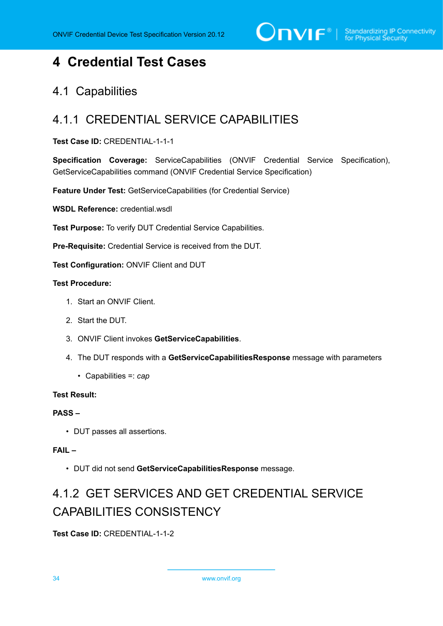# $\bigcirc$   $\bigcap$   $\bigvee$   $\bigcirc$   $\bigcirc$   $\bigcirc$  Standardizing IP Connectivity

## <span id="page-33-0"></span>**4 Credential Test Cases**

#### <span id="page-33-1"></span>4.1 Capabilities

### <span id="page-33-2"></span>4.1.1 CREDENTIAL SERVICE CAPABILITIES

#### **Test Case ID:** CREDENTIAL-1-1-1

**Specification Coverage:** ServiceCapabilities (ONVIF Credential Service Specification), GetServiceCapabilities command (ONVIF Credential Service Specification)

**Feature Under Test:** GetServiceCapabilities (for Credential Service)

**WSDL Reference:** credential.wsdl

**Test Purpose:** To verify DUT Credential Service Capabilities.

**Pre-Requisite:** Credential Service is received from the DUT.

**Test Configuration:** ONVIF Client and DUT

#### **Test Procedure:**

- 1. Start an ONVIF Client.
- 2. Start the DUT.
- 3. ONVIF Client invokes **GetServiceCapabilities**.
- 4. The DUT responds with a **GetServiceCapabilitiesResponse** message with parameters
	- Capabilities =: *cap*

#### **Test Result:**

#### **PASS –**

• DUT passes all assertions.

#### **FAIL –**

• DUT did not send **GetServiceCapabilitiesResponse** message.

# <span id="page-33-3"></span>4.1.2 GET SERVICES AND GET CREDENTIAL SERVICE CAPABILITIES CONSISTENCY

**Test Case ID:** CREDENTIAL-1-1-2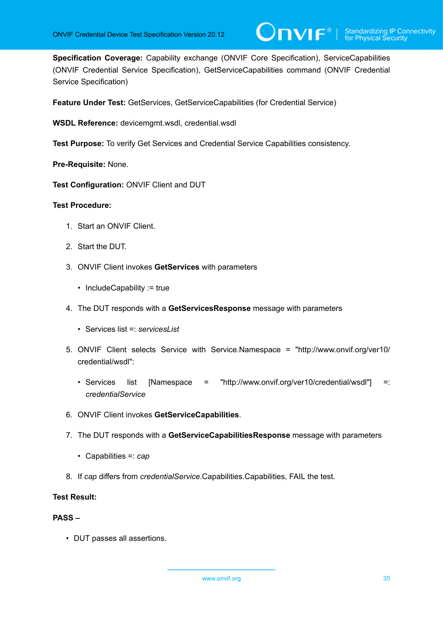**Specification Coverage:** Capability exchange (ONVIF Core Specification), ServiceCapabilities (ONVIF Credential Service Specification), GetServiceCapabilities command (ONVIF Credential Service Specification)

 $\mathsf{D}\mathbf{N}\mathsf{I}\mathsf{F}^\ast$  :

**Feature Under Test:** GetServices, GetServiceCapabilities (for Credential Service)

**WSDL Reference:** devicemgmt.wsdl, credential.wsdl

**Test Purpose:** To verify Get Services and Credential Service Capabilities consistency.

**Pre-Requisite:** None.

**Test Configuration:** ONVIF Client and DUT

#### **Test Procedure:**

- 1. Start an ONVIF Client.
- 2. Start the DUT.
- 3. ONVIF Client invokes **GetServices** with parameters
	- IncludeCapability := true
- 4. The DUT responds with a **GetServicesResponse** message with parameters
	- Services list =: *servicesList*
- 5. ONVIF Client selects Service with Service.Namespace = "http://www.onvif.org/ver10/ credential/wsdl":
	- Services list [Namespace = "http://www.onvif.org/ver10/credential/wsdl"] =: *credentialService*
- 6. ONVIF Client invokes **GetServiceCapabilities**.
- 7. The DUT responds with a **GetServiceCapabilitiesResponse** message with parameters
	- Capabilities =: *cap*
- <span id="page-34-0"></span>8. If *cap* differs from *credentialService*.Capabilities.Capabilities, FAIL the test.

#### **Test Result:**

#### **PASS –**

• DUT passes all assertions.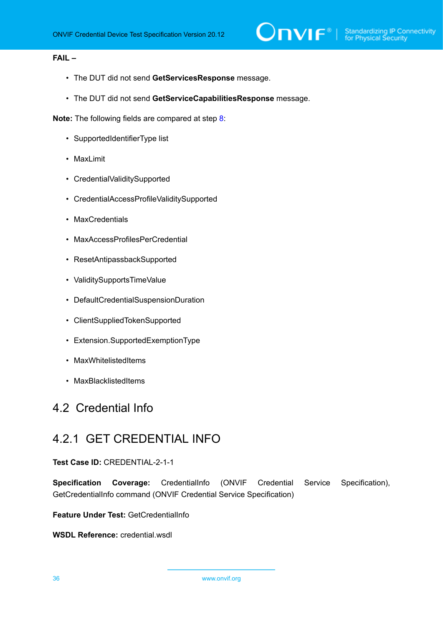#### **FAIL –**

- The DUT did not send **GetServicesResponse** message.
- The DUT did not send **GetServiceCapabilitiesResponse** message.

**Note:** The following fields are compared at step [8:](#page-34-0)

- SupportedIdentifierType list
- MaxLimit
- CredentialValiditySupported
- CredentialAccessProfileValiditySupported
- MaxCredentials
- MaxAccessProfilesPerCredential
- ResetAntipassbackSupported
- ValiditySupportsTimeValue
- DefaultCredentialSuspensionDuration
- ClientSuppliedTokenSupported
- Extension.SupportedExemptionType
- MaxWhitelistedItems
- MaxBlacklistedItems

#### <span id="page-35-0"></span>4.2 Credential Info

#### <span id="page-35-1"></span>4.2.1 GET CREDENTIAL INFO

#### **Test Case ID:** CREDENTIAL-2-1-1

**Specification Coverage:** CredentialInfo (ONVIF Credential Service Specification), GetCredentialInfo command (ONVIF Credential Service Specification)

**Feature Under Test:** GetCredentialInfo

**WSDL Reference:** credential.wsdl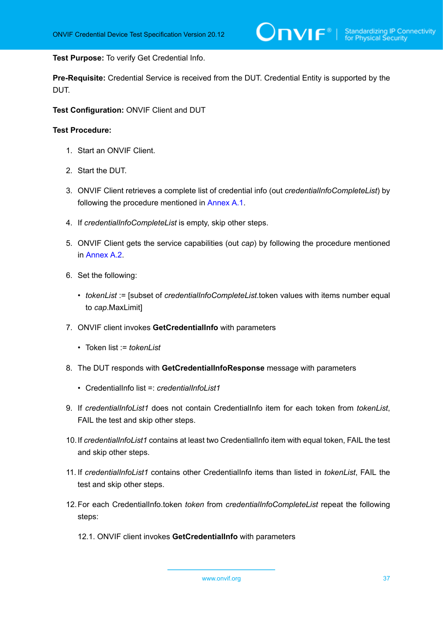**Test Purpose:** To verify Get Credential Info.

**Pre-Requisite:** Credential Service is received from the DUT. Credential Entity is supported by the DUT.

**Test Configuration:** ONVIF Client and DUT

- 1. Start an ONVIF Client.
- 2. Start the DUT.
- 3. ONVIF Client retrieves a complete list of credential info (out *credentialInfoCompleteList*) by following the procedure mentioned in [Annex A.1](#page-200-0).
- 4. If *credentialInfoCompleteList* is empty, skip other steps.
- 5. ONVIF Client gets the service capabilities (out *cap*) by following the procedure mentioned in [Annex A.2.](#page-201-0)
- <span id="page-36-0"></span>6. Set the following:
	- *tokenList* := [subset of *credentialInfoCompleteList*.token values with items number equal to *cap*.MaxLimit]
- 7. ONVIF client invokes **GetCredentialInfo** with parameters
	- Token list := *tokenList*
- 8. The DUT responds with **GetCredentialInfoResponse** message with parameters
	- CredentialInfo list =: *credentialInfoList1*
- 9. If *credentialInfoList1* does not contain CredentialInfo item for each token from *tokenList*, FAIL the test and skip other steps.
- 10.If *credentialInfoList1* contains at least two CredentialInfo item with equal token, FAIL the test and skip other steps.
- 11. If *credentialInfoList1* contains other CredentialInfo items than listed in *tokenList*, FAIL the test and skip other steps.
- 12.For each CredentialInfo.token *token* from *credentialInfoCompleteList* repeat the following steps:
	- 12.1. ONVIF client invokes **GetCredentialInfo** with parameters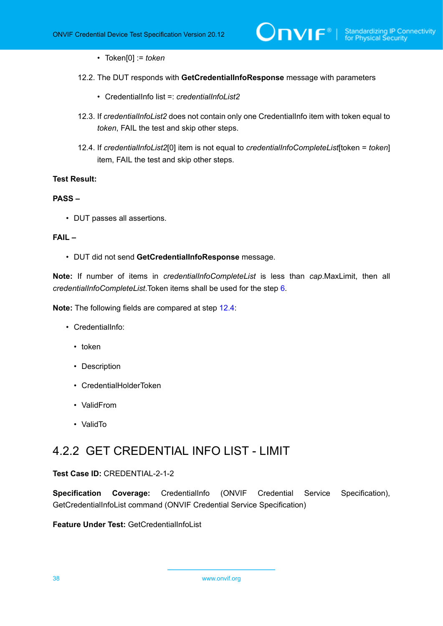- Token[0] := *token*
- 12.2. The DUT responds with **GetCredentialInfoResponse** message with parameters
	- CredentialInfo list =: *credentialInfoList2*
- 12.3. If *credentialInfoList2* does not contain only one CredentialInfo item with token equal to *token*, FAIL the test and skip other steps.
- <span id="page-37-0"></span>12.4. If *credentialInfoList2*[0] item is not equal to *credentialInfoCompleteList*[token = *token*] item, FAIL the test and skip other steps.

#### **PASS –**

• DUT passes all assertions.

#### **FAIL –**

• DUT did not send **GetCredentialInfoResponse** message.

**Note:** If number of items in *credentialInfoCompleteList* is less than *cap*.MaxLimit, then all *credentialInfoCompleteList*.Token items shall be used for the step [6.](#page-36-0)

**Note:** The following fields are compared at step [12.4](#page-37-0):

- CredentialInfo:
	- token
	- Description
	- CredentialHolderToken
	- ValidFrom
	- ValidTo

# 4.2.2 GET CREDENTIAL INFO LIST - LIMIT

#### **Test Case ID:** CREDENTIAL-2-1-2

**Specification Coverage:** CredentialInfo (ONVIF Credential Service Specification), GetCredentialInfoList command (ONVIF Credential Service Specification)

**Feature Under Test:** GetCredentialInfoList

38 www.onvif.org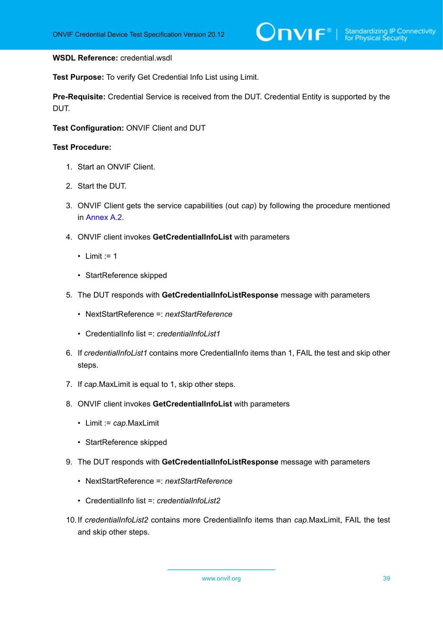#### **WSDL Reference:** credential.wsdl

**Test Purpose:** To verify Get Credential Info List using Limit.

**Pre-Requisite:** Credential Service is received from the DUT. Credential Entity is supported by the DUT.

**Test Configuration:** ONVIF Client and DUT

- 1. Start an ONVIF Client.
- 2. Start the DUT.
- 3. ONVIF Client gets the service capabilities (out *cap*) by following the procedure mentioned in [Annex A.2.](#page-201-0)
- 4. ONVIF client invokes **GetCredentialInfoList** with parameters
	- Limit  $:= 1$
	- StartReference skipped
- 5. The DUT responds with **GetCredentialInfoListResponse** message with parameters
	- NextStartReference =: *nextStartReference*
	- CredentialInfo list =: *credentialInfoList1*
- 6. If *credentialInfoList1* contains more CredentialInfo items than 1, FAIL the test and skip other steps.
- 7. If *cap*.MaxLimit is equal to 1, skip other steps.
- 8. ONVIF client invokes **GetCredentialInfoList** with parameters
	- Limit := *cap*.MaxLimit
	- StartReference skipped
- 9. The DUT responds with **GetCredentialInfoListResponse** message with parameters
	- NextStartReference =: *nextStartReference*
	- CredentialInfo list =: *credentialInfoList2*
- 10.If *credentialInfoList2* contains more CredentialInfo items than *cap*.MaxLimit, FAIL the test and skip other steps.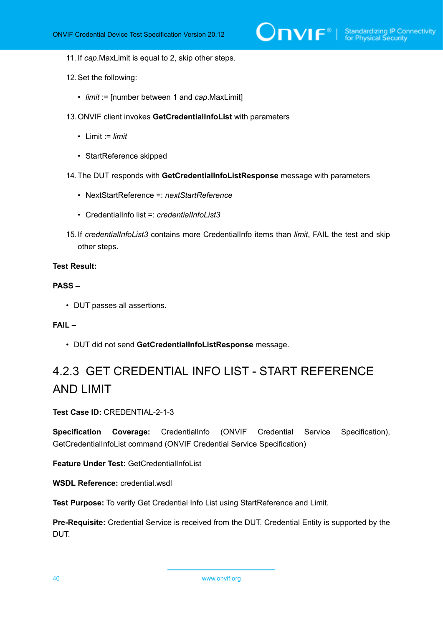$\sum_{\text{IVIF}^{\circ} | \text{Standardizing IP Connectivity}}$ 

- 11. If *cap*.MaxLimit is equal to 2, skip other steps.
- 12.Set the following:
	- *limit* := [number between 1 and *cap*.MaxLimit]
- 13.ONVIF client invokes **GetCredentialInfoList** with parameters
	- Limit := *limit*
	- StartReference skipped
- 14.The DUT responds with **GetCredentialInfoListResponse** message with parameters
	- NextStartReference =: *nextStartReference*
	- CredentialInfo list =: *credentialInfoList3*
- 15.If *credentialInfoList3* contains more CredentialInfo items than *limit*, FAIL the test and skip other steps.

#### **Test Result:**

#### **PASS –**

• DUT passes all assertions.

#### **FAIL –**

• DUT did not send **GetCredentialInfoListResponse** message.

# 4.2.3 GET CREDENTIAL INFO LIST - START REFERENCE AND LIMIT

#### **Test Case ID:** CREDENTIAL-2-1-3

**Specification Coverage:** CredentialInfo (ONVIF Credential Service Specification), GetCredentialInfoList command (ONVIF Credential Service Specification)

**Feature Under Test:** GetCredentialInfoList

**WSDL Reference:** credential.wsdl

**Test Purpose:** To verify Get Credential Info List using StartReference and Limit.

**Pre-Requisite:** Credential Service is received from the DUT. Credential Entity is supported by the DUT.

40 www.onvif.org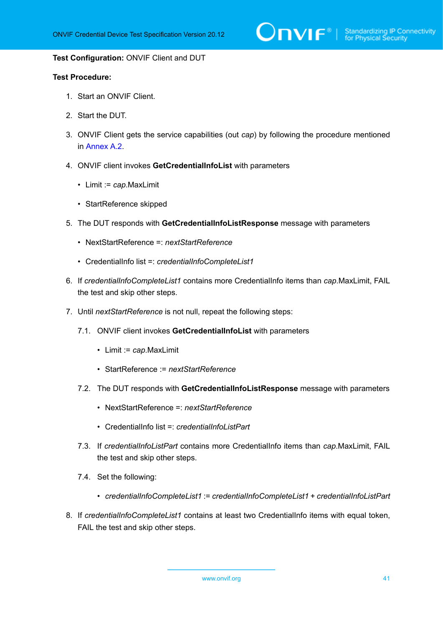$\sum_{\text{IVIF}^{\circ} | \text{Standardizing IP Connectivity}}$ 

#### **Test Configuration:** ONVIF Client and DUT

- 1. Start an ONVIF Client.
- 2. Start the DUT.
- 3. ONVIF Client gets the service capabilities (out *cap*) by following the procedure mentioned in [Annex A.2.](#page-201-0)
- 4. ONVIF client invokes **GetCredentialInfoList** with parameters
	- Limit := *cap*.MaxLimit
	- StartReference skipped
- 5. The DUT responds with **GetCredentialInfoListResponse** message with parameters
	- NextStartReference =: *nextStartReference*
	- CredentialInfo list =: *credentialInfoCompleteList1*
- 6. If *credentialInfoCompleteList1* contains more CredentialInfo items than *cap*.MaxLimit, FAIL the test and skip other steps.
- 7. Until *nextStartReference* is not null, repeat the following steps:
	- 7.1. ONVIF client invokes **GetCredentialInfoList** with parameters
		- Limit := *cap*.MaxLimit
		- StartReference := *nextStartReference*
	- 7.2. The DUT responds with **GetCredentialInfoListResponse** message with parameters
		- NextStartReference =: *nextStartReference*
		- CredentialInfo list =: *credentialInfoListPart*
	- 7.3. If *credentialInfoListPart* contains more CredentialInfo items than *cap*.MaxLimit, FAIL the test and skip other steps.
	- 7.4. Set the following:
		- *credentialInfoCompleteList1* := *credentialInfoCompleteList1* + *credentialInfoListPart*
- 8. If *credentialInfoCompleteList1* contains at least two CredentialInfo items with equal token, FAIL the test and skip other steps.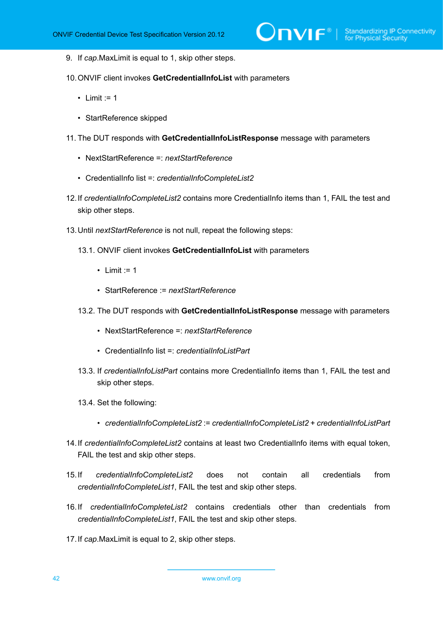- 9. If *cap*.MaxLimit is equal to 1, skip other steps.
- 10.ONVIF client invokes **GetCredentialInfoList** with parameters
	- Limit  $:= 1$
	- StartReference skipped
- 11. The DUT responds with **GetCredentialInfoListResponse** message with parameters
	- NextStartReference =: *nextStartReference*
	- CredentialInfo list =: *credentialInfoCompleteList2*
- 12.If *credentialInfoCompleteList2* contains more CredentialInfo items than 1, FAIL the test and skip other steps.
- 13.Until *nextStartReference* is not null, repeat the following steps:
	- 13.1. ONVIF client invokes **GetCredentialInfoList** with parameters
		- Limit  $:= 1$
		- StartReference := *nextStartReference*
	- 13.2. The DUT responds with **GetCredentialInfoListResponse** message with parameters
		- NextStartReference =: *nextStartReference*
		- CredentialInfo list =: *credentialInfoListPart*
	- 13.3. If *credentialInfoListPart* contains more CredentialInfo items than 1, FAIL the test and skip other steps.
	- 13.4. Set the following:
		- *credentialInfoCompleteList2* := *credentialInfoCompleteList2* + *credentialInfoListPart*
- 14.If *credentialInfoCompleteList2* contains at least two CredentialInfo items with equal token, FAIL the test and skip other steps.
- 15.If *credentialInfoCompleteList2* does not contain all credentials from *credentialInfoCompleteList1*, FAIL the test and skip other steps.
- 16.If *credentialInfoCompleteList2* contains credentials other than credentials from *credentialInfoCompleteList1*, FAIL the test and skip other steps.
- 17.If *cap*.MaxLimit is equal to 2, skip other steps.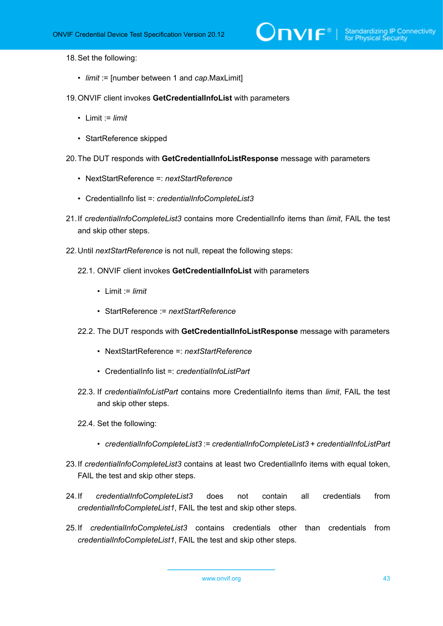18.Set the following:

- *limit* := [number between 1 and *cap*.MaxLimit]
- 19.ONVIF client invokes **GetCredentialInfoList** with parameters
	- Limit := *limit*
	- StartReference skipped
- 20.The DUT responds with **GetCredentialInfoListResponse** message with parameters
	- NextStartReference =: *nextStartReference*
	- CredentialInfo list =: *credentialInfoCompleteList3*
- 21.If *credentialInfoCompleteList3* contains more CredentialInfo items than *limit*, FAIL the test and skip other steps.
- 22.Until *nextStartReference* is not null, repeat the following steps:
	- 22.1. ONVIF client invokes **GetCredentialInfoList** with parameters
		- Limit := *limit*
		- StartReference := *nextStartReference*
	- 22.2. The DUT responds with **GetCredentialInfoListResponse** message with parameters
		- NextStartReference =: *nextStartReference*
		- CredentialInfo list =: *credentialInfoListPart*
	- 22.3. If *credentialInfoListPart* contains more CredentialInfo items than *limit*, FAIL the test and skip other steps.
	- 22.4. Set the following:
		- *credentialInfoCompleteList3* := *credentialInfoCompleteList3* + *credentialInfoListPart*
- 23.If *credentialInfoCompleteList3* contains at least two CredentialInfo items with equal token, FAIL the test and skip other steps.
- 24.If *credentialInfoCompleteList3* does not contain all credentials from *credentialInfoCompleteList1*, FAIL the test and skip other steps.
- 25.If *credentialInfoCompleteList3* contains credentials other than credentials from *credentialInfoCompleteList1*, FAIL the test and skip other steps.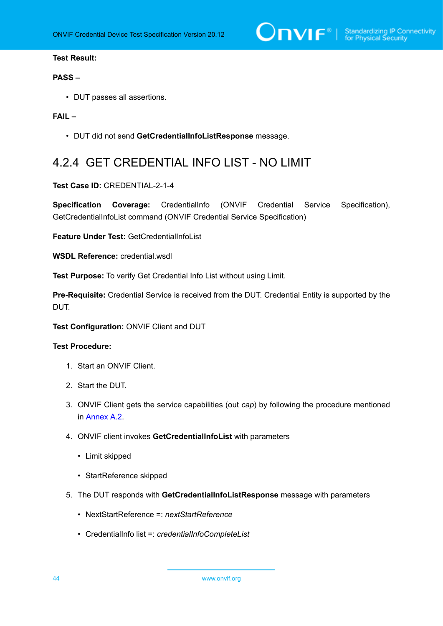$\sum_{\text{IVIF}^{\circledast}}$  | Standardizing IP Connectivity

#### **Test Result:**

#### **PASS –**

• DUT passes all assertions.

#### **FAIL –**

• DUT did not send **GetCredentialInfoListResponse** message.

## 4.2.4 GET CREDENTIAL INFO LIST - NO LIMIT

#### **Test Case ID:** CREDENTIAL-2-1-4

**Specification Coverage:** CredentialInfo (ONVIF Credential Service Specification), GetCredentialInfoList command (ONVIF Credential Service Specification)

**Feature Under Test:** GetCredentialInfoList

**WSDL Reference:** credential.wsdl

**Test Purpose:** To verify Get Credential Info List without using Limit.

**Pre-Requisite:** Credential Service is received from the DUT. Credential Entity is supported by the DUT.

**Test Configuration:** ONVIF Client and DUT

- 1. Start an ONVIF Client.
- 2. Start the DUT.
- 3. ONVIF Client gets the service capabilities (out *cap*) by following the procedure mentioned in [Annex A.2.](#page-201-0)
- 4. ONVIF client invokes **GetCredentialInfoList** with parameters
	- Limit skipped
	- StartReference skipped
- 5. The DUT responds with **GetCredentialInfoListResponse** message with parameters
	- NextStartReference =: *nextStartReference*
	- CredentialInfo list =: *credentialInfoCompleteList*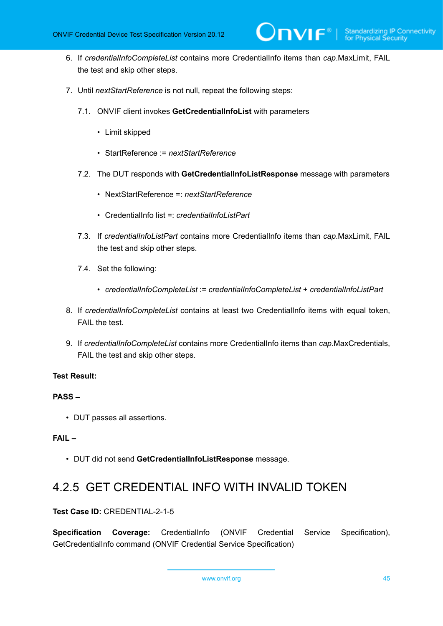- 6. If *credentialInfoCompleteList* contains more CredentialInfo items than *cap*.MaxLimit, FAIL the test and skip other steps.
- 7. Until *nextStartReference* is not null, repeat the following steps:
	- 7.1. ONVIF client invokes **GetCredentialInfoList** with parameters
		- Limit skipped
		- StartReference := *nextStartReference*
	- 7.2. The DUT responds with **GetCredentialInfoListResponse** message with parameters
		- NextStartReference =: *nextStartReference*
		- CredentialInfo list =: *credentialInfoListPart*
	- 7.3. If *credentialInfoListPart* contains more CredentialInfo items than *cap*.MaxLimit, FAIL the test and skip other steps.
	- 7.4. Set the following:
		- *credentialInfoCompleteList* := *credentialInfoCompleteList* + *credentialInfoListPart*
- 8. If *credentialInfoCompleteList* contains at least two CredentialInfo items with equal token, FAIL the test.
- 9. If *credentialInfoCompleteList* contains more CredentialInfo items than *cap*.MaxCredentials, FAIL the test and skip other steps.

#### **PASS –**

• DUT passes all assertions.

#### **FAIL –**

• DUT did not send **GetCredentialInfoListResponse** message.

## 4.2.5 GET CREDENTIAL INFO WITH INVALID TOKEN

#### **Test Case ID:** CREDENTIAL-2-1-5

**Specification Coverage:** CredentialInfo (ONVIF Credential Service Specification), GetCredentialInfo command (ONVIF Credential Service Specification)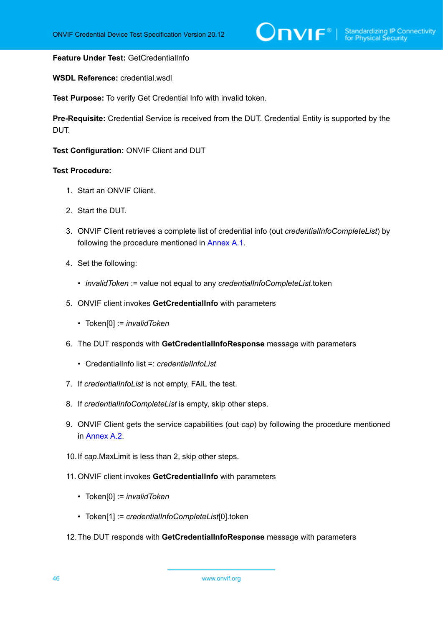#### **Feature Under Test:** GetCredentialInfo

**WSDL Reference:** credential.wsdl

**Test Purpose:** To verify Get Credential Info with invalid token.

**Pre-Requisite:** Credential Service is received from the DUT. Credential Entity is supported by the DUT.

**Test Configuration:** ONVIF Client and DUT

- 1. Start an ONVIF Client.
- 2. Start the DUT.
- 3. ONVIF Client retrieves a complete list of credential info (out *credentialInfoCompleteList*) by following the procedure mentioned in [Annex A.1](#page-200-0).
- 4. Set the following:
	- *invalidToken* := value not equal to any *credentialInfoCompleteList*.token
- 5. ONVIF client invokes **GetCredentialInfo** with parameters
	- Token[0] := *invalidToken*
- 6. The DUT responds with **GetCredentialInfoResponse** message with parameters
	- CredentialInfo list =: *credentialInfoList*
- 7. If *credentialInfoList* is not empty, FAIL the test.
- 8. If *credentialInfoCompleteList* is empty, skip other steps.
- 9. ONVIF Client gets the service capabilities (out *cap*) by following the procedure mentioned in [Annex A.2.](#page-201-0)
- 10.If *cap*.MaxLimit is less than 2, skip other steps.
- 11. ONVIF client invokes **GetCredentialInfo** with parameters
	- Token[0] := *invalidToken*
	- Token[1] := *credentialInfoCompleteList*[0].token
- 12.The DUT responds with **GetCredentialInfoResponse** message with parameters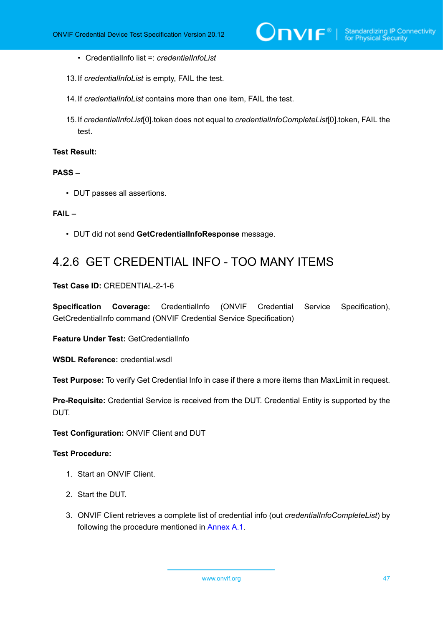- CredentialInfo list =: *credentialInfoList*
- 13.If *credentialInfoList* is empty, FAIL the test.
- 14.If *credentialInfoList* contains more than one item, FAIL the test.
- 15.If *credentialInfoList*[0].token does not equal to *credentialInfoCompleteList*[0].token, FAIL the test.

#### **PASS –**

• DUT passes all assertions.

#### **FAIL –**

• DUT did not send **GetCredentialInfoResponse** message.

## 4.2.6 GET CREDENTIAL INFO - TOO MANY ITEMS

**Test Case ID:** CREDENTIAL-2-1-6

**Specification Coverage:** CredentialInfo (ONVIF Credential Service Specification), GetCredentialInfo command (ONVIF Credential Service Specification)

**Feature Under Test:** GetCredentialInfo

**WSDL Reference:** credential.wsdl

**Test Purpose:** To verify Get Credential Info in case if there a more items than MaxLimit in request.

**Pre-Requisite:** Credential Service is received from the DUT. Credential Entity is supported by the DUT.

**Test Configuration:** ONVIF Client and DUT

#### **Test Procedure:**

- 1. Start an ONVIF Client.
- 2. Start the DUT.
- 3. ONVIF Client retrieves a complete list of credential info (out *credentialInfoCompleteList*) by following the procedure mentioned in [Annex A.1](#page-200-0).

www.onvif.org 47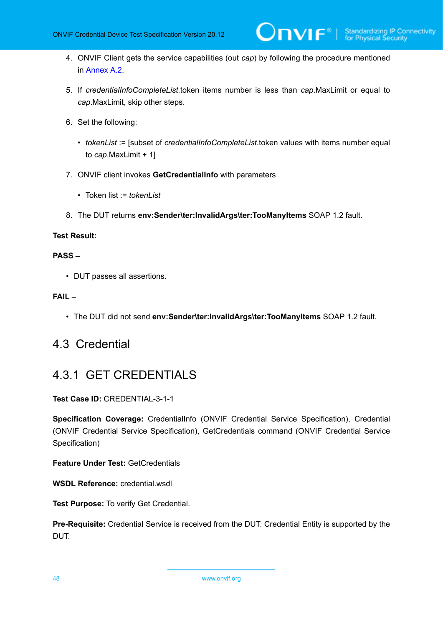- 4. ONVIF Client gets the service capabilities (out *cap*) by following the procedure mentioned in [Annex A.2.](#page-201-0)
- 5. If *credentialInfoCompleteList*.token items number is less than *cap*.MaxLimit or equal to *cap*.MaxLimit, skip other steps.
- 6. Set the following:
	- *tokenList* := [subset of *credentialInfoCompleteList*.token values with items number equal to *cap*.MaxLimit + 1]
- 7. ONVIF client invokes **GetCredentialInfo** with parameters
	- Token list := *tokenList*
- 8. The DUT returns **env:Sender\ter:InvalidArgs\ter:TooManyItems** SOAP 1.2 fault.

#### **PASS –**

• DUT passes all assertions.

#### **FAIL –**

• The DUT did not send **env:Sender\ter:InvalidArgs\ter:TooManyItems** SOAP 1.2 fault.

### 4.3 Credential

### 4.3.1 GET CREDENTIALS

#### **Test Case ID:** CREDENTIAL-3-1-1

**Specification Coverage:** CredentialInfo (ONVIF Credential Service Specification), Credential (ONVIF Credential Service Specification), GetCredentials command (ONVIF Credential Service Specification)

**Feature Under Test:** GetCredentials

**WSDL Reference:** credential.wsdl

**Test Purpose:** To verify Get Credential.

**Pre-Requisite:** Credential Service is received from the DUT. Credential Entity is supported by the DUT.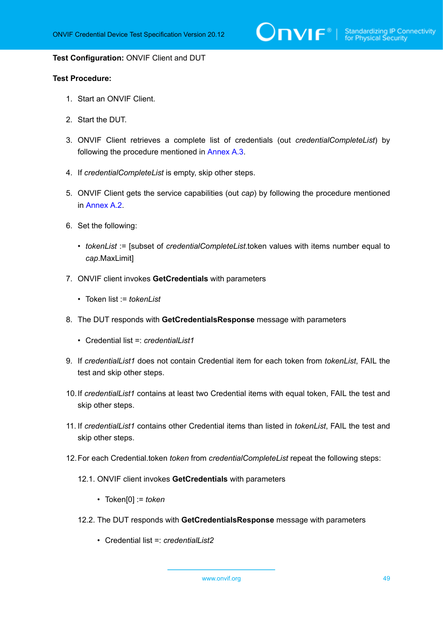$\sum_{\text{IVIF}^{\circ} | \text{Standardizing IP Connectivity}}$ 

#### **Test Configuration:** ONVIF Client and DUT

#### **Test Procedure:**

- 1. Start an ONVIF Client.
- 2. Start the DUT.
- 3. ONVIF Client retrieves a complete list of credentials (out *credentialCompleteList*) by following the procedure mentioned in [Annex A.3](#page-201-1).
- 4. If *credentialCompleteList* is empty, skip other steps.
- 5. ONVIF Client gets the service capabilities (out *cap*) by following the procedure mentioned in [Annex A.2.](#page-201-0)
- <span id="page-48-0"></span>6. Set the following:
	- *tokenList* := [subset of *credentialCompleteList*.token values with items number equal to *cap*.MaxLimit]
- 7. ONVIF client invokes **GetCredentials** with parameters
	- Token list := *tokenList*
- 8. The DUT responds with **GetCredentialsResponse** message with parameters
	- Credential list =: *credentialList1*
- 9. If *credentialList1* does not contain Credential item for each token from *tokenList*, FAIL the test and skip other steps.
- 10.If *credentialList1* contains at least two Credential items with equal token, FAIL the test and skip other steps.
- 11. If *credentialList1* contains other Credential items than listed in *tokenList*, FAIL the test and skip other steps.
- 12.For each Credential.token *token* from *credentialCompleteList* repeat the following steps:
	- 12.1. ONVIF client invokes **GetCredentials** with parameters
		- Token[0] := *token*
	- 12.2. The DUT responds with **GetCredentialsResponse** message with parameters
		- Credential list =: *credentialList2*

www.onvif.org 49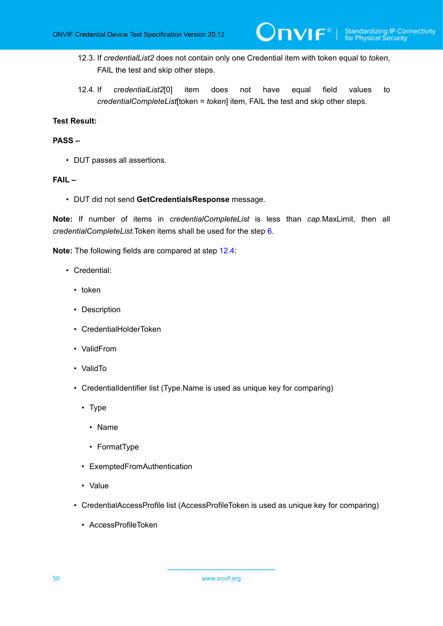12.3. If *credentialList2* does not contain only one Credential item with token equal to *token*, FAIL the test and skip other steps.

 $\mathsf{D}\mathbf{n}\mathsf{V}\mathsf{I}\mathsf{F}^\ast$  .

<span id="page-49-0"></span>12.4. If *credentialList2*[0] item does not have equal field values to *credentialCompleteList*[token = *token*] item, FAIL the test and skip other steps.

#### **Test Result:**

#### **PASS –**

• DUT passes all assertions.

#### **FAIL –**

• DUT did not send **GetCredentialsResponse** message.

**Note:** If number of items in *credentialCompleteList* is less than *cap*.MaxLimit, then all *credentialCompleteList*.Token items shall be used for the step [6](#page-48-0).

**Note:** The following fields are compared at step [12.4](#page-49-0):

- Credential:
	- token
	- Description
	- CredentialHolderToken
	- ValidFrom
	- ValidTo
	- CredentialIdentifier list (Type.Name is used as unique key for comparing)
		- Type
			- Name
			- FormatType
		- ExemptedFromAuthentication
		- Value
	- CredentialAccessProfile list (AccessProfileToken is used as unique key for comparing)
		- AccessProfileToken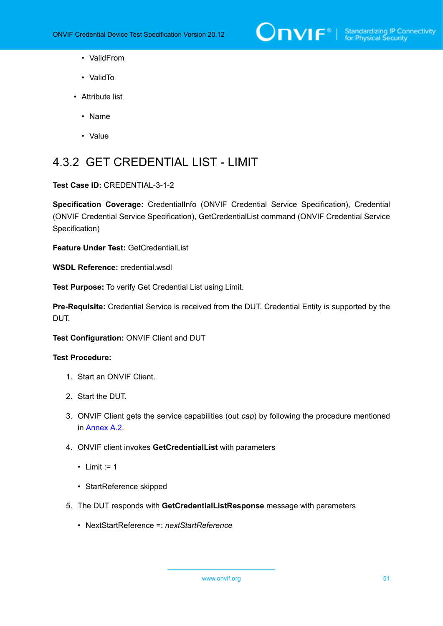

- ValidFrom
- ValidTo
- Attribute list
	- Name
	- Value

# 4.3.2 GET CREDENTIAL LIST - LIMIT

**Test Case ID:** CREDENTIAL-3-1-2

**Specification Coverage:** CredentialInfo (ONVIF Credential Service Specification), Credential (ONVIF Credential Service Specification), GetCredentialList command (ONVIF Credential Service Specification)

**Feature Under Test:** GetCredentialList

**WSDL Reference:** credential wsdl

**Test Purpose:** To verify Get Credential List using Limit.

**Pre-Requisite:** Credential Service is received from the DUT. Credential Entity is supported by the DUT.

**Test Configuration:** ONVIF Client and DUT

- 1. Start an ONVIF Client.
- 2. Start the DUT.
- 3. ONVIF Client gets the service capabilities (out *cap*) by following the procedure mentioned in [Annex A.2.](#page-201-0)
- 4. ONVIF client invokes **GetCredentialList** with parameters
	- Limit  $:= 1$
	- StartReference skipped
- 5. The DUT responds with **GetCredentialListResponse** message with parameters
	- NextStartReference =: *nextStartReference*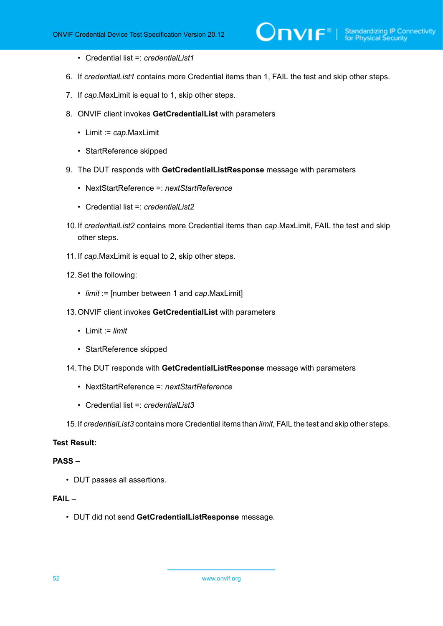- Credential list =: *credentialList1*
- 6. If *credentialList1* contains more Credential items than 1, FAIL the test and skip other steps.
- 7. If *cap*.MaxLimit is equal to 1, skip other steps.
- 8. ONVIF client invokes **GetCredentialList** with parameters
	- Limit := *cap*.MaxLimit
	- StartReference skipped
- 9. The DUT responds with **GetCredentialListResponse** message with parameters
	- NextStartReference =: *nextStartReference*
	- Credential list =: *credentialList2*
- 10.If *credentialList2* contains more Credential items than *cap*.MaxLimit, FAIL the test and skip other steps.
- 11. If *cap*.MaxLimit is equal to 2, skip other steps.
- 12.Set the following:
	- *limit* := [number between 1 and *cap*.MaxLimit]
- 13.ONVIF client invokes **GetCredentialList** with parameters
	- $\bullet$  1 imit := *limit*
	- StartReference skipped
- 14.The DUT responds with **GetCredentialListResponse** message with parameters
	- NextStartReference =: *nextStartReference*
	- Credential list =: *credentialList3*
- 15.If *credentialList3* contains more Credential items than *limit*, FAIL the test and skip other steps.

#### **PASS –**

• DUT passes all assertions.

#### **FAIL –**

• DUT did not send **GetCredentialListResponse** message.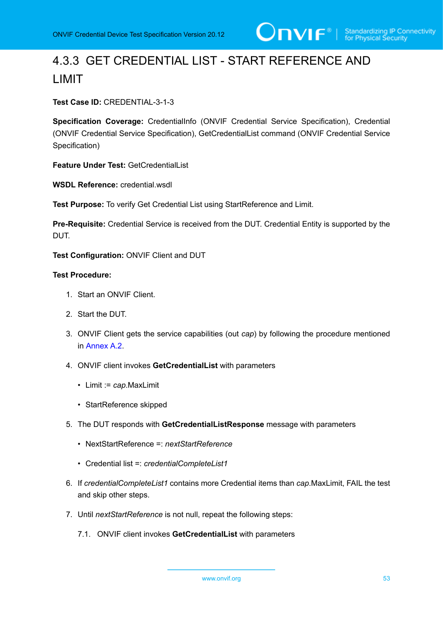# 4.3.3 GET CREDENTIAL LIST - START REFERENCE AND LIMIT

**Test Case ID:** CREDENTIAL-3-1-3

**Specification Coverage:** CredentialInfo (ONVIF Credential Service Specification), Credential (ONVIF Credential Service Specification), GetCredentialList command (ONVIF Credential Service Specification)

**Feature Under Test:** GetCredentialList

**WSDL Reference:** credential wsdl.

**Test Purpose:** To verify Get Credential List using StartReference and Limit.

**Pre-Requisite:** Credential Service is received from the DUT. Credential Entity is supported by the DUT.

**Test Configuration:** ONVIF Client and DUT

- 1. Start an ONVIF Client.
- 2. Start the DUT.
- 3. ONVIF Client gets the service capabilities (out *cap*) by following the procedure mentioned in [Annex A.2.](#page-201-0)
- 4. ONVIF client invokes **GetCredentialList** with parameters
	- Limit := *cap*.MaxLimit
	- StartReference skipped
- 5. The DUT responds with **GetCredentialListResponse** message with parameters
	- NextStartReference =: *nextStartReference*
	- Credential list =: *credentialCompleteList1*
- 6. If *credentialCompleteList1* contains more Credential items than *cap*.MaxLimit, FAIL the test and skip other steps.
- 7. Until *nextStartReference* is not null, repeat the following steps:
	- 7.1. ONVIF client invokes **GetCredentialList** with parameters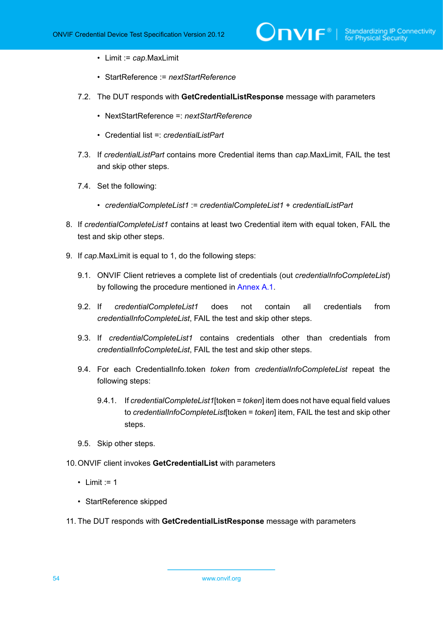- Limit := *cap*.MaxLimit
- StartReference := *nextStartReference*
- 7.2. The DUT responds with **GetCredentialListResponse** message with parameters
	- NextStartReference =: *nextStartReference*
	- Credential list =: *credentialListPart*
- 7.3. If *credentialListPart* contains more Credential items than *cap*.MaxLimit, FAIL the test and skip other steps.
- 7.4. Set the following:
	- *credentialCompleteList1* := *credentialCompleteList1* + *credentialListPart*
- 8. If *credentialCompleteList1* contains at least two Credential item with equal token, FAIL the test and skip other steps.
- 9. If *cap*.MaxLimit is equal to 1, do the following steps:
	- 9.1. ONVIF Client retrieves a complete list of credentials (out *credentialInfoCompleteList*) by following the procedure mentioned in [Annex A.1.](#page-200-0)
	- 9.2. If *credentialCompleteList1* does not contain all credentials from *credentialInfoCompleteList*, FAIL the test and skip other steps.
	- 9.3. If *credentialCompleteList1* contains credentials other than credentials from *credentialInfoCompleteList*, FAIL the test and skip other steps.
	- 9.4. For each CredentialInfo.token *token* from *credentialInfoCompleteList* repeat the following steps:
		- 9.4.1. If *credentialCompleteList1*[token = *token*] item does not have equal field values to *credentialInfoCompleteList*[token = *token*] item, FAIL the test and skip other steps.
	- 9.5. Skip other steps.
- 10.ONVIF client invokes **GetCredentialList** with parameters
	- Limit  $:= 1$
	- StartReference skipped
- 11. The DUT responds with **GetCredentialListResponse** message with parameters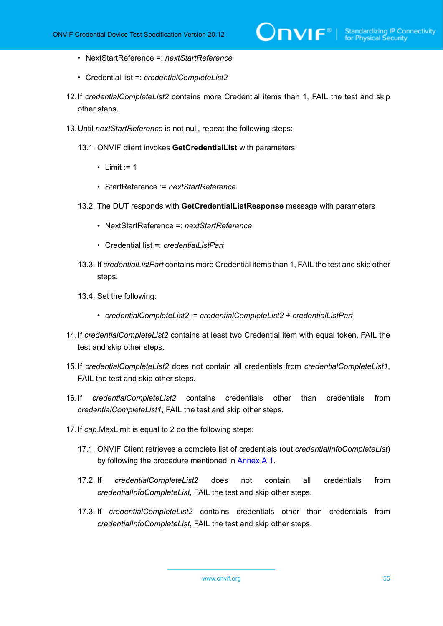- NextStartReference =: *nextStartReference*
- Credential list =: *credentialCompleteList2*
- 12.If *credentialCompleteList2* contains more Credential items than 1, FAIL the test and skip other steps.
- 13.Until *nextStartReference* is not null, repeat the following steps:
	- 13.1. ONVIF client invokes **GetCredentialList** with parameters
		- Limit  $:= 1$
		- StartReference := *nextStartReference*
	- 13.2. The DUT responds with **GetCredentialListResponse** message with parameters
		- NextStartReference =: *nextStartReference*
		- Credential list =: *credentialListPart*
	- 13.3. If *credentialListPart* contains more Credential items than 1, FAIL the test and skip other steps.
	- 13.4. Set the following:
		- *credentialCompleteList2* := *credentialCompleteList2* + *credentialListPart*
- 14.If *credentialCompleteList2* contains at least two Credential item with equal token, FAIL the test and skip other steps.
- 15.If *credentialCompleteList2* does not contain all credentials from *credentialCompleteList1*, FAIL the test and skip other steps.
- 16.If *credentialCompleteList2* contains credentials other than credentials from *credentialCompleteList1*, FAIL the test and skip other steps.
- 17.If *cap*.MaxLimit is equal to 2 do the following steps:
	- 17.1. ONVIF Client retrieves a complete list of credentials (out *credentialInfoCompleteList*) by following the procedure mentioned in [Annex A.1.](#page-200-0)
	- 17.2. If *credentialCompleteList2* does not contain all credentials from *credentialInfoCompleteList*, FAIL the test and skip other steps.
	- 17.3. If *credentialCompleteList2* contains credentials other than credentials from *credentialInfoCompleteList*, FAIL the test and skip other steps.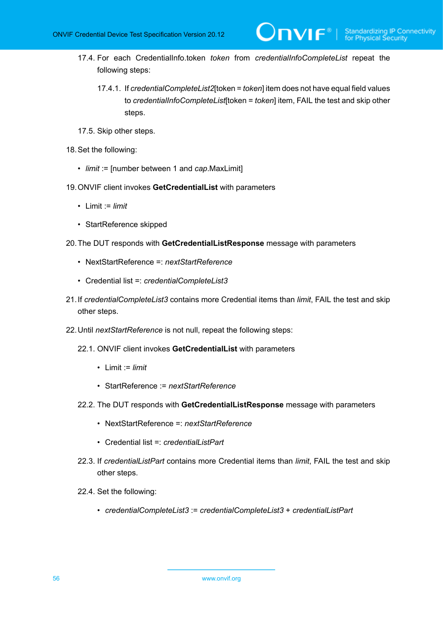- 17.4. For each CredentialInfo.token *token* from *credentialInfoCompleteList* repeat the following steps:
	- 17.4.1. If *credentialCompleteList2*[token = *token*] item does not have equal field values to *credentialInfoCompleteList*[token = *token*] item, FAIL the test and skip other steps.

 $\mathsf{D}\mathbf{N}\mathsf{I}\mathsf{F}^*$ l

- 17.5. Skip other steps.
- 18.Set the following:
	- *limit* := [number between 1 and *cap*.MaxLimit]
- 19.ONVIF client invokes **GetCredentialList** with parameters
	- Limit := *limit*
	- StartReference skipped
- 20.The DUT responds with **GetCredentialListResponse** message with parameters
	- NextStartReference =: *nextStartReference*
	- Credential list =: *credentialCompleteList3*
- 21.If *credentialCompleteList3* contains more Credential items than *limit*, FAIL the test and skip other steps.
- 22.Until *nextStartReference* is not null, repeat the following steps:
	- 22.1. ONVIF client invokes **GetCredentialList** with parameters
		- Limit := *limit*
		- StartReference := *nextStartReference*
	- 22.2. The DUT responds with **GetCredentialListResponse** message with parameters
		- NextStartReference =: *nextStartReference*
		- Credential list =: *credentialListPart*
	- 22.3. If *credentialListPart* contains more Credential items than *limit*, FAIL the test and skip other steps.
	- 22.4. Set the following:
		- *credentialCompleteList3* := *credentialCompleteList3* + *credentialListPart*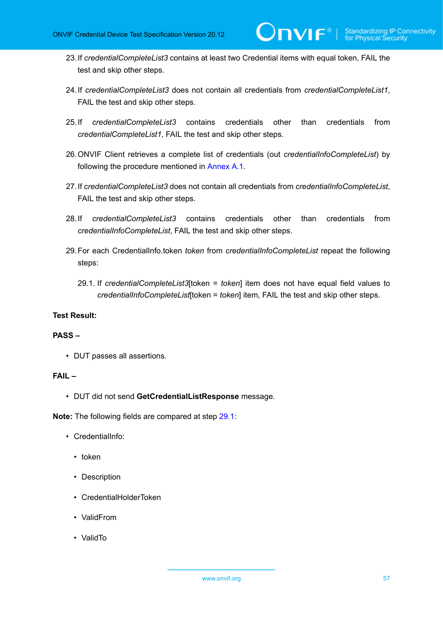23.If *credentialCompleteList3* contains at least two Credential items with equal token, FAIL the test and skip other steps.

 $\mathsf{D}\mathbf{N}\mathsf{I}\mathsf{F}^\ast$ l

- 24.If *credentialCompleteList3* does not contain all credentials from *credentialCompleteList1*, FAIL the test and skip other steps.
- 25.If *credentialCompleteList3* contains credentials other than credentials from *credentialCompleteList1*, FAIL the test and skip other steps.
- 26.ONVIF Client retrieves a complete list of credentials (out *credentialInfoCompleteList*) by following the procedure mentioned in [Annex A.1](#page-200-0).
- 27.If *credentialCompleteList3* does not contain all credentials from *credentialInfoCompleteList*, FAIL the test and skip other steps.
- 28.If *credentialCompleteList3* contains credentials other than credentials from *credentialInfoCompleteList*, FAIL the test and skip other steps.
- <span id="page-56-0"></span>29.For each CredentialInfo.token *token* from *credentialInfoCompleteList* repeat the following steps:
	- 29.1. If *credentialCompleteList3*[token = *token*] item does not have equal field values to *credentialInfoCompleteList*[token = *token*] item, FAIL the test and skip other steps.

#### **Test Result:**

#### **PASS –**

• DUT passes all assertions.

#### **FAIL –**

• DUT did not send **GetCredentialListResponse** message.

**Note:** The following fields are compared at step [29.1](#page-56-0):

- CredentialInfo:
	- token
	- Description
	- CredentialHolderToken
	- ValidFrom
	- ValidTo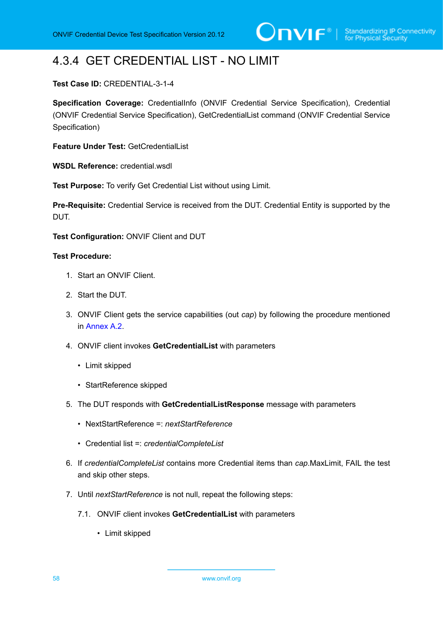# 4.3.4 GET CREDENTIAL LIST - NO LIMIT

#### **Test Case ID:** CREDENTIAL-3-1-4

**Specification Coverage:** CredentialInfo (ONVIF Credential Service Specification), Credential (ONVIF Credential Service Specification), GetCredentialList command (ONVIF Credential Service Specification)

**Feature Under Test:** GetCredentialList

**WSDL Reference:** credential.wsdl

**Test Purpose:** To verify Get Credential List without using Limit.

**Pre-Requisite:** Credential Service is received from the DUT. Credential Entity is supported by the DUT.

**Test Configuration:** ONVIF Client and DUT

- 1. Start an ONVIF Client.
- 2. Start the DUT.
- 3. ONVIF Client gets the service capabilities (out *cap*) by following the procedure mentioned in [Annex A.2.](#page-201-0)
- 4. ONVIF client invokes **GetCredentialList** with parameters
	- Limit skipped
	- StartReference skipped
- 5. The DUT responds with **GetCredentialListResponse** message with parameters
	- NextStartReference =: *nextStartReference*
	- Credential list =: *credentialCompleteList*
- 6. If *credentialCompleteList* contains more Credential items than *cap*.MaxLimit, FAIL the test and skip other steps.
- 7. Until *nextStartReference* is not null, repeat the following steps:
	- 7.1. ONVIF client invokes **GetCredentialList** with parameters
		- Limit skipped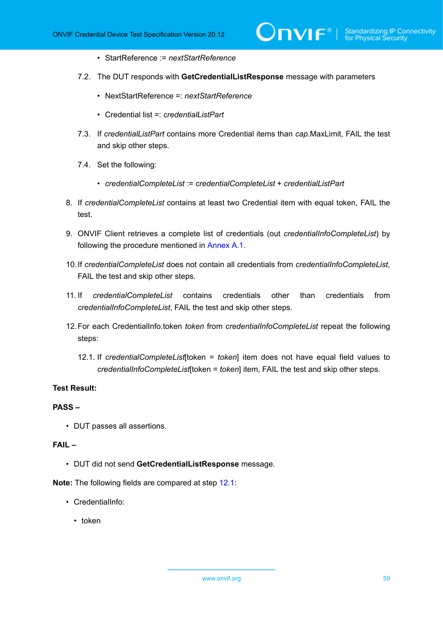- StartReference := *nextStartReference*
- 7.2. The DUT responds with **GetCredentialListResponse** message with parameters

)nvif®l

- NextStartReference =: *nextStartReference*
- Credential list =: *credentialListPart*
- 7.3. If *credentialListPart* contains more Credential items than *cap*.MaxLimit, FAIL the test and skip other steps.
- 7.4. Set the following:
	- *credentialCompleteList* := *credentialCompleteList* + *credentialListPart*
- 8. If *credentialCompleteList* contains at least two Credential item with equal token, FAIL the test.
- 9. ONVIF Client retrieves a complete list of credentials (out *credentialInfoCompleteList*) by following the procedure mentioned in [Annex A.1](#page-200-0).
- 10.If *credentialCompleteList* does not contain all credentials from *credentialInfoCompleteList*, FAIL the test and skip other steps.
- 11. If *credentialCompleteList* contains credentials other than credentials from *credentialInfoCompleteList*, FAIL the test and skip other steps.
- <span id="page-58-0"></span>12.For each CredentialInfo.token *token* from *credentialInfoCompleteList* repeat the following steps:
	- 12.1. If *credentialCompleteList*[token = *token*] item does not have equal field values to *credentialInfoCompleteList*[token = *token*] item, FAIL the test and skip other steps.

#### **Test Result:**

#### **PASS –**

• DUT passes all assertions.

#### **FAIL –**

• DUT did not send **GetCredentialListResponse** message.

**Note:** The following fields are compared at step [12.1](#page-58-0):

- CredentialInfo:
	- token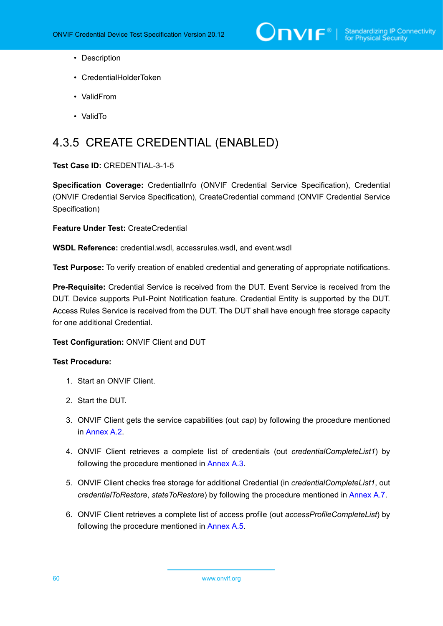- Description
- CredentialHolderToken
- ValidFrom
- ValidTo

# 4.3.5 CREATE CREDENTIAL (ENABLED)

#### **Test Case ID:** CREDENTIAL-3-1-5

**Specification Coverage:** CredentialInfo (ONVIF Credential Service Specification), Credential (ONVIF Credential Service Specification), CreateCredential command (ONVIF Credential Service Specification)

**Feature Under Test:** CreateCredential

**WSDL Reference:** credential.wsdl, accessrules.wsdl, and event.wsdl

**Test Purpose:** To verify creation of enabled credential and generating of appropriate notifications.

**Pre-Requisite:** Credential Service is received from the DUT. Event Service is received from the DUT. Device supports Pull-Point Notification feature. Credential Entity is supported by the DUT. Access Rules Service is received from the DUT. The DUT shall have enough free storage capacity for one additional Credential.

#### **Test Configuration:** ONVIF Client and DUT

- 1. Start an ONVIF Client.
- 2. Start the DUT.
- 3. ONVIF Client gets the service capabilities (out *cap*) by following the procedure mentioned in [Annex A.2.](#page-201-0)
- <span id="page-59-0"></span>4. ONVIF Client retrieves a complete list of credentials (out *credentialCompleteList1*) by following the procedure mentioned in [Annex A.3](#page-201-1).
- 5. ONVIF Client checks free storage for additional Credential (in *credentialCompleteList1*, out *credentialToRestore*, *stateToRestore*) by following the procedure mentioned in [Annex A.7.](#page-205-0)
- 6. ONVIF Client retrieves a complete list of access profile (out *accessProfileCompleteList*) by following the procedure mentioned in [Annex A.5](#page-203-0).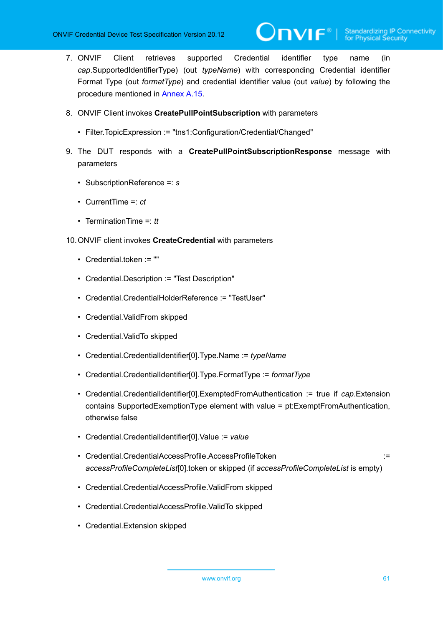- 7. ONVIF Client retrieves supported Credential identifier type name (in *cap*.SupportedIdentifierType) (out *typeName*) with corresponding Credential identifier Format Type (out *formatType*) and credential identifier value (out *value*) by following the procedure mentioned in [Annex A.15.](#page-212-0)
- 8. ONVIF Client invokes **CreatePullPointSubscription** with parameters
	- Filter.TopicExpression := "tns1:Configuration/Credential/Changed"
- <span id="page-60-1"></span>9. The DUT responds with a **CreatePullPointSubscriptionResponse** message with parameters
	- SubscriptionReference =: *s*
	- CurrentTime =: *ct*
	- TerminationTime =: *tt*
- <span id="page-60-0"></span>10.ONVIF client invokes **CreateCredential** with parameters
	- Credential.token := ""
	- Credential.Description := "Test Description"
	- Credential.CredentialHolderReference := "TestUser"
	- Credential.ValidFrom skipped
	- Credential.ValidTo skipped
	- Credential.CredentialIdentifier[0].Type.Name := *typeName*
	- Credential.CredentialIdentifier[0].Type.FormatType := *formatType*
	- Credential.CredentialIdentifier[0].ExemptedFromAuthentication := true if *cap*.Extension contains SupportedExemptionType element with value = pt:ExemptFromAuthentication, otherwise false
	- Credential.CredentialIdentifier[0].Value := *value*
	- Credential.CredentialAccessProfile.AccessProfileToken ::= ::::::::::::::::::::: *accessProfileCompleteList*[0].token or skipped (if *accessProfileCompleteList* is empty)
	- Credential.CredentialAccessProfile.ValidFrom skipped
	- Credential.CredentialAccessProfile.ValidTo skipped
	- Credential.Extension skipped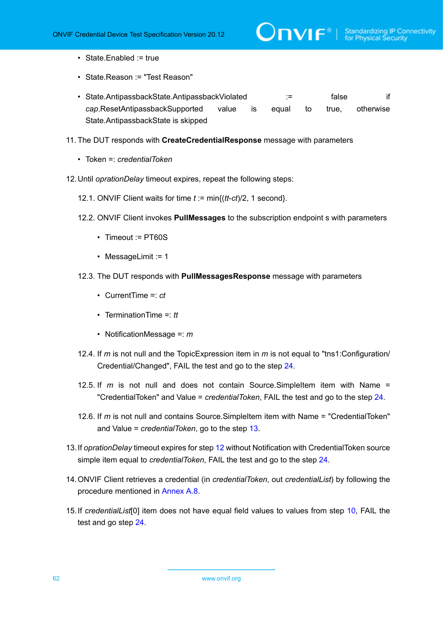- State.Enabled := true
- State.Reason := "Test Reason"
- State.AntipassbackState.AntipassbackViolated := false if *cap*.ResetAntipassbackSupported value is equal to true, otherwise State.AntipassbackState is skipped
- 11. The DUT responds with **CreateCredentialResponse** message with parameters
	- Token =: *credentialToken*
- <span id="page-61-1"></span>12.Until *oprationDelay* timeout expires, repeat the following steps:
	- 12.1. ONVIF Client waits for time *t* := min{(*tt*-*ct*)/2, 1 second}.
	- 12.2. ONVIF Client invokes **PullMessages** to the subscription endpoint s with parameters
		- Timeout := PT60S
		- MessageLimit := 1
	- 12.3. The DUT responds with **PullMessagesResponse** message with parameters
		- CurrentTime =: *ct*
		- TerminationTime =: *tt*
		- NotificationMessage =: *m*
	- 12.4. If *m* is not null and the TopicExpression item in *m* is not equal to "tns1:Configuration/ Credential/Changed", FAIL the test and go to the step [24.](#page-62-0)
	- 12.5. If *m* is not null and does not contain Source.SimpleItem item with Name = "CredentialToken" and Value = *credentialToken*, FAIL the test and go to the step [24](#page-62-0).
	- 12.6. If *m* is not null and contains Source.SimpleItem item with Name = "CredentialToken" and Value = *credentialToken*, go to the step [13.](#page-61-0)
- <span id="page-61-0"></span>13.If *oprationDelay* timeout expires for step [12](#page-61-1) without Notification with CredentialToken source simple item equal to *credentialToken*, FAIL the test and go to the step [24.](#page-62-0)
- 14.ONVIF Client retrieves a credential (in *credentialToken*, out *credentialList*) by following the procedure mentioned in [Annex A.8](#page-206-0).
- <span id="page-61-2"></span>15.If *credentialList*[0] item does not have equal field values to values from step [10](#page-60-0), FAIL the test and go step [24.](#page-62-0)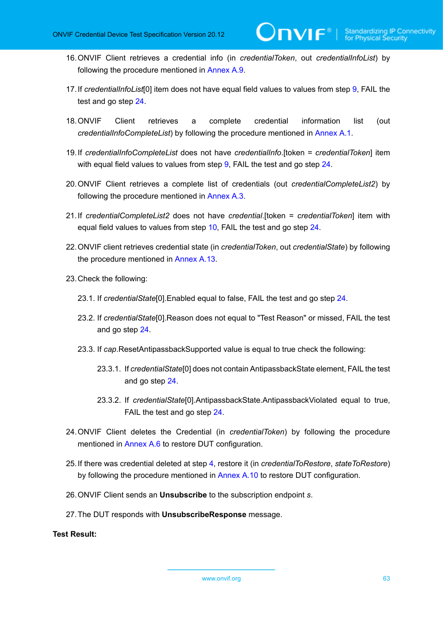16.ONVIF Client retrieves a credential info (in *credentialToken*, out *credentialInfoList*) by following the procedure mentioned in [Annex A.9](#page-207-0).

 $\mathsf{D}\mathsf{VIF}^*$ 

- <span id="page-62-2"></span>17.If *credentialInfoList*[0] item does not have equal field values to values from step [9,](#page-60-1) FAIL the test and go step [24.](#page-62-0)
- 18.ONVIF Client retrieves a complete credential information list (out *credentialInfoCompleteList*) by following the procedure mentioned in [Annex A.1.](#page-200-0)
- <span id="page-62-3"></span>19.If *credentialInfoCompleteList* does not have *credentialInfo*.[token = *credentialToken*] item with equal field values to values from step [9](#page-60-1), FAIL the test and go step [24](#page-62-0).
- 20.ONVIF Client retrieves a complete list of credentials (out *credentialCompleteList2*) by following the procedure mentioned in [Annex A.3](#page-201-1).
- <span id="page-62-1"></span>21.If *credentialCompleteList2* does not have *credential*.[token = *credentialToken*] item with equal field values to values from step [10,](#page-60-0) FAIL the test and go step [24.](#page-62-0)
- 22.ONVIF client retrieves credential state (in *credentialToken*, out *credentialState*) by following the procedure mentioned in [Annex A.13](#page-211-0).
- 23.Check the following:
	- 23.1. If *credentialState*[0].Enabled equal to false, FAIL the test and go step [24.](#page-62-0)
	- 23.2. If *credentialState*[0].Reason does not equal to "Test Reason" or missed, FAIL the test and go step [24](#page-62-0).
	- 23.3. If *cap*.ResetAntipassbackSupported value is equal to true check the following:
		- 23.3.1. If *credentialState*[0] does not contain AntipassbackState element, FAIL the test and go step [24.](#page-62-0)
		- 23.3.2. If *credentialState*[0].AntipassbackState.AntipassbackViolated equal to true, FAIL the test and go step [24.](#page-62-0)
- <span id="page-62-0"></span>24.ONVIF Client deletes the Credential (in *credentialToken*) by following the procedure mentioned in [Annex A.6](#page-204-0) to restore DUT configuration.
- 25.If there was credential deleted at step [4](#page-59-0), restore it (in *credentialToRestore*, *stateToRestore*) by following the procedure mentioned in [Annex A.10](#page-207-1) to restore DUT configuration.
- 26.ONVIF Client sends an **Unsubscribe** to the subscription endpoint *s*.
- 27.The DUT responds with **UnsubscribeResponse** message.

#### **Test Result:**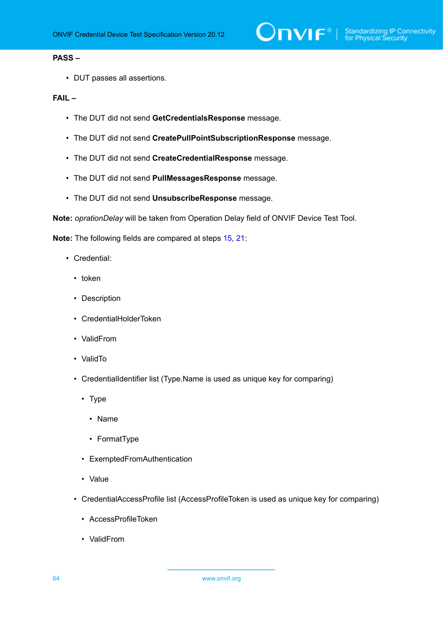#### **PASS –**

• DUT passes all assertions.

#### **FAIL –**

- The DUT did not send **GetCredentialsResponse** message.
- The DUT did not send **CreatePullPointSubscriptionResponse** message.
- The DUT did not send **CreateCredentialResponse** message.
- The DUT did not send **PullMessagesResponse** message.
- The DUT did not send **UnsubscribeResponse** message.

**Note:** *oprationDelay* will be taken from Operation Delay field of ONVIF Device Test Tool.

**Note:** The following fields are compared at steps [15,](#page-61-2) [21](#page-62-1):

- Credential:
	- token
	- Description
	- CredentialHolderToken
	- ValidFrom
	- ValidTo
	- CredentialIdentifier list (Type.Name is used as unique key for comparing)
		- Type
			- Name
			- FormatType
		- ExemptedFromAuthentication
		- Value
	- CredentialAccessProfile list (AccessProfileToken is used as unique key for comparing)
		- AccessProfileToken
		- ValidFrom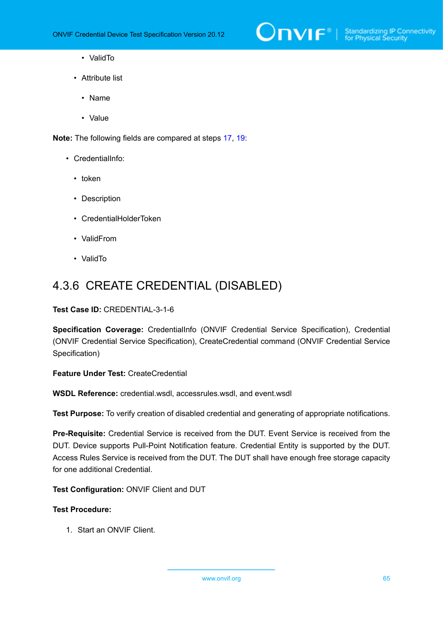

- ValidTo
- Attribute list
	- Name
	- Value

**Note:** The following fields are compared at steps [17,](#page-62-2) [19](#page-62-3):

- CredentialInfo:
	- token
	- Description
	- CredentialHolderToken
	- ValidFrom
	- ValidTo

## 4.3.6 CREATE CREDENTIAL (DISABLED)

#### **Test Case ID:** CREDENTIAL-3-1-6

**Specification Coverage:** CredentialInfo (ONVIF Credential Service Specification), Credential (ONVIF Credential Service Specification), CreateCredential command (ONVIF Credential Service Specification)

**Feature Under Test:** CreateCredential

**WSDL Reference:** credential.wsdl, accessrules.wsdl, and event.wsdl

**Test Purpose:** To verify creation of disabled credential and generating of appropriate notifications.

**Pre-Requisite:** Credential Service is received from the DUT. Event Service is received from the DUT. Device supports Pull-Point Notification feature. Credential Entity is supported by the DUT. Access Rules Service is received from the DUT. The DUT shall have enough free storage capacity for one additional Credential.

**Test Configuration:** ONVIF Client and DUT

#### **Test Procedure:**

1. Start an ONVIF Client.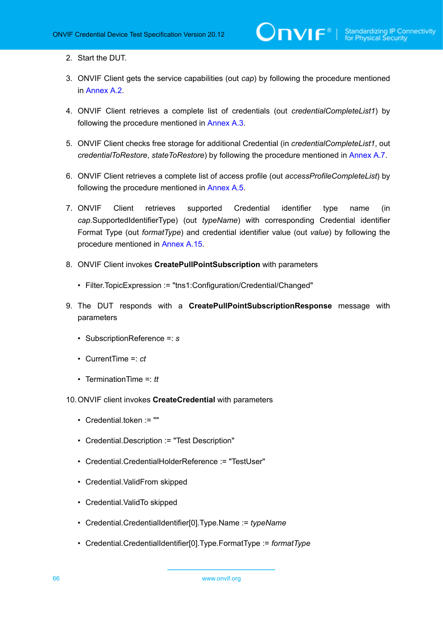- 2. Start the DUT.
- 3. ONVIF Client gets the service capabilities (out *cap*) by following the procedure mentioned in [Annex A.2.](#page-201-0)
- <span id="page-65-1"></span>4. ONVIF Client retrieves a complete list of credentials (out *credentialCompleteList1*) by following the procedure mentioned in [Annex A.3](#page-201-1).
- 5. ONVIF Client checks free storage for additional Credential (in *credentialCompleteList1*, out *credentialToRestore*, *stateToRestore*) by following the procedure mentioned in [Annex A.7.](#page-205-0)
- 6. ONVIF Client retrieves a complete list of access profile (out *accessProfileCompleteList*) by following the procedure mentioned in [Annex A.5](#page-203-0).
- 7. ONVIF Client retrieves supported Credential identifier type name (in *cap*.SupportedIdentifierType) (out *typeName*) with corresponding Credential identifier Format Type (out *formatType*) and credential identifier value (out *value*) by following the procedure mentioned in [Annex A.15.](#page-212-0)
- 8. ONVIF Client invokes **CreatePullPointSubscription** with parameters
	- Filter.TopicExpression := "tns1:Configuration/Credential/Changed"
- 9. The DUT responds with a **CreatePullPointSubscriptionResponse** message with parameters
	- SubscriptionReference =: *s*
	- CurrentTime =: *ct*
	- TerminationTime =: *tt*

#### <span id="page-65-0"></span>10.ONVIF client invokes **CreateCredential** with parameters

- Credential.token := ""
- Credential.Description := "Test Description"
- Credential.CredentialHolderReference := "TestUser"
- Credential.ValidFrom skipped
- Credential.ValidTo skipped
- Credential.CredentialIdentifier[0].Type.Name := *typeName*
- Credential.CredentialIdentifier[0].Type.FormatType := *formatType*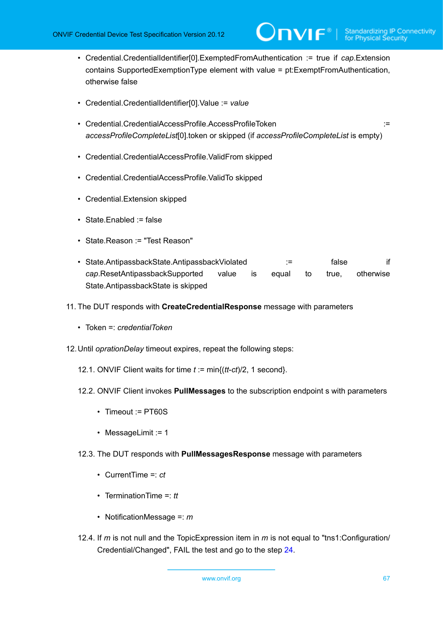- Credential.CredentialIdentifier[0].ExemptedFromAuthentication := true if *cap*.Extension contains SupportedExemptionType element with value = pt:ExemptFromAuthentication, otherwise false
- Credential.CredentialIdentifier[0].Value := *value*
- Credential.CredentialAccessProfile.AccessProfileToken := := := := := := := := : *accessProfileCompleteList*[0].token or skipped (if *accessProfileCompleteList* is empty)
- Credential.CredentialAccessProfile.ValidFrom skipped
- Credential.CredentialAccessProfile.ValidTo skipped
- Credential.Extension skipped
- State.Enabled := false
- State.Reason := "Test Reason"
- State.AntipassbackState.AntipassbackViolated := false if *cap*.ResetAntipassbackSupported value is equal to true, otherwise State.AntipassbackState is skipped
- 11. The DUT responds with **CreateCredentialResponse** message with parameters
	- Token =: *credentialToken*
- <span id="page-66-0"></span>12.Until *oprationDelay* timeout expires, repeat the following steps:
	- 12.1. ONVIF Client waits for time *t* := min{(*tt*-*ct*)/2, 1 second}.
	- 12.2. ONVIF Client invokes **PullMessages** to the subscription endpoint s with parameters
		- Timeout := PT60S
		- MessageLimit := 1
	- 12.3. The DUT responds with **PullMessagesResponse** message with parameters
		- CurrentTime =: *ct*
		- TerminationTime =: *tt*
		- NotificationMessage =: *m*
	- 12.4. If *m* is not null and the TopicExpression item in *m* is not equal to "tns1:Configuration/ Credential/Changed", FAIL the test and go to the step [24.](#page-68-0)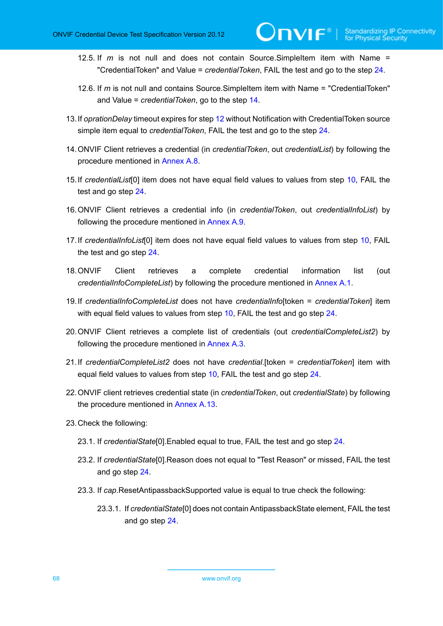- 12.5. If *m* is not null and does not contain Source.SimpleItem item with Name = "CredentialToken" and Value = *credentialToken*, FAIL the test and go to the step [24](#page-68-0).
- 12.6. If *m* is not null and contains Source.SimpleItem item with Name = "CredentialToken" and Value = *credentialToken*, go to the step [14.](#page-67-0)
- 13.If *oprationDelay* timeout expires for step [12](#page-66-0) without Notification with CredentialToken source simple item equal to *credentialToken*, FAIL the test and go to the step [24.](#page-68-0)
- <span id="page-67-0"></span>14.ONVIF Client retrieves a credential (in *credentialToken*, out *credentialList*) by following the procedure mentioned in [Annex A.8](#page-206-0).
- <span id="page-67-1"></span>15.If *credentialList*[0] item does not have equal field values to values from step [10](#page-65-0), FAIL the test and go step [24.](#page-68-0)
- 16.ONVIF Client retrieves a credential info (in *credentialToken*, out *credentialInfoList*) by following the procedure mentioned in [Annex A.9](#page-207-0).
- <span id="page-67-3"></span>17.If *credentialInfoList*[0] item does not have equal field values to values from step [10](#page-65-0), FAIL the test and go step [24](#page-68-0).
- 18.ONVIF Client retrieves a complete credential information list (out *credentialInfoCompleteList*) by following the procedure mentioned in [Annex A.1.](#page-200-0)
- <span id="page-67-4"></span>19.If *credentialInfoCompleteList* does not have *credentialInfo*[token = *credentialToken*] item with equal field values to values from step [10](#page-65-0), FAIL the test and go step [24](#page-68-0).
- 20.ONVIF Client retrieves a complete list of credentials (out *credentialCompleteList2*) by following the procedure mentioned in [Annex A.3](#page-201-1).
- <span id="page-67-2"></span>21.If *credentialCompleteList2* does not have *credential*.[token = *credentialToken*] item with equal field values to values from step [10,](#page-65-0) FAIL the test and go step [24.](#page-68-0)
- 22.ONVIF client retrieves credential state (in *credentialToken*, out *credentialState*) by following the procedure mentioned in [Annex A.13](#page-211-0).
- 23.Check the following:
	- 23.1. If *credentialState*[0].Enabled equal to true, FAIL the test and go step [24.](#page-68-0)
	- 23.2. If *credentialState*[0].Reason does not equal to "Test Reason" or missed, FAIL the test and go step [24](#page-68-0).
	- 23.3. If *cap*.ResetAntipassbackSupported value is equal to true check the following:
		- 23.3.1. If *credentialState*[0] does not contain AntipassbackState element, FAIL the test and go step [24.](#page-68-0)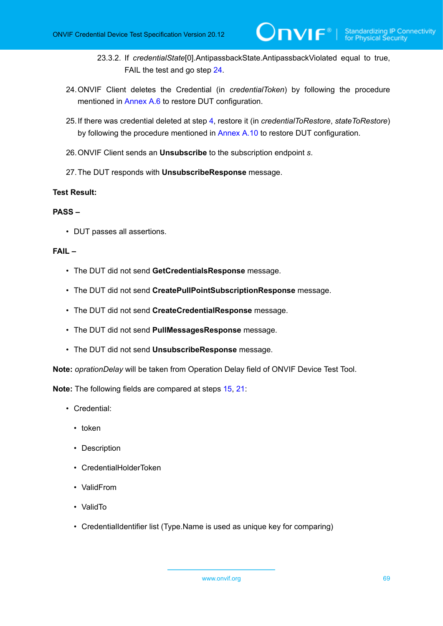- 23.3.2. If *credentialState*[0].AntipassbackState.AntipassbackViolated equal to true, FAIL the test and go step [24.](#page-68-0)
- <span id="page-68-0"></span>24.ONVIF Client deletes the Credential (in *credentialToken*) by following the procedure mentioned in [Annex A.6](#page-204-0) to restore DUT configuration.
- 25.If there was credential deleted at step [4](#page-65-1), restore it (in *credentialToRestore*, *stateToRestore*) by following the procedure mentioned in [Annex A.10](#page-207-1) to restore DUT configuration.
- 26.ONVIF Client sends an **Unsubscribe** to the subscription endpoint *s*.
- 27.The DUT responds with **UnsubscribeResponse** message.

#### **PASS –**

• DUT passes all assertions.

#### **FAIL –**

- The DUT did not send **GetCredentialsResponse** message.
- The DUT did not send **CreatePullPointSubscriptionResponse** message.
- The DUT did not send **CreateCredentialResponse** message.
- The DUT did not send **PullMessagesResponse** message.
- The DUT did not send **UnsubscribeResponse** message.

**Note:** *oprationDelay* will be taken from Operation Delay field of ONVIF Device Test Tool.

**Note:** The following fields are compared at steps [15,](#page-67-1) [21](#page-67-2):

- Credential:
	- token
	- Description
	- CredentialHolderToken
	- ValidFrom
	- ValidTo
	- CredentialIdentifier list (Type.Name is used as unique key for comparing)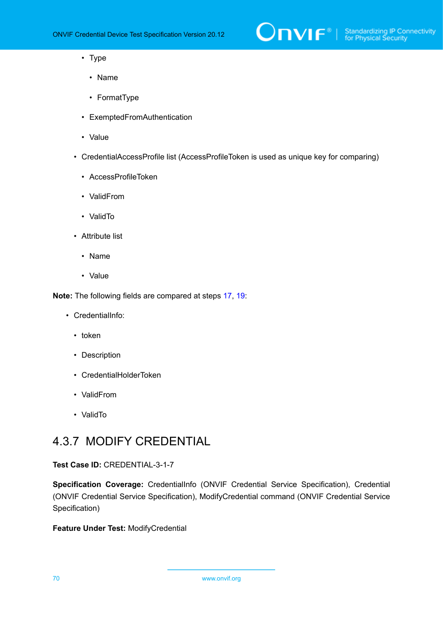

- Type
	- Name
	- FormatType
- ExemptedFromAuthentication
- Value
- CredentialAccessProfile list (AccessProfileToken is used as unique key for comparing)
	- AccessProfileToken
	- ValidFrom
	- ValidTo
- Attribute list
	- Name
	- Value

**Note:** The following fields are compared at steps [17,](#page-67-3) [19](#page-67-4):

- CredentialInfo:
	- token
	- Description
	- CredentialHolderToken
	- ValidFrom
	- ValidTo

## 4.3.7 MODIFY CREDENTIAL

#### **Test Case ID:** CREDENTIAL-3-1-7

**Specification Coverage:** CredentialInfo (ONVIF Credential Service Specification), Credential (ONVIF Credential Service Specification), ModifyCredential command (ONVIF Credential Service Specification)

**Feature Under Test:** ModifyCredential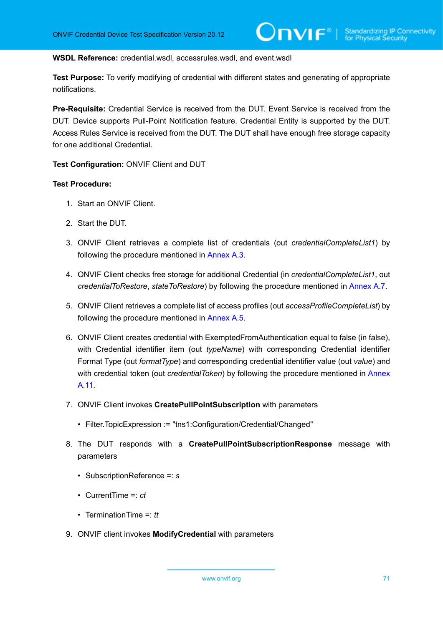#### **WSDL Reference:** credential.wsdl, accessrules.wsdl, and event.wsdl

**Test Purpose:** To verify modifying of credential with different states and generating of appropriate notifications.

**Pre-Requisite:** Credential Service is received from the DUT. Event Service is received from the DUT. Device supports Pull-Point Notification feature. Credential Entity is supported by the DUT. Access Rules Service is received from the DUT. The DUT shall have enough free storage capacity for one additional Credential.

**Test Configuration:** ONVIF Client and DUT

- 1. Start an ONVIF Client.
- 2. Start the DUT.
- 3. ONVIF Client retrieves a complete list of credentials (out *credentialCompleteList1*) by following the procedure mentioned in [Annex A.3](#page-201-1).
- 4. ONVIF Client checks free storage for additional Credential (in *credentialCompleteList1*, out *credentialToRestore*, *stateToRestore*) by following the procedure mentioned in [Annex A.7.](#page-205-0)
- 5. ONVIF Client retrieves a complete list of access profiles (out *accessProfileCompleteList*) by following the procedure mentioned in [Annex A.5](#page-203-0).
- 6. ONVIF Client creates credential with ExemptedFromAuthentication equal to false (in false), with Credential identifier item (out *typeName*) with corresponding Credential identifier Format Type (out *formatType*) and corresponding credential identifier value (out *value*) and with credential token (out *credentialToken*) by following the procedure mentioned in [Annex](#page-208-0) [A.11](#page-208-0).
- 7. ONVIF Client invokes **CreatePullPointSubscription** with parameters
	- Filter.TopicExpression := "tns1:Configuration/Credential/Changed"
- 8. The DUT responds with a **CreatePullPointSubscriptionResponse** message with parameters
	- SubscriptionReference =: *s*
	- CurrentTime =: *ct*
	- TerminationTime =: *tt*
- 9. ONVIF client invokes **ModifyCredential** with parameters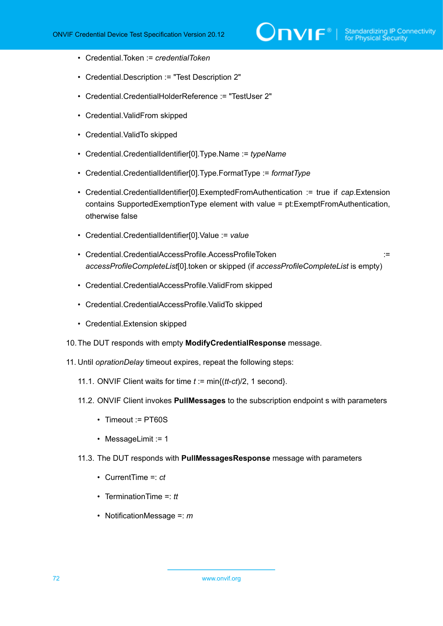- Credential.Token := *credentialToken*
- Credential.Description := "Test Description 2"
- Credential.CredentialHolderReference := "TestUser 2"
- Credential.ValidFrom skipped
- Credential.ValidTo skipped
- Credential.CredentialIdentifier[0].Type.Name := *typeName*
- Credential.CredentialIdentifier[0].Type.FormatType := *formatType*
- Credential.CredentialIdentifier[0].ExemptedFromAuthentication := true if *cap*.Extension contains SupportedExemptionType element with value = pt:ExemptFromAuthentication, otherwise false
- Credential.CredentialIdentifier[0].Value := *value*
- Credential.CredentialAccessProfile.AccessProfileToken := *accessProfileCompleteList*[0].token or skipped (if *accessProfileCompleteList* is empty)
- Credential.CredentialAccessProfile.ValidFrom skipped
- Credential.CredentialAccessProfile.ValidTo skipped
- Credential.Extension skipped
- 10.The DUT responds with empty **ModifyCredentialResponse** message.
- 11. Until *oprationDelay* timeout expires, repeat the following steps:
	- 11.1. ONVIF Client waits for time *t* := min{(*tt*-*ct*)/2, 1 second}.
	- 11.2. ONVIF Client invokes **PullMessages** to the subscription endpoint s with parameters
		- Timeout := PT60S
		- MessageLimit := 1
	- 11.3. The DUT responds with **PullMessagesResponse** message with parameters
		- CurrentTime =: *ct*
		- TerminationTime =: *tt*
		- NotificationMessage =: *m*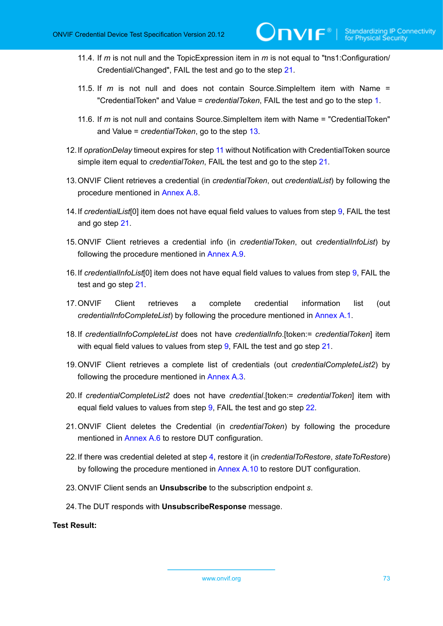- 11.4. If *m* is not null and the TopicExpression item in *m* is not equal to "tns1:Configuration/ Credential/Changed", FAIL the test and go to the step [21.](#page-72-0)
- 11.5. If *m* is not null and does not contain Source.SimpleItem item with Name = "CredentialToken" and Value = *credentialToken*, FAIL the test and go to the step [1](#page-70-0).
- 11.6. If *m* is not null and contains Source.SimpleItem item with Name = "CredentialToken" and Value = *credentialToken*, go to the step [13.](#page-72-1)
- 12.If *oprationDelay* timeout expires for step [11](#page-71-0) without Notification with CredentialToken source simple item equal to *credentialToken*, FAIL the test and go to the step [21.](#page-72-0)
- <span id="page-72-1"></span>13.ONVIF Client retrieves a credential (in *credentialToken*, out *credentialList*) by following the procedure mentioned in [Annex A.8](#page-206-0).
- <span id="page-72-5"></span>14.If *credentialList*[0] item does not have equal field values to values from step [9](#page-70-1), FAIL the test and go step [21.](#page-72-0)
- 15.ONVIF Client retrieves a credential info (in *credentialToken*, out *credentialInfoList*) by following the procedure mentioned in [Annex A.9](#page-207-0).
- <span id="page-72-6"></span>16.If *credentialInfoList*[0] item does not have equal field values to values from step [9,](#page-70-1) FAIL the test and go step [21.](#page-72-0)
- 17.ONVIF Client retrieves a complete credential information list (out *credentialInfoCompleteList*) by following the procedure mentioned in [Annex A.1.](#page-200-0)
- <span id="page-72-3"></span>18.If *credentialInfoCompleteList* does not have *credentialInfo*.[token:= *credentialToken*] item with equal field values to values from step  $9$ , FAIL the test and go step  $21$ .
- 19.ONVIF Client retrieves a complete list of credentials (out *credentialCompleteList2*) by following the procedure mentioned in [Annex A.3](#page-201-0).
- <span id="page-72-4"></span>20.If *credentialCompleteList2* does not have *credential*.[token:= *credentialToken*] item with equal field values to values from step [9,](#page-70-1) FAIL the test and go step [22.](#page-72-2)
- <span id="page-72-0"></span>21.ONVIF Client deletes the Credential (in *credentialToken*) by following the procedure mentioned in [Annex A.6](#page-204-0) to restore DUT configuration.
- <span id="page-72-2"></span>22.If there was credential deleted at step [4](#page-70-2), restore it (in *credentialToRestore*, *stateToRestore*) by following the procedure mentioned in [Annex A.10](#page-207-1) to restore DUT configuration.
- 23.ONVIF Client sends an **Unsubscribe** to the subscription endpoint *s*.
- 24.The DUT responds with **UnsubscribeResponse** message.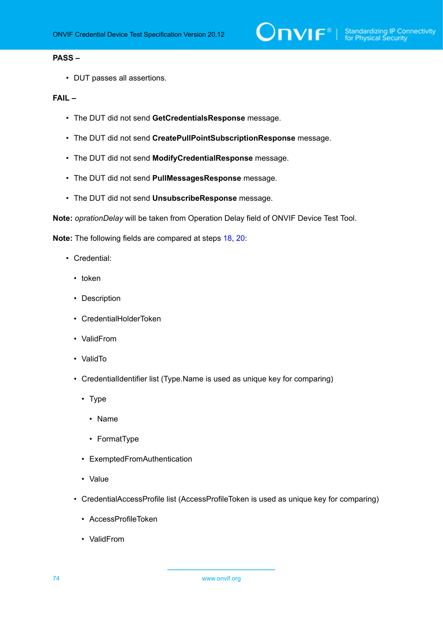### **PASS –**

• DUT passes all assertions.

### **FAIL –**

- The DUT did not send **GetCredentialsResponse** message.
- The DUT did not send **CreatePullPointSubscriptionResponse** message.
- The DUT did not send **ModifyCredentialResponse** message.
- The DUT did not send **PullMessagesResponse** message.
- The DUT did not send **UnsubscribeResponse** message.

**Note:** *oprationDelay* will be taken from Operation Delay field of ONVIF Device Test Tool.

**Note:** The following fields are compared at steps [18,](#page-72-3) [20](#page-72-4):

- Credential:
	- token
	- Description
	- CredentialHolderToken
	- ValidFrom
	- ValidTo
	- CredentialIdentifier list (Type.Name is used as unique key for comparing)
		- Type
			- Name
			- FormatType
		- ExemptedFromAuthentication
		- Value
	- CredentialAccessProfile list (AccessProfileToken is used as unique key for comparing)
		- AccessProfileToken
		- ValidFrom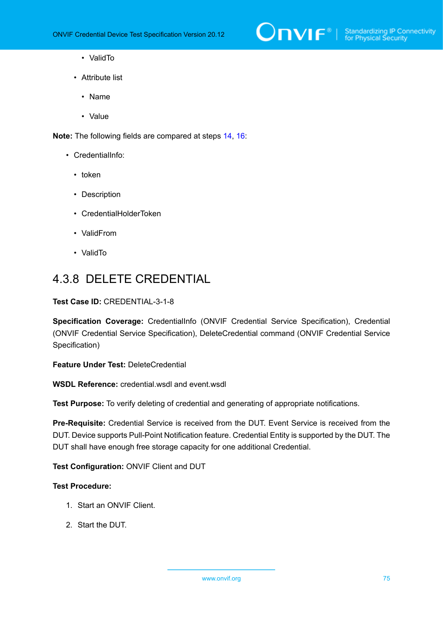

- ValidTo
- Attribute list
	- Name
	- Value

**Note:** The following fields are compared at steps [14,](#page-72-5) [16](#page-72-6):

- CredentialInfo:
	- token
	- Description
	- CredentialHolderToken
	- ValidFrom
	- ValidTo

# 4.3.8 DELETE CREDENTIAL

### **Test Case ID:** CREDENTIAL-3-1-8

**Specification Coverage:** CredentialInfo (ONVIF Credential Service Specification), Credential (ONVIF Credential Service Specification), DeleteCredential command (ONVIF Credential Service Specification)

**Feature Under Test:** DeleteCredential

**WSDL Reference:** credential.wsdl and event.wsdl

**Test Purpose:** To verify deleting of credential and generating of appropriate notifications.

**Pre-Requisite:** Credential Service is received from the DUT. Event Service is received from the DUT. Device supports Pull-Point Notification feature. Credential Entity is supported by the DUT. The DUT shall have enough free storage capacity for one additional Credential.

## **Test Configuration:** ONVIF Client and DUT

- 1. Start an ONVIF Client.
- 2. Start the DUT.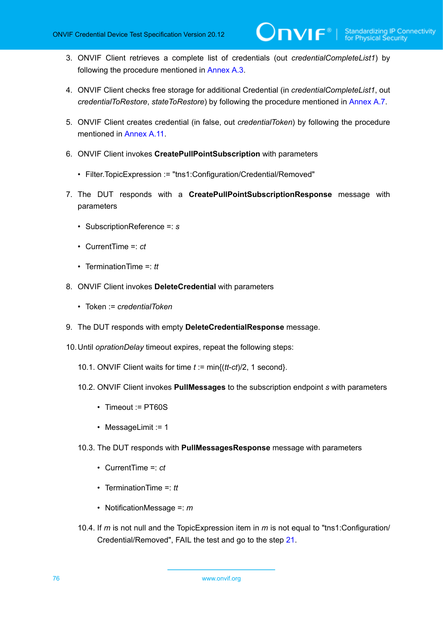- 3. ONVIF Client retrieves a complete list of credentials (out *credentialCompleteList1*) by following the procedure mentioned in [Annex A.3](#page-201-0).
- <span id="page-75-1"></span>4. ONVIF Client checks free storage for additional Credential (in *credentialCompleteList1*, out *credentialToRestore*, *stateToRestore*) by following the procedure mentioned in [Annex A.7.](#page-205-0)
- 5. ONVIF Client creates credential (in false, out *credentialToken*) by following the procedure mentioned in [Annex](#page-208-0) A.11.
- 6. ONVIF Client invokes **CreatePullPointSubscription** with parameters
	- Filter.TopicExpression := "tns1:Configuration/Credential/Removed"
- 7. The DUT responds with a **CreatePullPointSubscriptionResponse** message with parameters
	- SubscriptionReference =: *s*
	- CurrentTime =: *ct*
	- TerminationTime =: *tt*
- 8. ONVIF Client invokes **DeleteCredential** with parameters
	- Token := *credentialToken*
- 9. The DUT responds with empty **DeleteCredentialResponse** message.
- <span id="page-75-0"></span>10.Until *oprationDelay* timeout expires, repeat the following steps:
	- 10.1. ONVIF Client waits for time *t* := min{(*tt*-*ct*)/2, 1 second}.
	- 10.2. ONVIF Client invokes **PullMessages** to the subscription endpoint *s* with parameters
		- Timeout := PT60S
		- MessageLimit := 1
	- 10.3. The DUT responds with **PullMessagesResponse** message with parameters
		- CurrentTime =: *ct*
		- TerminationTime =: *tt*
		- NotificationMessage =: *m*
	- 10.4. If *m* is not null and the TopicExpression item in *m* is not equal to "tns1:Configuration/ Credential/Removed", FAIL the test and go to the step [21](#page-76-0).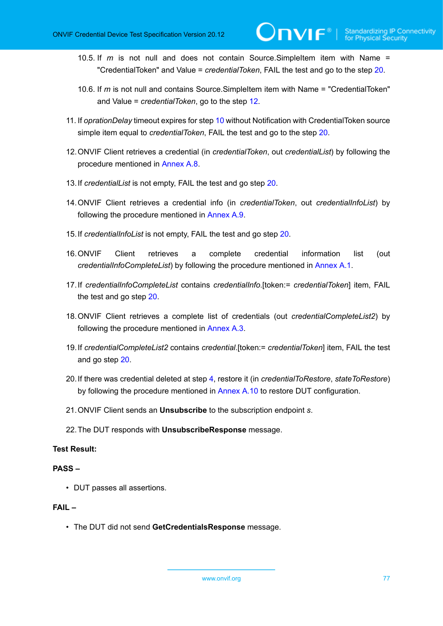- 10.5. If *m* is not null and does not contain Source.SimpleItem item with Name = "CredentialToken" and Value = *credentialToken*, FAIL the test and go to the step [20](#page-76-1).
- 10.6. If *m* is not null and contains Source.SimpleItem item with Name = "CredentialToken" and Value = *credentialToken*, go to the step [12.](#page-76-2)
- 11. If *oprationDelay* timeout expires for step [10](#page-75-0) without Notification with CredentialToken source simple item equal to *credentialToken*, FAIL the test and go to the step [20.](#page-76-1)
- <span id="page-76-2"></span>12.ONVIF Client retrieves a credential (in *credentialToken*, out *credentialList*) by following the procedure mentioned in [Annex A.8](#page-206-0).
- 13.If *credentialList* is not empty, FAIL the test and go step [20.](#page-76-1)
- 14.ONVIF Client retrieves a credential info (in *credentialToken*, out *credentialInfoList*) by following the procedure mentioned in [Annex A.9](#page-207-0).
- 15.If *credentialInfoList* is not empty, FAIL the test and go step [20](#page-76-1).
- 16.ONVIF Client retrieves a complete credential information list (out *credentialInfoCompleteList*) by following the procedure mentioned in [Annex A.1.](#page-200-0)
- 17.If *credentialInfoCompleteList* contains *credentialInfo*.[token:= *credentialToken*] item, FAIL the test and go step [20](#page-76-1).
- 18.ONVIF Client retrieves a complete list of credentials (out *credentialCompleteList2*) by following the procedure mentioned in [Annex A.3](#page-201-0).
- 19.If *credentialCompleteList2* contains *credential*.[token:= *credentialToken*] item, FAIL the test and go step [20.](#page-76-1)
- <span id="page-76-1"></span>20.If there was credential deleted at step [4](#page-75-1), restore it (in *credentialToRestore*, *stateToRestore*) by following the procedure mentioned in [Annex A.10](#page-207-1) to restore DUT configuration.
- <span id="page-76-0"></span>21.ONVIF Client sends an **Unsubscribe** to the subscription endpoint *s*.
- 22.The DUT responds with **UnsubscribeResponse** message.

## **PASS –**

• DUT passes all assertions.

## **FAIL –**

• The DUT did not send **GetCredentialsResponse** message.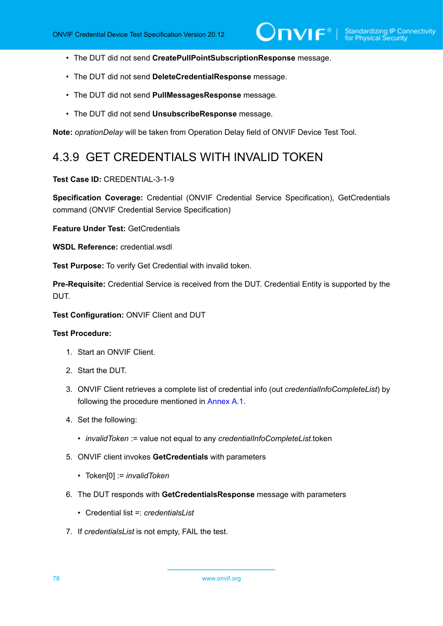- The DUT did not send **CreatePullPointSubscriptionResponse** message.
- The DUT did not send **DeleteCredentialResponse** message.
- The DUT did not send **PullMessagesResponse** message.
- The DUT did not send **UnsubscribeResponse** message.

**Note:** *oprationDelay* will be taken from Operation Delay field of ONVIF Device Test Tool.

## 4.3.9 GET CREDENTIALS WITH INVALID TOKEN

### **Test Case ID:** CREDENTIAL-3-1-9

**Specification Coverage:** Credential (ONVIF Credential Service Specification), GetCredentials command (ONVIF Credential Service Specification)

**Feature Under Test:** GetCredentials

**WSDL Reference:** credential.wsdl

**Test Purpose:** To verify Get Credential with invalid token.

**Pre-Requisite:** Credential Service is received from the DUT. Credential Entity is supported by the DUT.

**Test Configuration:** ONVIF Client and DUT

- 1. Start an ONVIF Client.
- 2. Start the DUT.
- 3. ONVIF Client retrieves a complete list of credential info (out *credentialInfoCompleteList*) by following the procedure mentioned in [Annex A.1](#page-200-0).
- 4. Set the following:
	- *invalidToken* := value not equal to any *credentialInfoCompleteList*.token
- 5. ONVIF client invokes **GetCredentials** with parameters
	- Token[0] := *invalidToken*
- 6. The DUT responds with **GetCredentialsResponse** message with parameters
	- Credential list =: *credentialsList*
- 7. If *credentialsList* is not empty, FAIL the test.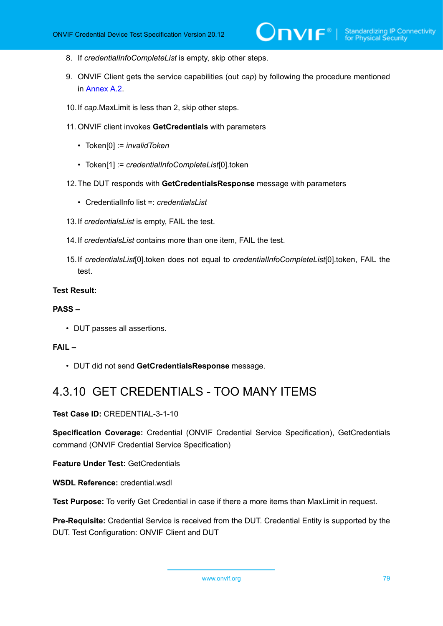- 8. If *credentialInfoCompleteList* is empty, skip other steps.
- 9. ONVIF Client gets the service capabilities (out *cap*) by following the procedure mentioned in [Annex A.2.](#page-201-1)
- 10.If *cap*.MaxLimit is less than 2, skip other steps.
- 11. ONVIF client invokes **GetCredentials** with parameters
	- Token[0] := *invalidToken*
	- Token[1] := *credentialInfoCompleteList*[0].token
- 12.The DUT responds with **GetCredentialsResponse** message with parameters
	- CredentialInfo list =: *credentialsList*
- 13.If *credentialsList* is empty, FAIL the test.
- 14.If *credentialsList* contains more than one item, FAIL the test.
- 15.If *credentialsList*[0].token does not equal to *credentialInfoCompleteList*[0].token, FAIL the test.

### **PASS –**

• DUT passes all assertions.

### **FAIL –**

• DUT did not send **GetCredentialsResponse** message.

## 4.3.10 GET CREDENTIALS - TOO MANY ITEMS

**Test Case ID:** CREDENTIAL-3-1-10

**Specification Coverage:** Credential (ONVIF Credential Service Specification), GetCredentials command (ONVIF Credential Service Specification)

**Feature Under Test:** GetCredentials

**WSDL Reference:** credential.wsdl

**Test Purpose:** To verify Get Credential in case if there a more items than MaxLimit in request.

**Pre-Requisite:** Credential Service is received from the DUT. Credential Entity is supported by the DUT. Test Configuration: ONVIF Client and DUT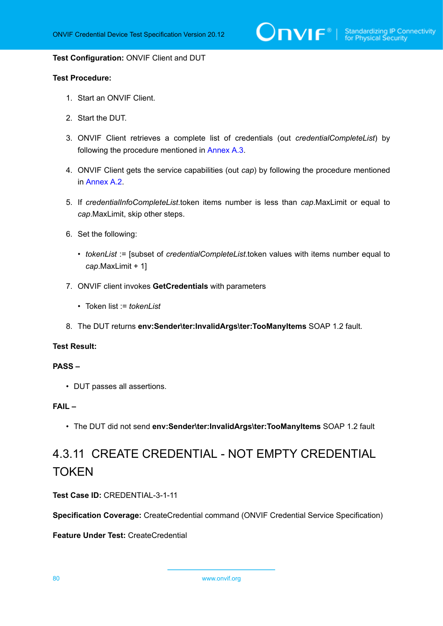$\bigcirc$   $\bigcap$   $\bigvee$   $\bigcirc$   $\bigcirc$   $\bigcirc$   $\bigcirc$   $\bigcirc$   $\bigcirc$   $\bigcirc$   $\bigcirc$   $\bigcirc$   $\bigcirc$   $\bigcirc$   $\bigcirc$   $\bigcirc$   $\bigcirc$   $\bigcirc$   $\bigcirc$   $\bigcirc$   $\bigcirc$   $\bigcirc$   $\bigcirc$   $\bigcirc$   $\bigcirc$   $\bigcirc$   $\bigcirc$   $\bigcirc$   $\bigcirc$   $\bigcirc$   $\bigcirc$   $\bigcirc$   $\bigcirc$   $\bigcirc$   $\bigcirc$   $\bigcirc$   $\bigcirc$ 

#### **Test Configuration:** ONVIF Client and DUT

### **Test Procedure:**

- 1. Start an ONVIF Client.
- 2. Start the DUT.
- 3. ONVIF Client retrieves a complete list of credentials (out *credentialCompleteList*) by following the procedure mentioned in [Annex A.3](#page-201-0).
- 4. ONVIF Client gets the service capabilities (out *cap*) by following the procedure mentioned in [Annex A.2.](#page-201-1)
- 5. If *credentialInfoCompleteList*.token items number is less than *cap*.MaxLimit or equal to *cap*.MaxLimit, skip other steps.
- 6. Set the following:
	- *tokenList* := [subset of *credentialCompleteList*.token values with items number equal to *cap*.MaxLimit + 1]
- 7. ONVIF client invokes **GetCredentials** with parameters
	- Token list := *tokenList*
- 8. The DUT returns **env:Sender\ter:InvalidArgs\ter:TooManyItems** SOAP 1.2 fault.

### **Test Result:**

### **PASS –**

• DUT passes all assertions.

### **FAIL –**

• The DUT did not send **env:Sender\ter:InvalidArgs\ter:TooManyItems** SOAP 1.2 fault

# 4.3.11 CREATE CREDENTIAL - NOT EMPTY CREDENTIAL **TOKEN**

**Test Case ID:** CREDENTIAL-3-1-11

**Specification Coverage:** CreateCredential command (ONVIF Credential Service Specification)

**Feature Under Test:** CreateCredential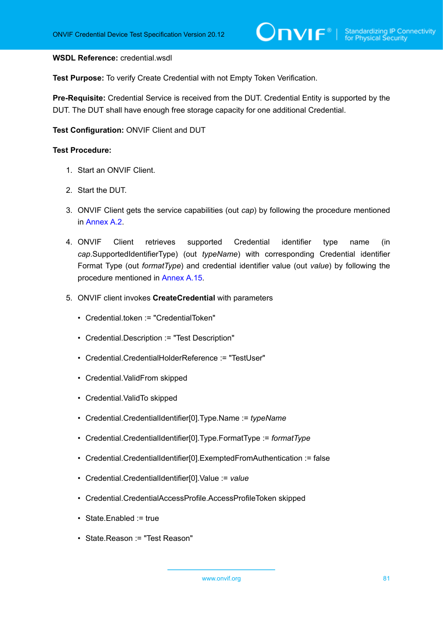### **WSDL Reference:** credential.wsdl

**Test Purpose:** To verify Create Credential with not Empty Token Verification.

**Pre-Requisite:** Credential Service is received from the DUT. Credential Entity is supported by the DUT. The DUT shall have enough free storage capacity for one additional Credential.

**Test Configuration:** ONVIF Client and DUT

### **Test Procedure:**

- 1. Start an ONVIF Client.
- 2. Start the DUT.
- 3. ONVIF Client gets the service capabilities (out *cap*) by following the procedure mentioned in [Annex A.2.](#page-201-1)
- 4. ONVIF Client retrieves supported Credential identifier type name (in *cap*.SupportedIdentifierType) (out *typeName*) with corresponding Credential identifier Format Type (out *formatType*) and credential identifier value (out *value*) by following the procedure mentioned in [Annex A.15.](#page-212-0)
- 5. ONVIF client invokes **CreateCredential** with parameters
	- Credential.token := "CredentialToken"
	- Credential.Description := "Test Description"
	- Credential.CredentialHolderReference := "TestUser"
	- Credential.ValidFrom skipped
	- Credential.ValidTo skipped
	- Credential.CredentialIdentifier[0].Type.Name := *typeName*
	- Credential.CredentialIdentifier[0].Type.FormatType := *formatType*
	- Credential.CredentialIdentifier[0].ExemptedFromAuthentication := false
	- Credential.CredentialIdentifier[0].Value := *value*
	- Credential.CredentialAccessProfile.AccessProfileToken skipped
	- State.Enabled := true
	- State.Reason := "Test Reason"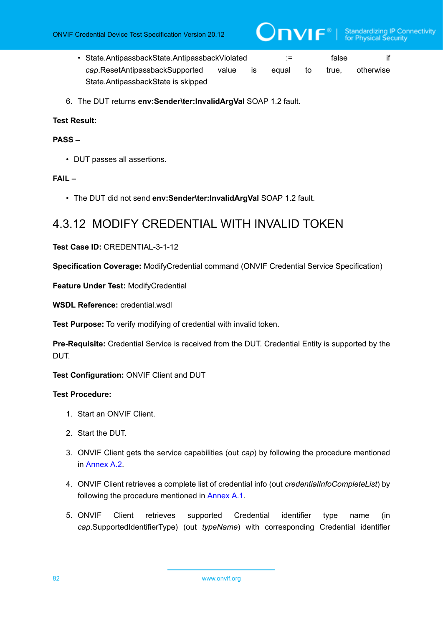- State.AntipassbackState.AntipassbackViolated := false if *cap*.ResetAntipassbackSupported value is equal to true, otherwise State.AntipassbackState is skipped
- 6. The DUT returns **env:Sender\ter:InvalidArgVal** SOAP 1.2 fault.

## **PASS –**

• DUT passes all assertions.

## **FAIL –**

• The DUT did not send **env:Sender\ter:InvalidArgVal** SOAP 1.2 fault.

# 4.3.12 MODIFY CREDENTIAL WITH INVALID TOKEN

## **Test Case ID:** CREDENTIAL-3-1-12

**Specification Coverage:** ModifyCredential command (ONVIF Credential Service Specification)

**Feature Under Test:** ModifyCredential

**WSDL Reference:** credential.wsdl

**Test Purpose:** To verify modifying of credential with invalid token.

**Pre-Requisite:** Credential Service is received from the DUT. Credential Entity is supported by the DUT.

**Test Configuration:** ONVIF Client and DUT

- 1. Start an ONVIF Client.
- 2. Start the DUT.
- 3. ONVIF Client gets the service capabilities (out *cap*) by following the procedure mentioned in [Annex A.2.](#page-201-1)
- 4. ONVIF Client retrieves a complete list of credential info (out *credentialInfoCompleteList*) by following the procedure mentioned in [Annex A.1](#page-200-0).
- 5. ONVIF Client retrieves supported Credential identifier type name (in *cap*.SupportedIdentifierType) (out *typeName*) with corresponding Credential identifier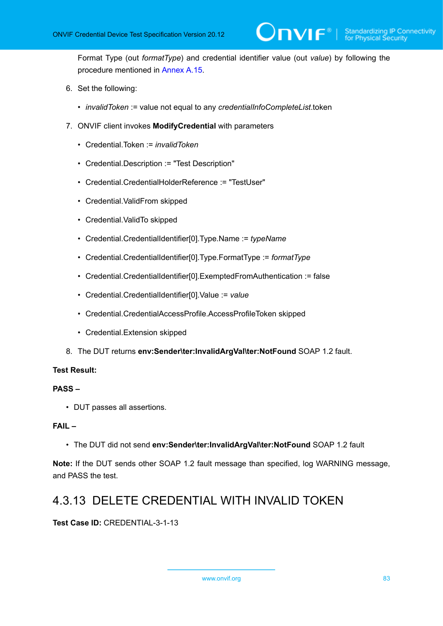Format Type (out *formatType*) and credential identifier value (out *value*) by following the procedure mentioned in [Annex A.15.](#page-212-0)

- 6. Set the following:
	- *invalidToken* := value not equal to any *credentialInfoCompleteList*.token
- 7. ONVIF client invokes **ModifyCredential** with parameters
	- Credential.Token := *invalidToken*
	- Credential.Description := "Test Description"
	- Credential.CredentialHolderReference := "TestUser"
	- Credential.ValidFrom skipped
	- Credential.ValidTo skipped
	- Credential.CredentialIdentifier[0].Type.Name := *typeName*
	- Credential.CredentialIdentifier[0].Type.FormatType := *formatType*
	- Credential.CredentialIdentifier[0].ExemptedFromAuthentication := false
	- Credential.CredentialIdentifier[0].Value := *value*
	- Credential.CredentialAccessProfile.AccessProfileToken skipped
	- Credential.Extension skipped
- 8. The DUT returns **env:Sender\ter:InvalidArgVal\ter:NotFound** SOAP 1.2 fault.

## **Test Result:**

## **PASS –**

• DUT passes all assertions.

## **FAIL –**

• The DUT did not send **env:Sender\ter:InvalidArgVal\ter:NotFound** SOAP 1.2 fault

**Note:** If the DUT sends other SOAP 1.2 fault message than specified, log WARNING message, and PASS the test.

# 4.3.13 DELETE CREDENTIAL WITH INVALID TOKEN

## **Test Case ID:** CREDENTIAL-3-1-13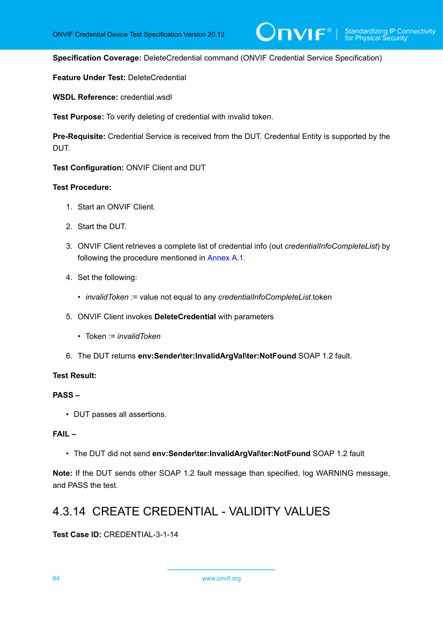**Specification Coverage:** DeleteCredential command (ONVIF Credential Service Specification)

**Feature Under Test:** DeleteCredential

**WSDL Reference:** credential wsdl

**Test Purpose:** To verify deleting of credential with invalid token.

**Pre-Requisite:** Credential Service is received from the DUT. Credential Entity is supported by the DUT.

**Test Configuration:** ONVIF Client and DUT

### **Test Procedure:**

- 1. Start an ONVIF Client.
- 2. Start the DUT.
- 3. ONVIF Client retrieves a complete list of credential info (out *credentialInfoCompleteList*) by following the procedure mentioned in [Annex A.1](#page-200-0).
- 4. Set the following:
	- *invalidToken* := value not equal to any *credentialInfoCompleteList*.token
- 5. ONVIF Client invokes **DeleteCredential** with parameters
	- Token := *invalidToken*
- 6. The DUT returns **env:Sender\ter:InvalidArgVal\ter:NotFound** SOAP 1.2 fault.

## **Test Result:**

## **PASS –**

• DUT passes all assertions.

### **FAIL –**

• The DUT did not send **env:Sender\ter:InvalidArgVal\ter:NotFound** SOAP 1.2 fault

**Note:** If the DUT sends other SOAP 1.2 fault message than specified, log WARNING message, and PASS the test.

# 4.3.14 CREATE CREDENTIAL - VALIDITY VALUES

**Test Case ID:** CREDENTIAL-3-1-14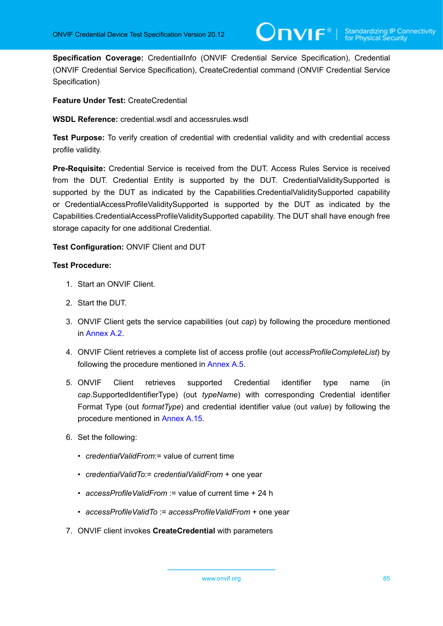**Specification Coverage:** CredentialInfo (ONVIF Credential Service Specification), Credential (ONVIF Credential Service Specification), CreateCredential command (ONVIF Credential Service Specification)

**Feature Under Test:** CreateCredential

**WSDL Reference:** credential.wsdl and accessrules.wsdl

**Test Purpose:** To verify creation of credential with credential validity and with credential access profile validity.

**Pre-Requisite:** Credential Service is received from the DUT. Access Rules Service is received from the DUT. Credential Entity is supported by the DUT. CredentialValiditySupported is supported by the DUT as indicated by the Capabilities.CredentialValiditySupported capability or CredentialAccessProfileValiditySupported is supported by the DUT as indicated by the Capabilities.CredentialAccessProfileValiditySupported capability. The DUT shall have enough free storage capacity for one additional Credential.

**Test Configuration:** ONVIF Client and DUT

- 1. Start an ONVIF Client.
- 2. Start the DUT.
- 3. ONVIF Client gets the service capabilities (out *cap*) by following the procedure mentioned in [Annex A.2.](#page-201-1)
- 4. ONVIF Client retrieves a complete list of access profile (out *accessProfileCompleteList*) by following the procedure mentioned in [Annex A.5](#page-203-0).
- 5. ONVIF Client retrieves supported Credential identifier type name (in *cap*.SupportedIdentifierType) (out *typeName*) with corresponding Credential identifier Format Type (out *formatType*) and credential identifier value (out *value*) by following the procedure mentioned in [Annex A.15.](#page-212-0)
- 6. Set the following:
	- *credentialValidFrom*:= value of current time
	- *credentialValidTo*:= *credentialValidFrom* + one year
	- *accessProfileValidFrom* := value of current time + 24 h
	- *accessProfileValidTo* := *accessProfileValidFrom* + one year
- 7. ONVIF client invokes **CreateCredential** with parameters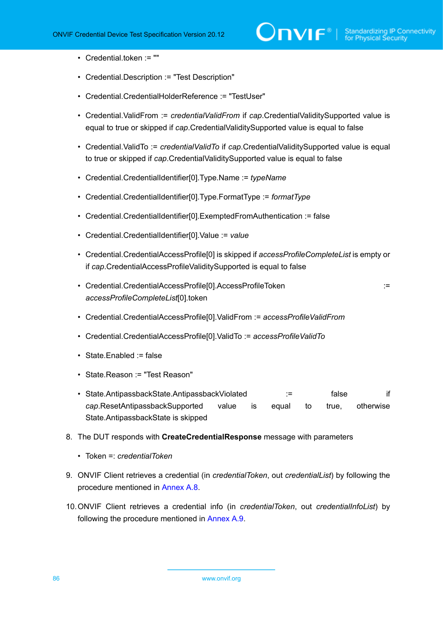- Credential.token := ""
- Credential.Description := "Test Description"
- Credential.CredentialHolderReference := "TestUser"
- Credential.ValidFrom := *credentialValidFrom* if *cap*.CredentialValiditySupported value is equal to true or skipped if *cap*.CredentialValiditySupported value is equal to false
- Credential.ValidTo := *credentialValidTo* if *cap*.CredentialValiditySupported value is equal to true or skipped if *cap*.CredentialValiditySupported value is equal to false
- Credential.CredentialIdentifier[0].Type.Name := *typeName*
- Credential.CredentialIdentifier[0].Type.FormatType := *formatType*
- Credential.CredentialIdentifier[0].ExemptedFromAuthentication := false
- Credential.CredentialIdentifier[0].Value := *value*
- Credential.CredentialAccessProfile[0] is skipped if *accessProfileCompleteList* is empty or if *cap*.CredentialAccessProfileValiditySupported is equal to false
- Credential.CredentialAccessProfile[0].AccessProfileToken := *accessProfileCompleteList*[0].token

- Credential.CredentialAccessProfile[0].ValidFrom := *accessProfileValidFrom*
- Credential.CredentialAccessProfile[0].ValidTo := *accessProfileValidTo*
- State.Enabled := false
- State.Reason := "Test Reason"
- State.AntipassbackState.AntipassbackViolated := false if *cap*.ResetAntipassbackSupported value is equal to true, otherwise State.AntipassbackState is skipped
- 8. The DUT responds with **CreateCredentialResponse** message with parameters
	- Token =: *credentialToken*
- 9. ONVIF Client retrieves a credential (in *credentialToken*, out *credentialList*) by following the procedure mentioned in [Annex A.8](#page-206-0).
- 10.ONVIF Client retrieves a credential info (in *credentialToken*, out *credentialInfoList*) by following the procedure mentioned in [Annex A.9](#page-207-0).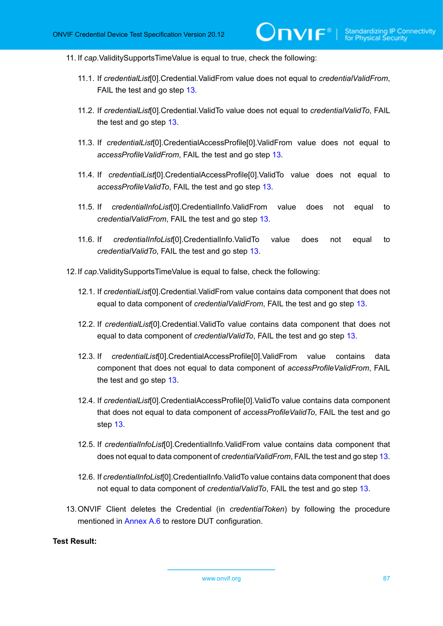11. If *cap*.ValiditySupportsTimeValue is equal to true, check the following:

- 11.1. If *credentialList*[0].Credential.ValidFrom value does not equal to *credentialValidFrom*, FAIL the test and go step [13.](#page-86-0)
- 11.2. If *credentialList*[0].Credential.ValidTo value does not equal to *credentialValidTo*, FAIL the test and go step [13](#page-86-0).
- 11.3. If *credentialList*[0].CredentialAccessProfile[0].ValidFrom value does not equal to *accessProfileValidFrom*, FAIL the test and go step [13.](#page-86-0)
- 11.4. If *credentialList*[0].CredentialAccessProfile[0].ValidTo value does not equal to *accessProfileValidTo*, FAIL the test and go step [13](#page-86-0).
- 11.5. If *credentialInfoList*[0].CredentialInfo.ValidFrom value does not equal to *credentialValidFrom*, FAIL the test and go step [13.](#page-86-0)
- 11.6. If *credentiaIInfoList*[0].CredentialInfo.ValidTo value does not equal to *credentialValidTo*, FAIL the test and go step [13](#page-86-0).
- 12.If *cap*.ValiditySupportsTimeValue is equal to false, check the following:
	- 12.1. If *credentialList*[0].Credential.ValidFrom value contains data component that does not equal to data component of *credentialValidFrom*, FAIL the test and go step [13.](#page-86-0)
	- 12.2. If *credentialList*[0].Credential.ValidTo value contains data component that does not equal to data component of *credentialValidTo*, FAIL the test and go step [13.](#page-86-0)
	- 12.3. If *credentialList*[0].CredentialAccessProfile[0].ValidFrom value contains data component that does not equal to data component of *accessProfileValidFrom*, FAIL the test and go step [13](#page-86-0).
	- 12.4. If *credentialList*[0].CredentialAccessProfile[0].ValidTo value contains data component that does not equal to data component of *accessProfileValidTo*, FAIL the test and go step [13](#page-86-0).
	- 12.5. If *credentialInfoList*[0].CredentialInfo.ValidFrom value contains data component that does not equal to data component of *credentialValidFrom*, FAIL the test and go step [13.](#page-86-0)
	- 12.6. If *credentialInfoList*[0].CredentialInfo.ValidTo value contains data component that does not equal to data component of *credentialValidTo*, FAIL the test and go step [13](#page-86-0).
- <span id="page-86-0"></span>13.ONVIF Client deletes the Credential (in *credentialToken*) by following the procedure mentioned in [Annex A.6](#page-204-0) to restore DUT configuration.

## **Test Result:**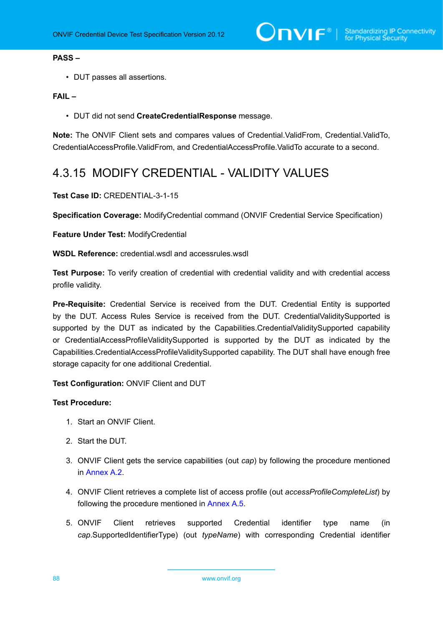### **PASS –**

• DUT passes all assertions.

## **FAIL –**

• DUT did not send **CreateCredentialResponse** message.

**Note:** The ONVIF Client sets and compares values of Credential.ValidFrom, Credential.ValidTo, CredentialAccessProfile.ValidFrom, and CredentialAccessProfile.ValidTo accurate to a second.

## 4.3.15 MODIFY CREDENTIAL - VALIDITY VALUES

### **Test Case ID:** CREDENTIAL-3-1-15

**Specification Coverage:** ModifyCredential command (ONVIF Credential Service Specification)

## **Feature Under Test:** ModifyCredential

**WSDL Reference:** credential.wsdl and accessrules.wsdl

**Test Purpose:** To verify creation of credential with credential validity and with credential access profile validity.

**Pre-Requisite:** Credential Service is received from the DUT. Credential Entity is supported by the DUT. Access Rules Service is received from the DUT. CredentialValiditySupported is supported by the DUT as indicated by the Capabilities.CredentialValiditySupported capability or CredentialAccessProfileValiditySupported is supported by the DUT as indicated by the Capabilities.CredentialAccessProfileValiditySupported capability. The DUT shall have enough free storage capacity for one additional Credential.

**Test Configuration:** ONVIF Client and DUT

- 1. Start an ONVIF Client.
- 2. Start the DUT.
- 3. ONVIF Client gets the service capabilities (out *cap*) by following the procedure mentioned in [Annex A.2.](#page-201-1)
- 4. ONVIF Client retrieves a complete list of access profile (out *accessProfileCompleteList*) by following the procedure mentioned in [Annex A.5](#page-203-0).
- 5. ONVIF Client retrieves supported Credential identifier type name (in *cap*.SupportedIdentifierType) (out *typeName*) with corresponding Credential identifier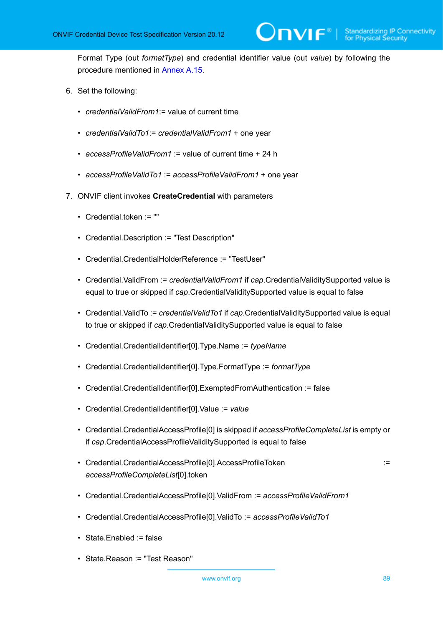Format Type (out *formatType*) and credential identifier value (out *value*) by following the procedure mentioned in [Annex A.15.](#page-212-0)

- 6. Set the following:
	- *credentialValidFrom1*:= value of current time
	- *credentialValidTo1*:= *credentialValidFrom1* + one year
	- *accessProfileValidFrom1* := value of current time + 24 h
	- *accessProfileValidTo1* := *accessProfileValidFrom1* + one year
- 7. ONVIF client invokes **CreateCredential** with parameters
	- Credential.token := ""
	- Credential.Description := "Test Description"
	- Credential.CredentialHolderReference := "TestUser"
	- Credential.ValidFrom := *credentialValidFrom1* if *cap*.CredentialValiditySupported value is equal to true or skipped if *cap*.CredentialValiditySupported value is equal to false
	- Credential.ValidTo := *credentialValidTo1* if *cap*.CredentialValiditySupported value is equal to true or skipped if *cap*.CredentialValiditySupported value is equal to false
	- Credential.CredentialIdentifier[0].Type.Name := *typeName*
	- Credential.CredentialIdentifier[0].Type.FormatType := *formatType*
	- Credential.CredentialIdentifier[0].ExemptedFromAuthentication := false
	- Credential.CredentialIdentifier[0].Value := *value*
	- Credential.CredentialAccessProfile[0] is skipped if *accessProfileCompleteList* is empty or if *cap*.CredentialAccessProfileValiditySupported is equal to false
	- Credential.CredentialAccessProfile[0].AccessProfileToken := *accessProfileCompleteList*[0].token
	- Credential.CredentialAccessProfile[0].ValidFrom := *accessProfileValidFrom1*
	- Credential.CredentialAccessProfile[0].ValidTo := *accessProfileValidTo1*
	- State.Enabled := false
	- State.Reason := "Test Reason"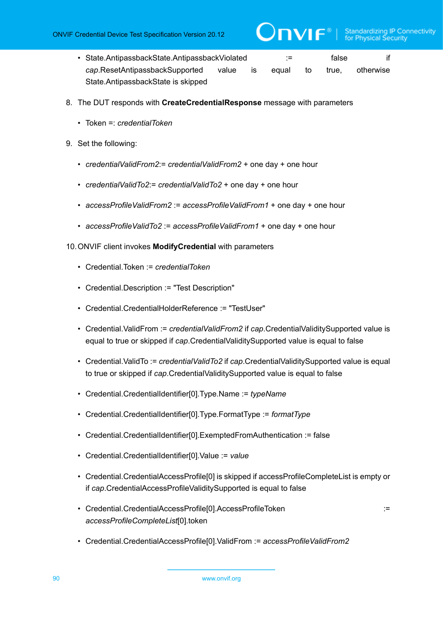- State.AntipassbackState.AntipassbackViolated := false if *cap*.ResetAntipassbackSupported value is equal to true, otherwise State.AntipassbackState is skipped
- 8. The DUT responds with **CreateCredentialResponse** message with parameters
	- Token =: *credentialToken*
- 9. Set the following:
	- *credentialValidFrom2*:= *credentialValidFrom2* + one day + one hour
	- *credentialValidTo2*:= *credentialValidTo2* + one day + one hour
	- *accessProfileValidFrom2* := *accessProfileValidFrom1* + one day + one hour
	- *accessProfileValidTo2* := *accessProfileValidFrom1* + one day + one hour

10.ONVIF client invokes **ModifyCredential** with parameters

- Credential.Token := *credentialToken*
- Credential.Description := "Test Description"
- Credential.CredentialHolderReference := "TestUser"
- Credential.ValidFrom := *credentialValidFrom2* if *cap*.CredentialValiditySupported value is equal to true or skipped if *cap*.CredentialValiditySupported value is equal to false
- Credential.ValidTo := *credentialValidTo2* if *cap*.CredentialValiditySupported value is equal to true or skipped if *cap*.CredentialValiditySupported value is equal to false
- Credential.CredentialIdentifier[0].Type.Name := *typeName*
- Credential.CredentialIdentifier[0].Type.FormatType := *formatType*
- Credential.CredentialIdentifier[0].ExemptedFromAuthentication := false
- Credential.CredentialIdentifier[0].Value := *value*
- Credential.CredentialAccessProfile[0] is skipped if accessProfileCompleteList is empty or if *cap*.CredentialAccessProfileValiditySupported is equal to false
- Credential.CredentialAccessProfile[0].AccessProfileToken := *accessProfileCompleteList*[0].token

• Credential.CredentialAccessProfile[0].ValidFrom := *accessProfileValidFrom2*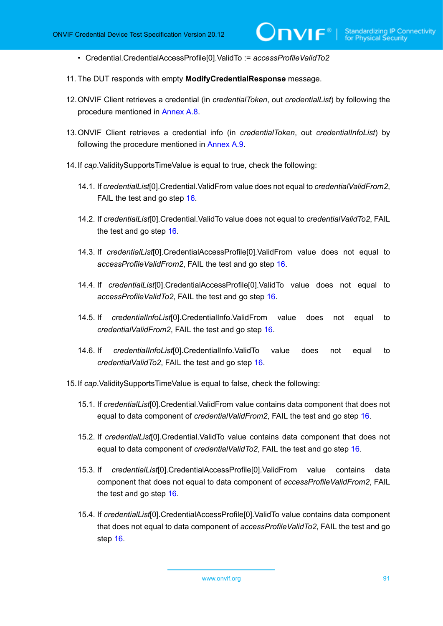- Credential.CredentialAccessProfile[0].ValidTo := *accessProfileValidTo2*
- 11. The DUT responds with empty **ModifyCredentialResponse** message.
- 12.ONVIF Client retrieves a credential (in *credentialToken*, out *credentialList*) by following the procedure mentioned in [Annex A.8](#page-206-0).
- 13.ONVIF Client retrieves a credential info (in *credentialToken*, out *credentialInfoList*) by following the procedure mentioned in [Annex A.9](#page-207-0).
- 14.If *cap*.ValiditySupportsTimeValue is equal to true, check the following:
	- 14.1. If *credentialList*[0].Credential.ValidFrom value does not equal to *credentialValidFrom2*, FAIL the test and go step [16.](#page-91-0)
	- 14.2. If *credentialList*[0].Credential.ValidTo value does not equal to *credentialValidTo2*, FAIL the test and go step [16](#page-91-0).
	- 14.3. If *credentialList*[0].CredentialAccessProfile[0].ValidFrom value does not equal to *accessProfileValidFrom2*, FAIL the test and go step [16](#page-91-0).
	- 14.4. If *credentialList*[0].CredentialAccessProfile[0].ValidTo value does not equal to *accessProfileValidTo2*, FAIL the test and go step [16](#page-91-0).
	- 14.5. If *credentialInfoList*[0].CredentialInfo.ValidFrom value does not equal to *credentialValidFrom2*, FAIL the test and go step [16.](#page-91-0)
	- 14.6. If *credentiaIInfoList*[0].CredentialInfo.ValidTo value does not equal to *credentialValidTo2*, FAIL the test and go step [16](#page-91-0).
- 15.If *cap*.ValiditySupportsTimeValue is equal to false, check the following:
	- 15.1. If *credentialList*[0].Credential.ValidFrom value contains data component that does not equal to data component of *credentialValidFrom2*, FAIL the test and go step [16.](#page-91-0)
	- 15.2. If *credentialList*[0].Credential.ValidTo value contains data component that does not equal to data component of *credentialValidTo2*, FAIL the test and go step [16](#page-91-0).
	- 15.3. If *credentialList*[0].CredentialAccessProfile[0].ValidFrom value contains data component that does not equal to data component of *accessProfileValidFrom2*, FAIL the test and go step [16](#page-91-0).
	- 15.4. If *credentialList*[0].CredentialAccessProfile[0].ValidTo value contains data component that does not equal to data component of *accessProfileValidTo2*, FAIL the test and go step [16](#page-91-0).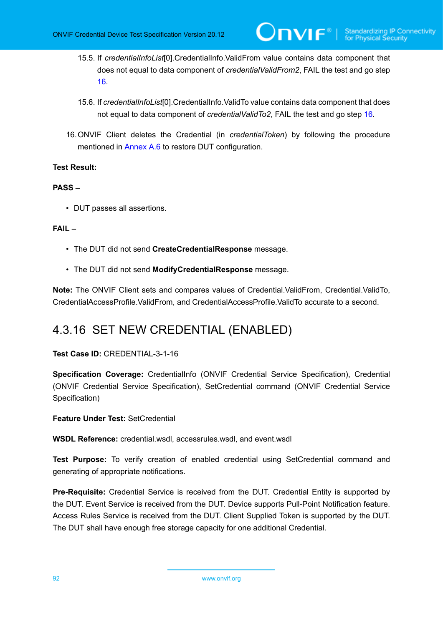- 15.5. If *credentialInfoList*[0].CredentialInfo.ValidFrom value contains data component that does not equal to data component of *credentialValidFrom2*, FAIL the test and go step [16](#page-91-0).
- 15.6. If *credentialInfoList*[0].CredentialInfo.ValidTo value contains data component that does not equal to data component of *credentialValidTo2*, FAIL the test and go step [16.](#page-91-0)
- <span id="page-91-0"></span>16.ONVIF Client deletes the Credential (in *credentialToken*) by following the procedure mentioned in [Annex A.6](#page-204-0) to restore DUT configuration.

## **PASS –**

• DUT passes all assertions.

## **FAIL –**

- The DUT did not send **CreateCredentialResponse** message.
- The DUT did not send **ModifyCredentialResponse** message.

**Note:** The ONVIF Client sets and compares values of Credential.ValidFrom, Credential.ValidTo, CredentialAccessProfile.ValidFrom, and CredentialAccessProfile.ValidTo accurate to a second.

# 4.3.16 SET NEW CREDENTIAL (ENABLED)

## **Test Case ID:** CREDENTIAL-3-1-16

**Specification Coverage:** CredentialInfo (ONVIF Credential Service Specification), Credential (ONVIF Credential Service Specification), SetCredential command (ONVIF Credential Service Specification)

**Feature Under Test:** SetCredential

**WSDL Reference:** credential.wsdl, accessrules.wsdl, and event.wsdl

**Test Purpose:** To verify creation of enabled credential using SetCredential command and generating of appropriate notifications.

**Pre-Requisite:** Credential Service is received from the DUT. Credential Entity is supported by the DUT. Event Service is received from the DUT. Device supports Pull-Point Notification feature. Access Rules Service is received from the DUT. Client Supplied Token is supported by the DUT. The DUT shall have enough free storage capacity for one additional Credential.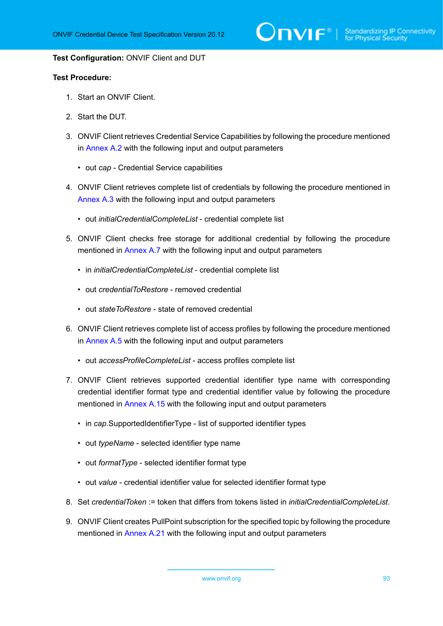$\sum_{\text{IVIF}^{\circledast}}$  | Standardizing IP Connectivity

#### **Test Configuration:** ONVIF Client and DUT

- 1. Start an ONVIF Client.
- 2. Start the DUT.
- 3. ONVIF Client retrieves Credential Service Capabilities by following the procedure mentioned in [Annex A.2](#page-201-1) with the following input and output parameters
	- out *cap* Credential Service capabilities
- 4. ONVIF Client retrieves complete list of credentials by following the procedure mentioned in [Annex A.3](#page-201-0) with the following input and output parameters
	- out *initialCredentialCompleteList* credential complete list
- <span id="page-92-0"></span>5. ONVIF Client checks free storage for additional credential by following the procedure mentioned in [Annex A.7](#page-205-0) with the following input and output parameters
	- in *initialCredentialCompleteList* credential complete list
	- out *credentialToRestore* removed credential
	- out *stateToRestore* state of removed credential
- 6. ONVIF Client retrieves complete list of access profiles by following the procedure mentioned in [Annex A.5](#page-203-0) with the following input and output parameters
	- out *accessProfileCompleteList* access profiles complete list
- 7. ONVIF Client retrieves supported credential identifier type name with corresponding credential identifier format type and credential identifier value by following the procedure mentioned in [Annex A.15](#page-212-0) with the following input and output parameters
	- in *cap*.SupportedIdentifierType list of supported identifier types
	- out *typeName* selected identifier type name
	- out *formatType* selected identifier format type
	- out *value* credential identifier value for selected identifier format type
- 8. Set *credentialToken* := token that differs from tokens listed in *initialCredentialCompleteList*.
- 9. ONVIF Client creates PullPoint subscription for the specified topic by following the procedure mentioned in [Annex A.21](#page-219-0) with the following input and output parameters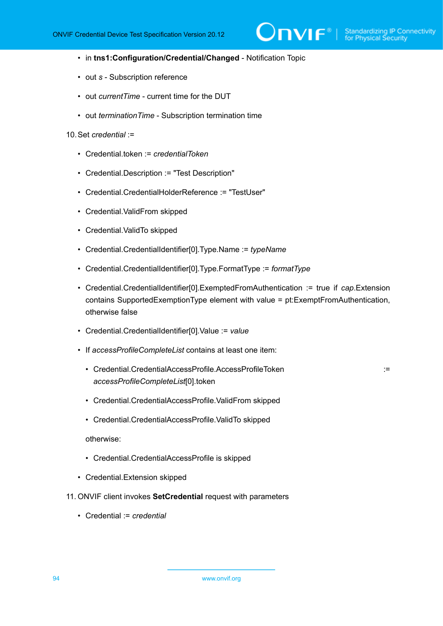- in **tns1:Configuration/Credential/Changed** Notification Topic
- out *s* Subscription reference
- out *currentTime* current time for the DUT
- out *terminationTime* Subscription termination time

### 10.Set *credential* :=

- Credential.token := *credentialToken*
- Credential.Description := "Test Description"
- Credential.CredentialHolderReference := "TestUser"
- Credential.ValidFrom skipped
- Credential.ValidTo skipped
- Credential.CredentialIdentifier[0].Type.Name := *typeName*
- Credential.CredentialIdentifier[0].Type.FormatType := *formatType*
- Credential.CredentialIdentifier[0].ExemptedFromAuthentication := true if *cap*.Extension contains SupportedExemptionType element with value = pt:ExemptFromAuthentication, otherwise false
- Credential.CredentialIdentifier[0].Value := *value*
- If *accessProfileCompleteList* contains at least one item:
	- Credential.CredentialAccessProfile.AccessProfileToken ::= ::::::::::::::::::::: *accessProfileCompleteList*[0].token

- Credential.CredentialAccessProfile.ValidFrom skipped
- Credential.CredentialAccessProfile.ValidTo skipped

otherwise:

- Credential.CredentialAccessProfile is skipped
- Credential.Extension skipped
- 11. ONVIF client invokes **SetCredential** request with parameters
	- Credential := *credential*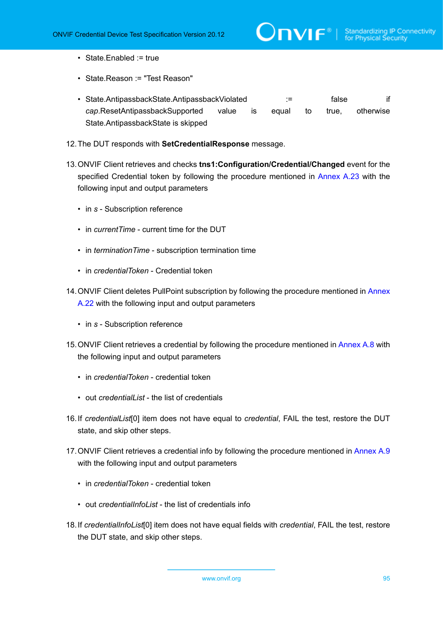$\mathsf{J}\mathsf{IVIF}^*$  i

- State.Enabled := true
- State.Reason := "Test Reason"
- State.AntipassbackState.AntipassbackViolated := false if *cap*.ResetAntipassbackSupported value is equal to true, otherwise State.AntipassbackState is skipped
- 12.The DUT responds with **SetCredentialResponse** message.
- 13.ONVIF Client retrieves and checks **tns1:Configuration/Credential/Changed** event for the specified Credential token by following the procedure mentioned in [Annex A.23](#page-220-0) with the following input and output parameters
	- in *s* Subscription reference
	- in *currentTime* current time for the DUT
	- in *terminationTime* subscription termination time
	- in *credentialToken* Credential token
- 14. ONVIF Client deletes PullPoint subscription by following the procedure mentioned in [Annex](#page-220-1) [A.22](#page-220-1) with the following input and output parameters
	- in *s* Subscription reference
- 15.ONVIF Client retrieves a credential by following the procedure mentioned in [Annex A.8](#page-206-0) with the following input and output parameters
	- in *credentialToken* credential token
	- out *credentialList* the list of credentials
- <span id="page-94-0"></span>16.If *credentialList*[0] item does not have equal to *credential*, FAIL the test, restore the DUT state, and skip other steps.
- 17. ONVIF Client retrieves a credential info by following the procedure mentioned in [Annex A.9](#page-207-0) with the following input and output parameters
	- in *credentialToken* credential token
	- out *credentialInfoList* the list of credentials info
- <span id="page-94-1"></span>18.If *credentialInfoList*[0] item does not have equal fields with *credential*, FAIL the test, restore the DUT state, and skip other steps.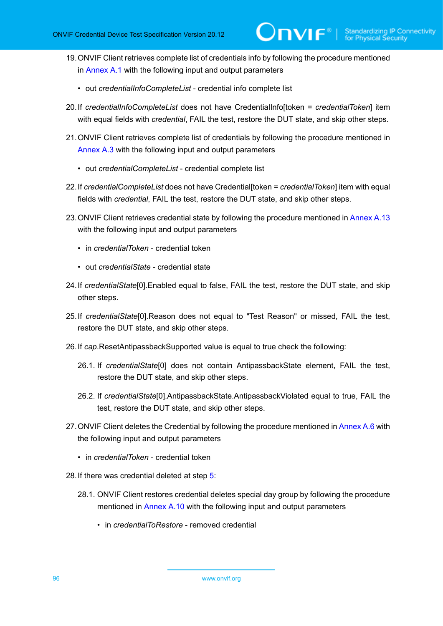- 19.ONVIF Client retrieves complete list of credentials info by following the procedure mentioned in [Annex A.1](#page-200-0) with the following input and output parameters
	- out *credentialInfoCompleteList* credential info complete list
- <span id="page-95-1"></span>20.If *credentialInfoCompleteList* does not have CredentialInfo[token = *credentialToken*] item with equal fields with *credential*, FAIL the test, restore the DUT state, and skip other steps.
- 21.ONVIF Client retrieves complete list of credentials by following the procedure mentioned in [Annex A.3](#page-201-0) with the following input and output parameters
	- out *credentialCompleteList* credential complete list
- <span id="page-95-0"></span>22.If *credentialCompleteList* does not have Credential[token = *credentialToken*] item with equal fields with *credential*, FAIL the test, restore the DUT state, and skip other steps.
- 23.ONVIF Client retrieves credential state by following the procedure mentioned in [Annex A.13](#page-211-0) with the following input and output parameters
	- in *credentialToken* credential token
	- out *credentialState* credential state
- 24.If *credentialState*[0].Enabled equal to false, FAIL the test, restore the DUT state, and skip other steps.
- 25.If *credentialState*[0].Reason does not equal to "Test Reason" or missed, FAIL the test, restore the DUT state, and skip other steps.
- 26.If *cap*.ResetAntipassbackSupported value is equal to true check the following:
	- 26.1. If *credentialState*[0] does not contain AntipassbackState element, FAIL the test, restore the DUT state, and skip other steps.
	- 26.2. If *credentialState*[0].AntipassbackState.AntipassbackViolated equal to true, FAIL the test, restore the DUT state, and skip other steps.
- 27. ONVIF Client deletes the Credential by following the procedure mentioned in [Annex A.6](#page-204-0) with the following input and output parameters
	- in *credentialToken* credential token
- 28.If there was credential deleted at step [5:](#page-92-0)
	- 28.1. ONVIF Client restores credential deletes special day group by following the procedure mentioned in [Annex A.10](#page-207-1) with the following input and output parameters
		- in *credentialToRestore* removed credential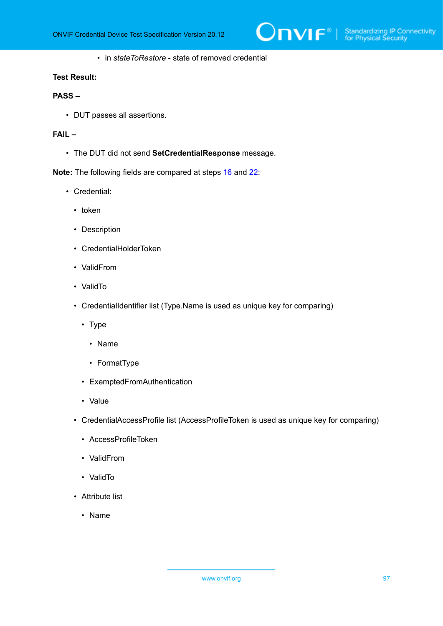• in *stateToRestore* - state of removed credential

### **Test Result:**

## **PASS –**

• DUT passes all assertions.

## **FAIL –**

• The DUT did not send **SetCredentialResponse** message.

**Note:** The following fields are compared at steps [16](#page-94-0) and [22:](#page-95-0)

- Credential:
	- token
	- Description
	- CredentialHolderToken
	- ValidFrom
	- ValidTo
	- CredentialIdentifier list (Type.Name is used as unique key for comparing)
		- Type
			- Name
			- FormatType
		- ExemptedFromAuthentication
		- Value
	- CredentialAccessProfile list (AccessProfileToken is used as unique key for comparing)
		- AccessProfileToken
		- ValidFrom
		- ValidTo
	- Attribute list
		- Name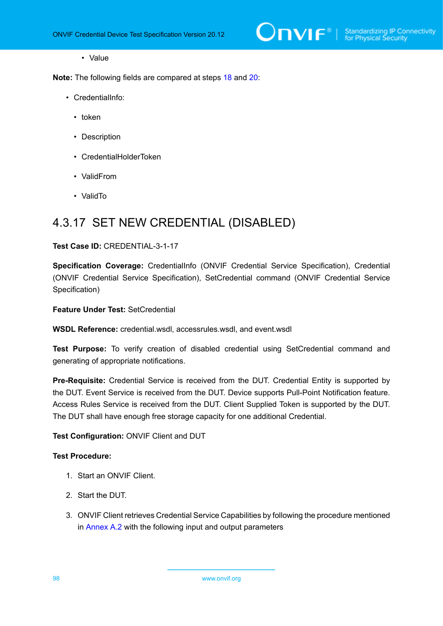• Value

**Note:** The following fields are compared at steps [18](#page-94-1) and [20:](#page-95-1)

- CredentialInfo:
	- token
	- Description
	- CredentialHolderToken
	- ValidFrom
	- ValidTo

## 4.3.17 SET NEW CREDENTIAL (DISABLED)

### **Test Case ID:** CREDENTIAL-3-1-17

**Specification Coverage:** CredentialInfo (ONVIF Credential Service Specification), Credential (ONVIF Credential Service Specification), SetCredential command (ONVIF Credential Service Specification)

**Feature Under Test:** SetCredential

**WSDL Reference:** credential.wsdl, accessrules.wsdl, and event.wsdl

**Test Purpose:** To verify creation of disabled credential using SetCredential command and generating of appropriate notifications.

**Pre-Requisite:** Credential Service is received from the DUT. Credential Entity is supported by the DUT. Event Service is received from the DUT. Device supports Pull-Point Notification feature. Access Rules Service is received from the DUT. Client Supplied Token is supported by the DUT. The DUT shall have enough free storage capacity for one additional Credential.

**Test Configuration:** ONVIF Client and DUT

- 1. Start an ONVIF Client.
- 2. Start the DUT.
- 3. ONVIF Client retrieves Credential Service Capabilities by following the procedure mentioned in [Annex A.2](#page-201-1) with the following input and output parameters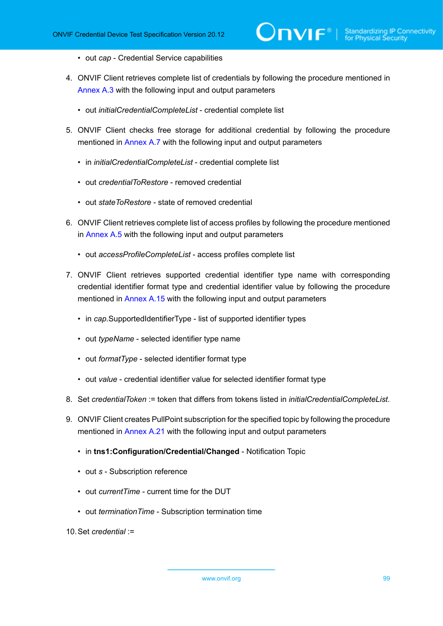- out *cap* Credential Service capabilities
- 4. ONVIF Client retrieves complete list of credentials by following the procedure mentioned in [Annex A.3](#page-201-0) with the following input and output parameters
	- out *initialCredentialCompleteList* credential complete list
- <span id="page-98-0"></span>5. ONVIF Client checks free storage for additional credential by following the procedure mentioned in [Annex A.7](#page-205-0) with the following input and output parameters
	- in *initialCredentialCompleteList* credential complete list
	- out *credentialToRestore* removed credential
	- out *stateToRestore* state of removed credential
- 6. ONVIF Client retrieves complete list of access profiles by following the procedure mentioned in [Annex A.5](#page-203-0) with the following input and output parameters
	- out *accessProfileCompleteList* access profiles complete list
- 7. ONVIF Client retrieves supported credential identifier type name with corresponding credential identifier format type and credential identifier value by following the procedure mentioned in [Annex A.15](#page-212-0) with the following input and output parameters
	- in *cap*.SupportedIdentifierType list of supported identifier types
	- out *typeName* selected identifier type name
	- out *formatType* selected identifier format type
	- out *value* credential identifier value for selected identifier format type
- 8. Set *credentialToken* := token that differs from tokens listed in *initialCredentialCompleteList*.
- 9. ONVIF Client creates PullPoint subscription for the specified topic by following the procedure mentioned in [Annex A.21](#page-219-0) with the following input and output parameters
	- in **tns1:Configuration/Credential/Changed** Notification Topic
	- out *s* Subscription reference
	- out *currentTime* current time for the DUT
	- out *terminationTime* Subscription termination time

10.Set *credential* :=

www.onvif.org 39 and 30 and 30 and 30 and 30 and 30 and 30 and 30 and 30 and 30 and 30 and 30 and 30 and 30 and 30 and 30 and 30 and 30 and 30 and 30 and 30 and 30 and 30 and 30 and 30 and 30 and 30 and 30 and 30 and 30 an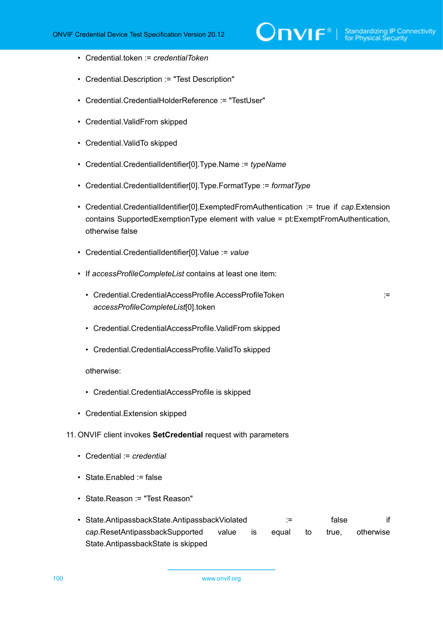- Credential.token := *credentialToken*
- Credential.Description := "Test Description"
- Credential.CredentialHolderReference := "TestUser"
- Credential.ValidFrom skipped
- Credential.ValidTo skipped
- Credential.CredentialIdentifier[0].Type.Name := *typeName*
- Credential.CredentialIdentifier[0].Type.FormatType := *formatType*
- Credential.CredentialIdentifier[0].ExemptedFromAuthentication := true if *cap*.Extension contains SupportedExemptionType element with value = pt:ExemptFromAuthentication, otherwise false
- Credential.CredentialIdentifier[0].Value := *value*
- If *accessProfileCompleteList* contains at least one item:
	- Credential.CredentialAccessProfile.AccessProfileToken ::= ::::::::::::::::::::: *accessProfileCompleteList*[0].token
	- Credential.CredentialAccessProfile.ValidFrom skipped
	- Credential.CredentialAccessProfile.ValidTo skipped

otherwise:

- Credential.CredentialAccessProfile is skipped
- Credential.Extension skipped
- 11. ONVIF client invokes **SetCredential** request with parameters
	- Credential := *credential*
	- State.Enabled := false
	- State.Reason := "Test Reason"
	- State.AntipassbackState.AntipassbackViolated := false if *cap*.ResetAntipassbackSupported value is equal to true, otherwise State.AntipassbackState is skipped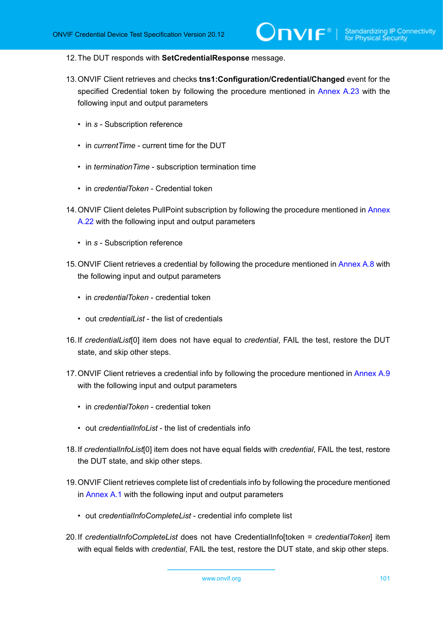- 12.The DUT responds with **SetCredentialResponse** message.
- 13.ONVIF Client retrieves and checks **tns1:Configuration/Credential/Changed** event for the specified Credential token by following the procedure mentioned in [Annex A.23](#page-220-0) with the following input and output parameters
	- in *s* Subscription reference
	- in *currentTime* current time for the DUT
	- in *terminationTime* subscription termination time
	- in *credentialToken* Credential token
- 14.ONVIF Client deletes PullPoint subscription by following the procedure mentioned in [Annex](#page-220-1) [A.22](#page-220-1) with the following input and output parameters
	- in *s* Subscription reference
- 15.ONVIF Client retrieves a credential by following the procedure mentioned in [Annex A.8](#page-206-0) with the following input and output parameters
	- in *credentialToken* credential token
	- out *credentialList* the list of credentials
- <span id="page-100-0"></span>16.If *credentialList*[0] item does not have equal to *credential*, FAIL the test, restore the DUT state, and skip other steps.
- 17.ONVIF Client retrieves a credential info by following the procedure mentioned in [Annex A.9](#page-207-0) with the following input and output parameters
	- in *credentialToken* credential token
	- out *credentialInfoList* the list of credentials info
- <span id="page-100-1"></span>18.If *credentialInfoList*[0] item does not have equal fields with *credential*, FAIL the test, restore the DUT state, and skip other steps.
- 19.ONVIF Client retrieves complete list of credentials info by following the procedure mentioned in [Annex A.1](#page-200-0) with the following input and output parameters
	- out *credentialInfoCompleteList* credential info complete list
- <span id="page-100-2"></span>20.If *credentialInfoCompleteList* does not have CredentialInfo[token = *credentialToken*] item with equal fields with *credential*, FAIL the test, restore the DUT state, and skip other steps.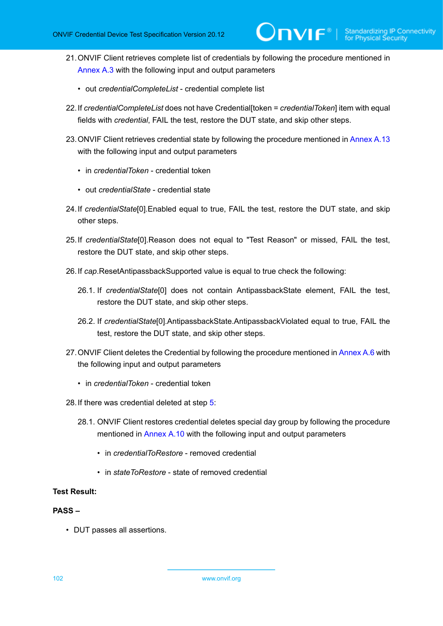- 21.ONVIF Client retrieves complete list of credentials by following the procedure mentioned in [Annex A.3](#page-201-0) with the following input and output parameters
	- out *credentialCompleteList* credential complete list
- <span id="page-101-0"></span>22.If *credentialCompleteList* does not have Credential[token = *credentialToken*] item with equal fields with *credential*, FAIL the test, restore the DUT state, and skip other steps.
- 23.ONVIF Client retrieves credential state by following the procedure mentioned in [Annex A.13](#page-211-0) with the following input and output parameters
	- in *credentialToken* credential token
	- out *credentialState* credential state
- 24.If *credentialState*[0].Enabled equal to true, FAIL the test, restore the DUT state, and skip other steps.
- 25.If *credentialState*[0].Reason does not equal to "Test Reason" or missed, FAIL the test, restore the DUT state, and skip other steps.
- 26.If *cap*.ResetAntipassbackSupported value is equal to true check the following:
	- 26.1. If *credentialState*[0] does not contain AntipassbackState element, FAIL the test, restore the DUT state, and skip other steps.
	- 26.2. If *credentialState*[0].AntipassbackState.AntipassbackViolated equal to true, FAIL the test, restore the DUT state, and skip other steps.
- 27.ONVIF Client deletes the Credential by following the procedure mentioned in [Annex A.6](#page-204-0) with the following input and output parameters
	- in *credentialToken* credential token
- 28.If there was credential deleted at step [5:](#page-98-0)
	- 28.1. ONVIF Client restores credential deletes special day group by following the procedure mentioned in [Annex A.10](#page-207-1) with the following input and output parameters
		- in *credentialToRestore* removed credential
		- in *stateToRestore* state of removed credential

### **PASS –**

• DUT passes all assertions.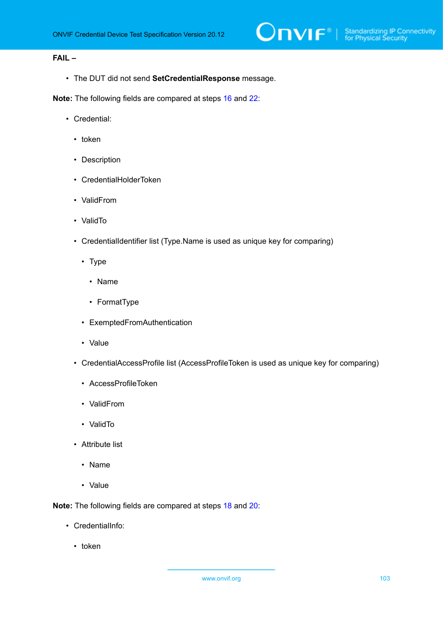## **FAIL –**

• The DUT did not send **SetCredentialResponse** message.

**Note:** The following fields are compared at steps [16](#page-100-0) and [22:](#page-101-0)

- Credential:
	- token
	- Description
	- CredentialHolderToken
	- ValidFrom
	- ValidTo
	- CredentialIdentifier list (Type.Name is used as unique key for comparing)
		- Type
			- Name
			- FormatType
		- ExemptedFromAuthentication
		- Value
	- CredentialAccessProfile list (AccessProfileToken is used as unique key for comparing)
		- AccessProfileToken
		- ValidFrom
		- ValidTo
	- Attribute list
		- Name
		- Value

**Note:** The following fields are compared at steps [18](#page-100-1) and [20:](#page-100-2)

- CredentialInfo:
	- token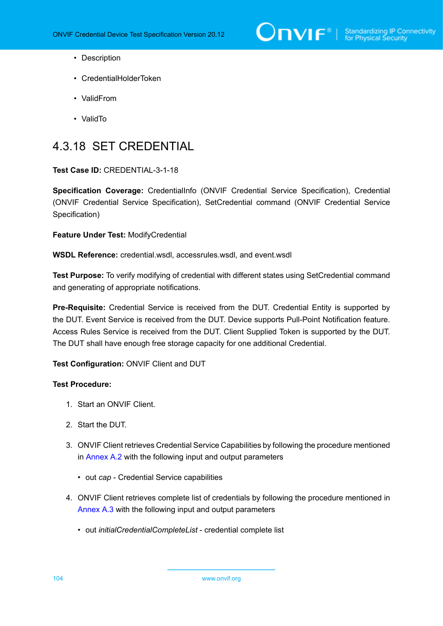

- Description
- CredentialHolderToken
- ValidFrom
- ValidTo

# 4.3.18 SET CREDENTIAL

### **Test Case ID:** CREDENTIAL-3-1-18

**Specification Coverage:** CredentialInfo (ONVIF Credential Service Specification), Credential (ONVIF Credential Service Specification), SetCredential command (ONVIF Credential Service Specification)

**Feature Under Test:** ModifyCredential

**WSDL Reference:** credential.wsdl, accessrules.wsdl, and event.wsdl

**Test Purpose:** To verify modifying of credential with different states using SetCredential command and generating of appropriate notifications.

**Pre-Requisite:** Credential Service is received from the DUT. Credential Entity is supported by the DUT. Event Service is received from the DUT. Device supports Pull-Point Notification feature. Access Rules Service is received from the DUT. Client Supplied Token is supported by the DUT. The DUT shall have enough free storage capacity for one additional Credential.

## **Test Configuration:** ONVIF Client and DUT

- 1. Start an ONVIF Client.
- 2. Start the DUT.
- 3. ONVIF Client retrieves Credential Service Capabilities by following the procedure mentioned in [Annex A.2](#page-201-1) with the following input and output parameters
	- out *cap* Credential Service capabilities
- 4. ONVIF Client retrieves complete list of credentials by following the procedure mentioned in [Annex A.3](#page-201-0) with the following input and output parameters
	- out *initialCredentialCompleteList* credential complete list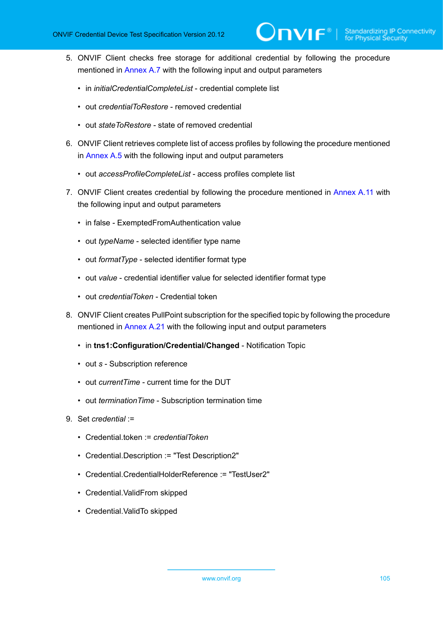- <span id="page-104-0"></span>5. ONVIF Client checks free storage for additional credential by following the procedure mentioned in [Annex A.7](#page-205-0) with the following input and output parameters
	- in *initialCredentialCompleteList* credential complete list
	- out *credentialToRestore* removed credential
	- out *stateToRestore* state of removed credential
- 6. ONVIF Client retrieves complete list of access profiles by following the procedure mentioned in [Annex A.5](#page-203-0) with the following input and output parameters
	- out *accessProfileCompleteList* access profiles complete list
- 7. ONVIF Client creates credential by following the procedure mentioned in [Annex](#page-208-0) A.11 with the following input and output parameters
	- in false ExemptedFromAuthentication value
	- out *typeName* selected identifier type name
	- out *formatType* selected identifier format type
	- out *value* credential identifier value for selected identifier format type
	- out *credentialToken* Credential token
- 8. ONVIF Client creates PullPoint subscription for the specified topic by following the procedure mentioned in [Annex A.21](#page-219-0) with the following input and output parameters
	- in **tns1:Configuration/Credential/Changed** Notification Topic
	- out *s* Subscription reference
	- out *currentTime* current time for the DUT
	- out *terminationTime* Subscription termination time
- 9. Set *credential* :=
	- Credential.token := *credentialToken*
	- Credential.Description := "Test Description2"
	- Credential.CredentialHolderReference := "TestUser2"
	- Credential.ValidFrom skipped
	- Credential.ValidTo skipped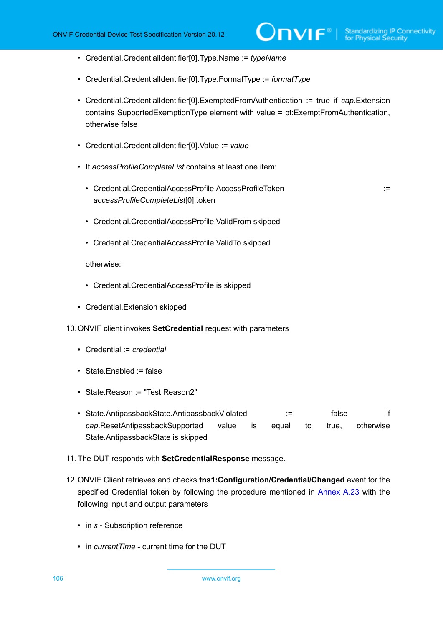- Credential.CredentialIdentifier[0].Type.Name := *typeName*
- Credential.CredentialIdentifier[0].Type.FormatType := *formatType*
- Credential.CredentialIdentifier[0].ExemptedFromAuthentication := true if *cap*.Extension contains SupportedExemptionType element with value = pt:ExemptFromAuthentication, otherwise false
- Credential.CredentialIdentifier[0].Value := *value*
- If *accessProfileCompleteList* contains at least one item:
	- Credential.CredentialAccessProfile.AccessProfileToken := *accessProfileCompleteList*[0].token

- Credential.CredentialAccessProfile.ValidFrom skipped
- Credential.CredentialAccessProfile.ValidTo skipped

#### otherwise:

- Credential.CredentialAccessProfile is skipped
- Credential.Extension skipped
- 10.ONVIF client invokes **SetCredential** request with parameters
	- Credential := *credential*
	- State.Enabled := false
	- State.Reason := "Test Reason2"
	- State.AntipassbackState.AntipassbackViolated := false if *cap*.ResetAntipassbackSupported value is equal to true, otherwise State.AntipassbackState is skipped
- 11. The DUT responds with **SetCredentialResponse** message.
- 12.ONVIF Client retrieves and checks **tns1:Configuration/Credential/Changed** event for the specified Credential token by following the procedure mentioned in [Annex A.23](#page-220-0) with the following input and output parameters
	- in *s* Subscription reference
	- in *currentTime* current time for the DUT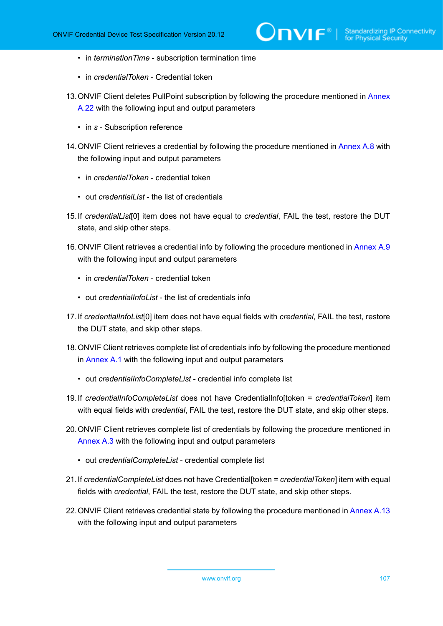- in *terminationTime* subscription termination time
- in *credentialToken* Credential token
- 13.ONVIF Client deletes PullPoint subscription by following the procedure mentioned in [Annex](#page-220-1) [A.22](#page-220-1) with the following input and output parameters
	- in *s* Subscription reference
- 14.ONVIF Client retrieves a credential by following the procedure mentioned in [Annex A.8](#page-206-0) with the following input and output parameters
	- in *credentialToken* credential token
	- out *credentialList* the list of credentials
- <span id="page-106-0"></span>15.If *credentialList*[0] item does not have equal to *credential*, FAIL the test, restore the DUT state, and skip other steps.
- 16.ONVIF Client retrieves a credential info by following the procedure mentioned in [Annex A.9](#page-207-0) with the following input and output parameters
	- in *credentialToken* credential token
	- out *credentialInfoList* the list of credentials info
- 17.If *credentialInfoList*[0] item does not have equal fields with *credential*, FAIL the test, restore the DUT state, and skip other steps.
- 18.ONVIF Client retrieves complete list of credentials info by following the procedure mentioned in [Annex A.1](#page-200-0) with the following input and output parameters
	- out *credentialInfoCompleteList* credential info complete list
- 19.If *credentialInfoCompleteList* does not have CredentialInfo[token = *credentialToken*] item with equal fields with *credential*, FAIL the test, restore the DUT state, and skip other steps.
- 20.ONVIF Client retrieves complete list of credentials by following the procedure mentioned in [Annex A.3](#page-201-0) with the following input and output parameters
	- out *credentialCompleteList* credential complete list
- <span id="page-106-1"></span>21.If *credentialCompleteList* does not have Credential[token = *credentialToken*] item with equal fields with *credential*, FAIL the test, restore the DUT state, and skip other steps.
- 22.ONVIF Client retrieves credential state by following the procedure mentioned in [Annex A.13](#page-211-0) with the following input and output parameters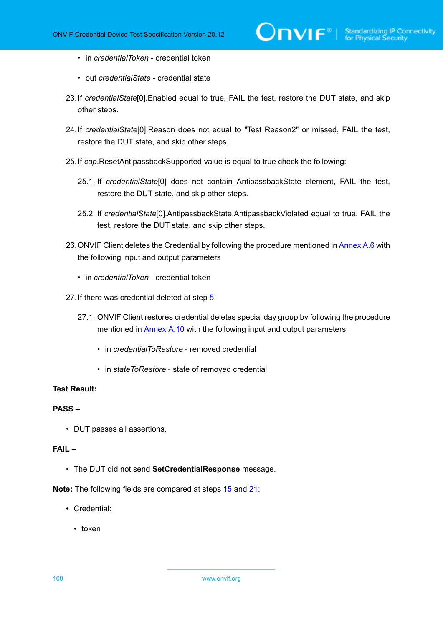- in *credentialToken* credential token
- out *credentialState* credential state
- 23.If *credentialState*[0].Enabled equal to true, FAIL the test, restore the DUT state, and skip other steps.
- 24.If *credentialState*[0].Reason does not equal to "Test Reason2" or missed, FAIL the test, restore the DUT state, and skip other steps.
- 25.If *cap*.ResetAntipassbackSupported value is equal to true check the following:
	- 25.1. If *credentialState*[0] does not contain AntipassbackState element, FAIL the test, restore the DUT state, and skip other steps.
	- 25.2. If *credentialState*[0].AntipassbackState.AntipassbackViolated equal to true, FAIL the test, restore the DUT state, and skip other steps.
- 26.ONVIF Client deletes the Credential by following the procedure mentioned in [Annex A.6](#page-204-0) with the following input and output parameters
	- in *credentialToken* credential token
- 27.If there was credential deleted at step [5:](#page-104-0)
	- 27.1. ONVIF Client restores credential deletes special day group by following the procedure mentioned in [Annex A.10](#page-207-1) with the following input and output parameters
		- in *credentialToRestore* removed credential
		- in *stateToRestore* state of removed credential

### **PASS –**

• DUT passes all assertions.

### **FAIL –**

• The DUT did not send **SetCredentialResponse** message.

**Note:** The following fields are compared at steps [15](#page-106-0) and [21:](#page-106-1)

- Credential:
	- token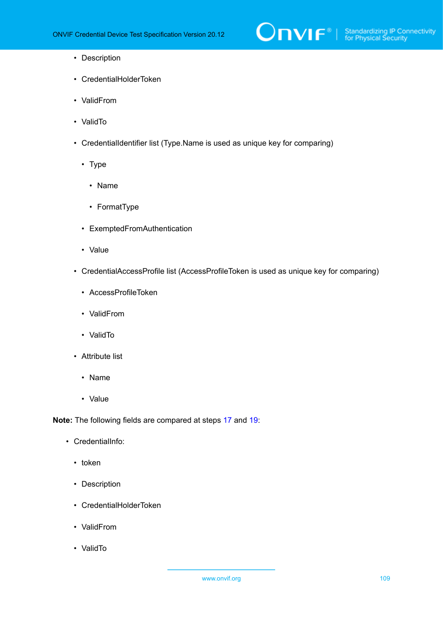

- Description
- CredentialHolderToken
- ValidFrom
- ValidTo
- CredentialIdentifier list (Type.Name is used as unique key for comparing)
	- Type
		- Name
		- FormatType
	- ExemptedFromAuthentication
	- Value
- CredentialAccessProfile list (AccessProfileToken is used as unique key for comparing)
	- AccessProfileToken
	- ValidFrom
	- ValidTo
- Attribute list
	- Name
	- Value

**Note:** The following fields are compared at steps [17](#page-106-0) and [19:](#page-106-1)

- CredentialInfo:
	- token
	- Description
	- CredentialHolderToken
	- ValidFrom
	- ValidTo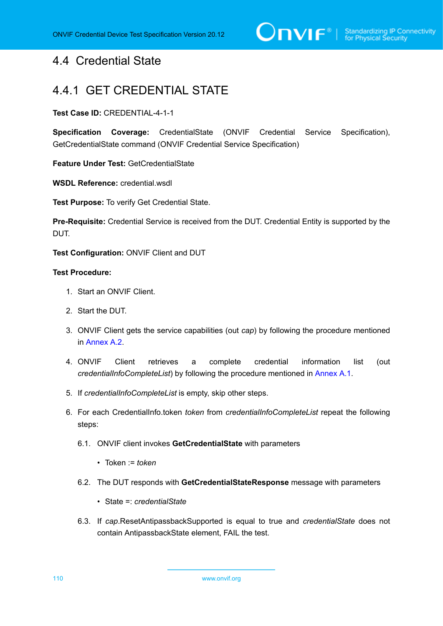# 4.4 Credential State

# 4.4.1 GET CREDENTIAL STATE

#### **Test Case ID:** CREDENTIAL-4-1-1

**Specification Coverage:** CredentialState (ONVIF Credential Service Specification), GetCredentialState command (ONVIF Credential Service Specification)

**Feature Under Test:** GetCredentialState

**WSDL Reference:** credential.wsdl

**Test Purpose:** To verify Get Credential State.

**Pre-Requisite:** Credential Service is received from the DUT. Credential Entity is supported by the DUT.

**Test Configuration:** ONVIF Client and DUT

- 1. Start an ONVIF Client.
- 2. Start the DUT.
- 3. ONVIF Client gets the service capabilities (out *cap*) by following the procedure mentioned in [Annex A.2.](#page-201-0)
- 4. ONVIF Client retrieves a complete credential information list (out *credentialInfoCompleteList*) by following the procedure mentioned in [Annex A.1.](#page-200-0)
- 5. If *credentialInfoCompleteList* is empty, skip other steps.
- 6. For each CredentialInfo.token *token* from *credentialInfoCompleteList* repeat the following steps:
	- 6.1. ONVIF client invokes **GetCredentialState** with parameters
		- Token := *token*
	- 6.2. The DUT responds with **GetCredentialStateResponse** message with parameters
		- State =: *credentialState*
	- 6.3. If *cap*.ResetAntipassbackSupported is equal to true and *credentialState* does not contain AntipassbackState element, FAIL the test.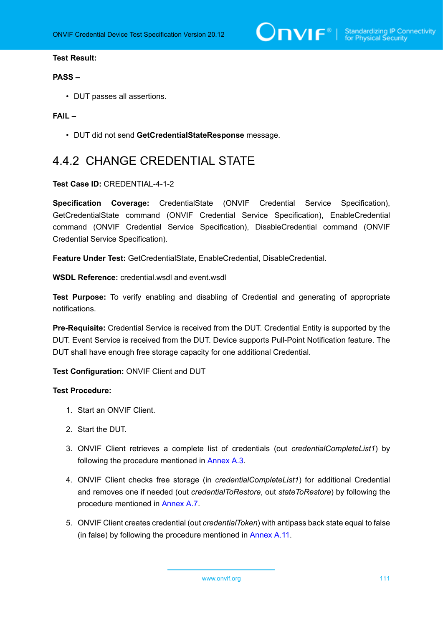$\bigcirc$   $\bigcap$   $\bigvee$   $\bigcap$   $\bigcirc$   $\bigcirc$   $\bigcirc$  Standardizing IP Connectivity

## **Test Result:**

#### **PASS –**

• DUT passes all assertions.

## **FAIL –**

• DUT did not send **GetCredentialStateResponse** message.

# 4.4.2 CHANGE CREDENTIAL STATE

#### **Test Case ID:** CREDENTIAL-4-1-2

**Specification Coverage:** CredentialState (ONVIF Credential Service Specification), GetCredentialState command (ONVIF Credential Service Specification), EnableCredential command (ONVIF Credential Service Specification), DisableCredential command (ONVIF Credential Service Specification).

**Feature Under Test:** GetCredentialState, EnableCredential, DisableCredential.

**WSDL Reference:** credential.wsdl and event.wsdl

**Test Purpose:** To verify enabling and disabling of Credential and generating of appropriate notifications.

**Pre-Requisite:** Credential Service is received from the DUT. Credential Entity is supported by the DUT. Event Service is received from the DUT. Device supports Pull-Point Notification feature. The DUT shall have enough free storage capacity for one additional Credential.

**Test Configuration:** ONVIF Client and DUT

- 1. Start an ONVIF Client.
- 2. Start the DUT.
- 3. ONVIF Client retrieves a complete list of credentials (out *credentialCompleteList1*) by following the procedure mentioned in [Annex A.3](#page-201-1).
- <span id="page-110-0"></span>4. ONVIF Client checks free storage (in *credentialCompleteList1*) for additional Credential and removes one if needed (out *credentialToRestore*, out *stateToRestore*) by following the procedure mentioned in [Annex A.7](#page-205-0).
- 5. ONVIF Client creates credential (out *credentialToken*) with antipass back state equal to false (in false) by following the procedure mentioned in [Annex](#page-208-0) A.11.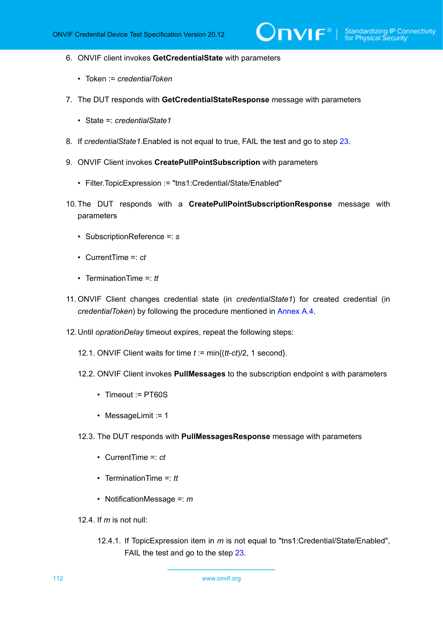- 6. ONVIF client invokes **GetCredentialState** with parameters
	- Token := *credentialToken*
- 7. The DUT responds with **GetCredentialStateResponse** message with parameters
	- State =: *credentialState1*
- 8. If *credentialState1*.Enabled is not equal to true, FAIL the test and go to step [23](#page-113-0).
- 9. ONVIF Client invokes **CreatePullPointSubscription** with parameters
	- Filter.TopicExpression := "tns1:Credential/State/Enabled"
- 10.The DUT responds with a **CreatePullPointSubscriptionResponse** message with parameters
	- SubscriptionReference =: *s*
	- CurrentTime =: *ct*
	- TerminationTime =: *tt*
- <span id="page-111-1"></span>11. ONVIF Client changes credential state (in *credentialState1*) for created credential (in *credentialToken*) by following the procedure mentioned in [Annex A.4](#page-202-0).
- <span id="page-111-0"></span>12.Until *oprationDelay* timeout expires, repeat the following steps:
	- 12.1. ONVIF Client waits for time *t* := min{(*tt*-*ct*)/2, 1 second}.
	- 12.2. ONVIF Client invokes **PullMessages** to the subscription endpoint s with parameters
		- Timeout := PT60S
		- MessageLimit := 1
	- 12.3. The DUT responds with **PullMessagesResponse** message with parameters
		- CurrentTime =: *ct*
		- TerminationTime =: *tt*
		- NotificationMessage =: *m*
	- 12.4. If *m* is not null:
		- 12.4.1. If TopicExpression item in *m* is not equal to "tns1:Credential/State/Enabled", FAIL the test and go to the step [23.](#page-113-0)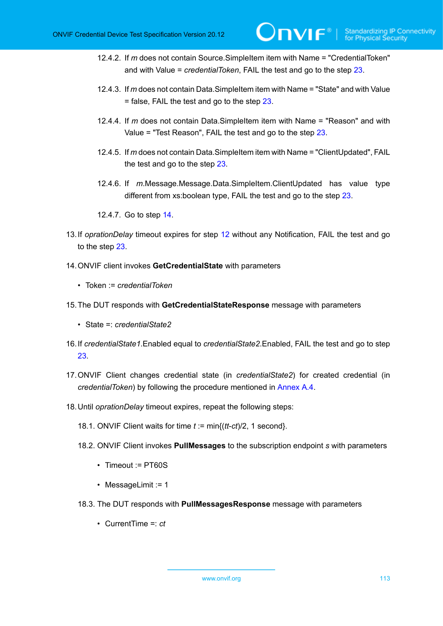- 12.4.2. If *m* does not contain Source.SimpleItem item with Name = "CredentialToken" and with Value = *credentialToken*, FAIL the test and go to the step [23](#page-113-0).
- 12.4.3. If *m* does not contain Data.SimpleItem item with Name = "State" and with Value = false, FAIL the test and go to the step [23.](#page-113-0)
- 12.4.4. If *m* does not contain Data.SimpleItem item with Name = "Reason" and with Value = "Test Reason", FAIL the test and go to the step [23](#page-113-0).
- 12.4.5. If *m* does not contain Data.SimpleItem item with Name = "ClientUpdated", FAIL the test and go to the step [23](#page-113-0).
- 12.4.6. If *m*.Message.Message.Data.SimpleItem.ClientUpdated has value type different from xs:boolean type, FAIL the test and go to the step [23.](#page-113-0)
- 12.4.7. Go to step [14](#page-112-0).
- 13.If *oprationDelay* timeout expires for step [12](#page-111-0) without any Notification, FAIL the test and go to the step [23](#page-113-0).
- <span id="page-112-0"></span>14.ONVIF client invokes **GetCredentialState** with parameters
	- Token := *credentialToken*
- 15.The DUT responds with **GetCredentialStateResponse** message with parameters
	- State =: *credentialState2*
- 16.If *credentialState1*.Enabled equal to *credentialState2*.Enabled, FAIL the test and go to step [23](#page-113-0).
- 17.ONVIF Client changes credential state (in *credentialState2*) for created credential (in *credentialToken*) by following the procedure mentioned in [Annex A.4](#page-202-0).
- 18.Until *oprationDelay* timeout expires, repeat the following steps:
	- 18.1. ONVIF Client waits for time *t* := min{(*tt*-*ct*)/2, 1 second}.
	- 18.2. ONVIF Client invokes **PullMessages** to the subscription endpoint *s* with parameters
		- Timeout := PT60S
		- MessageLimit := 1
	- 18.3. The DUT responds with **PullMessagesResponse** message with parameters
		- CurrentTime =: *ct*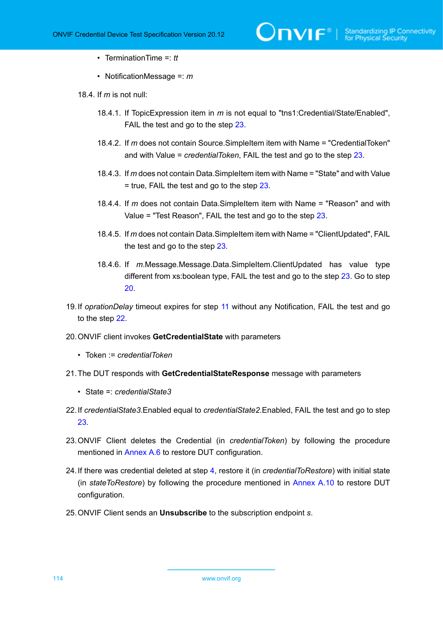- TerminationTime =: *tt*
- NotificationMessage =: *m*
- 18.4. If *m* is not null:
	- 18.4.1. If TopicExpression item in *m* is not equal to "tns1:Credential/State/Enabled", FAIL the test and go to the step [23.](#page-113-0)
	- 18.4.2. If *m* does not contain Source.SimpleItem item with Name = "CredentialToken" and with Value = *credentialToken*, FAIL the test and go to the step [23](#page-113-0).
	- 18.4.3. If *m* does not contain Data.SimpleItem item with Name = "State" and with Value  $=$  true, FAIL the test and go to the step [23.](#page-113-0)
	- 18.4.4. If *m* does not contain Data.SimpleItem item with Name = "Reason" and with Value = "Test Reason", FAIL the test and go to the step [23](#page-113-0).
	- 18.4.5. If *m* does not contain Data.SimpleItem item with Name = "ClientUpdated", FAIL the test and go to the step [23](#page-113-0).
	- 18.4.6. If *m*.Message.Message.Data.SimpleItem.ClientUpdated has value type different from xs:boolean type, FAIL the test and go to the step [23](#page-113-0). Go to step [20](#page-113-1).
- 19.If *oprationDelay* timeout expires for step [11](#page-111-1) without any Notification, FAIL the test and go to the step [22](#page-113-2).
- <span id="page-113-1"></span>20.ONVIF client invokes **GetCredentialState** with parameters
	- Token := *credentialToken*
- 21.The DUT responds with **GetCredentialStateResponse** message with parameters
	- State =: *credentialState3*
- <span id="page-113-2"></span>22.If *credentialState3*.Enabled equal to *credentialState2*.Enabled, FAIL the test and go to step [23](#page-113-0).
- <span id="page-113-0"></span>23.ONVIF Client deletes the Credential (in *credentialToken*) by following the procedure mentioned in [Annex A.6](#page-204-0) to restore DUT configuration.
- 24.If there was credential deleted at step [4](#page-110-0), restore it (in *credentialToRestore*) with initial state (in *stateToRestore*) by following the procedure mentioned in [Annex A.10](#page-207-0) to restore DUT configuration.
- 25.ONVIF Client sends an **Unsubscribe** to the subscription endpoint *s*.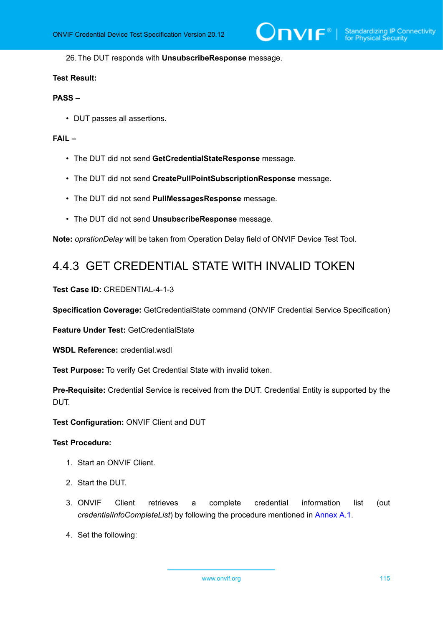26.The DUT responds with **UnsubscribeResponse** message.

#### **Test Result:**

#### **PASS –**

• DUT passes all assertions.

### **FAIL –**

- The DUT did not send **GetCredentialStateResponse** message.
- The DUT did not send **CreatePullPointSubscriptionResponse** message.
- The DUT did not send **PullMessagesResponse** message.
- The DUT did not send **UnsubscribeResponse** message.

**Note:** *oprationDelay* will be taken from Operation Delay field of ONVIF Device Test Tool.

# 4.4.3 GET CREDENTIAL STATE WITH INVALID TOKEN

**Test Case ID:** CREDENTIAL-4-1-3

**Specification Coverage:** GetCredentialState command (ONVIF Credential Service Specification)

**Feature Under Test:** GetCredentialState

**WSDL Reference:** credential.wsdl

**Test Purpose:** To verify Get Credential State with invalid token.

**Pre-Requisite:** Credential Service is received from the DUT. Credential Entity is supported by the DUT.

**Test Configuration:** ONVIF Client and DUT

- 1. Start an ONVIF Client.
- 2. Start the DUT.
- 3. ONVIF Client retrieves a complete credential information list (out *credentialInfoCompleteList*) by following the procedure mentioned in [Annex A.1.](#page-200-0)
- 4. Set the following: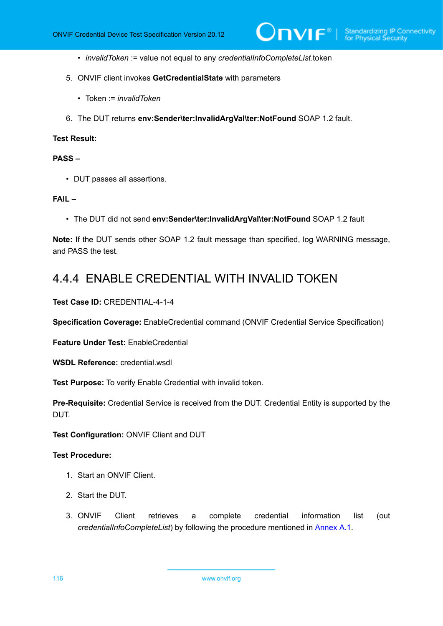- *invalidToken* := value not equal to any *credentialInfoCompleteList*.token
- 5. ONVIF client invokes **GetCredentialState** with parameters
	- Token := *invalidToken*
- 6. The DUT returns **env:Sender\ter:InvalidArgVal\ter:NotFound** SOAP 1.2 fault.

#### **PASS –**

• DUT passes all assertions.

## **FAIL –**

• The DUT did not send **env:Sender\ter:InvalidArgVal\ter:NotFound** SOAP 1.2 fault

**Note:** If the DUT sends other SOAP 1.2 fault message than specified, log WARNING message, and PASS the test.

# 4.4.4 ENABLE CREDENTIAL WITH INVALID TOKEN

**Test Case ID:** CREDENTIAL-4-1-4

**Specification Coverage:** EnableCredential command (ONVIF Credential Service Specification)

**Feature Under Test:** EnableCredential

**WSDL Reference:** credential.wsdl

**Test Purpose:** To verify Enable Credential with invalid token.

**Pre-Requisite:** Credential Service is received from the DUT. Credential Entity is supported by the DUT.

**Test Configuration:** ONVIF Client and DUT

- 1. Start an ONVIF Client.
- 2. Start the DUT.
- 3. ONVIF Client retrieves a complete credential information list (out *credentialInfoCompleteList*) by following the procedure mentioned in [Annex A.1.](#page-200-0)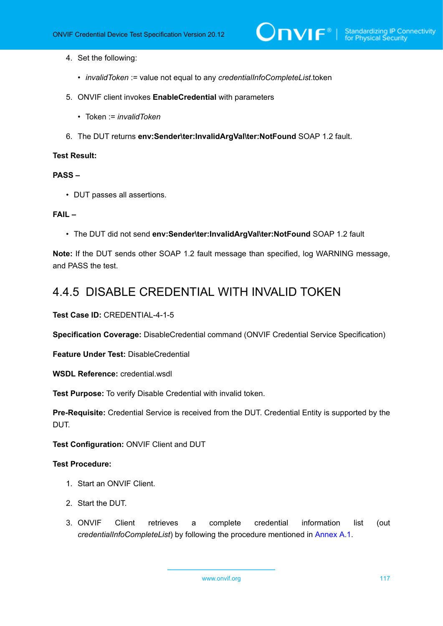- 4. Set the following:
	- *invalidToken* := value not equal to any *credentialInfoCompleteList*.token
- 5. ONVIF client invokes **EnableCredential** with parameters
	- Token := *invalidToken*
- 6. The DUT returns **env:Sender\ter:InvalidArgVal\ter:NotFound** SOAP 1.2 fault.

#### **PASS –**

• DUT passes all assertions.

#### **FAIL –**

• The DUT did not send **env:Sender\ter:InvalidArgVal\ter:NotFound** SOAP 1.2 fault

**Note:** If the DUT sends other SOAP 1.2 fault message than specified, log WARNING message, and PASS the test.

# 4.4.5 DISABLE CREDENTIAL WITH INVALID TOKEN

**Test Case ID:** CREDENTIAL-4-1-5

**Specification Coverage:** DisableCredential command (ONVIF Credential Service Specification)

**Feature Under Test:** DisableCredential

**WSDL Reference:** credential.wsdl

**Test Purpose:** To verify Disable Credential with invalid token.

**Pre-Requisite:** Credential Service is received from the DUT. Credential Entity is supported by the DUT.

**Test Configuration:** ONVIF Client and DUT

- 1. Start an ONVIF Client.
- 2. Start the DUT.
- 3. ONVIF Client retrieves a complete credential information list (out *credentialInfoCompleteList*) by following the procedure mentioned in [Annex A.1.](#page-200-0)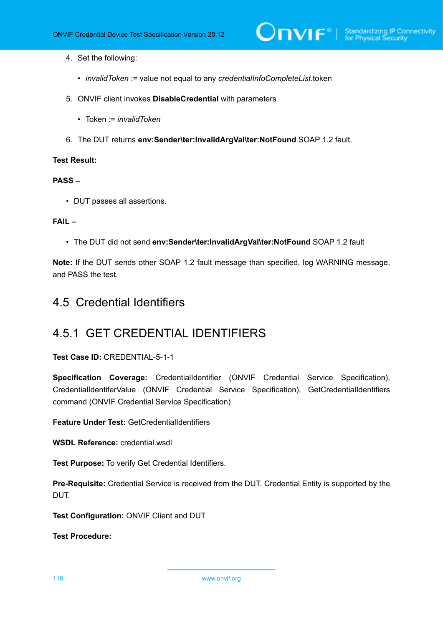- 4. Set the following:
	- *invalidToken* := value not equal to any *credentialInfoCompleteList*.token
- 5. ONVIF client invokes **DisableCredential** with parameters
	- Token := *invalidToken*
- 6. The DUT returns **env:Sender\ter:InvalidArgVal\ter:NotFound** SOAP 1.2 fault.

#### **PASS –**

• DUT passes all assertions.

## **FAIL –**

• The DUT did not send **env:Sender\ter:InvalidArgVal\ter:NotFound** SOAP 1.2 fault

**Note:** If the DUT sends other SOAP 1.2 fault message than specified, log WARNING message, and PASS the test.

# 4.5 Credential Identifiers

# 4.5.1 GET CREDENTIAL IDENTIFIERS

**Test Case ID:** CREDENTIAL-5-1-1

**Specification Coverage:** CredentialIdentifier (ONVIF Credential Service Specification), CredentialIdentiferValue (ONVIF Credential Service Specification), GetCredentialIdentifiers command (ONVIF Credential Service Specification)

**Feature Under Test:** GetCredentialIdentifiers

**WSDL Reference:** credential.wsdl

**Test Purpose:** To verify Get Credential Identifiers.

**Pre-Requisite:** Credential Service is received from the DUT. Credential Entity is supported by the DUT.

**Test Configuration:** ONVIF Client and DUT

**Test Procedure:**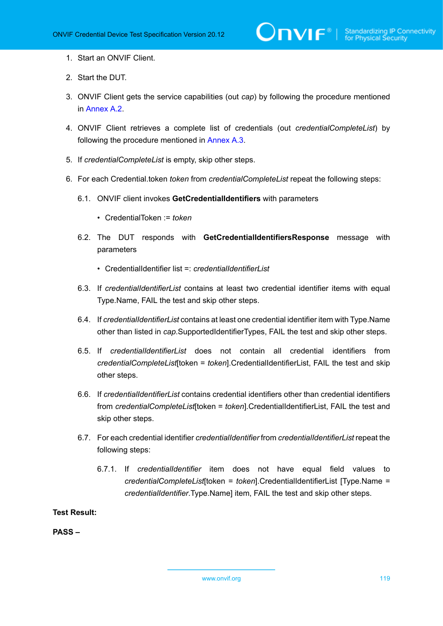- 1. Start an ONVIF Client.
- 2. Start the DUT.
- 3. ONVIF Client gets the service capabilities (out *cap*) by following the procedure mentioned in [Annex A.2.](#page-201-0)
- 4. ONVIF Client retrieves a complete list of credentials (out *credentialCompleteList*) by following the procedure mentioned in [Annex A.3](#page-201-1).
- 5. If *credentialCompleteList* is empty, skip other steps.
- <span id="page-118-0"></span>6. For each Credential.token *token* from *credentialCompleteList* repeat the following steps:
	- 6.1. ONVIF client invokes **GetCredentialIdentifiers** with parameters
		- CredentialToken := *token*
	- 6.2. The DUT responds with **GetCredentialIdentifiersResponse** message with parameters
		- CredentialIdentifier list =: *credentialIdentifierList*
	- 6.3. If *credentialIdentifierList* contains at least two credential identifier items with equal Type.Name, FAIL the test and skip other steps.
	- 6.4. If *credentialIdentifierList* contains at least one credential identifier item with Type.Name other than listed in *cap*.SupportedIdentifierTypes, FAIL the test and skip other steps.
	- 6.5. If *credentialIdentifierList* does not contain all credential identifiers from *credentialCompleteList*[token = *token*].CredentialIdentifierList, FAIL the test and skip other steps.
	- 6.6. If *credentialIdentifierList* contains credential identifiers other than credential identifiers from *credentialCompleteList*[token = *token*].CredentialIdentifierList, FAIL the test and skip other steps.
	- 6.7. For each credential identifier *credentialIdentifier* from *credentialIdentifierList* repeat the following steps:
		- 6.7.1. If *credentialIdentifier* item does not have equal field values to *credentialCompleteList*[token = *token*].CredentialIdentifierList [Type.Name = *credentialIdentifier*.Type.Name] item, FAIL the test and skip other steps.

<span id="page-118-2"></span><span id="page-118-1"></span>**PASS –**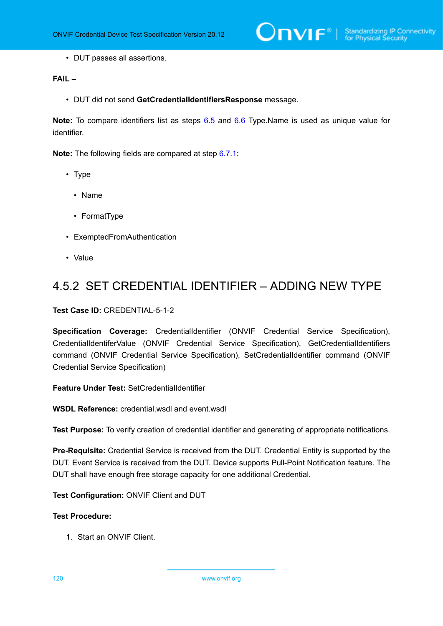• DUT passes all assertions.

## **FAIL –**

• DUT did not send **GetCredentialIdentifiersResponse** message.

**Note:** To compare identifiers list as steps [6.5](#page-118-0) and [6.6](#page-118-1) Type.Name is used as unique value for identifier.

**Note:** The following fields are compared at step [6.7.1](#page-118-2):

- Type
	- Name
	- FormatType
- ExemptedFromAuthentication
- Value

# 4.5.2 SET CREDENTIAL IDENTIFIER – ADDING NEW TYPE

**Test Case ID:** CREDENTIAL-5-1-2

**Specification Coverage:** CredentialIdentifier (ONVIF Credential Service Specification), CredentialIdentiferValue (ONVIF Credential Service Specification), GetCredentialIdentifiers command (ONVIF Credential Service Specification), SetCredentialIdentifier command (ONVIF Credential Service Specification)

**Feature Under Test:** SetCredentialIdentifier

**WSDL Reference:** credential.wsdl and event.wsdl

**Test Purpose:** To verify creation of credential identifier and generating of appropriate notifications.

**Pre-Requisite:** Credential Service is received from the DUT. Credential Entity is supported by the DUT. Event Service is received from the DUT. Device supports Pull-Point Notification feature. The DUT shall have enough free storage capacity for one additional Credential.

**Test Configuration:** ONVIF Client and DUT

## **Test Procedure:**

1. Start an ONVIF Client.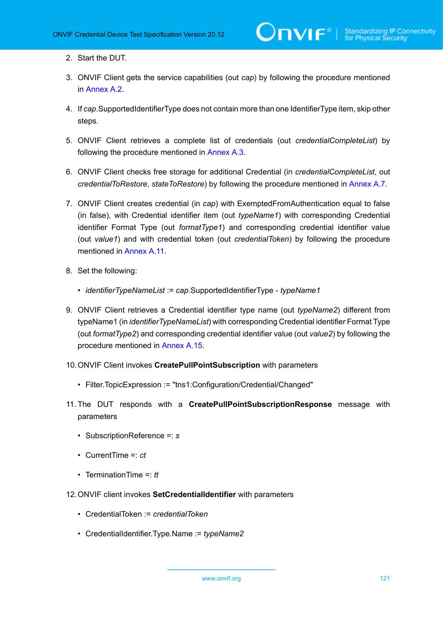- 2. Start the DUT.
- 3. ONVIF Client gets the service capabilities (out *cap*) by following the procedure mentioned in [Annex A.2.](#page-201-0)
- <span id="page-120-1"></span>4. If *cap*.SupportedIdentifierType does not contain more than one IdentifierType item, skip other steps.
- 5. ONVIF Client retrieves a complete list of credentials (out *credentialCompleteList*) by following the procedure mentioned in [Annex A.3](#page-201-1).
- <span id="page-120-0"></span>6. ONVIF Client checks free storage for additional Credential (in *credentialCompleteList*, out *credentialToRestore*, *stateToRestore*) by following the procedure mentioned in [Annex A.7.](#page-205-0)
- 7. ONVIF Client creates credential (in *cap*) with ExemptedFromAuthentication equal to false (in false), with Credential identifier item (out *typeName1*) with corresponding Credential identifier Format Type (out *formatType1*) and corresponding credential identifier value (out *value1*) and with credential token (out *credentialToken*) by following the procedure mentioned in [Annex](#page-208-0) A.11.
- 8. Set the following:
	- *identifierTypeNameList* := *cap*.SupportedIdentifierType *typeName1*
- 9. ONVIF Client retrieves a Credential identifier type name (out *typeName2*) different from typeName1 (in *identifierTypeNameList*) with corresponding Credential identifier Format Type (out *formatType2*) and corresponding credential identifier value (out *value2*) by following the procedure mentioned in [Annex A.15.](#page-212-0)
- 10.ONVIF Client invokes **CreatePullPointSubscription** with parameters
	- Filter.TopicExpression := "tns1:Configuration/Credential/Changed"
- 11. The DUT responds with a **CreatePullPointSubscriptionResponse** message with parameters
	- SubscriptionReference =: *s*
	- CurrentTime =: *ct*
	- TerminationTime =: *tt*
- 12.ONVIF client invokes **SetCredentialIdentifier** with parameters
	- CredentialToken := *credentialToken*
	- CredentialIdentifier.Type.Name := *typeName2*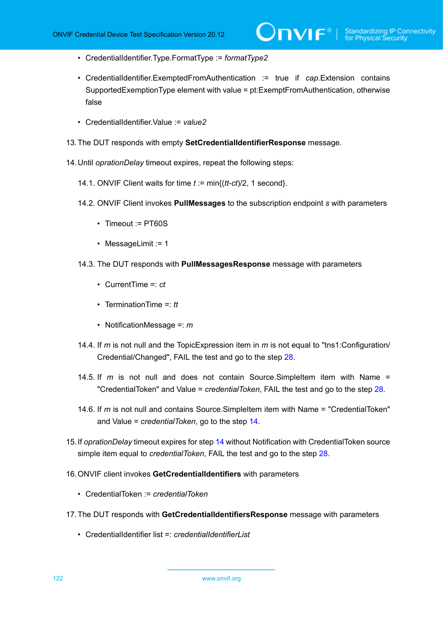- CredentialIdentifier.Type.FormatType := *formatType2*
- CredentialIdentifier.ExemptedFromAuthentication := true if *cap*.Extension contains SupportedExemptionType element with value = pt:ExemptFromAuthentication, otherwise false
- CredentialIdentifier.Value := *value2*
- 13.The DUT responds with empty **SetCredentialIdentifierResponse** message.
- <span id="page-121-0"></span>14.Until *oprationDelay* timeout expires, repeat the following steps:
	- 14.1. ONVIF Client waits for time *t* := min{(*tt*-*ct*)/2, 1 second}.
	- 14.2. ONVIF Client invokes **PullMessages** to the subscription endpoint *s* with parameters
		- Timeout := PT60S
		- MessageLimit := 1
	- 14.3. The DUT responds with **PullMessagesResponse** message with parameters
		- CurrentTime =: *ct*
		- TerminationTime =: *tt*
		- NotificationMessage =: *m*
	- 14.4. If *m* is not null and the TopicExpression item in *m* is not equal to "tns1:Configuration/ Credential/Changed", FAIL the test and go to the step [28.](#page-122-0)
	- 14.5. If *m* is not null and does not contain Source.SimpleItem item with Name = "CredentialToken" and Value = *credentialToken*, FAIL the test and go to the step [28](#page-122-0).
	- 14.6. If *m* is not null and contains Source.SimpleItem item with Name = "CredentialToken" and Value = *credentialToken*, go to the step [14.](#page-121-0)
- 15.If *oprationDelay* timeout expires for step [14](#page-121-0) without Notification with CredentialToken source simple item equal to *credentialToken*, FAIL the test and go to the step [28.](#page-122-0)
- 16.ONVIF client invokes **GetCredentialIdentifiers** with parameters
	- CredentialToken := *credentialToken*
- 17.The DUT responds with **GetCredentialIdentifiersResponse** message with parameters
	- CredentialIdentifier list = *credentialIdentifierList*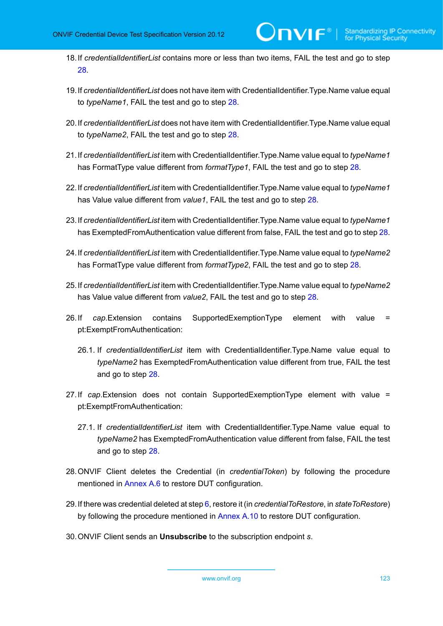- 18.If *credentialIdentifierList* contains more or less than two items, FAIL the test and go to step [28](#page-122-0).
- 19.If *credentialIdentifierList* does not have item with CredentialIdentifier.Type.Name value equal to *typeName1*, FAIL the test and go to step [28](#page-122-0).
- 20.If *credentialIdentifierList* does not have item with CredentialIdentifier.Type.Name value equal to *typeName2*, FAIL the test and go to step [28](#page-122-0).
- 21.If *credentialIdentifierList* item with CredentialIdentifier.Type.Name value equal to *typeName1* has FormatType value different from *formatType1*, FAIL the test and go to step [28.](#page-122-0)
- 22.If *credentialIdentifierList* item with CredentialIdentifier.Type.Name value equal to *typeName1* has Value value different from *value1*, FAIL the test and go to step [28](#page-122-0).
- 23.If *credentialIdentifierList* item with CredentialIdentifier.Type.Name value equal to *typeName1* has ExemptedFromAuthentication value different from false, FAIL the test and go to step [28.](#page-122-0)
- 24.If *credentialIdentifierList* item with CredentialIdentifier.Type.Name value equal to *typeName2* has FormatType value different from *formatType2*, FAIL the test and go to step [28.](#page-122-0)
- 25.If *credentialIdentifierList* item with CredentialIdentifier.Type.Name value equal to *typeName2* has Value value different from *value2*, FAIL the test and go to step [28](#page-122-0).
- 26.If *cap*.Extension contains SupportedExemptionType element with value = pt:ExemptFromAuthentication:
	- 26.1. If *credentialIdentifierList* item with CredentialIdentifier.Type.Name value equal to *typeName2* has ExemptedFromAuthentication value different from true, FAIL the test and go to step [28.](#page-122-0)
- 27.If *cap*.Extension does not contain SupportedExemptionType element with value = pt:ExemptFromAuthentication:
	- 27.1. If *credentialIdentifierList* item with CredentialIdentifier.Type.Name value equal to *typeName2* has ExemptedFromAuthentication value different from false, FAIL the test and go to step [28.](#page-122-0)
- <span id="page-122-0"></span>28.ONVIF Client deletes the Credential (in *credentialToken*) by following the procedure mentioned in [Annex A.6](#page-204-0) to restore DUT configuration.
- 29.If there was credential deleted at step [6](#page-120-0), restore it (in *credentialToRestore*, in *stateToRestore*) by following the procedure mentioned in [Annex A.10](#page-207-0) to restore DUT configuration.
- 30.ONVIF Client sends an **Unsubscribe** to the subscription endpoint *s*.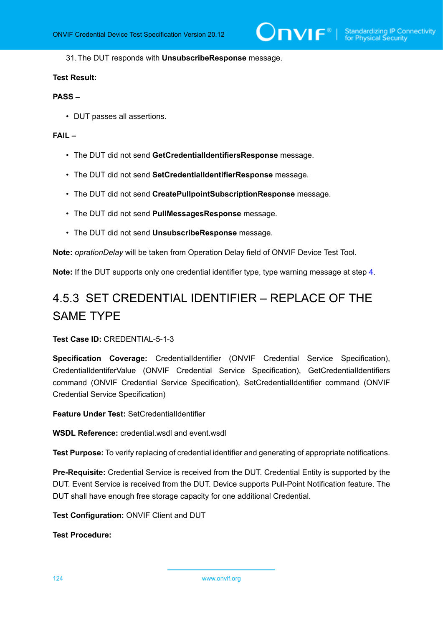31.The DUT responds with **UnsubscribeResponse** message.

#### **Test Result:**

# **PASS –**

• DUT passes all assertions.

## **FAIL –**

- The DUT did not send **GetCredentialIdentifiersResponse** message.
- The DUT did not send **SetCredentialIdentifierResponse** message.
- The DUT did not send **CreatePullpointSubscriptionResponse** message.
- The DUT did not send **PullMessagesResponse** message.
- The DUT did not send **UnsubscribeResponse** message.

**Note:** *oprationDelay* will be taken from Operation Delay field of ONVIF Device Test Tool.

**Note:** If the DUT supports only one credential identifier type, type warning message at step [4.](#page-120-1)

# 4.5.3 SET CREDENTIAL IDENTIFIER – REPLACE OF THE SAME TYPE

#### **Test Case ID:** CREDENTIAL-5-1-3

**Specification Coverage:** CredentialIdentifier (ONVIF Credential Service Specification), CredentialIdentiferValue (ONVIF Credential Service Specification), GetCredentialIdentifiers command (ONVIF Credential Service Specification), SetCredentialIdentifier command (ONVIF Credential Service Specification)

**Feature Under Test:** SetCredentialIdentifier

**WSDL Reference:** credential.wsdl and event.wsdl

**Test Purpose:** To verify replacing of credential identifier and generating of appropriate notifications.

**Pre-Requisite:** Credential Service is received from the DUT. Credential Entity is supported by the DUT. Event Service is received from the DUT. Device supports Pull-Point Notification feature. The DUT shall have enough free storage capacity for one additional Credential.

**Test Configuration:** ONVIF Client and DUT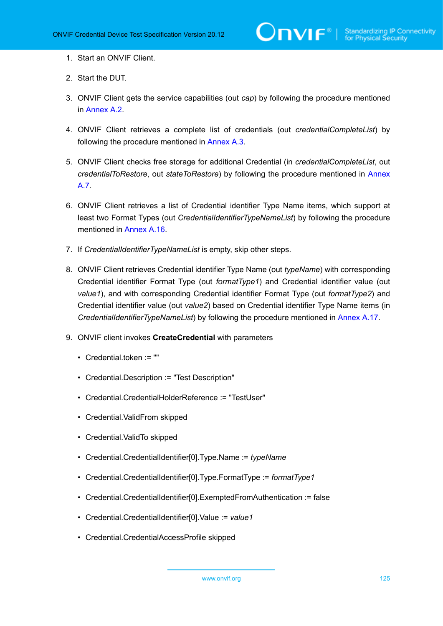- 1. Start an ONVIF Client.
- 2. Start the DUT.
- 3. ONVIF Client gets the service capabilities (out *cap*) by following the procedure mentioned in [Annex A.2.](#page-201-0)
- 4. ONVIF Client retrieves a complete list of credentials (out *credentialCompleteList*) by following the procedure mentioned in [Annex A.3](#page-201-1).
- <span id="page-124-0"></span>5. ONVIF Client checks free storage for additional Credential (in *credentialCompleteList*, out *credentialToRestore*, out *stateToRestore*) by following the procedure mentioned in [Annex](#page-205-0) [A.7](#page-205-0).
- 6. ONVIF Client retrieves a list of Credential identifier Type Name items, which support at least two Format Types (out *CredentialIdentifierTypeNameList*) by following the procedure mentioned in [Annex A.16.](#page-213-0)
- 7. If *CredentialIdentifierTypeNameList* is empty, skip other steps.
- 8. ONVIF Client retrieves Credential identifier Type Name (out *typeName*) with corresponding Credential identifier Format Type (out *formatType1*) and Credential identifier value (out *value1*), and with corresponding Credential identifier Format Type (out *formatType2*) and Credential identifier value (out *value2*) based on Credential identifier Type Name items (in *CredentialIdentifierTypeNameList*) by following the procedure mentioned in [Annex A.17](#page-214-0).
- 9. ONVIF client invokes **CreateCredential** with parameters
	- Credential.token := ""
	- Credential.Description := "Test Description"
	- Credential.CredentialHolderReference := "TestUser"
	- Credential.ValidFrom skipped
	- Credential.ValidTo skipped
	- Credential.CredentialIdentifier[0].Type.Name := *typeName*
	- Credential.CredentialIdentifier[0].Type.FormatType := *formatType1*
	- Credential.CredentialIdentifier[0].ExemptedFromAuthentication := false
	- Credential.CredentialIdentifier[0].Value := *value1*
	- Credential.CredentialAccessProfile skipped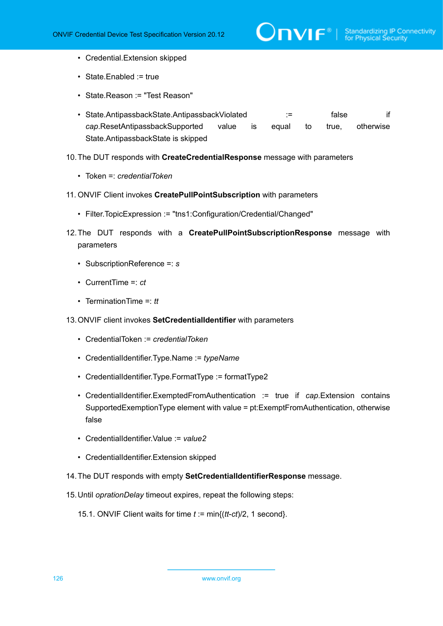- Credential.Extension skipped
- State.Enabled := true
- State.Reason := "Test Reason"
- State.AntipassbackState.AntipassbackViolated := false if *cap*.ResetAntipassbackSupported value is equal to true, otherwise State.AntipassbackState is skipped
- 10.The DUT responds with **CreateCredentialResponse** message with parameters
	- Token =: *credentialToken*
- 11. ONVIF Client invokes **CreatePullPointSubscription** with parameters
	- Filter.TopicExpression := "tns1:Configuration/Credential/Changed"
- 12.The DUT responds with a **CreatePullPointSubscriptionResponse** message with parameters
	- SubscriptionReference =: *s*
	- CurrentTime =: *ct*
	- TerminationTime =: *tt*
- <span id="page-125-1"></span>13.ONVIF client invokes **SetCredentialIdentifier** with parameters
	- CredentialToken := *credentialToken*
	- CredentialIdentifier.Type.Name := *typeName*
	- CredentialIdentifier.Type.FormatType := formatType2
	- CredentialIdentifier.ExemptedFromAuthentication := true if *cap*.Extension contains SupportedExemptionType element with value = pt:ExemptFromAuthentication, otherwise false
	- CredentialIdentifier.Value := *value2*
	- CredentialIdentifier.Extension skipped
- <span id="page-125-0"></span>14.The DUT responds with empty **SetCredentialIdentifierResponse** message.
- 15.Until *oprationDelay* timeout expires, repeat the following steps:
	- 15.1. ONVIF Client waits for time *t* := min{(*tt*-*ct*)/2, 1 second}.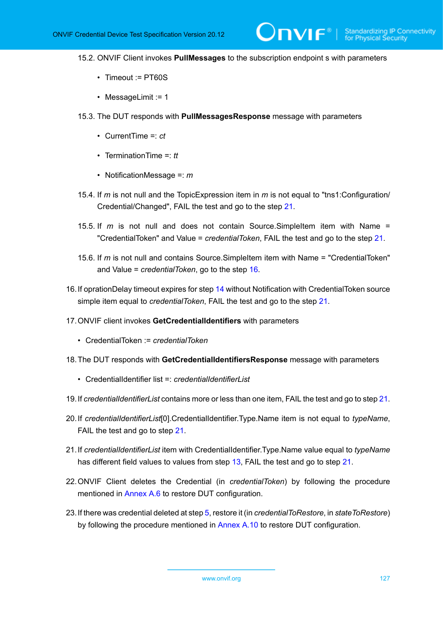- 15.2. ONVIF Client invokes **PullMessages** to the subscription endpoint s with parameters
	- Timeout := PT60S
	- MessageLimit := 1
- 15.3. The DUT responds with **PullMessagesResponse** message with parameters
	- CurrentTime =: *ct*
	- TerminationTime =: *tt*
	- NotificationMessage =: *m*
- 15.4. If *m* is not null and the TopicExpression item in *m* is not equal to "tns1:Configuration/ Credential/Changed", FAIL the test and go to the step [21.](#page-126-0)
- 15.5. If *m* is not null and does not contain Source.SimpleItem item with Name = "CredentialToken" and Value = *credentialToken*, FAIL the test and go to the step [21](#page-126-0).
- 15.6. If *m* is not null and contains Source.SimpleItem item with Name = "CredentialToken" and Value = *credentialToken*, go to the step [16.](#page-126-1)
- <span id="page-126-1"></span>16.If oprationDelay timeout expires for step [14](#page-125-0) without Notification with CredentialToken source simple item equal to *credentialToken*, FAIL the test and go to the step [21.](#page-126-0)
- 17.ONVIF client invokes **GetCredentialIdentifiers** with parameters
	- CredentialToken := *credentialToken*
- 18.The DUT responds with **GetCredentialIdentifiersResponse** message with parameters
	- CredentialIdentifier list =: *credentialIdentifierList*
- 19.If *credentialIdentifierList* contains more or less than one item, FAIL the test and go to step [21.](#page-126-0)
- 20.If *credentialIdentifierList*[0].CredentialIdentifier.Type.Name item is not equal to *typeName*, FAIL the test and go to step [21](#page-126-0).
- <span id="page-126-0"></span>21.If *credentialIdentifierList* item with CredentialIdentifier.Type.Name value equal to *typeName* has different field values to values from step [13,](#page-125-1) FAIL the test and go to step [21](#page-126-0).
- 22.ONVIF Client deletes the Credential (in *credentialToken*) by following the procedure mentioned in [Annex A.6](#page-204-0) to restore DUT configuration.
- 23.If there was credential deleted at step [5](#page-124-0), restore it (in *credentialToRestore*, in *stateToRestore*) by following the procedure mentioned in [Annex A.10](#page-207-0) to restore DUT configuration.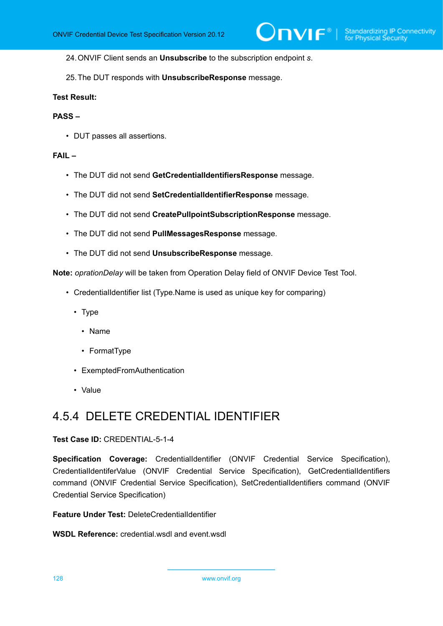24.ONVIF Client sends an **Unsubscribe** to the subscription endpoint *s*.

25.The DUT responds with **UnsubscribeResponse** message.

#### **Test Result:**

#### **PASS –**

• DUT passes all assertions.

#### **FAIL –**

- The DUT did not send **GetCredentialIdentifiersResponse** message.
- The DUT did not send **SetCredentialIdentifierResponse** message.
- The DUT did not send **CreatePullpointSubscriptionResponse** message.
- The DUT did not send **PullMessagesResponse** message.
- The DUT did not send **UnsubscribeResponse** message.

**Note:** *oprationDelay* will be taken from Operation Delay field of ONVIF Device Test Tool.

- CredentialIdentifier list (Type.Name is used as unique key for comparing)
	- Type
		- Name
		- FormatType
	- ExemptedFromAuthentication
	- Value

# 4.5.4 DELETE CREDENTIAL IDENTIFIER

#### **Test Case ID:** CREDENTIAL-5-1-4

**Specification Coverage:** CredentialIdentifier (ONVIF Credential Service Specification), CredentialIdentiferValue (ONVIF Credential Service Specification), GetCredentialIdentifiers command (ONVIF Credential Service Specification), SetCredentialIdentifiers command (ONVIF Credential Service Specification)

**Feature Under Test:** DeleteCredentialIdentifier

**WSDL Reference:** credential.wsdl and event.wsdl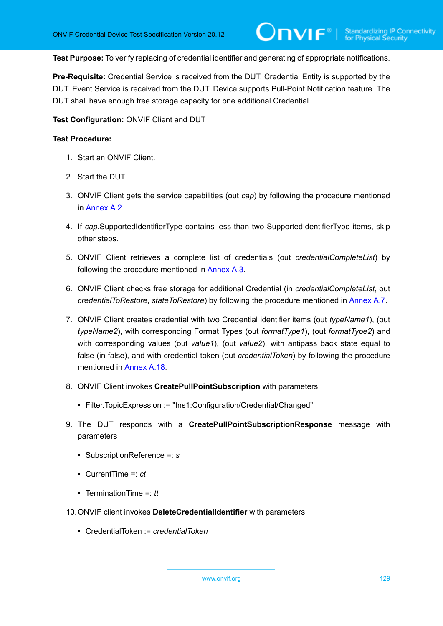**Test Purpose:** To verify replacing of credential identifier and generating of appropriate notifications.

**Pre-Requisite:** Credential Service is received from the DUT. Credential Entity is supported by the DUT. Event Service is received from the DUT. Device supports Pull-Point Notification feature. The DUT shall have enough free storage capacity for one additional Credential.

**Test Configuration:** ONVIF Client and DUT

- 1. Start an ONVIF Client.
- 2. Start the DUT.
- 3. ONVIF Client gets the service capabilities (out *cap*) by following the procedure mentioned in [Annex A.2.](#page-201-0)
- <span id="page-128-0"></span>4. If *cap*.SupportedIdentifierType contains less than two SupportedIdentifierType items, skip other steps.
- 5. ONVIF Client retrieves a complete list of credentials (out *credentialCompleteList*) by following the procedure mentioned in [Annex A.3](#page-201-1).
- 6. ONVIF Client checks free storage for additional Credential (in *credentialCompleteList*, out *credentialToRestore*, *stateToRestore*) by following the procedure mentioned in [Annex A.7.](#page-205-0)
- 7. ONVIF Client creates credential with two Credential identifier items (out *typeName1*), (out *typeName2*), with corresponding Format Types (out *formatType1*), (out *formatType2*) and with corresponding values (out *value1*), (out *value2*), with antipass back state equal to false (in false), and with credential token (out *credentialToken*) by following the procedure mentioned in [Annex A.18.](#page-216-0)
- 8. ONVIF Client invokes **CreatePullPointSubscription** with parameters
	- Filter.TopicExpression := "tns1:Configuration/Credential/Changed"
- 9. The DUT responds with a **CreatePullPointSubscriptionResponse** message with parameters
	- SubscriptionReference =: *s*
	- CurrentTime =: *ct*
	- TerminationTime =: *tt*
- 10.ONVIF client invokes **DeleteCredentialIdentifier** with parameters
	- CredentialToken := *credentialToken*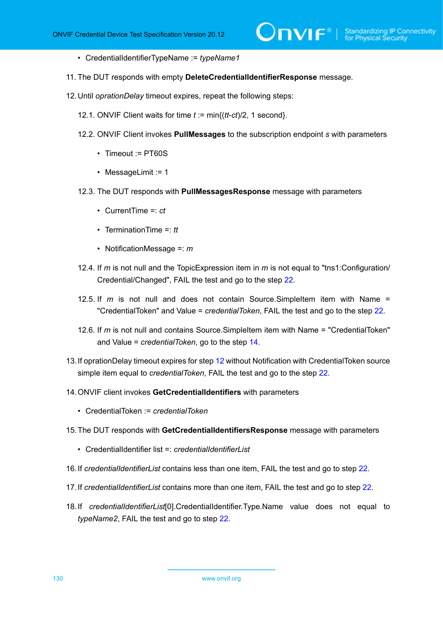- CredentialIdentifierTypeName := *typeName1*
- 11. The DUT responds with empty **DeleteCredentialIdentifierResponse** message.
- <span id="page-129-1"></span>12.Until *oprationDelay* timeout expires, repeat the following steps:
	- 12.1. ONVIF Client waits for time *t* := min{(*tt*-*ct*)/2, 1 second}.
	- 12.2. ONVIF Client invokes **PullMessages** to the subscription endpoint *s* with parameters
		- Timeout := PT60S
		- MessageLimit := 1
	- 12.3. The DUT responds with **PullMessagesResponse** message with parameters
		- CurrentTime =: *ct*
		- TerminationTime =: *tt*
		- NotificationMessage =: *m*
	- 12.4. If *m* is not null and the TopicExpression item in *m* is not equal to "tns1:Configuration/ Credential/Changed", FAIL the test and go to the step [22.](#page-130-0)
	- 12.5. If *m* is not null and does not contain Source.SimpleItem item with Name = "CredentialToken" and Value = *credentialToken*, FAIL the test and go to the step [22](#page-130-0).
	- 12.6. If *m* is not null and contains Source.SimpleItem item with Name = "CredentialToken" and Value = *credentialToken*, go to the step [14.](#page-129-0)
- 13.If oprationDelay timeout expires for step [12](#page-129-1) without Notification with CredentialToken source simple item equal to *credentialToken*, FAIL the test and go to the step [22.](#page-130-0)
- <span id="page-129-0"></span>14.ONVIF client invokes **GetCredentialIdentifiers** with parameters
	- CredentialToken := *credentialToken*
- 15.The DUT responds with **GetCredentialIdentifiersResponse** message with parameters
	- CredentialIdentifier list = *credentialIdentifierList*
- 16.If *credentialIdentifierList* contains less than one item, FAIL the test and go to step [22.](#page-130-0)
- 17.If *credentialIdentifierList* contains more than one item, FAIL the test and go to step [22](#page-130-0).
- 18.If *credentialIdentifierList*[0].CredentialIdentifier.Type.Name value does not equal to *typeName2*, FAIL the test and go to step [22.](#page-130-0)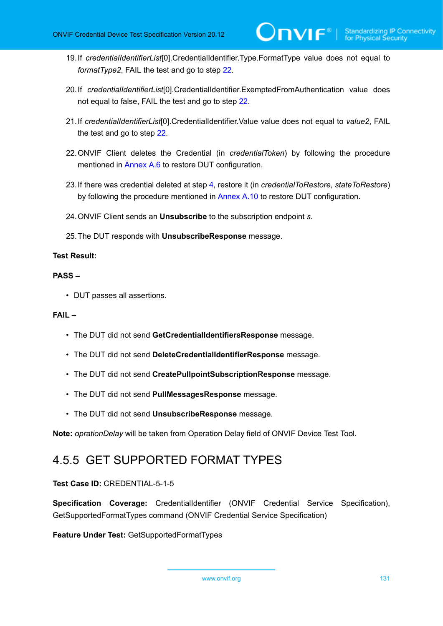- 19.If *credentialIdentifierList*[0].CredentialIdentifier.Type.FormatType value does not equal to *formatType2*, FAIL the test and go to step [22](#page-130-0).
- 20.If *credentialIdentifierList*[0].CredentialIdentifier.ExemptedFromAuthentication value does not equal to false, FAIL the test and go to step [22](#page-130-0).
- 21.If *credentialIdentifierList*[0].CredentialIdentifier.Value value does not equal to *value2*, FAIL the test and go to step [22.](#page-130-0)
- <span id="page-130-0"></span>22.ONVIF Client deletes the Credential (in *credentialToken*) by following the procedure mentioned in [Annex A.6](#page-204-0) to restore DUT configuration.
- 23.If there was credential deleted at step [4](#page-128-0), restore it (in *credentialToRestore*, *stateToRestore*) by following the procedure mentioned in [Annex A.10](#page-207-0) to restore DUT configuration.
- 24.ONVIF Client sends an **Unsubscribe** to the subscription endpoint *s*.
- 25.The DUT responds with **UnsubscribeResponse** message.

#### **PASS –**

• DUT passes all assertions.

### **FAIL –**

- The DUT did not send **GetCredentialIdentifiersResponse** message.
- The DUT did not send **DeleteCredentialIdentifierResponse** message.
- The DUT did not send **CreatePullpointSubscriptionResponse** message.
- The DUT did not send **PullMessagesResponse** message.
- The DUT did not send **UnsubscribeResponse** message.

**Note:** *oprationDelay* will be taken from Operation Delay field of ONVIF Device Test Tool.

# 4.5.5 GET SUPPORTED FORMAT TYPES

## **Test Case ID:** CREDENTIAL-5-1-5

**Specification Coverage:** CredentialIdentifier (ONVIF Credential Service Specification), GetSupportedFormatTypes command (ONVIF Credential Service Specification)

**Feature Under Test:** GetSupportedFormatTypes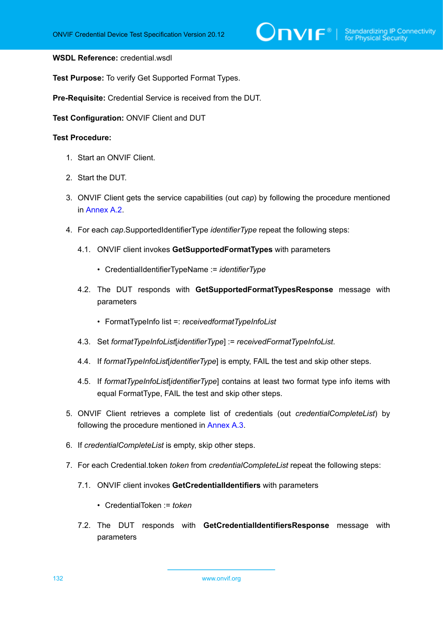# $\bigcirc$   $\mathbf{NIF}^{\text{\texttt{\texttt{M}}}}$  | Standardizing IP Connectivity

#### **WSDL Reference:** credential.wsdl

**Test Purpose:** To verify Get Supported Format Types.

**Pre-Requisite:** Credential Service is received from the DUT.

**Test Configuration:** ONVIF Client and DUT

- 1. Start an ONVIF Client.
- 2. Start the DUT.
- 3. ONVIF Client gets the service capabilities (out *cap*) by following the procedure mentioned in [Annex A.2.](#page-201-0)
- 4. For each *cap*.SupportedIdentifierType *identifierType* repeat the following steps:
	- 4.1. ONVIF client invokes **GetSupportedFormatTypes** with parameters
		- CredentialIdentifierTypeName := *identifierType*
	- 4.2. The DUT responds with **GetSupportedFormatTypesResponse** message with parameters
		- FormatTypeInfo list =: *receivedformatTypeInfoList*
	- 4.3. Set *formatTypeInfoList*[*identifierType*] := *receivedFormatTypeInfoList*.
	- 4.4. If *formatTypeInfoList*[*identifierType*] is empty, FAIL the test and skip other steps.
	- 4.5. If *formatTypeInfoList*[*identifierType*] contains at least two format type info items with equal FormatType, FAIL the test and skip other steps.
- 5. ONVIF Client retrieves a complete list of credentials (out *credentialCompleteList*) by following the procedure mentioned in [Annex A.3](#page-201-1).
- 6. If *credentialCompleteList* is empty, skip other steps.
- 7. For each Credential.token *token* from *credentialCompleteList* repeat the following steps:
	- 7.1. ONVIF client invokes **GetCredentialIdentifiers** with parameters
		- CredentialToken := *token*
	- 7.2. The DUT responds with **GetCredentialIdentifiersResponse** message with parameters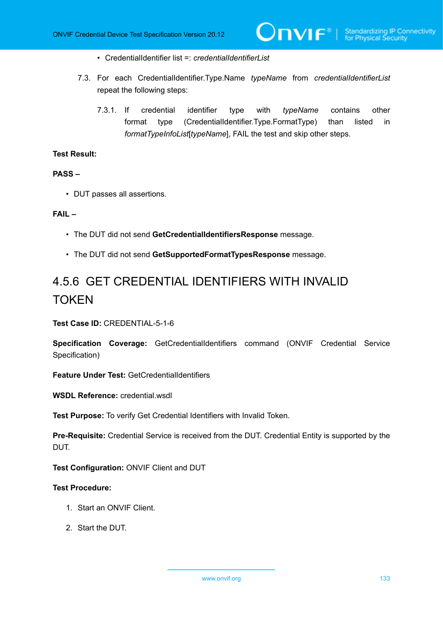- CredentialIdentifier list =: *credentialIdentifierList*
- 7.3. For each CredentialIdentifier.Type.Name *typeName* from *credentialIdentifierList* repeat the following steps:
	- 7.3.1. If credential identifier type with *typeName* contains other format type (CredentialIdentifier.Type.FormatType) than listed in *formatTypeInfoList*[*typeName*], FAIL the test and skip other steps.

# **PASS –**

• DUT passes all assertions.

## **FAIL –**

- The DUT did not send **GetCredentialIdentifiersResponse** message.
- The DUT did not send **GetSupportedFormatTypesResponse** message.

# 4.5.6 GET CREDENTIAL IDENTIFIERS WITH INVALID **TOKEN**

**Test Case ID:** CREDENTIAL-5-1-6

**Specification Coverage:** GetCredentialIdentifiers command (ONVIF Credential Service Specification)

**Feature Under Test:** GetCredentialIdentifiers

**WSDL Reference:** credential.wsdl

**Test Purpose:** To verify Get Credential Identifiers with Invalid Token.

**Pre-Requisite:** Credential Service is received from the DUT. Credential Entity is supported by the DUT.

**Test Configuration:** ONVIF Client and DUT

- 1. Start an ONVIF Client.
- 2. Start the DUT.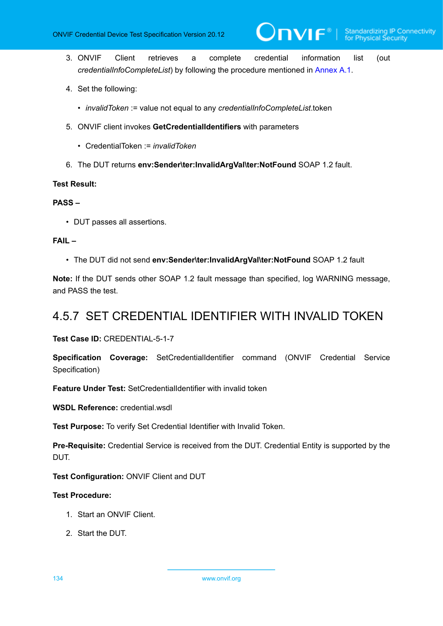- 3. ONVIF Client retrieves a complete credential information list (out *credentialInfoCompleteList*) by following the procedure mentioned in [Annex A.1.](#page-200-0)
- 4. Set the following:
	- *invalidToken* := value not equal to any *credentialInfoCompleteList*.token
- 5. ONVIF client invokes **GetCredentialIdentifiers** with parameters
	- CredentialToken := *invalidToken*
- 6. The DUT returns **env:Sender\ter:InvalidArgVal\ter:NotFound** SOAP 1.2 fault.

#### **PASS –**

• DUT passes all assertions.

# **FAIL –**

• The DUT did not send **env:Sender\ter:InvalidArgVal\ter:NotFound** SOAP 1.2 fault

**Note:** If the DUT sends other SOAP 1.2 fault message than specified, log WARNING message, and PASS the test.

# 4.5.7 SET CREDENTIAL IDENTIFIER WITH INVALID TOKEN

**Test Case ID:** CREDENTIAL-5-1-7

**Specification Coverage:** SetCredentialIdentifier command (ONVIF Credential Service Specification)

**Feature Under Test:** SetCredentialIdentifier with invalid token

**WSDL Reference:** credential.wsdl

**Test Purpose:** To verify Set Credential Identifier with Invalid Token.

**Pre-Requisite:** Credential Service is received from the DUT. Credential Entity is supported by the DUT.

**Test Configuration:** ONVIF Client and DUT

- 1. Start an ONVIF Client.
- 2. Start the DUT.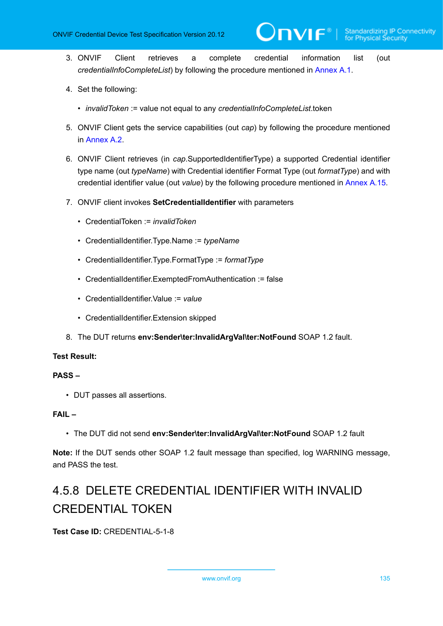3. ONVIF Client retrieves a complete credential information list (out *credentialInfoCompleteList*) by following the procedure mentioned in [Annex A.1.](#page-200-0)

 $\partial$ DVIF $^{\circ}$ l

- 4. Set the following:
	- *invalidToken* := value not equal to any *credentialInfoCompleteList*.token
- 5. ONVIF Client gets the service capabilities (out *cap*) by following the procedure mentioned in [Annex A.2.](#page-201-0)
- 6. ONVIF Client retrieves (in *cap*.SupportedIdentifierType) a supported Credential identifier type name (out *typeName*) with Credential identifier Format Type (out *formatType*) and with credential identifier value (out *value*) by the following procedure mentioned in [Annex A.15.](#page-212-0)
- 7. ONVIF client invokes **SetCredentialIdentifier** with parameters
	- CredentialToken := *invalidToken*
	- CredentialIdentifier.Type.Name := *typeName*
	- CredentialIdentifier.Type.FormatType := *formatType*
	- CredentialIdentifier.ExemptedFromAuthentication := false
	- CredentialIdentifier.Value := *value*
	- CredentialIdentifier.Extension skipped
- 8. The DUT returns **env:Sender\ter:InvalidArgVal\ter:NotFound** SOAP 1.2 fault.

## **Test Result:**

#### **PASS –**

• DUT passes all assertions.

# **FAIL –**

• The DUT did not send **env:Sender\ter:InvalidArgVal\ter:NotFound** SOAP 1.2 fault

**Note:** If the DUT sends other SOAP 1.2 fault message than specified, log WARNING message, and PASS the test.

# 4.5.8 DELETE CREDENTIAL IDENTIFIER WITH INVALID CREDENTIAL TOKEN

**Test Case ID:** CREDENTIAL-5-1-8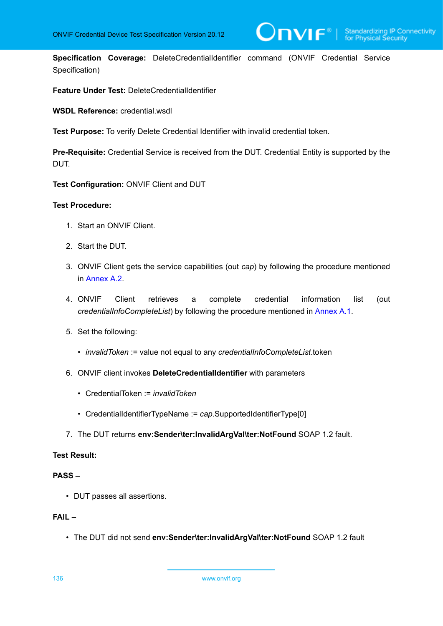$\overline{\mathsf{DPIF}^*}$  i

**Specification Coverage:** DeleteCredentialIdentifier command (ONVIF Credential Service Specification)

**Feature Under Test:** DeleteCredentialIdentifier

**WSDL Reference:** credential.wsdl

**Test Purpose:** To verify Delete Credential Identifier with invalid credential token.

**Pre-Requisite:** Credential Service is received from the DUT. Credential Entity is supported by the DUT.

**Test Configuration:** ONVIF Client and DUT

#### **Test Procedure:**

- 1. Start an ONVIF Client.
- 2. Start the DUT.
- 3. ONVIF Client gets the service capabilities (out *cap*) by following the procedure mentioned in [Annex A.2.](#page-201-0)
- 4. ONVIF Client retrieves a complete credential information list (out *credentialInfoCompleteList*) by following the procedure mentioned in [Annex A.1.](#page-200-0)
- 5. Set the following:
	- *invalidToken* := value not equal to any *credentialInfoCompleteList*.token
- 6. ONVIF client invokes **DeleteCredentialIdentifier** with parameters
	- CredentialToken := *invalidToken*
	- CredentialIdentifierTypeName := *cap*.SupportedIdentifierType[0]
- 7. The DUT returns **env:Sender\ter:InvalidArgVal\ter:NotFound** SOAP 1.2 fault.

# **Test Result:**

## **PASS –**

• DUT passes all assertions.

# **FAIL –**

• The DUT did not send **env:Sender\ter:InvalidArgVal\ter:NotFound** SOAP 1.2 fault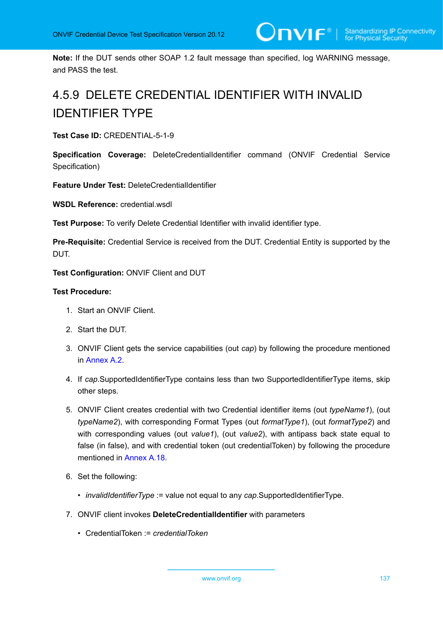**Note:** If the DUT sends other SOAP 1.2 fault message than specified, log WARNING message, and PASS the test.

# 4.5.9 DELETE CREDENTIAL IDENTIFIER WITH INVALID IDENTIFIER TYPE

**Test Case ID:** CREDENTIAL-5-1-9

**Specification Coverage:** DeleteCredentialIdentifier command (ONVIF Credential Service Specification)

**Feature Under Test:** DeleteCredentialIdentifier

**WSDL Reference:** credential.wsdl

**Test Purpose:** To verify Delete Credential Identifier with invalid identifier type.

**Pre-Requisite:** Credential Service is received from the DUT. Credential Entity is supported by the DUT.

**Test Configuration:** ONVIF Client and DUT

- 1. Start an ONVIF Client.
- 2. Start the DUT.
- 3. ONVIF Client gets the service capabilities (out *cap*) by following the procedure mentioned in [Annex A.2.](#page-201-0)
- 4. If *cap*.SupportedIdentifierType contains less than two SupportedIdentifierType items, skip other steps.
- 5. ONVIF Client creates credential with two Credential identifier items (out *typeName1*), (out *typeName2*), with corresponding Format Types (out *formatType1*), (out *formatType2*) and with corresponding values (out *value1*), (out *value2*), with antipass back state equal to false (in false), and with credential token (out credentialToken) by following the procedure mentioned in [Annex A.18.](#page-216-0)
- 6. Set the following:
	- *invalidIdentifierType* := value not equal to any *cap*.SupportedIdentifierType.
- 7. ONVIF client invokes **DeleteCredentialIdentifier** with parameters
	- CredentialToken := *credentialToken*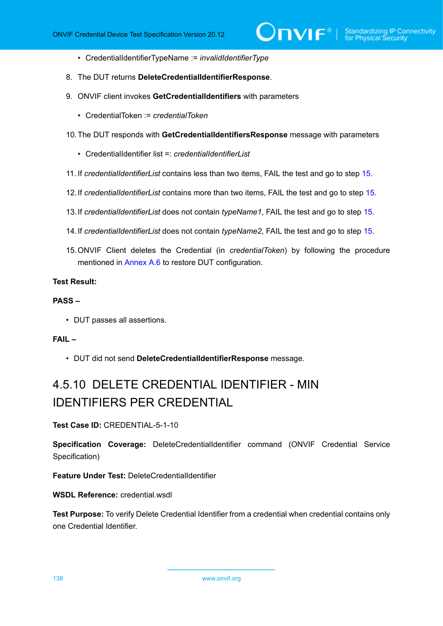- CredentialIdentifierTypeName := *invalidIdentifierType*
- 8. The DUT returns **DeleteCredentialIdentifierResponse**.
- 9. ONVIF client invokes **GetCredentialIdentifiers** with parameters
	- CredentialToken := *credentialToken*
- 10.The DUT responds with **GetCredentialIdentifiersResponse** message with parameters
	- CredentialIdentifier list =: *credentialIdentifierList*
- 11. If *credentialIdentifierList* contains less than two items, FAIL the test and go to step [15](#page-137-0).
- 12.If *credentialIdentifierList* contains more than two items, FAIL the test and go to step [15](#page-137-0).
- 13.If *credentialIdentifierList* does not contain *typeName1*, FAIL the test and go to step [15](#page-137-0).
- 14.If *credentialIdentifierList* does not contain *typeName2*, FAIL the test and go to step [15](#page-137-0).
- <span id="page-137-0"></span>15.ONVIF Client deletes the Credential (in *credentialToken*) by following the procedure mentioned in [Annex A.6](#page-204-0) to restore DUT configuration.

# **PASS –**

• DUT passes all assertions.

# **FAIL –**

• DUT did not send **DeleteCredentialIdentifierResponse** message.

# 4.5.10 DELETE CREDENTIAL IDENTIFIER - MIN IDENTIFIERS PER CREDENTIAL

**Test Case ID:** CREDENTIAL-5-1-10

**Specification Coverage:** DeleteCredentialIdentifier command (ONVIF Credential Service Specification)

**Feature Under Test:** DeleteCredentialIdentifier

**WSDL Reference:** credential wsdl

**Test Purpose:** To verify Delete Credential Identifier from a credential when credential contains only one Credential Identifier.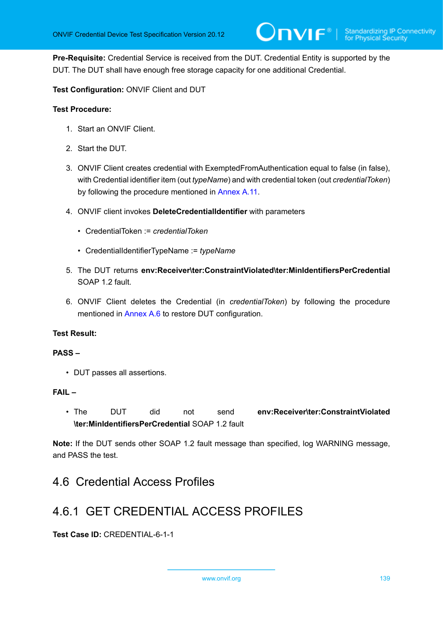**Pre-Requisite:** Credential Service is received from the DUT. Credential Entity is supported by the DUT. The DUT shall have enough free storage capacity for one additional Credential.

# **Test Configuration:** ONVIF Client and DUT

### **Test Procedure:**

- 1. Start an ONVIF Client.
- 2. Start the DUT.
- 3. ONVIF Client creates credential with ExemptedFromAuthentication equal to false (in false), with Credential identifier item (out *typeName*) and with credential token (out *credentialToken*) by following the procedure mentioned in [Annex](#page-208-0) A.11.
- 4. ONVIF client invokes **DeleteCredentialIdentifier** with parameters
	- CredentialToken := *credentialToken*
	- CredentialIdentifierTypeName := *typeName*
- 5. The DUT returns **env:Receiver\ter:ConstraintViolated\ter:MinIdentifiersPerCredential** SOAP 1.2 fault
- 6. ONVIF Client deletes the Credential (in *credentialToken*) by following the procedure mentioned in [Annex A.6](#page-204-0) to restore DUT configuration.

## **Test Result:**

#### **PASS –**

• DUT passes all assertions.

#### **FAIL –**

• The DUT did not send **env:Receiver\ter:ConstraintViolated \ter:MinIdentifiersPerCredential** SOAP 1.2 fault

**Note:** If the DUT sends other SOAP 1.2 fault message than specified, log WARNING message, and PASS the test.

# 4.6 Credential Access Profiles

# 4.6.1 GET CREDENTIAL ACCESS PROFILES

**Test Case ID:** CREDENTIAL-6-1-1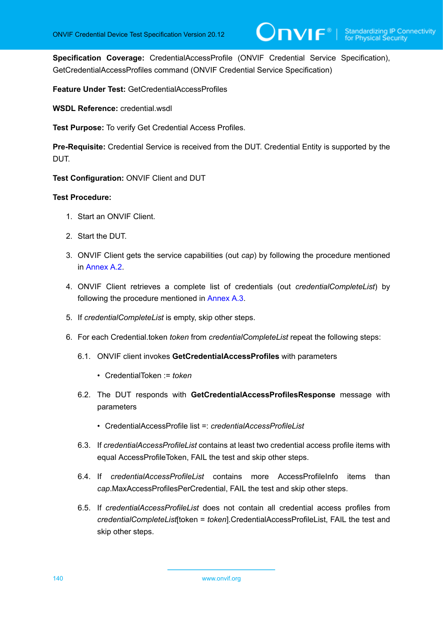**Specification Coverage:** CredentialAccessProfile (ONVIF Credential Service Specification), GetCredentialAccessProfiles command (ONVIF Credential Service Specification)

**Feature Under Test:** GetCredentialAccessProfiles

**WSDL Reference:** credential.wsdl

**Test Purpose:** To verify Get Credential Access Profiles.

**Pre-Requisite:** Credential Service is received from the DUT. Credential Entity is supported by the DUT.

**Test Configuration:** ONVIF Client and DUT

- 1. Start an ONVIF Client.
- 2. Start the DUT.
- 3. ONVIF Client gets the service capabilities (out *cap*) by following the procedure mentioned in [Annex A.2.](#page-201-0)
- 4. ONVIF Client retrieves a complete list of credentials (out *credentialCompleteList*) by following the procedure mentioned in [Annex A.3](#page-201-1).
- 5. If *credentialCompleteList* is empty, skip other steps.
- <span id="page-139-0"></span>6. For each Credential.token *token* from *credentialCompleteList* repeat the following steps:
	- 6.1. ONVIF client invokes **GetCredentialAccessProfiles** with parameters
		- CredentialToken := *token*
	- 6.2. The DUT responds with **GetCredentialAccessProfilesResponse** message with parameters
		- CredentialAccessProfile list =: *credentialAccessProfileList*
	- 6.3. If *credentialAccessProfileList* contains at least two credential access profile items with equal AccessProfileToken, FAIL the test and skip other steps.
	- 6.4. If *credentialAccessProfileList* contains more AccessProfileInfo items than *cap*.MaxAccessProfilesPerCredential, FAIL the test and skip other steps.
	- 6.5. If *credentialAccessProfileList* does not contain all credential access profiles from *credentialCompleteList*[token = *token*].CredentialAccessProfileList, FAIL the test and skip other steps.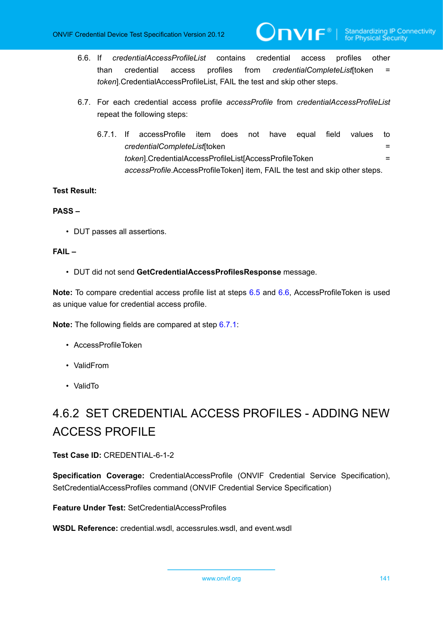<span id="page-140-0"></span>6.6. If *credentialAccessProfileList* contains credential access profiles other than credential access profiles from *credentialCompleteList*[token = *token*].CredentialAccessProfileList, FAIL the test and skip other steps.

 $\mathsf{D}\mathbf{n}\mathsf{V}\mathsf{I}\mathsf{F}^\circ$  :

- <span id="page-140-1"></span>6.7. For each credential access profile *accessProfile* from *credentialAccessProfileList* repeat the following steps:
	- 6.7.1. If accessProfile item does not have equal field values to *credentialCompleteList*[token = *token*].CredentialAccessProfileList[AccessProfileToken = *accessProfile*.AccessProfileToken] item, FAIL the test and skip other steps.

# **Test Result:**

## **PASS –**

• DUT passes all assertions.

# **FAIL –**

• DUT did not send **GetCredentialAccessProfilesResponse** message.

**Note:** To compare credential access profile list at steps [6.5](#page-139-0) and [6.6,](#page-140-0) AccessProfileToken is used as unique value for credential access profile.

**Note:** The following fields are compared at step [6.7.1](#page-140-1):

- AccessProfileToken
- ValidFrom
- ValidTo

# 4.6.2 SET CREDENTIAL ACCESS PROFILES - ADDING NEW ACCESS PROFILE

# **Test Case ID:** CREDENTIAL-6-1-2

**Specification Coverage:** CredentialAccessProfile (ONVIF Credential Service Specification), SetCredentialAccessProfiles command (ONVIF Credential Service Specification)

**Feature Under Test:** SetCredentialAccessProfiles

**WSDL Reference:** credential.wsdl, accessrules.wsdl, and event.wsdl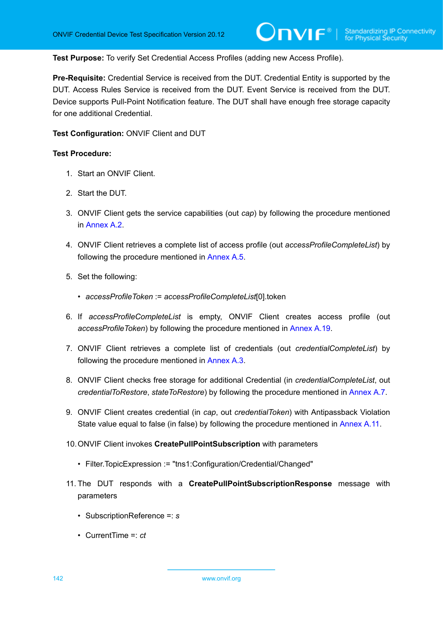**Test Purpose:** To verify Set Credential Access Profiles (adding new Access Profile).

**Pre-Requisite:** Credential Service is received from the DUT. Credential Entity is supported by the DUT. Access Rules Service is received from the DUT. Event Service is received from the DUT. Device supports Pull-Point Notification feature. The DUT shall have enough free storage capacity for one additional Credential.

**Test Configuration:** ONVIF Client and DUT

- 1. Start an ONVIF Client.
- 2. Start the DUT.
- 3. ONVIF Client gets the service capabilities (out *cap*) by following the procedure mentioned in [Annex A.2.](#page-201-0)
- 4. ONVIF Client retrieves a complete list of access profile (out *accessProfileCompleteList*) by following the procedure mentioned in [Annex A.5](#page-203-0).
- 5. Set the following:
	- *accessProfileToken* := *accessProfileCompleteList*[0].token
- <span id="page-141-1"></span>6. If *accessProfileCompleteList* is empty, ONVIF Client creates access profile (out *accessProfileToken*) by following the procedure mentioned in [Annex A.19](#page-217-0).
- 7. ONVIF Client retrieves a complete list of credentials (out *credentialCompleteList*) by following the procedure mentioned in [Annex A.3](#page-201-1).
- <span id="page-141-0"></span>8. ONVIF Client checks free storage for additional Credential (in *credentialCompleteList*, out *credentialToRestore*, *stateToRestore*) by following the procedure mentioned in [Annex A.7.](#page-205-0)
- 9. ONVIF Client creates credential (in *cap*, out *credentialToken*) with Antipassback Violation State value equal to false (in false) by following the procedure mentioned in [Annex](#page-208-0) A.11.
- 10.ONVIF Client invokes **CreatePullPointSubscription** with parameters
	- Filter.TopicExpression := "tns1:Configuration/Credential/Changed"
- 11. The DUT responds with a **CreatePullPointSubscriptionResponse** message with parameters
	- SubscriptionReference =: *s*
	- CurrentTime =: *ct*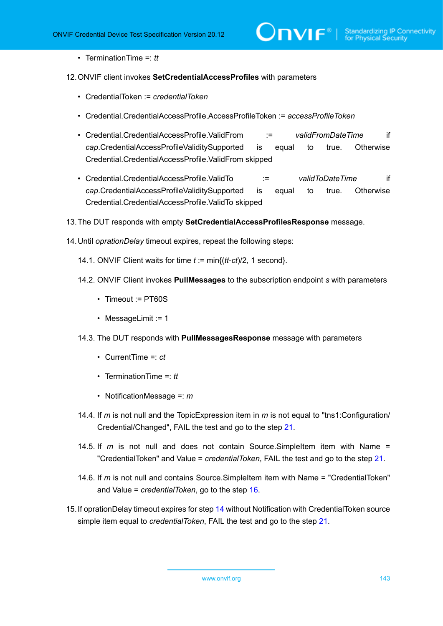• TerminationTime =: *tt*

#### <span id="page-142-1"></span>12.ONVIF client invokes **SetCredentialAccessProfiles** with parameters

- CredentialToken := *credentialToken*
- Credential.CredentialAccessProfile.AccessProfileToken := *accessProfileToken*
- Credential.CredentialAccessProfile.ValidFrom := *validFromDateTime* if *cap*.CredentialAccessProfileValiditySupported is equal to true. Otherwise Credential.CredentialAccessProfile.ValidFrom skipped
- Credential.CredentialAccessProfile.ValidTo := *validToDateTime* if *cap*.CredentialAccessProfileValiditySupported is equal to true. Otherwise Credential.CredentialAccessProfile.ValidTo skipped
- 13.The DUT responds with empty **SetCredentialAccessProfilesResponse** message.

<span id="page-142-0"></span>14.Until *oprationDelay* timeout expires, repeat the following steps:

- 14.1. ONVIF Client waits for time *t* := min{(*tt*-*ct*)/2, 1 second}.
- 14.2. ONVIF Client invokes **PullMessages** to the subscription endpoint *s* with parameters
	- Timeout := PT60S
	- MessageLimit := 1
- 14.3. The DUT responds with **PullMessagesResponse** message with parameters
	- CurrentTime =: *ct*
	- TerminationTime =: *tt*
	- NotificationMessage =: *m*
- 14.4. If *m* is not null and the TopicExpression item in *m* is not equal to "tns1:Configuration/ Credential/Changed", FAIL the test and go to the step [21.](#page-143-0)
- 14.5. If *m* is not null and does not contain Source.SimpleItem item with Name = "CredentialToken" and Value = *credentialToken*, FAIL the test and go to the step [21](#page-143-0).
- 14.6. If *m* is not null and contains Source.SimpleItem item with Name = "CredentialToken" and Value = *credentialToken*, go to the step [16.](#page-143-1)
- 15.If oprationDelay timeout expires for step [14](#page-142-0) without Notification with CredentialToken source simple item equal to *credentialToken*, FAIL the test and go to the step [21.](#page-143-0)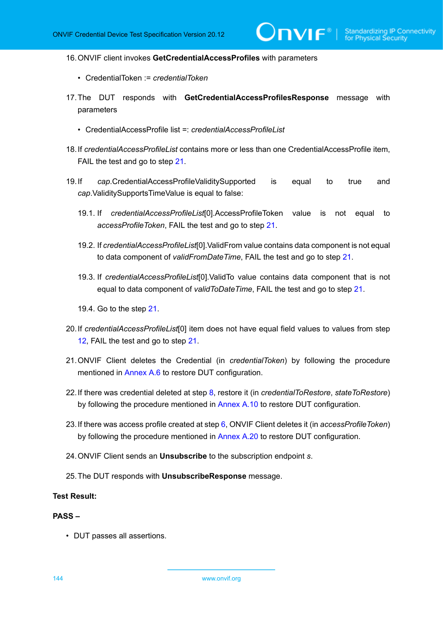$VIF^*$ 

- <span id="page-143-1"></span>16.ONVIF client invokes **GetCredentialAccessProfiles** with parameters
	- CredentialToken := *credentialToken*
- 17.The DUT responds with **GetCredentialAccessProfilesResponse** message with parameters
	- CredentialAccessProfile list =: *credentialAccessProfileList*
- 18.If *credentialAccessProfileList* contains more or less than one CredentialAccessProfile item, FAIL the test and go to step [21](#page-143-0).
- 19.If *cap*.CredentialAccessProfileValiditySupported is equal to true and *cap*.ValiditySupportsTimeValue is equal to false:
	- 19.1. If *credentialAccessProfileList*[0].AccessProfileToken value is not equal to *accessProfileToken*, FAIL the test and go to step [21](#page-143-0).
	- 19.2. If *credentialAccessProfileList*[0].ValidFrom value contains data component is not equal to data component of *validFromDateTime*, FAIL the test and go to step [21](#page-143-0).
	- 19.3. If *credentialAccessProfileList*[0].ValidTo value contains data component that is not equal to data component of *validToDateTime*, FAIL the test and go to step [21.](#page-143-0)
	- 19.4. Go to the step [21](#page-143-0).
- 20.If *credentialAccessProfileList*[0] item does not have equal field values to values from step [12](#page-142-1), FAIL the test and go to step [21.](#page-143-0)
- <span id="page-143-0"></span>21.ONVIF Client deletes the Credential (in *credentialToken*) by following the procedure mentioned in [Annex A.6](#page-204-0) to restore DUT configuration.
- 22.If there was credential deleted at step [8](#page-141-0), restore it (in *credentialToRestore*, *stateToRestore*) by following the procedure mentioned in [Annex A.10](#page-207-0) to restore DUT configuration.
- 23.If there was access profile created at step [6](#page-141-1), ONVIF Client deletes it (in *accessProfileToken*) by following the procedure mentioned in [Annex A.20](#page-218-0) to restore DUT configuration.
- 24.ONVIF Client sends an **Unsubscribe** to the subscription endpoint *s*.
- 25.The DUT responds with **UnsubscribeResponse** message.

#### **Test Result:**

#### **PASS –**

• DUT passes all assertions.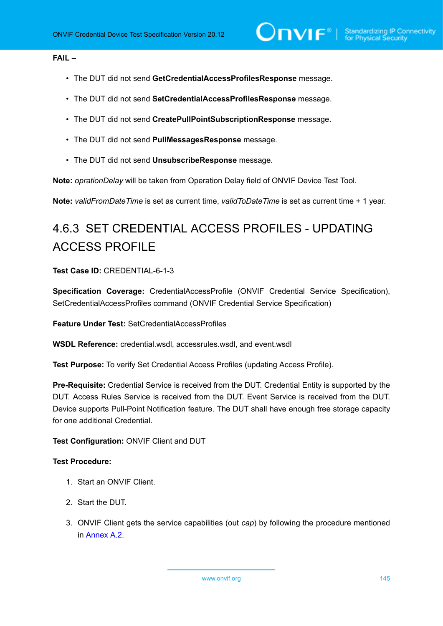## **FAIL –**

- The DUT did not send **GetCredentialAccessProfilesResponse** message.
- The DUT did not send **SetCredentialAccessProfilesResponse** message.
- The DUT did not send **CreatePullPointSubscriptionResponse** message.
- The DUT did not send **PullMessagesResponse** message.
- The DUT did not send **UnsubscribeResponse** message.

**Note:** *oprationDelay* will be taken from Operation Delay field of ONVIF Device Test Tool.

**Note:** *validFromDateTime* is set as current time, *validToDateTime* is set as current time + 1 year.

# 4.6.3 SET CREDENTIAL ACCESS PROFILES - UPDATING ACCESS PROFILE

#### **Test Case ID:** CREDENTIAL-6-1-3

**Specification Coverage:** CredentialAccessProfile (ONVIF Credential Service Specification), SetCredentialAccessProfiles command (ONVIF Credential Service Specification)

**Feature Under Test:** SetCredentialAccessProfiles

**WSDL Reference:** credential.wsdl, accessrules.wsdl, and event.wsdl

**Test Purpose:** To verify Set Credential Access Profiles (updating Access Profile).

**Pre-Requisite:** Credential Service is received from the DUT. Credential Entity is supported by the DUT. Access Rules Service is received from the DUT. Event Service is received from the DUT. Device supports Pull-Point Notification feature. The DUT shall have enough free storage capacity for one additional Credential.

#### **Test Configuration:** ONVIF Client and DUT

## **Test Procedure:**

- 1. Start an ONVIF Client.
- 2. Start the DUT.
- 3. ONVIF Client gets the service capabilities (out *cap*) by following the procedure mentioned in [Annex A.2.](#page-201-0)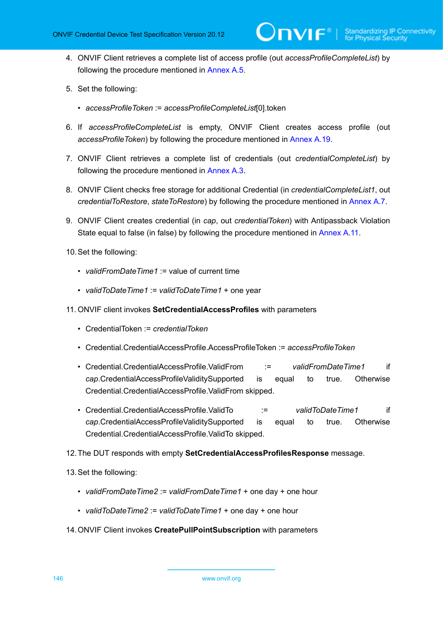4. ONVIF Client retrieves a complete list of access profile (out *accessProfileCompleteList*) by following the procedure mentioned in [Annex A.5](#page-203-0).

 $\mathbf{\mathsf{Divif}}^*$  (

- 5. Set the following:
	- *accessProfileToken* := *accessProfileCompleteList*[0].token
- <span id="page-145-1"></span>6. If *accessProfileCompleteList* is empty, ONVIF Client creates access profile (out *accessProfileToken*) by following the procedure mentioned in [Annex A.19](#page-217-0).
- 7. ONVIF Client retrieves a complete list of credentials (out *credentialCompleteList*) by following the procedure mentioned in [Annex A.3](#page-201-1).
- <span id="page-145-0"></span>8. ONVIF Client checks free storage for additional Credential (in *credentialCompleteList1*, out *credentialToRestore*, *stateToRestore*) by following the procedure mentioned in [Annex A.7.](#page-205-0)
- 9. ONVIF Client creates credential (in *cap*, out *credentialToken*) with Antipassback Violation State equal to false (in false) by following the procedure mentioned in [Annex](#page-208-0) A.11.
- 10.Set the following:
	- *validFromDateTime1* := value of current time
	- *validToDateTime1* := *validToDateTime1* + one year
- 11. ONVIF client invokes **SetCredentialAccessProfiles** with parameters
	- CredentialToken := *credentialToken*
	- Credential.CredentialAccessProfile.AccessProfileToken := *accessProfileToken*
	- Credential.CredentialAccessProfile.ValidFrom := *validFromDateTime1* if *cap*.CredentialAccessProfileValiditySupported is equal to true. Otherwise Credential.CredentialAccessProfile.ValidFrom skipped.
	- Credential.CredentialAccessProfile.ValidTo := *validToDateTime1* if *cap*.CredentialAccessProfileValiditySupported is equal to true. Otherwise Credential.CredentialAccessProfile.ValidTo skipped.
- 12.The DUT responds with empty **SetCredentialAccessProfilesResponse** message.
- 13.Set the following:
	- *validFromDateTime2* := *validFromDateTime1* + one day + one hour
	- *validToDateTime2* := *validToDateTime1* + one day + one hour
- 14.ONVIF Client invokes **CreatePullPointSubscription** with parameters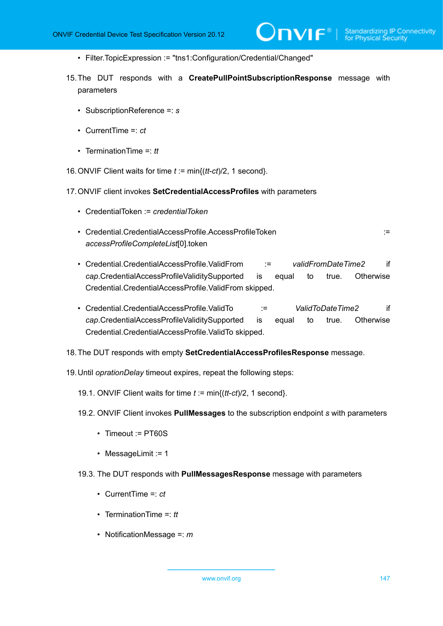- Filter.TopicExpression := "tns1:Configuration/Credential/Changed"
- <span id="page-146-1"></span>15.The DUT responds with a **CreatePullPointSubscriptionResponse** message with parameters
	- SubscriptionReference =: *s*
	- CurrentTime =: *ct*
	- TerminationTime =: *tt*

16.ONVIF Client waits for time *t* := min{(*tt*-*ct*)/2, 1 second}.

- 17.ONVIF client invokes **SetCredentialAccessProfiles** with parameters
	- CredentialToken := *credentialToken*
	- Credential.CredentialAccessProfile.AccessProfileToken := *accessProfileCompleteList*[0].token
	- Credential.CredentialAccessProfile.ValidFrom := *validFromDateTime2* if *cap*.CredentialAccessProfileValiditySupported is equal to true. Otherwise Credential.CredentialAccessProfile.ValidFrom skipped.
	- Credential.CredentialAccessProfile.ValidTo := *ValidToDateTime2* if *cap*.CredentialAccessProfileValiditySupported is equal to true. Otherwise Credential.CredentialAccessProfile.ValidTo skipped.
- 18.The DUT responds with empty **SetCredentialAccessProfilesResponse** message.
- <span id="page-146-0"></span>19.Until *oprationDelay* timeout expires, repeat the following steps:
	- 19.1. ONVIF Client waits for time *t* := min{(*tt*-*ct*)/2, 1 second}.
	- 19.2. ONVIF Client invokes **PullMessages** to the subscription endpoint *s* with parameters
		- Timeout := PT60S
		- MessageLimit := 1
	- 19.3. The DUT responds with **PullMessagesResponse** message with parameters
		- CurrentTime =: *ct*
		- TerminationTime =: *tt*
		- NotificationMessage =: *m*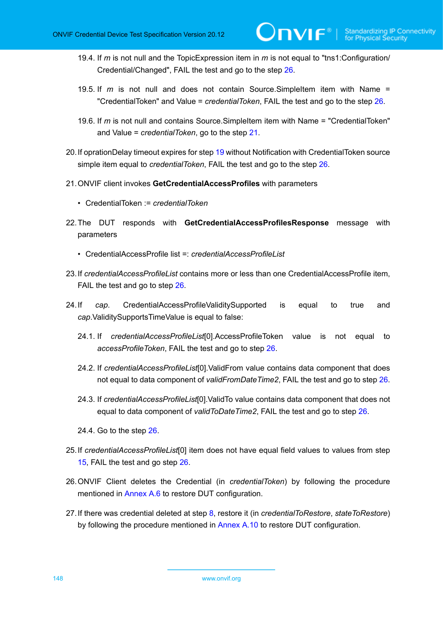- 19.4. If *m* is not null and the TopicExpression item in *m* is not equal to "tns1:Configuration/ Credential/Changed", FAIL the test and go to the step [26.](#page-147-0)
- 19.5. If *m* is not null and does not contain Source.SimpleItem item with Name = "CredentialToken" and Value = *credentialToken*, FAIL the test and go to the step [26](#page-147-0).
- 19.6. If *m* is not null and contains Source.SimpleItem item with Name = "CredentialToken" and Value = *credentialToken*, go to the step [21.](#page-147-1)
- 20.If oprationDelay timeout expires for step [19](#page-146-0) without Notification with CredentialToken source simple item equal to *credentialToken*, FAIL the test and go to the step [26.](#page-147-0)
- <span id="page-147-1"></span>21.ONVIF client invokes **GetCredentialAccessProfiles** with parameters
	- CredentialToken := *credentialToken*
- 22.The DUT responds with **GetCredentialAccessProfilesResponse** message with parameters
	- CredentialAccessProfile list =: *credentialAccessProfileList*
- 23.If *credentialAccessProfileList* contains more or less than one CredentialAccessProfile item, FAIL the test and go to step [26](#page-147-0).
- 24.If *cap*. CredentialAccessProfileValiditySupported is equal to true and *cap*.ValiditySupportsTimeValue is equal to false:
	- 24.1. If *credentialAccessProfileList*[0].AccessProfileToken value is not equal to *accessProfileToken*, FAIL the test and go to step [26](#page-147-0).
	- 24.2. If *credentialAccessProfileList*[0].ValidFrom value contains data component that does not equal to data component of *validFromDateTime2*, FAIL the test and go to step [26.](#page-147-0)
	- 24.3. If *credentialAccessProfileList*[0].ValidTo value contains data component that does not equal to data component of *validToDateTime2*, FAIL the test and go to step [26.](#page-147-0)
	- 24.4. Go to the step [26](#page-147-0).
- 25.If *credentialAccessProfileList*[0] item does not have equal field values to values from step [15](#page-146-1), FAIL the test and go step [26](#page-147-0).
- <span id="page-147-0"></span>26.ONVIF Client deletes the Credential (in *credentialToken*) by following the procedure mentioned in [Annex A.6](#page-204-0) to restore DUT configuration.
- 27.If there was credential deleted at step [8](#page-145-0), restore it (in *credentialToRestore*, *stateToRestore*) by following the procedure mentioned in [Annex A.10](#page-207-0) to restore DUT configuration.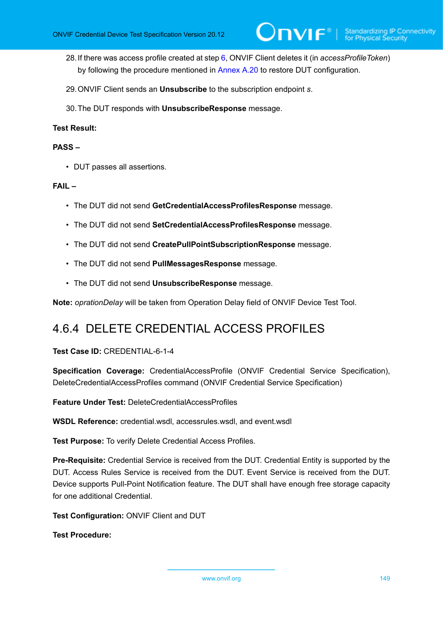- 28.If there was access profile created at step [6](#page-145-1), ONVIF Client deletes it (in *accessProfileToken*) by following the procedure mentioned in [Annex A.20](#page-218-0) to restore DUT configuration.
- 29.ONVIF Client sends an **Unsubscribe** to the subscription endpoint *s*.
- 30.The DUT responds with **UnsubscribeResponse** message.

#### **PASS –**

• DUT passes all assertions.

#### **FAIL –**

- The DUT did not send **GetCredentialAccessProfilesResponse** message.
- The DUT did not send **SetCredentialAccessProfilesResponse** message.
- The DUT did not send **CreatePullPointSubscriptionResponse** message.
- The DUT did not send **PullMessagesResponse** message.
- The DUT did not send **UnsubscribeResponse** message.

**Note:** *oprationDelay* will be taken from Operation Delay field of ONVIF Device Test Tool.

## 4.6.4 DELETE CREDENTIAL ACCESS PROFILES

#### **Test Case ID:** CREDENTIAL-6-1-4

**Specification Coverage:** CredentialAccessProfile (ONVIF Credential Service Specification), DeleteCredentialAccessProfiles command (ONVIF Credential Service Specification)

**Feature Under Test:** DeleteCredentialAccessProfiles

**WSDL Reference:** credential.wsdl, accessrules.wsdl, and event.wsdl

**Test Purpose:** To verify Delete Credential Access Profiles.

**Pre-Requisite:** Credential Service is received from the DUT. Credential Entity is supported by the DUT. Access Rules Service is received from the DUT. Event Service is received from the DUT. Device supports Pull-Point Notification feature. The DUT shall have enough free storage capacity for one additional Credential.

**Test Configuration:** ONVIF Client and DUT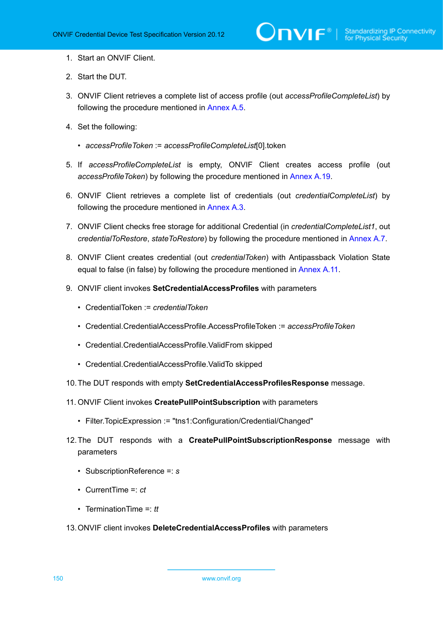- 1. Start an ONVIF Client.
- 2. Start the DUT.
- 3. ONVIF Client retrieves a complete list of access profile (out *accessProfileCompleteList*) by following the procedure mentioned in [Annex A.5](#page-203-0).
- 4. Set the following:
	- *accessProfileToken* := *accessProfileCompleteList*[0].token
- <span id="page-149-1"></span>5. If *accessProfileCompleteList* is empty, ONVIF Client creates access profile (out *accessProfileToken*) by following the procedure mentioned in [Annex A.19](#page-217-0).
- 6. ONVIF Client retrieves a complete list of credentials (out *credentialCompleteList*) by following the procedure mentioned in [Annex A.3](#page-201-1).
- <span id="page-149-0"></span>7. ONVIF Client checks free storage for additional Credential (in *credentialCompleteList1*, out *credentialToRestore*, *stateToRestore*) by following the procedure mentioned in [Annex A.7.](#page-205-0)
- 8. ONVIF Client creates credential (out *credentialToken*) with Antipassback Violation State equal to false (in false) by following the procedure mentioned in [Annex](#page-208-0) A.11.
- 9. ONVIF client invokes **SetCredentialAccessProfiles** with parameters
	- CredentialToken := *credentialToken*
	- Credential.CredentialAccessProfile.AccessProfileToken := *accessProfileToken*
	- Credential.CredentialAccessProfile.ValidFrom skipped
	- Credential.CredentialAccessProfile.ValidTo skipped
- 10.The DUT responds with empty **SetCredentialAccessProfilesResponse** message.
- 11. ONVIF Client invokes **CreatePullPointSubscription** with parameters
	- Filter.TopicExpression := "tns1:Configuration/Credential/Changed"
- 12.The DUT responds with a **CreatePullPointSubscriptionResponse** message with parameters
	- SubscriptionReference =: *s*
	- CurrentTime =: *ct*
	- TerminationTime =: *tt*
- 13.ONVIF client invokes **DeleteCredentialAccessProfiles** with parameters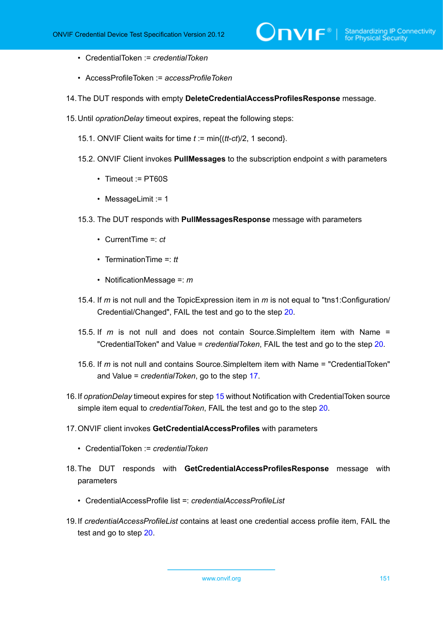- CredentialToken := *credentialToken*
- AccessProfileToken := *accessProfileToken*
- 14.The DUT responds with empty **DeleteCredentialAccessProfilesResponse** message.
- <span id="page-150-1"></span>15.Until *oprationDelay* timeout expires, repeat the following steps:
	- 15.1. ONVIF Client waits for time *t* := min{(*tt*-*ct*)/2, 1 second}.
	- 15.2. ONVIF Client invokes **PullMessages** to the subscription endpoint *s* with parameters
		- Timeout := PT60S
		- MessageLimit := 1
	- 15.3. The DUT responds with **PullMessagesResponse** message with parameters
		- CurrentTime =: *ct*
		- TerminationTime =: *tt*
		- NotificationMessage =: *m*
	- 15.4. If *m* is not null and the TopicExpression item in *m* is not equal to "tns1:Configuration/ Credential/Changed", FAIL the test and go to the step [20.](#page-151-0)
	- 15.5. If *m* is not null and does not contain Source.SimpleItem item with Name = "CredentialToken" and Value = *credentialToken*, FAIL the test and go to the step [20](#page-151-0).
	- 15.6. If *m* is not null and contains Source.SimpleItem item with Name = "CredentialToken" and Value = *credentialToken*, go to the step [17.](#page-150-0)
- 16.If *oprationDelay* timeout expires for step [15](#page-150-1) without Notification with CredentialToken source simple item equal to *credentialToken*, FAIL the test and go to the step [20.](#page-151-0)
- <span id="page-150-0"></span>17.ONVIF client invokes **GetCredentialAccessProfiles** with parameters
	- CredentialToken := *credentialToken*
- 18.The DUT responds with **GetCredentialAccessProfilesResponse** message with parameters
	- CredentialAccessProfile list =: *credentialAccessProfileList*
- 19.If *credentialAccessProfileList* contains at least one credential access profile item, FAIL the test and go to step [20](#page-151-0).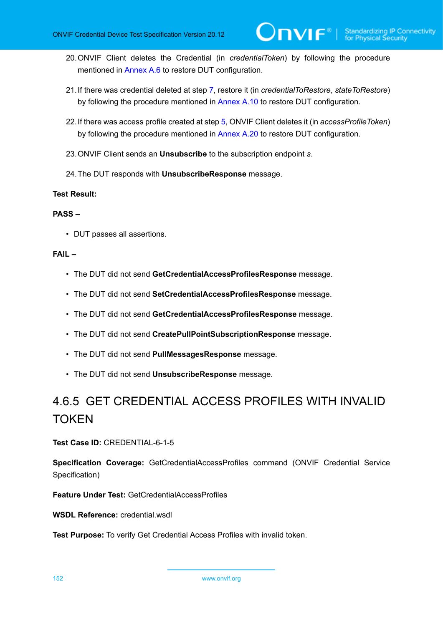- <span id="page-151-0"></span>20.ONVIF Client deletes the Credential (in *credentialToken*) by following the procedure mentioned in [Annex A.6](#page-204-0) to restore DUT configuration.
- 21.If there was credential deleted at step [7](#page-149-0), restore it (in *credentialToRestore*, *stateToRestore*) by following the procedure mentioned in [Annex A.10](#page-207-0) to restore DUT configuration.
- 22.If there was access profile created at step [5](#page-149-1), ONVIF Client deletes it (in *accessProfileToken*) by following the procedure mentioned in [Annex A.20](#page-218-0) to restore DUT configuration.
- 23.ONVIF Client sends an **Unsubscribe** to the subscription endpoint *s*.
- 24.The DUT responds with **UnsubscribeResponse** message.

#### **PASS –**

• DUT passes all assertions.

#### **FAIL –**

- The DUT did not send **GetCredentialAccessProfilesResponse** message.
- The DUT did not send **SetCredentialAccessProfilesResponse** message.
- The DUT did not send **GetCredentialAccessProfilesResponse** message.
- The DUT did not send **CreatePullPointSubscriptionResponse** message.
- The DUT did not send **PullMessagesResponse** message.
- The DUT did not send **UnsubscribeResponse** message.

# 4.6.5 GET CREDENTIAL ACCESS PROFILES WITH INVALID **TOKEN**

**Test Case ID:** CREDENTIAL-6-1-5

**Specification Coverage:** GetCredentialAccessProfiles command (ONVIF Credential Service Specification)

**Feature Under Test:** GetCredentialAccessProfiles

**WSDL Reference:** credential.wsdl

**Test Purpose:** To verify Get Credential Access Profiles with invalid token.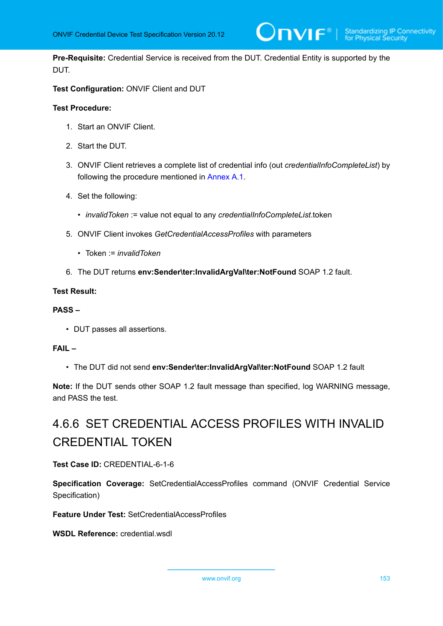**Pre-Requisite:** Credential Service is received from the DUT. Credential Entity is supported by the DUT.

 $\bm{\cup}$ NIF $^{\circ}$ l

**Test Configuration:** ONVIF Client and DUT

#### **Test Procedure:**

- 1. Start an ONVIF Client.
- 2. Start the DUT.
- 3. ONVIF Client retrieves a complete list of credential info (out *credentialInfoCompleteList*) by following the procedure mentioned in [Annex A.1](#page-200-0).
- 4. Set the following:
	- *invalidToken* := value not equal to any *credentialInfoCompleteList*.token
- 5. ONVIF Client invokes *GetCredentialAccessProfiles* with parameters
	- Token := *invalidToken*
- 6. The DUT returns **env:Sender\ter:InvalidArgVal\ter:NotFound** SOAP 1.2 fault.

#### **Test Result:**

#### **PASS –**

• DUT passes all assertions.

#### **FAIL –**

• The DUT did not send **env:Sender\ter:InvalidArgVal\ter:NotFound** SOAP 1.2 fault

**Note:** If the DUT sends other SOAP 1.2 fault message than specified, log WARNING message, and PASS the test.

# 4.6.6 SET CREDENTIAL ACCESS PROFILES WITH INVALID CREDENTIAL TOKEN

## **Test Case ID:** CREDENTIAL-6-1-6

**Specification Coverage:** SetCredentialAccessProfiles command (ONVIF Credential Service Specification)

**Feature Under Test:** SetCredentialAccessProfiles

**WSDL Reference:** credential.wsdl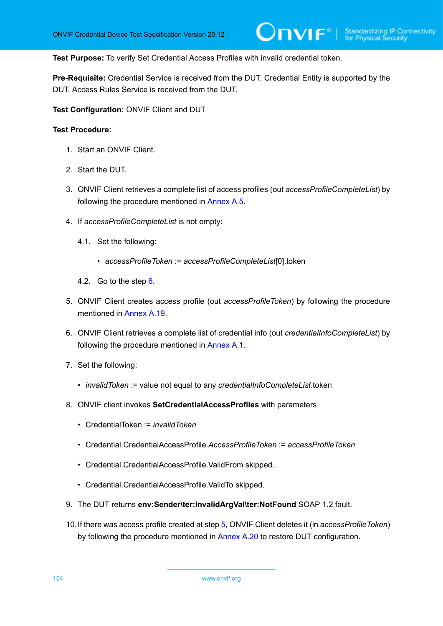**Test Purpose:** To verify Set Credential Access Profiles with invalid credential token.

**Pre-Requisite:** Credential Service is received from the DUT. Credential Entity is supported by the DUT. Access Rules Service is received from the DUT.

**Test Configuration:** ONVIF Client and DUT

- 1. Start an ONVIF Client.
- 2. Start the DUT.
- 3. ONVIF Client retrieves a complete list of access profiles (out *accessProfileCompleteList*) by following the procedure mentioned in [Annex A.5](#page-203-0).
- 4. If *accessProfileCompleteList* is not empty:
	- 4.1. Set the following:
		- *accessProfileToken* := *accessProfileCompleteList*[0].token
	- 4.2. Go to the step [6](#page-153-0).
- <span id="page-153-1"></span>5. ONVIF Client creates access profile (out *accessProfileToken*) by following the procedure mentioned in [Annex A.19.](#page-217-0)
- <span id="page-153-0"></span>6. ONVIF Client retrieves a complete list of credential info (out *credentialInfoCompleteList*) by following the procedure mentioned in [Annex A.1](#page-200-0).
- 7. Set the following:
	- *invalidToken* := value not equal to any *credentialInfoCompleteList*.token
- 8. ONVIF client invokes **SetCredentialAccessProfiles** with parameters
	- CredentialToken := *invalidToken*
	- Credential.CredentialAccessProfile.*AccessProfileToken* := *accessProfileToken*
	- Credential.CredentialAccessProfile.ValidFrom skipped.
	- Credential.CredentialAccessProfile.ValidTo skipped.
- 9. The DUT returns **env:Sender\ter:InvalidArgVal\ter:NotFound** SOAP 1.2 fault.
- 10.If there was access profile created at step [5](#page-153-1), ONVIF Client deletes it (in *accessProfileToken*) by following the procedure mentioned in [Annex A.20](#page-218-0) to restore DUT configuration.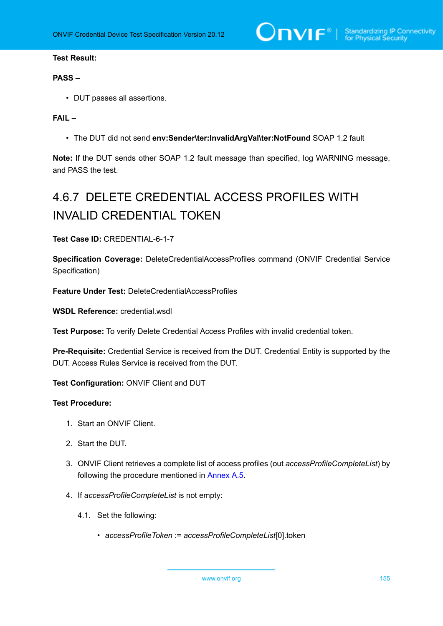$\bigcirc$   $\bigcap$   $\bigvee$   $\bigcirc$   $\bigcirc$   $\bigcirc$   $\bigcirc$  Standardizing IP Connectivity

#### **Test Result:**

#### **PASS –**

• DUT passes all assertions.

## **FAIL –**

• The DUT did not send **env:Sender\ter:InvalidArgVal\ter:NotFound** SOAP 1.2 fault

**Note:** If the DUT sends other SOAP 1.2 fault message than specified, log WARNING message, and PASS the test.

# 4.6.7 DELETE CREDENTIAL ACCESS PROFILES WITH INVALID CREDENTIAL TOKEN

**Test Case ID:** CREDENTIAL-6-1-7

**Specification Coverage:** DeleteCredentialAccessProfiles command (ONVIF Credential Service Specification)

**Feature Under Test:** DeleteCredentialAccessProfiles

**WSDL Reference:** credential.wsdl

**Test Purpose:** To verify Delete Credential Access Profiles with invalid credential token.

**Pre-Requisite:** Credential Service is received from the DUT. Credential Entity is supported by the DUT. Access Rules Service is received from the DUT.

**Test Configuration:** ONVIF Client and DUT

- 1. Start an ONVIF Client.
- 2. Start the DUT.
- 3. ONVIF Client retrieves a complete list of access profiles (out *accessProfileCompleteList*) by following the procedure mentioned in [Annex A.5](#page-203-0).
- 4. If *accessProfileCompleteList* is not empty:
	- 4.1. Set the following:
		- *accessProfileToken* := *accessProfileCompleteList*[0].token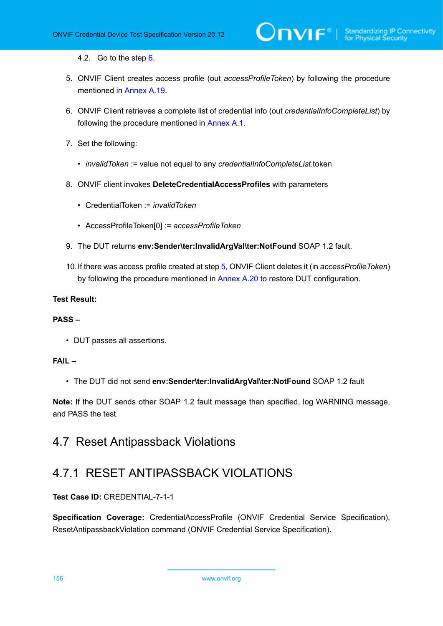4.2. Go to the step [6](#page-155-0).

- <span id="page-155-1"></span>5. ONVIF Client creates access profile (out *accessProfileToken*) by following the procedure mentioned in [Annex A.19.](#page-217-0)
- <span id="page-155-0"></span>6. ONVIF Client retrieves a complete list of credential info (out *credentialInfoCompleteList*) by following the procedure mentioned in [Annex A.1](#page-200-0).
- 7. Set the following:
	- *invalidToken* := value not equal to any *credentialInfoCompleteList*.token
- 8. ONVIF client invokes **DeleteCredentialAccessProfiles** with parameters
	- CredentialToken := *invalidToken*
	- AccessProfileToken[0] := *accessProfileToken*
- 9. The DUT returns **env:Sender\ter:InvalidArgVal\ter:NotFound** SOAP 1.2 fault.
- 10.If there was access profile created at step [5](#page-155-1), ONVIF Client deletes it (in *accessProfileToken*) by following the procedure mentioned in [Annex A.20](#page-218-0) to restore DUT configuration.

## **Test Result:**

## **PASS –**

• DUT passes all assertions.

## **FAIL –**

• The DUT did not send **env:Sender\ter:InvalidArgVal\ter:NotFound** SOAP 1.2 fault

**Note:** If the DUT sends other SOAP 1.2 fault message than specified, log WARNING message, and PASS the test.

## 4.7 Reset Antipassback Violations

## 4.7.1 RESET ANTIPASSBACK VIOLATIONS

**Test Case ID:** CREDENTIAL-7-1-1

**Specification Coverage:** CredentialAccessProfile (ONVIF Credential Service Specification), ResetAntipassbackViolation command (ONVIF Credential Service Specification).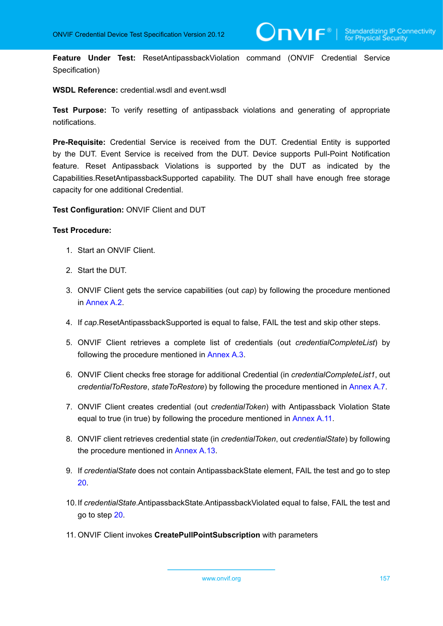**Feature Under Test:** ResetAntipassbackViolation command (ONVIF Credential Service Specification)

**WSDL Reference:** credential.wsdl and event.wsdl

**Test Purpose:** To verify resetting of antipassback violations and generating of appropriate notifications.

**Pre-Requisite:** Credential Service is received from the DUT. Credential Entity is supported by the DUT. Event Service is received from the DUT. Device supports Pull-Point Notification feature. Reset Antipassback Violations is supported by the DUT as indicated by the Capabilities.ResetAntipassbackSupported capability. The DUT shall have enough free storage capacity for one additional Credential.

**Test Configuration:** ONVIF Client and DUT

- 1. Start an ONVIF Client.
- 2. Start the DUT.
- 3. ONVIF Client gets the service capabilities (out *cap*) by following the procedure mentioned in [Annex A.2.](#page-201-0)
- <span id="page-156-0"></span>4. If *cap*.ResetAntipassbackSupported is equal to false, FAIL the test and skip other steps.
- 5. ONVIF Client retrieves a complete list of credentials (out *credentialCompleteList*) by following the procedure mentioned in [Annex A.3](#page-201-1).
- 6. ONVIF Client checks free storage for additional Credential (in *credentialCompleteList1*, out *credentialToRestore*, *stateToRestore*) by following the procedure mentioned in [Annex A.7.](#page-205-0)
- 7. ONVIF Client creates credential (out *credentialToken*) with Antipassback Violation State equal to true (in true) by following the procedure mentioned in [Annex](#page-208-0) A.11.
- 8. ONVIF client retrieves credential state (in *credentialToken*, out *credentialState*) by following the procedure mentioned in [Annex A.13](#page-211-0).
- 9. If *credentialState* does not contain AntipassbackState element, FAIL the test and go to step [20](#page-158-0).
- 10.If *credentialState*.AntipassbackState.AntipassbackViolated equal to false, FAIL the test and go to step [20](#page-158-0).
- 11. ONVIF Client invokes **CreatePullPointSubscription** with parameters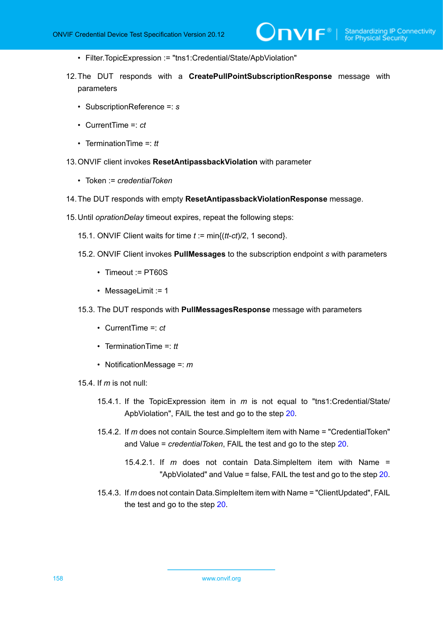- Filter.TopicExpression := "tns1:Credential/State/ApbViolation"
- 12.The DUT responds with a **CreatePullPointSubscriptionResponse** message with parameters
	- SubscriptionReference =: *s*
	- CurrentTime =: *ct*
	- TerminationTime =: *tt*
- 13.ONVIF client invokes **ResetAntipassbackViolation** with parameter
	- Token := *credentialToken*
- 14.The DUT responds with empty **ResetAntipassbackViolationResponse** message.
- <span id="page-157-0"></span>15.Until *oprationDelay* timeout expires, repeat the following steps:
	- 15.1. ONVIF Client waits for time *t* := min{(*tt*-*ct*)/2, 1 second}.
	- 15.2. ONVIF Client invokes **PullMessages** to the subscription endpoint *s* with parameters
		- Timeout := PT60S
		- MessageLimit := 1
	- 15.3. The DUT responds with **PullMessagesResponse** message with parameters
		- CurrentTime =: *ct*
		- TerminationTime =: *tt*
		- NotificationMessage =: *m*
	- 15.4. If *m* is not null:
		- 15.4.1. If the TopicExpression item in *m* is not equal to "tns1:Credential/State/ ApbViolation", FAIL the test and go to the step [20](#page-158-0).
		- 15.4.2. If *m* does not contain Source.SimpleItem item with Name = "CredentialToken" and Value = *credentialToken*, FAIL the test and go to the step [20.](#page-158-0)
			- 15.4.2.1. If *m* does not contain Data.SimpleItem item with Name = "ApbViolated" and Value = false, FAIL the test and go to the step [20.](#page-158-0)
		- 15.4.3. If *m* does not contain Data.SimpleItem item with Name = "ClientUpdated", FAIL the test and go to the step [20](#page-158-0).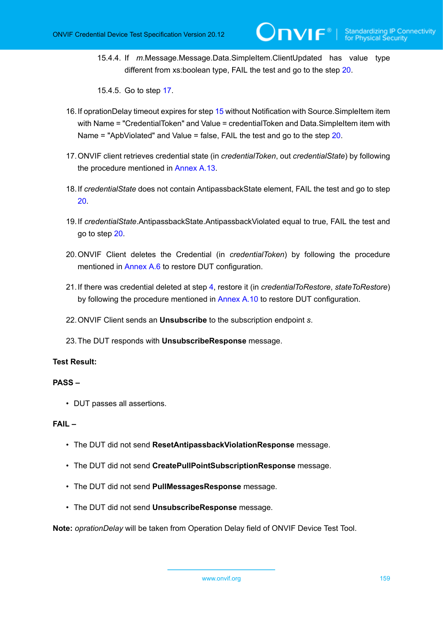15.4.4. If *m*.Message.Message.Data.SimpleItem.ClientUpdated has value type different from xs:boolean type, FAIL the test and go to the step [20.](#page-158-0)

15.4.5. Go to step [17](#page-158-1).

- 16.If oprationDelay timeout expires for step [15](#page-157-0) without Notification with Source.SimpleItem item with Name = "CredentialToken" and Value = credentialToken and Data.SimpleItem item with Name = "ApbViolated" and Value = false, FAIL the test and go to the step [20.](#page-158-0)
- <span id="page-158-1"></span>17.ONVIF client retrieves credential state (in *credentialToken*, out *credentialState*) by following the procedure mentioned in [Annex A.13](#page-211-0).
- 18.If *credentialState* does not contain AntipassbackState element, FAIL the test and go to step [20](#page-158-0).
- 19.If *credentialState*.AntipassbackState.AntipassbackViolated equal to true, FAIL the test and go to step [20](#page-158-0).
- <span id="page-158-0"></span>20.ONVIF Client deletes the Credential (in *credentialToken*) by following the procedure mentioned in [Annex A.6](#page-204-0) to restore DUT configuration.
- 21.If there was credential deleted at step [4](#page-156-0), restore it (in *credentialToRestore*, *stateToRestore*) by following the procedure mentioned in [Annex A.10](#page-207-0) to restore DUT configuration.
- 22.ONVIF Client sends an **Unsubscribe** to the subscription endpoint *s*.
- 23.The DUT responds with **UnsubscribeResponse** message.

## **Test Result:**

## **PASS –**

• DUT passes all assertions.

#### **FAIL –**

- The DUT did not send **ResetAntipassbackViolationResponse** message.
- The DUT did not send **CreatePullPointSubscriptionResponse** message.
- The DUT did not send **PullMessagesResponse** message.
- The DUT did not send **UnsubscribeResponse** message.

**Note:** *oprationDelay* will be taken from Operation Delay field of ONVIF Device Test Tool.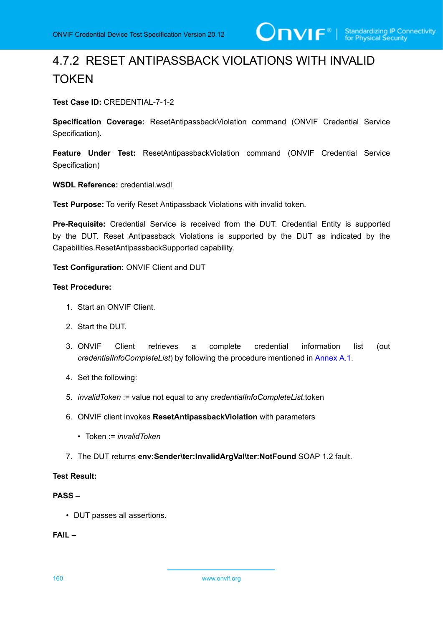# 4.7.2 RESET ANTIPASSBACK VIOLATIONS WITH INVALID TOKEN

**Test Case ID:** CREDENTIAL-7-1-2

**Specification Coverage:** ResetAntipassbackViolation command (ONVIF Credential Service Specification).

**Feature Under Test:** ResetAntipassbackViolation command (ONVIF Credential Service Specification)

**WSDL Reference:** credential.wsdl

**Test Purpose:** To verify Reset Antipassback Violations with invalid token.

**Pre-Requisite:** Credential Service is received from the DUT. Credential Entity is supported by the DUT. Reset Antipassback Violations is supported by the DUT as indicated by the Capabilities.ResetAntipassbackSupported capability.

**Test Configuration:** ONVIF Client and DUT

## **Test Procedure:**

- 1. Start an ONVIF Client.
- 2. Start the DUT.
- 3. ONVIF Client retrieves a complete credential information list (out *credentialInfoCompleteList*) by following the procedure mentioned in [Annex A.1.](#page-200-0)
- 4. Set the following:
- 5. *invalidToken* := value not equal to any *credentialInfoCompleteList*.token
- 6. ONVIF client invokes **ResetAntipassbackViolation** with parameters
	- Token := *invalidToken*
- 7. The DUT returns **env:Sender\ter:InvalidArgVal\ter:NotFound** SOAP 1.2 fault.

## **Test Result:**

#### **PASS –**

• DUT passes all assertions.

**FAIL –**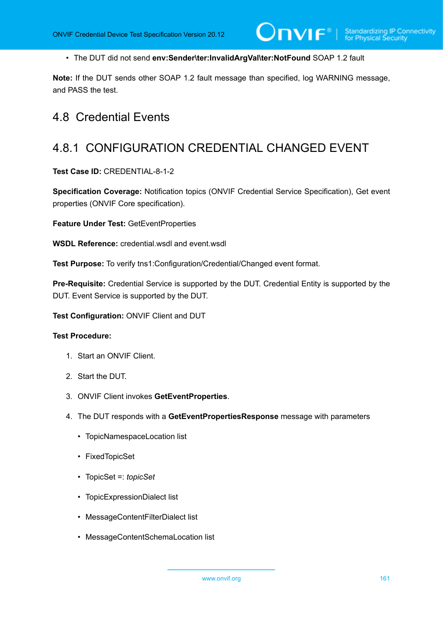• The DUT did not send **env:Sender\ter:InvalidArgVal\ter:NotFound** SOAP 1.2 fault

**Note:** If the DUT sends other SOAP 1.2 fault message than specified, log WARNING message, and PASS the test.

## 4.8 Credential Events

## 4.8.1 CONFIGURATION CREDENTIAL CHANGED EVENT

**Test Case ID:** CREDENTIAL-8-1-2

**Specification Coverage:** Notification topics (ONVIF Credential Service Specification), Get event properties (ONVIF Core specification).

**Feature Under Test:** GetEventProperties

**WSDL Reference:** credential.wsdl and event.wsdl

**Test Purpose:** To verify tns1:Configuration/Credential/Changed event format.

**Pre-Requisite:** Credential Service is supported by the DUT. Credential Entity is supported by the DUT. Event Service is supported by the DUT.

**Test Configuration:** ONVIF Client and DUT

- 1. Start an ONVIF Client.
- 2. Start the DUT.
- 3. ONVIF Client invokes **GetEventProperties**.
- 4. The DUT responds with a **GetEventPropertiesResponse** message with parameters
	- TopicNamespaceLocation list
	- FixedTopicSet
	- TopicSet =: *topicSet*
	- TopicExpressionDialect list
	- MessageContentFilterDialect list
	- MessageContentSchemaLocation list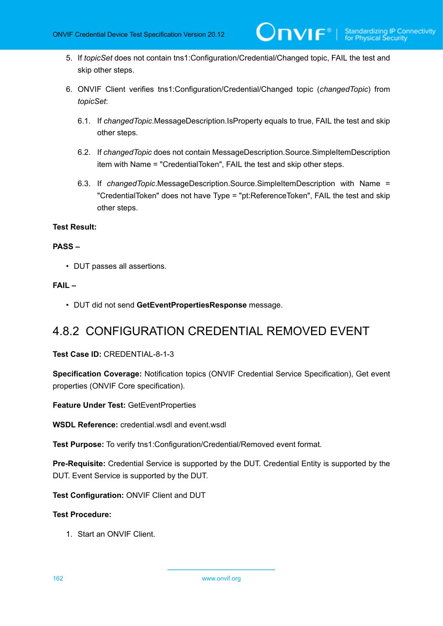- 5. If *topicSet* does not contain tns1:Configuration/Credential/Changed topic, FAIL the test and skip other steps.
- 6. ONVIF Client verifies tns1:Configuration/Credential/Changed topic (*changedTopic*) from *topicSet*:
	- 6.1. If *changedTopic*.MessageDescription.IsProperty equals to true, FAIL the test and skip other steps.
	- 6.2. If *changedTopic* does not contain MessageDescription.Source.SimpleItemDescription item with Name = "CredentialToken", FAIL the test and skip other steps.
	- 6.3. If *changedTopic*.MessageDescription.Source.SimpleItemDescription with Name = "CredentialToken" does not have Type = "pt:ReferenceToken", FAIL the test and skip other steps.

## **PASS –**

• DUT passes all assertions.

## **FAIL –**

• DUT did not send **GetEventPropertiesResponse** message.

## 4.8.2 CONFIGURATION CREDENTIAL REMOVED EVENT

**Test Case ID:** CREDENTIAL-8-1-3

**Specification Coverage:** Notification topics (ONVIF Credential Service Specification), Get event properties (ONVIF Core specification).

**Feature Under Test:** GetEventProperties

**WSDL Reference:** credential.wsdl and event.wsdl

**Test Purpose:** To verify tns1:Configuration/Credential/Removed event format.

**Pre-Requisite:** Credential Service is supported by the DUT. Credential Entity is supported by the DUT. Event Service is supported by the DUT.

**Test Configuration:** ONVIF Client and DUT

## **Test Procedure:**

1. Start an ONVIF Client.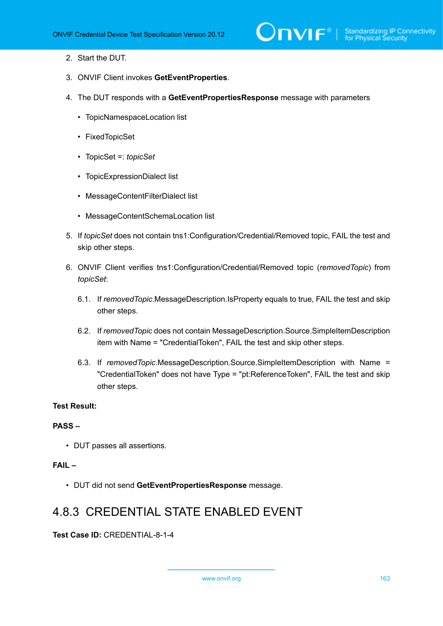- 2. Start the DUT.
- 3. ONVIF Client invokes **GetEventProperties**.
- 4. The DUT responds with a **GetEventPropertiesResponse** message with parameters
	- TopicNamespaceLocation list
	- FixedTopicSet
	- TopicSet =: *topicSet*
	- TopicExpressionDialect list
	- MessageContentFilterDialect list
	- MessageContentSchemaLocation list
- 5. If *topicSet* does not contain tns1:Configuration/Credential/Removed topic, FAIL the test and skip other steps.
- 6. ONVIF Client verifies tns1:Configuration/Credential/Removed topic (*removedTopic*) from *topicSet*:
	- 6.1. If *removedTopic*.MessageDescription.IsProperty equals to true, FAIL the test and skip other steps.
	- 6.2. If *removedTopic* does not contain MessageDescription.Source.SimpleItemDescription item with Name = "CredentialToken", FAIL the test and skip other steps.
	- 6.3. If *removedTopic*.MessageDescription.Source.SimpleItemDescription with Name = "CredentialToken" does not have Type = "pt:ReferenceToken", FAIL the test and skip other steps.

#### **PASS –**

• DUT passes all assertions.

#### **FAIL –**

• DUT did not send **GetEventPropertiesResponse** message.

## 4.8.3 CREDENTIAL STATE ENABLED EVENT

**Test Case ID:** CREDENTIAL-8-1-4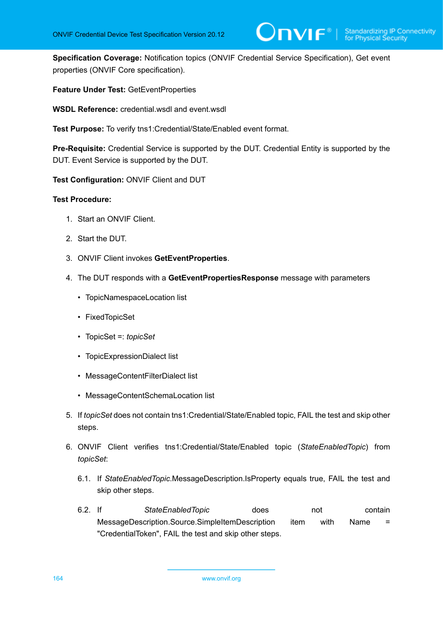**Specification Coverage:** Notification topics (ONVIF Credential Service Specification), Get event properties (ONVIF Core specification).

Jnvif®l

**Feature Under Test:** GetEventProperties

**WSDL Reference:** credential.wsdl and event.wsdl

**Test Purpose:** To verify tns1:Credential/State/Enabled event format.

**Pre-Requisite:** Credential Service is supported by the DUT. Credential Entity is supported by the DUT. Event Service is supported by the DUT.

**Test Configuration:** ONVIF Client and DUT

- 1. Start an ONVIF Client.
- 2. Start the DUT.
- 3. ONVIF Client invokes **GetEventProperties**.
- 4. The DUT responds with a **GetEventPropertiesResponse** message with parameters
	- TopicNamespaceLocation list
	- FixedTopicSet
	- TopicSet =: *topicSet*
	- TopicExpressionDialect list
	- MessageContentFilterDialect list
	- MessageContentSchemaLocation list
- 5. If *topicSet* does not contain tns1:Credential/State/Enabled topic, FAIL the test and skip other steps.
- 6. ONVIF Client verifies tns1:Credential/State/Enabled topic (*StateEnabledTopic*) from *topicSet*:
	- 6.1. If *StateEnabledTopic*.MessageDescription.IsProperty equals true, FAIL the test and skip other steps.
	- 6.2. If *StateEnabledTopic* does not contain MessageDescription.Source.SimpleItemDescription item with Name = "CredentialToken", FAIL the test and skip other steps.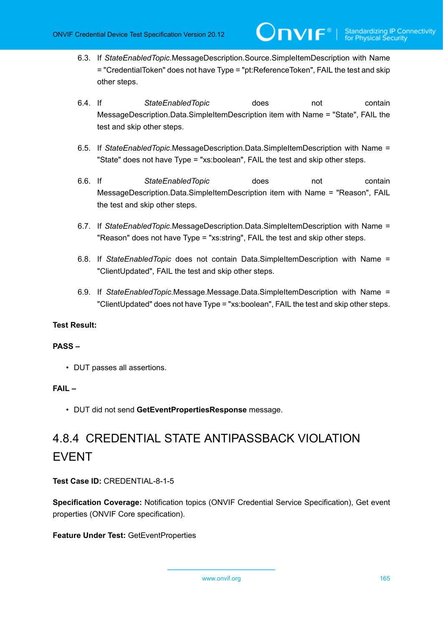6.3. If *StateEnabledTopic*.MessageDescription.Source.SimpleItemDescription with Name = "CredentialToken" does not have Type = "pt:ReferenceToken", FAIL the test and skip other steps.

 $\bm{\mathsf{J}}$ NIF $^*$ l

- 6.4. If *StateEnabledTopic* does not contain MessageDescription.Data.SimpleItemDescription item with Name = "State", FAIL the test and skip other steps.
- 6.5. If *StateEnabledTopic*.MessageDescription.Data.SimpleItemDescription with Name = "State" does not have Type = "xs:boolean", FAIL the test and skip other steps.
- 6.6. If *StateEnabledTopic* does not contain MessageDescription.Data.SimpleItemDescription item with Name = "Reason", FAIL the test and skip other steps.
- 6.7. If *StateEnabledTopic*.MessageDescription.Data.SimpleItemDescription with Name = "Reason" does not have Type = "xs:string", FAIL the test and skip other steps.
- 6.8. If *StateEnabledTopic* does not contain Data.SimpleItemDescription with Name = "ClientUpdated", FAIL the test and skip other steps.
- 6.9. If *StateEnabledTopic*.Message.Message.Data.SimpleItemDescription with Name = "ClientUpdated" does not have Type = "xs:boolean", FAIL the test and skip other steps.

## **Test Result:**

## **PASS –**

• DUT passes all assertions.

## **FAIL –**

• DUT did not send **GetEventPropertiesResponse** message.

# 4.8.4 CREDENTIAL STATE ANTIPASSBACK VIOLATION EVENT

**Test Case ID:** CREDENTIAL-8-1-5

**Specification Coverage:** Notification topics (ONVIF Credential Service Specification), Get event properties (ONVIF Core specification).

## **Feature Under Test:** GetEventProperties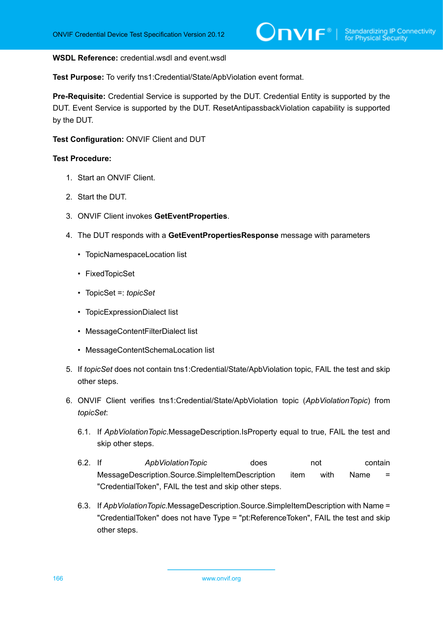#### **WSDL Reference:** credential.wsdl and event.wsdl

**Test Purpose:** To verify tns1:Credential/State/ApbViolation event format.

**Pre-Requisite:** Credential Service is supported by the DUT. Credential Entity is supported by the DUT. Event Service is supported by the DUT. ResetAntipassbackViolation capability is supported by the DUT.

#### **Test Configuration:** ONVIF Client and DUT

- 1. Start an ONVIF Client.
- 2. Start the DUT.
- 3. ONVIF Client invokes **GetEventProperties**.
- 4. The DUT responds with a **GetEventPropertiesResponse** message with parameters
	- TopicNamespaceLocation list
	- FixedTopicSet
	- TopicSet =: *topicSet*
	- TopicExpressionDialect list
	- MessageContentFilterDialect list
	- MessageContentSchemaLocation list
- 5. If *topicSet* does not contain tns1:Credential/State/ApbViolation topic, FAIL the test and skip other steps.
- 6. ONVIF Client verifies tns1:Credential/State/ApbViolation topic (*ApbViolationTopic*) from *topicSet*:
	- 6.1. If *ApbViolationTopic*.MessageDescription.IsProperty equal to true, FAIL the test and skip other steps.
	- 6.2. If *ApbViolationTopic* does not contain MessageDescription.Source.SimpleItemDescription item with Name = "CredentialToken", FAIL the test and skip other steps.
	- 6.3. If *ApbViolationTopic*.MessageDescription.Source.SimpleItemDescription with Name = "CredentialToken" does not have Type = "pt:ReferenceToken", FAIL the test and skip other steps.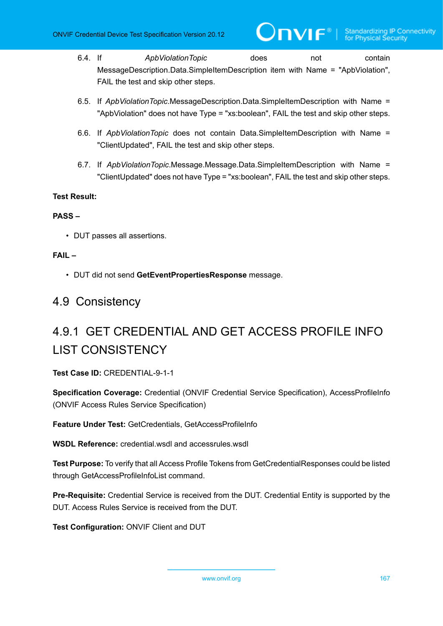- 6.4. If *ApbViolationTopic* does not contain MessageDescription.Data.SimpleItemDescription item with Name = "ApbViolation", FAIL the test and skip other steps.
- 6.5. If *ApbViolationTopic*.MessageDescription.Data.SimpleItemDescription with Name = "ApbViolation" does not have Type = "xs:boolean", FAIL the test and skip other steps.
- 6.6. If *ApbViolationTopic* does not contain Data.SimpleItemDescription with Name = "ClientUpdated", FAIL the test and skip other steps.
- 6.7. If *ApbViolationTopic*.Message.Message.Data.SimpleItemDescription with Name = "ClientUpdated" does not have Type = "xs:boolean", FAIL the test and skip other steps.

## **PASS –**

• DUT passes all assertions.

## **FAIL –**

• DUT did not send **GetEventPropertiesResponse** message.

## 4.9 Consistency

# 4.9.1 GET CREDENTIAL AND GET ACCESS PROFILE INFO LIST CONSISTENCY

**Test Case ID:** CREDENTIAL-9-1-1

**Specification Coverage:** Credential (ONVIF Credential Service Specification), AccessProfileInfo (ONVIF Access Rules Service Specification)

**Feature Under Test:** GetCredentials, GetAccessProfileInfo

**WSDL Reference:** credential.wsdl and accessrules.wsdl

**Test Purpose:** To verify that all Access Profile Tokens from GetCredentialResponses could be listed through GetAccessProfileInfoList command.

**Pre-Requisite:** Credential Service is received from the DUT. Credential Entity is supported by the DUT. Access Rules Service is received from the DUT.

**Test Configuration:** ONVIF Client and DUT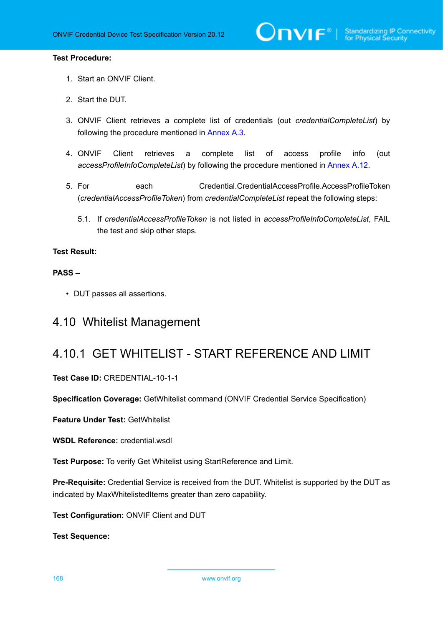#### **Test Procedure:**

- 1. Start an ONVIF Client.
- 2. Start the DUT.
- 3. ONVIF Client retrieves a complete list of credentials (out *credentialCompleteList*) by following the procedure mentioned in [Annex A.3](#page-201-1).
- 4. ONVIF Client retrieves a complete list of access profile info (out *accessProfileInfoCompleteList*) by following the procedure mentioned in [Annex A.12.](#page-210-0)
- 5. For each Credential.CredentialAccessProfile.AccessProfileToken (*credentialAccessProfileToken*) from *credentialCompleteList* repeat the following steps:
	- 5.1. If *credentialAccessProfileToken* is not listed in *accessProfileInfoCompleteList*, FAIL the test and skip other steps.

## **Test Result:**

## **PASS –**

• DUT passes all assertions.

## 4.10 Whitelist Management

## 4.10.1 GET WHITELIST - START REFERENCE AND LIMIT

#### **Test Case ID:** CREDENTIAL-10-1-1

**Specification Coverage:** GetWhitelist command (ONVIF Credential Service Specification)

**Feature Under Test:** GetWhitelist

**WSDL Reference:** credential.wsdl

**Test Purpose:** To verify Get Whitelist using StartReference and Limit.

**Pre-Requisite:** Credential Service is received from the DUT. Whitelist is supported by the DUT as indicated by MaxWhitelistedItems greater than zero capability.

**Test Configuration:** ONVIF Client and DUT

**Test Sequence:**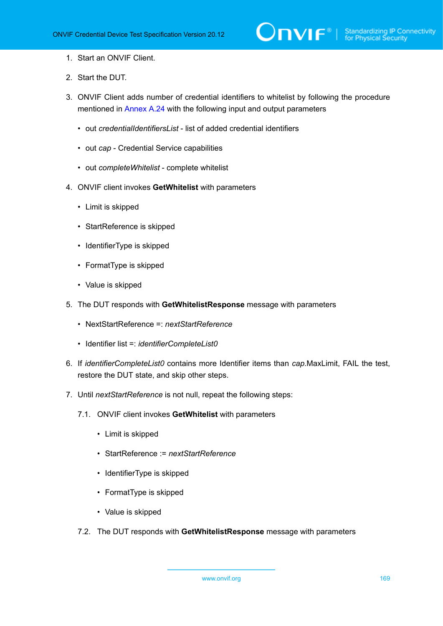- 1. Start an ONVIF Client.
- 2. Start the DUT.
- 3. ONVIF Client adds number of credential identifiers to whitelist by following the procedure mentioned in [Annex A.24](#page-221-0) with the following input and output parameters
	- out *credentialIdentifiersList* list of added credential identifiers
	- out *cap* Credential Service capabilities
	- out *completeWhitelist* complete whitelist
- 4. ONVIF client invokes **GetWhitelist** with parameters
	- Limit is skipped
	- StartReference is skipped
	- IdentifierType is skipped
	- FormatType is skipped
	- Value is skipped
- 5. The DUT responds with **GetWhitelistResponse** message with parameters
	- NextStartReference =: *nextStartReference*
	- Identifier list =: *identifierCompleteList0*
- 6. If *identifierCompleteList0* contains more Identifier items than *cap*.MaxLimit, FAIL the test, restore the DUT state, and skip other steps.
- 7. Until *nextStartReference* is not null, repeat the following steps:
	- 7.1. ONVIF client invokes **GetWhitelist** with parameters
		- Limit is skipped
		- StartReference := *nextStartReference*
		- IdentifierType is skipped
		- FormatType is skipped
		- Value is skipped
	- 7.2. The DUT responds with **GetWhitelistResponse** message with parameters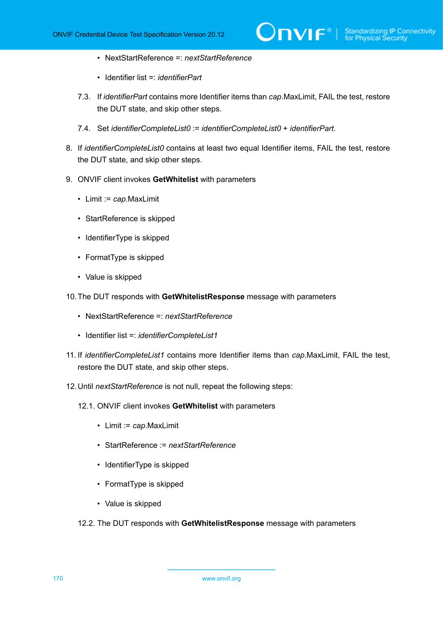- NextStartReference =: *nextStartReference*
- Identifier list =: *identifierPart*
- 7.3. If *identifierPart* contains more Identifier items than *cap*.MaxLimit, FAIL the test, restore the DUT state, and skip other steps.
- 7.4. Set *identifierCompleteList0* := *identifierCompleteList0* + *identifierPart*.
- 8. If *identifierCompleteList0* contains at least two equal Identifier items, FAIL the test, restore the DUT state, and skip other steps.
- 9. ONVIF client invokes **GetWhitelist** with parameters
	- Limit := *cap*.MaxLimit
	- StartReference is skipped
	- IdentifierType is skipped
	- FormatType is skipped
	- Value is skipped
- 10.The DUT responds with **GetWhitelistResponse** message with parameters
	- NextStartReference =: *nextStartReference*
	- Identifier list =: *identifierCompleteList1*
- 11. If *identifierCompleteList1* contains more Identifier items than *cap*.MaxLimit, FAIL the test, restore the DUT state, and skip other steps.
- 12.Until *nextStartReference* is not null, repeat the following steps:
	- 12.1. ONVIF client invokes **GetWhitelist** with parameters
		- Limit := *cap*.MaxLimit
		- StartReference := *nextStartReference*
		- IdentifierType is skipped
		- FormatType is skipped
		- Value is skipped
	- 12.2. The DUT responds with **GetWhitelistResponse** message with parameters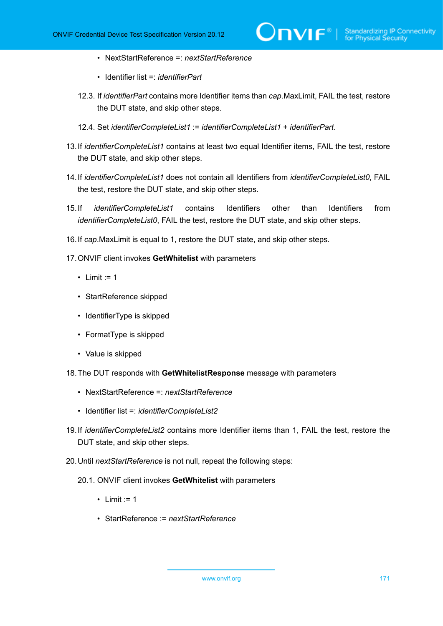- NextStartReference =: *nextStartReference*
- Identifier list =: *identifierPart*
- 12.3. If *identifierPart* contains more Identifier items than *cap*.MaxLimit, FAIL the test, restore the DUT state, and skip other steps.
- 12.4. Set *identifierCompleteList1* := *identifierCompleteList1* + *identifierPart*.
- 13.If *identifierCompleteList1* contains at least two equal Identifier items, FAIL the test, restore the DUT state, and skip other steps.
- 14.If *identifierCompleteList1* does not contain all Identifiers from *identifierCompleteList0*, FAIL the test, restore the DUT state, and skip other steps.
- 15.If *identifierCompleteList1* contains Identifiers other than Identifiers from *identifierCompleteList0*, FAIL the test, restore the DUT state, and skip other steps.
- 16.If *cap*.MaxLimit is equal to 1, restore the DUT state, and skip other steps.
- 17.ONVIF client invokes **GetWhitelist** with parameters
	- Limit  $:= 1$
	- StartReference skipped
	- IdentifierType is skipped
	- FormatType is skipped
	- Value is skipped
- 18.The DUT responds with **GetWhitelistResponse** message with parameters
	- NextStartReference =: *nextStartReference*
	- Identifier list =: *identifierCompleteList2*
- 19.If *identifierCompleteList2* contains more Identifier items than 1, FAIL the test, restore the DUT state, and skip other steps.
- 20.Until *nextStartReference* is not null, repeat the following steps:
	- 20.1. ONVIF client invokes **GetWhitelist** with parameters
		- $\cdot$  Limit := 1
		- StartReference := *nextStartReference*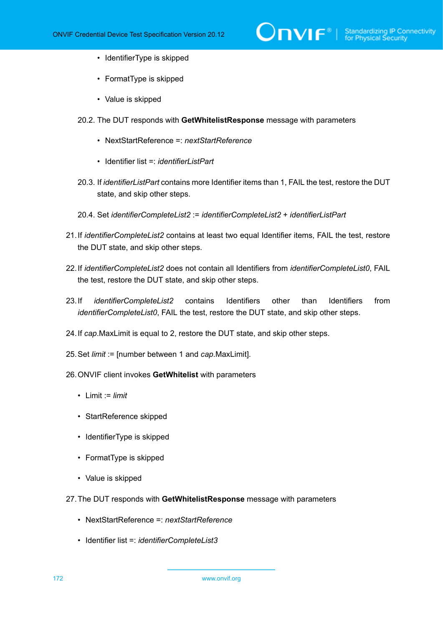- IdentifierType is skipped
- FormatType is skipped
- Value is skipped
- 20.2. The DUT responds with **GetWhitelistResponse** message with parameters
	- NextStartReference =: *nextStartReference*
	- Identifier list =: *identifierListPart*
- 20.3. If *identifierListPart* contains more Identifier items than 1, FAIL the test, restore the DUT state, and skip other steps.
- 20.4. Set *identifierCompleteList2* := *identifierCompleteList2* + *identifierListPart*
- 21.If *identifierCompleteList2* contains at least two equal Identifier items, FAIL the test, restore the DUT state, and skip other steps.
- 22.If *identifierCompleteList2* does not contain all Identifiers from *identifierCompleteList0*, FAIL the test, restore the DUT state, and skip other steps.
- 23.If *identifierCompleteList2* contains Identifiers other than Identifiers from *identifierCompleteList0*, FAIL the test, restore the DUT state, and skip other steps.
- 24.If *cap*.MaxLimit is equal to 2, restore the DUT state, and skip other steps.
- 25.Set *limit* := [number between 1 and *cap*.MaxLimit].
- 26.ONVIF client invokes **GetWhitelist** with parameters
	- Limit := *limit*
	- StartReference skipped
	- IdentifierType is skipped
	- FormatType is skipped
	- Value is skipped
- 27.The DUT responds with **GetWhitelistResponse** message with parameters
	- NextStartReference =: *nextStartReference*
	- Identifier list =: *identifierCompleteList3*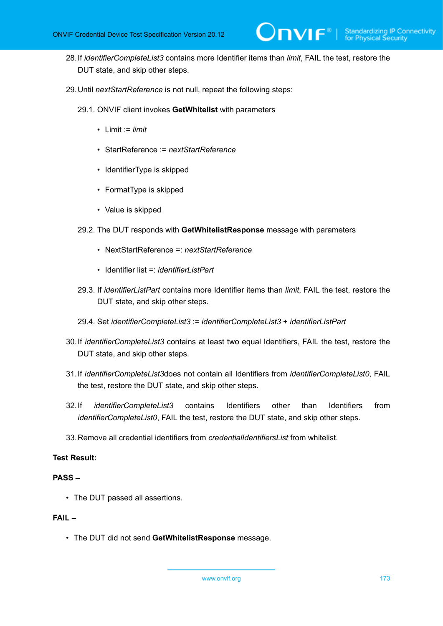- 28.If *identifierCompleteList3* contains more Identifier items than *limit*, FAIL the test, restore the DUT state, and skip other steps.
- 29.Until *nextStartReference* is not null, repeat the following steps:
	- 29.1. ONVIF client invokes **GetWhitelist** with parameters
		- Limit := *limit*
		- StartReference := *nextStartReference*
		- IdentifierType is skipped
		- FormatType is skipped
		- Value is skipped
	- 29.2. The DUT responds with **GetWhitelistResponse** message with parameters
		- NextStartReference =: *nextStartReference*
		- Identifier list =: *identifierListPart*
	- 29.3. If *identifierListPart* contains more Identifier items than *limit*, FAIL the test, restore the DUT state, and skip other steps.
	- 29.4. Set *identifierCompleteList3* := *identifierCompleteList3* + *identifierListPart*
- 30.If *identifierCompleteList3* contains at least two equal Identifiers, FAIL the test, restore the DUT state, and skip other steps.
- 31.If *identifierCompleteList3*does not contain all Identifiers from *identifierCompleteList0*, FAIL the test, restore the DUT state, and skip other steps.
- 32.If *identifierCompleteList3* contains Identifiers other than Identifiers from *identifierCompleteList0*, FAIL the test, restore the DUT state, and skip other steps.
- 33.Remove all credential identifiers from *credentialIdentifiersList* from whitelist.

### **PASS –**

• The DUT passed all assertions.

## **FAIL –**

• The DUT did not send **GetWhitelistResponse** message.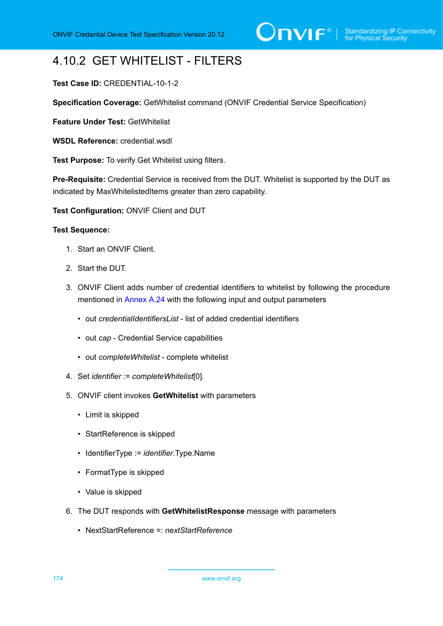# 4.10.2 GET WHITELIST - FILTERS

## **Test Case ID:** CREDENTIAL-10-1-2

**Specification Coverage:** GetWhitelist command (ONVIF Credential Service Specification)

**Feature Under Test:** GetWhitelist

**WSDL Reference:** credential.wsdl

**Test Purpose:** To verify Get Whitelist using filters.

**Pre-Requisite:** Credential Service is received from the DUT. Whitelist is supported by the DUT as indicated by MaxWhitelistedItems greater than zero capability.

**Test Configuration:** ONVIF Client and DUT

#### **Test Sequence:**

- 1. Start an ONVIF Client.
- 2. Start the DUT.
- 3. ONVIF Client adds number of credential identifiers to whitelist by following the procedure mentioned in [Annex A.24](#page-221-0) with the following input and output parameters
	- out *credentialIdentifiersList* list of added credential identifiers
	- out *cap* Credential Service capabilities
	- out *completeWhitelist* complete whitelist
- 4. Set *identifier* := *completeWhitelist*[0].
- 5. ONVIF client invokes **GetWhitelist** with parameters
	- Limit is skipped
	- StartReference is skipped
	- IdentifierType := *identifier*.Type.Name
	- FormatType is skipped
	- Value is skipped
- 6. The DUT responds with **GetWhitelistResponse** message with parameters
	- NextStartReference =: *nextStartReference*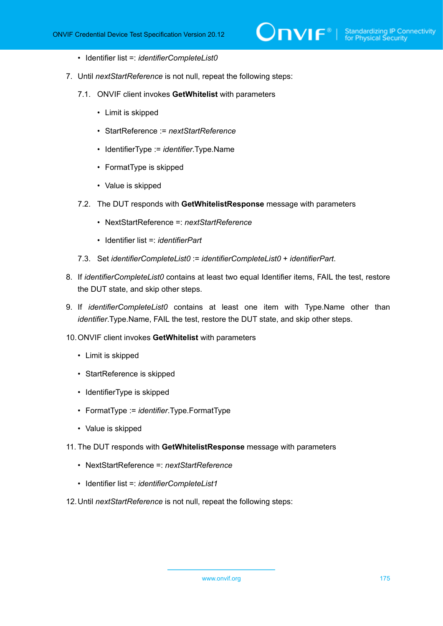- Identifier list =: *identifierCompleteList0*
- 7. Until *nextStartReference* is not null, repeat the following steps:
	- 7.1. ONVIF client invokes **GetWhitelist** with parameters
		- Limit is skipped
		- StartReference := *nextStartReference*
		- IdentifierType := *identifier*.Type.Name
		- FormatType is skipped
		- Value is skipped
	- 7.2. The DUT responds with **GetWhitelistResponse** message with parameters
		- NextStartReference =: *nextStartReference*
		- Identifier list =: *identifierPart*
	- 7.3. Set *identifierCompleteList0* := *identifierCompleteList0* + *identifierPart*.
- 8. If *identifierCompleteList0* contains at least two equal Identifier items, FAIL the test, restore the DUT state, and skip other steps.
- 9. If *identifierCompleteList0* contains at least one item with Type.Name other than *identifier*.Type.Name, FAIL the test, restore the DUT state, and skip other steps.
- 10.ONVIF client invokes **GetWhitelist** with parameters
	- Limit is skipped
	- StartReference is skipped
	- IdentifierType is skipped
	- FormatType := *identifier*.Type.FormatType
	- Value is skipped
- 11. The DUT responds with **GetWhitelistResponse** message with parameters
	- NextStartReference =: *nextStartReference*
	- Identifier list =: *identifierCompleteList1*
- 12.Until *nextStartReference* is not null, repeat the following steps: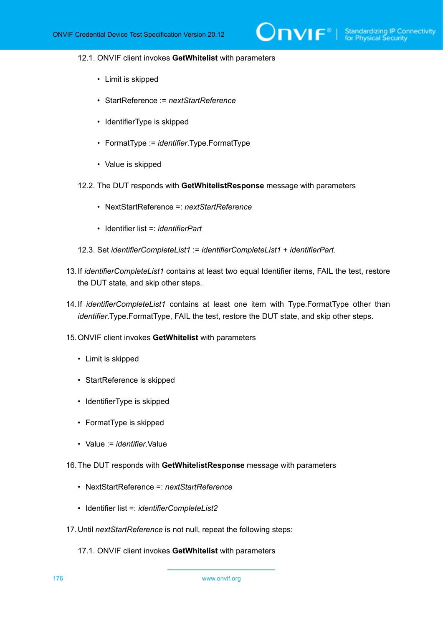#### 12.1. ONVIF client invokes **GetWhitelist** with parameters

- Limit is skipped
- StartReference := *nextStartReference*
- IdentifierType is skipped
- FormatType := *identifier*.Type.FormatType
- Value is skipped
- 12.2. The DUT responds with **GetWhitelistResponse** message with parameters
	- NextStartReference =: *nextStartReference*
	- Identifier list =: *identifierPart*
- 12.3. Set *identifierCompleteList1* := *identifierCompleteList1* + *identifierPart*.
- 13.If *identifierCompleteList1* contains at least two equal Identifier items, FAIL the test, restore the DUT state, and skip other steps.
- 14.If *identifierCompleteList1* contains at least one item with Type.FormatType other than *identifier*.Type.FormatType, FAIL the test, restore the DUT state, and skip other steps.
- 15.ONVIF client invokes **GetWhitelist** with parameters
	- Limit is skipped
	- StartReference is skipped
	- IdentifierType is skipped
	- FormatType is skipped
	- Value := *identifier*.Value
- 16.The DUT responds with **GetWhitelistResponse** message with parameters
	- NextStartReference =: *nextStartReference*
	- Identifier list =: *identifierCompleteList2*
- 17.Until *nextStartReference* is not null, repeat the following steps:
	- 17.1. ONVIF client invokes **GetWhitelist** with parameters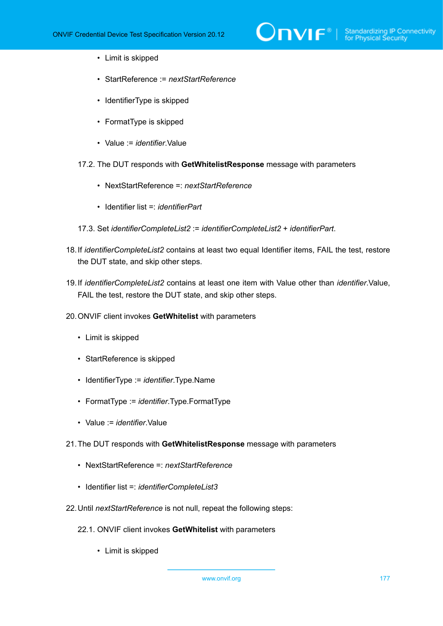- Limit is skipped
- StartReference := *nextStartReference*
- IdentifierType is skipped
- FormatType is skipped
- Value := *identifier*.Value
- 17.2. The DUT responds with **GetWhitelistResponse** message with parameters
	- NextStartReference =: *nextStartReference*
	- Identifier list =: *identifierPart*
- 17.3. Set *identifierCompleteList2* := *identifierCompleteList2* + *identifierPart*.
- 18.If *identifierCompleteList2* contains at least two equal Identifier items, FAIL the test, restore the DUT state, and skip other steps.
- 19.If *identifierCompleteList2* contains at least one item with Value other than *identifier*.Value, FAIL the test, restore the DUT state, and skip other steps.
- 20.ONVIF client invokes **GetWhitelist** with parameters
	- Limit is skipped
	- StartReference is skipped
	- IdentifierType := *identifier*.Type.Name
	- FormatType := *identifier*.Type.FormatType
	- Value := *identifier*.Value
- 21.The DUT responds with **GetWhitelistResponse** message with parameters
	- NextStartReference =: *nextStartReference*
	- Identifier list =: *identifierCompleteList3*
- 22.Until *nextStartReference* is not null, repeat the following steps:
	- 22.1. ONVIF client invokes **GetWhitelist** with parameters
		- Limit is skipped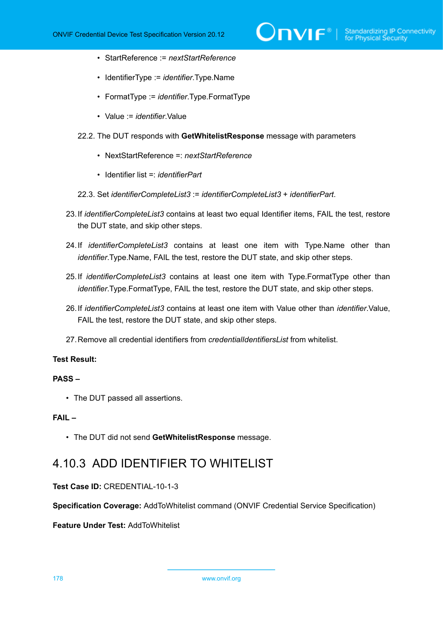- StartReference := *nextStartReference*
- IdentifierType := *identifier*.Type.Name
- FormatType := *identifier*.Type.FormatType
- Value := *identifier*.Value
- 22.2. The DUT responds with **GetWhitelistResponse** message with parameters
	- NextStartReference =: *nextStartReference*
	- Identifier list =: *identifierPart*
- 22.3. Set *identifierCompleteList3* := *identifierCompleteList3* + *identifierPart*.
- 23.If *identifierCompleteList3* contains at least two equal Identifier items, FAIL the test, restore the DUT state, and skip other steps.
- 24.If *identifierCompleteList3* contains at least one item with Type.Name other than *identifier*.Type.Name, FAIL the test, restore the DUT state, and skip other steps.
- 25.If *identifierCompleteList3* contains at least one item with Type.FormatType other than *identifier*.Type.FormatType, FAIL the test, restore the DUT state, and skip other steps.
- 26.If *identifierCompleteList3* contains at least one item with Value other than *identifier*.Value, FAIL the test, restore the DUT state, and skip other steps.
- 27.Remove all credential identifiers from *credentialIdentifiersList* from whitelist.

## **PASS –**

• The DUT passed all assertions.

#### **FAIL –**

• The DUT did not send **GetWhitelistResponse** message.

## 4.10.3 ADD IDENTIFIER TO WHITELIST

## **Test Case ID:** CREDENTIAL-10-1-3

**Specification Coverage:** AddToWhitelist command (ONVIF Credential Service Specification)

## **Feature Under Test:** AddToWhitelist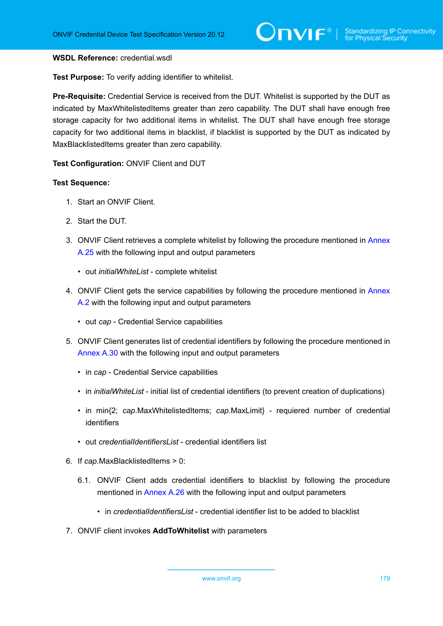#### **WSDL Reference:** credential.wsdl

**Test Purpose:** To verify adding identifier to whitelist.

**Pre-Requisite:** Credential Service is received from the DUT. Whitelist is supported by the DUT as indicated by MaxWhitelistedItems greater than zero capability. The DUT shall have enough free storage capacity for two additional items in whitelist. The DUT shall have enough free storage capacity for two additional items in blacklist, if blacklist is supported by the DUT as indicated by MaxBlacklistedItems greater than zero capability.

**Test Configuration:** ONVIF Client and DUT

#### **Test Sequence:**

- 1. Start an ONVIF Client.
- 2. Start the DUT.
- 3. ONVIF Client retrieves a complete whitelist by following the procedure mentioned in [Annex](#page-223-0) [A.25](#page-223-0) with the following input and output parameters
	- out *initialWhiteList* complete whitelist
- 4. ONVIF Client gets the service capabilities by following the procedure mentioned in [Annex](#page-201-0) [A.2](#page-201-0) with the following input and output parameters
	- out *cap* Credential Service capabilities
- 5. ONVIF Client generates list of credential identifiers by following the procedure mentioned in [Annex A.30](#page-228-0) with the following input and output parameters
	- in *cap* Credential Service capabilities
	- in *initialWhiteList* initial list of credential identifiers (to prevent creation of duplications)
	- in min{2; *cap*.MaxWhitelistedItems; *cap*.MaxLimit} requiered number of credential identifiers
	- out *credentialIdentifiersList* credential identifiers list
- 6. If *cap*.MaxBlacklistedItems > 0:
	- 6.1. ONVIF Client adds credential identifiers to blacklist by following the procedure mentioned in [Annex A.26](#page-224-0) with the following input and output parameters
		- in *credentialIdentifiersList* credential identifier list to be added to blacklist
- 7. ONVIF client invokes **AddToWhitelist** with parameters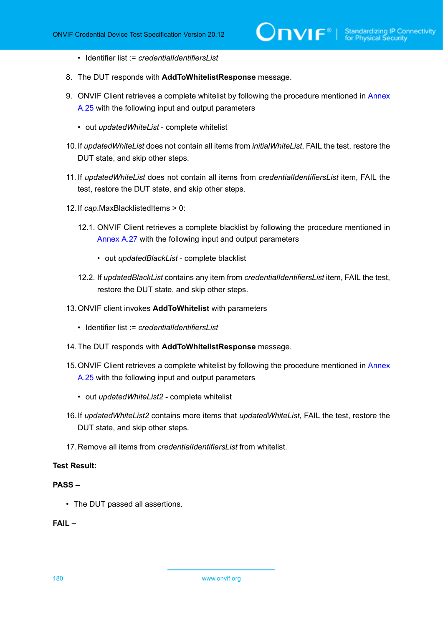- Identifier list := *credentialIdentifiersList*
- 8. The DUT responds with **AddToWhitelistResponse** message.
- 9. ONVIF Client retrieves a complete whitelist by following the procedure mentioned in [Annex](#page-223-0) [A.25](#page-223-0) with the following input and output parameters
	- out *updatedWhiteList* complete whitelist
- 10.If *updatedWhiteList* does not contain all items from *initialWhiteList*, FAIL the test, restore the DUT state, and skip other steps.
- 11. If *updatedWhiteList* does not contain all items from *credentialIdentifiersList* item, FAIL the test, restore the DUT state, and skip other steps.
- 12.If *cap*.MaxBlacklistedItems > 0:
	- 12.1. ONVIF Client retrieves a complete blacklist by following the procedure mentioned in [Annex A.27](#page-225-0) with the following input and output parameters
		- out *updatedBlackList* complete blacklist
	- 12.2. If *updatedBlackList* contains any item from *credentialIdentifiersList* item, FAIL the test, restore the DUT state, and skip other steps.
- 13.ONVIF client invokes **AddToWhitelist** with parameters
	- Identifier list := *credentialIdentifiersList*
- 14.The DUT responds with **AddToWhitelistResponse** message.
- 15.ONVIF Client retrieves a complete whitelist by following the procedure mentioned in [Annex](#page-223-0) [A.25](#page-223-0) with the following input and output parameters
	- out *updatedWhiteList2* complete whitelist
- 16.If *updatedWhiteList2* contains more items that *updatedWhiteList*, FAIL the test, restore the DUT state, and skip other steps.
- 17.Remove all items from *credentialIdentifiersList* from whitelist.

## **PASS –**

• The DUT passed all assertions.

## **FAIL –**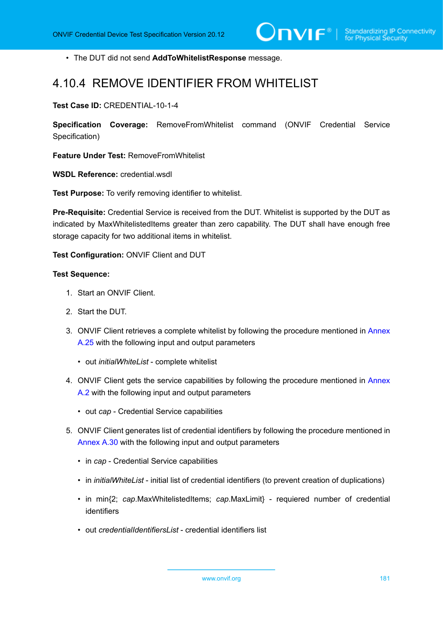• The DUT did not send **AddToWhitelistResponse** message.

## 4.10.4 REMOVE IDENTIFIER FROM WHITELIST

**Test Case ID:** CREDENTIAL-10-1-4

**Specification Coverage:** RemoveFromWhitelist command (ONVIF Credential Service Specification)

**Feature Under Test:** RemoveFromWhitelist

**WSDL Reference:** credential.wsdl

**Test Purpose:** To verify removing identifier to whitelist.

**Pre-Requisite:** Credential Service is received from the DUT. Whitelist is supported by the DUT as indicated by MaxWhitelistedItems greater than zero capability. The DUT shall have enough free storage capacity for two additional items in whitelist.

**Test Configuration:** ONVIF Client and DUT

#### **Test Sequence:**

- 1. Start an ONVIF Client.
- 2. Start the DUT.
- 3. ONVIF Client retrieves a complete whitelist by following the procedure mentioned in [Annex](#page-223-0) [A.25](#page-223-0) with the following input and output parameters
	- out *initialWhiteList* complete whitelist
- 4. ONVIF Client gets the service capabilities by following the procedure mentioned in [Annex](#page-201-0) [A.2](#page-201-0) with the following input and output parameters
	- out *cap* Credential Service capabilities
- 5. ONVIF Client generates list of credential identifiers by following the procedure mentioned in [Annex A.30](#page-228-0) with the following input and output parameters
	- in *cap* Credential Service capabilities
	- in *initialWhiteList* initial list of credential identifiers (to prevent creation of duplications)
	- in min{2; *cap*.MaxWhitelistedItems; *cap*.MaxLimit} requiered number of credential identifiers
	- out *credentialIdentifiersList* credential identifiers list

www.onvif.org 181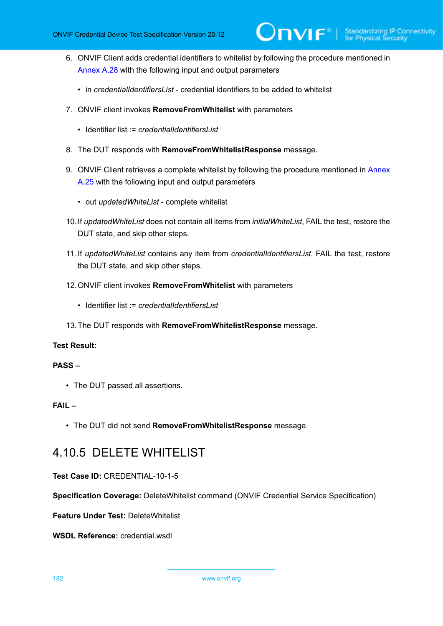- 6. ONVIF Client adds credential identifiers to whitelist by following the procedure mentioned in [Annex A.28](#page-226-0) with the following input and output parameters
	- in *credentialIdentifiersList* credential identifiers to be added to whitelist
- 7. ONVIF client invokes **RemoveFromWhitelist** with parameters
	- Identifier list := *credentialIdentifiersI ist*
- 8. The DUT responds with **RemoveFromWhitelistResponse** message.
- 9. ONVIF Client retrieves a complete whitelist by following the procedure mentioned in [Annex](#page-223-0) [A.25](#page-223-0) with the following input and output parameters
	- out *updatedWhiteList* complete whitelist
- 10.If *updatedWhiteList* does not contain all items from *initialWhiteList*, FAIL the test, restore the DUT state, and skip other steps.
- 11. If *updatedWhiteList* contains any item from *credentialIdentifiersList*, FAIL the test, restore the DUT state, and skip other steps.
- 12.ONVIF client invokes **RemoveFromWhitelist** with parameters
	- Identifier list := *credentialIdentifiersList*
- 13.The DUT responds with **RemoveFromWhitelistResponse** message.

#### **PASS –**

• The DUT passed all assertions.

## **FAIL –**

• The DUT did not send **RemoveFromWhitelistResponse** message.

## 4.10.5 DELETE WHITELIST

### **Test Case ID:** CREDENTIAL-10-1-5

**Specification Coverage:** DeleteWhitelist command (ONVIF Credential Service Specification)

**Feature Under Test:** DeleteWhitelist

**WSDL Reference:** credential.wsdl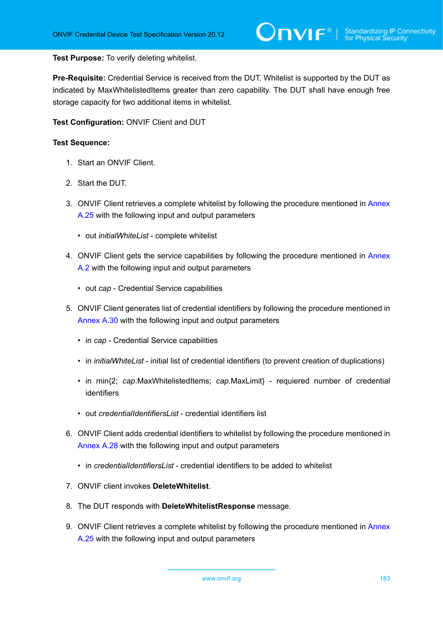#### **Test Purpose:** To verify deleting whitelist.

**Pre-Requisite:** Credential Service is received from the DUT. Whitelist is supported by the DUT as indicated by MaxWhitelistedItems greater than zero capability. The DUT shall have enough free storage capacity for two additional items in whitelist.

**Test Configuration:** ONVIF Client and DUT

- 1. Start an ONVIF Client.
- 2. Start the DUT.
- 3. ONVIF Client retrieves a complete whitelist by following the procedure mentioned in [Annex](#page-223-0) [A.25](#page-223-0) with the following input and output parameters
	- out *initialWhiteList* complete whitelist
- 4. ONVIF Client gets the service capabilities by following the procedure mentioned in [Annex](#page-201-0) [A.2](#page-201-0) with the following input and output parameters
	- out *cap* Credential Service capabilities
- 5. ONVIF Client generates list of credential identifiers by following the procedure mentioned in [Annex A.30](#page-228-0) with the following input and output parameters
	- in *cap* Credential Service capabilities
	- in *initialWhiteList* initial list of credential identifiers (to prevent creation of duplications)
	- in min{2; *cap*.MaxWhitelistedItems; *cap*.MaxLimit} requiered number of credential identifiers
	- out *credentialIdentifiersList* credential identifiers list
- 6. ONVIF Client adds credential identifiers to whitelist by following the procedure mentioned in [Annex A.28](#page-226-0) with the following input and output parameters
	- in *credentialIdentifiersList* credential identifiers to be added to whitelist
- 7. ONVIF client invokes **DeleteWhitelist**.
- 8. The DUT responds with **DeleteWhitelistResponse** message.
- 9. ONVIF Client retrieves a complete whitelist by following the procedure mentioned in [Annex](#page-223-0) [A.25](#page-223-0) with the following input and output parameters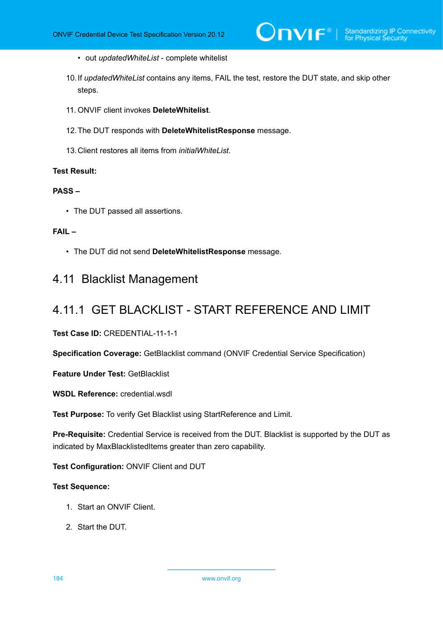- out *updatedWhiteList* complete whitelist
- 10.If *updatedWhiteList* contains any items, FAIL the test, restore the DUT state, and skip other steps.
- 11. ONVIF client invokes **DeleteWhitelist**.
- 12.The DUT responds with **DeleteWhitelistResponse** message.
- 13.Client restores all items from *initialWhiteList*.

## **PASS –**

• The DUT passed all assertions.

## **FAIL –**

• The DUT did not send **DeleteWhitelistResponse** message.

## 4.11 Blacklist Management

## 4.11.1 GET BLACKLIST - START REFERENCE AND LIMIT

**Test Case ID:** CREDENTIAL-11-1-1

**Specification Coverage:** GetBlacklist command (ONVIF Credential Service Specification)

**Feature Under Test:** GetBlacklist

**WSDL Reference:** credential.wsdl

**Test Purpose:** To verify Get Blacklist using StartReference and Limit.

**Pre-Requisite:** Credential Service is received from the DUT. Blacklist is supported by the DUT as indicated by MaxBlacklistedItems greater than zero capability.

**Test Configuration:** ONVIF Client and DUT

- 1. Start an ONVIF Client.
- 2. Start the DUT.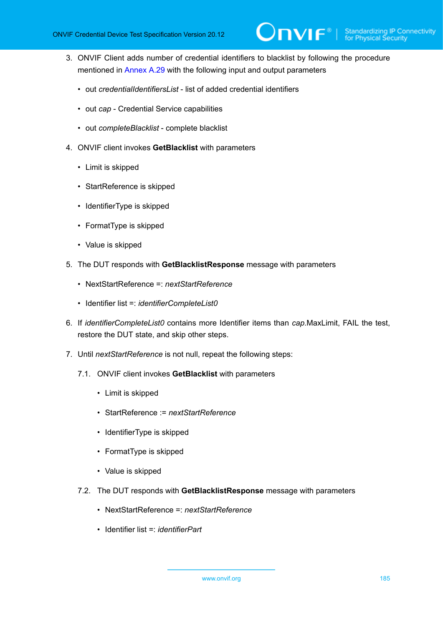- 3. ONVIF Client adds number of credential identifiers to blacklist by following the procedure mentioned in [Annex A.29](#page-227-0) with the following input and output parameters
	- out *credentialIdentifiersList* list of added credential identifiers
	- out *cap* Credential Service capabilities
	- out *completeBlacklist* complete blacklist
- 4. ONVIF client invokes **GetBlacklist** with parameters
	- Limit is skipped
	- StartReference is skipped
	- IdentifierType is skipped
	- FormatType is skipped
	- Value is skipped
- 5. The DUT responds with **GetBlacklistResponse** message with parameters
	- NextStartReference =: *nextStartReference*
	- Identifier list =: *identifierCompleteList0*
- 6. If *identifierCompleteList0* contains more Identifier items than *cap*.MaxLimit, FAIL the test, restore the DUT state, and skip other steps.
- 7. Until *nextStartReference* is not null, repeat the following steps:
	- 7.1. ONVIF client invokes **GetBlacklist** with parameters
		- Limit is skipped
		- StartReference := *nextStartReference*
		- IdentifierType is skipped
		- FormatType is skipped
		- Value is skipped
	- 7.2. The DUT responds with **GetBlacklistResponse** message with parameters
		- NextStartReference =: *nextStartReference*
		- Identifier list =: *identifierPart*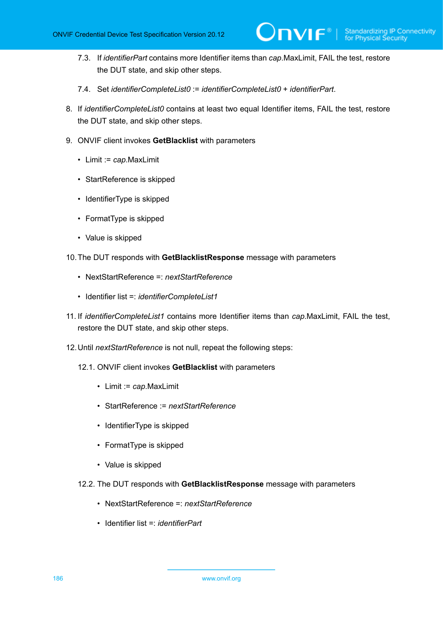- 7.3. If *identifierPart* contains more Identifier items than *cap*.MaxLimit, FAIL the test, restore the DUT state, and skip other steps.
- 7.4. Set *identifierCompleteList0* := *identifierCompleteList0* + *identifierPart*.
- 8. If *identifierCompleteList0* contains at least two equal Identifier items, FAIL the test, restore the DUT state, and skip other steps.
- 9. ONVIF client invokes **GetBlacklist** with parameters
	- Limit := *cap*.MaxLimit
	- StartReference is skipped
	- IdentifierType is skipped
	- FormatType is skipped
	- Value is skipped
- 10.The DUT responds with **GetBlacklistResponse** message with parameters
	- NextStartReference =: *nextStartReference*
	- Identifier list =: *identifierCompleteList1*
- 11. If *identifierCompleteList1* contains more Identifier items than *cap*.MaxLimit, FAIL the test, restore the DUT state, and skip other steps.
- 12.Until *nextStartReference* is not null, repeat the following steps:
	- 12.1. ONVIF client invokes **GetBlacklist** with parameters
		- Limit := *cap*.MaxLimit
		- StartReference := *nextStartReference*
		- IdentifierType is skipped
		- FormatType is skipped
		- Value is skipped
	- 12.2. The DUT responds with **GetBlacklistResponse** message with parameters
		- NextStartReference =: *nextStartReference*
		- Identifier list =: *identifierPart*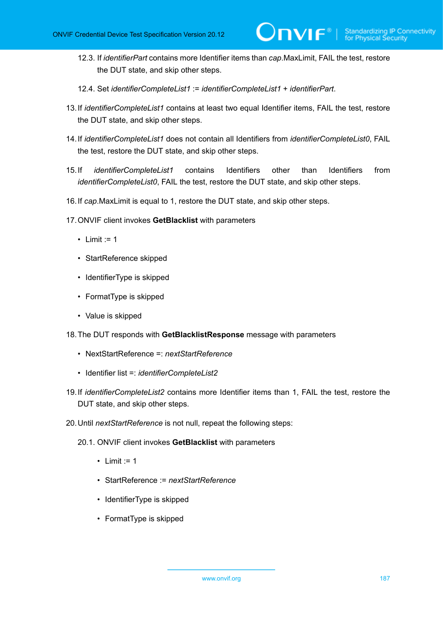- 12.3. If *identifierPart* contains more Identifier items than *cap*.MaxLimit, FAIL the test, restore the DUT state, and skip other steps.
- 12.4. Set *identifierCompleteList1* := *identifierCompleteList1* + *identifierPart*.
- 13.If *identifierCompleteList1* contains at least two equal Identifier items, FAIL the test, restore the DUT state, and skip other steps.
- 14.If *identifierCompleteList1* does not contain all Identifiers from *identifierCompleteList0*, FAIL the test, restore the DUT state, and skip other steps.
- 15.If *identifierCompleteList1* contains Identifiers other than Identifiers from *identifierCompleteList0*, FAIL the test, restore the DUT state, and skip other steps.
- 16.If *cap*.MaxLimit is equal to 1, restore the DUT state, and skip other steps.
- 17.ONVIF client invokes **GetBlacklist** with parameters
	- $\cdot$  Limit := 1
	- StartReference skipped
	- IdentifierType is skipped
	- FormatType is skipped
	- Value is skipped
- 18.The DUT responds with **GetBlacklistResponse** message with parameters
	- NextStartReference =: *nextStartReference*
	- Identifier list =: *identifierCompleteList2*
- 19.If *identifierCompleteList2* contains more Identifier items than 1, FAIL the test, restore the DUT state, and skip other steps.
- 20.Until *nextStartReference* is not null, repeat the following steps:
	- 20.1. ONVIF client invokes **GetBlacklist** with parameters
		- Limit  $:= 1$
		- StartReference := *nextStartReference*
		- IdentifierType is skipped
		- FormatType is skipped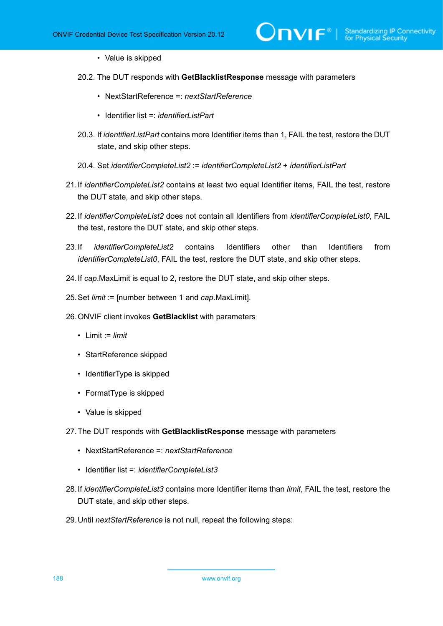- Value is skipped
- 20.2. The DUT responds with **GetBlacklistResponse** message with parameters
	- NextStartReference =: *nextStartReference*
	- Identifier list =: *identifierListPart*
- 20.3. If *identifierListPart* contains more Identifier items than 1, FAIL the test, restore the DUT state, and skip other steps.
- 20.4. Set *identifierCompleteList2* := *identifierCompleteList2* + *identifierListPart*
- 21.If *identifierCompleteList2* contains at least two equal Identifier items, FAIL the test, restore the DUT state, and skip other steps.
- 22.If *identifierCompleteList2* does not contain all Identifiers from *identifierCompleteList0*, FAIL the test, restore the DUT state, and skip other steps.
- 23.If *identifierCompleteList2* contains Identifiers other than Identifiers from *identifierCompleteList0*, FAIL the test, restore the DUT state, and skip other steps.
- 24.If *cap*.MaxLimit is equal to 2, restore the DUT state, and skip other steps.
- 25.Set *limit* := [number between 1 and *cap*.MaxLimit].
- 26.ONVIF client invokes **GetBlacklist** with parameters
	- Limit := *limit*
	- StartReference skipped
	- IdentifierType is skipped
	- FormatType is skipped
	- Value is skipped
- 27.The DUT responds with **GetBlacklistResponse** message with parameters
	- NextStartReference =: *nextStartReference*
	- Identifier list =: *identifierCompleteList3*
- 28.If *identifierCompleteList3* contains more Identifier items than *limit*, FAIL the test, restore the DUT state, and skip other steps.
- 29.Until *nextStartReference* is not null, repeat the following steps: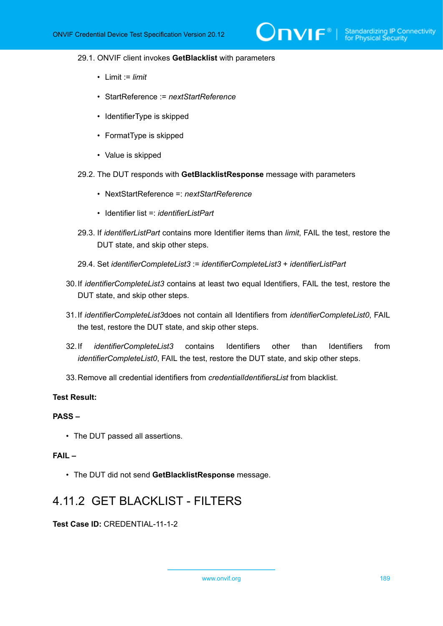#### 29.1. ONVIF client invokes **GetBlacklist** with parameters

- Limit := *limit*
- StartReference := *nextStartReference*
- IdentifierType is skipped
- FormatType is skipped
- Value is skipped
- 29.2. The DUT responds with **GetBlacklistResponse** message with parameters
	- NextStartReference =: *nextStartReference*
	- Identifier list = *identifierListPart*
- 29.3. If *identifierListPart* contains more Identifier items than *limit*, FAIL the test, restore the DUT state, and skip other steps.
- 29.4. Set *identifierCompleteList3* := *identifierCompleteList3* + *identifierListPart*
- 30.If *identifierCompleteList3* contains at least two equal Identifiers, FAIL the test, restore the DUT state, and skip other steps.
- 31.If *identifierCompleteList3*does not contain all Identifiers from *identifierCompleteList0*, FAIL the test, restore the DUT state, and skip other steps.
- 32.If *identifierCompleteList3* contains Identifiers other than Identifiers from *identifierCompleteList0*, FAIL the test, restore the DUT state, and skip other steps.
- 33.Remove all credential identifiers from *credentialIdentifiersList* from blacklist.

### **Test Result:**

## **PASS –**

• The DUT passed all assertions.

#### **FAIL –**

• The DUT did not send **GetBlacklistResponse** message.

## 4.11.2 GET BLACKLIST - FILTERS

#### **Test Case ID:** CREDENTIAL-11-1-2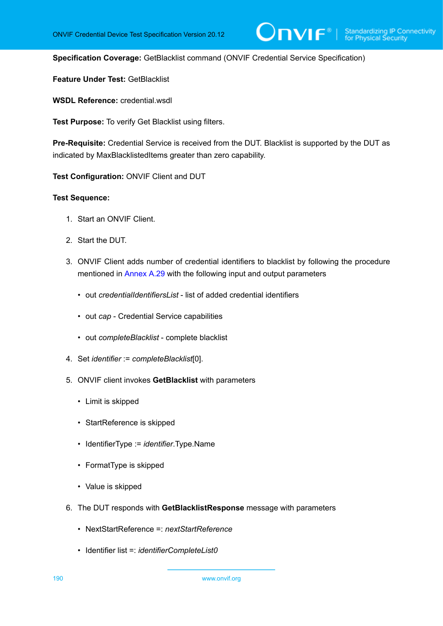$\mathsf{D}\mathbf{N}\mathsf{I}\mathsf{F}^\ast$ l

**Specification Coverage:** GetBlacklist command (ONVIF Credential Service Specification)

**Feature Under Test:** GetBlacklist

**WSDL Reference:** credential.wsdl

**Test Purpose:** To verify Get Blacklist using filters.

**Pre-Requisite:** Credential Service is received from the DUT. Blacklist is supported by the DUT as indicated by MaxBlacklistedItems greater than zero capability.

**Test Configuration:** ONVIF Client and DUT

- 1. Start an ONVIF Client.
- 2. Start the DUT.
- 3. ONVIF Client adds number of credential identifiers to blacklist by following the procedure mentioned in [Annex A.29](#page-227-0) with the following input and output parameters
	- out *credentialIdentifiersList* list of added credential identifiers
	- out *cap* Credential Service capabilities
	- out *completeBlacklist* complete blacklist
- 4. Set *identifier* := *completeBlacklist*[0].
- 5. ONVIF client invokes **GetBlacklist** with parameters
	- Limit is skipped
	- StartReference is skipped
	- IdentifierType := *identifier*.Type.Name
	- FormatType is skipped
	- Value is skipped
- 6. The DUT responds with **GetBlacklistResponse** message with parameters
	- NextStartReference =: *nextStartReference*
	- Identifier list =: *identifierCompleteList0*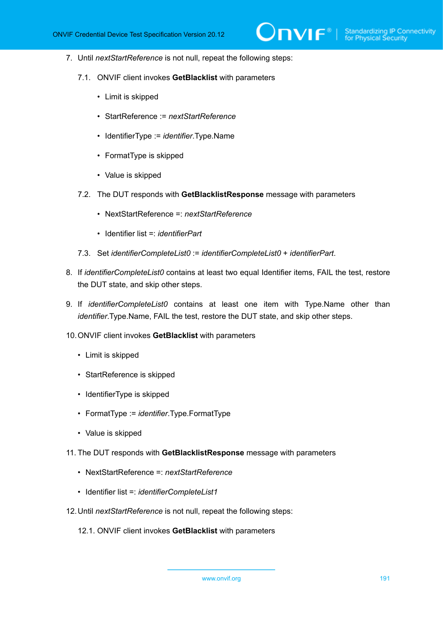- 7. Until *nextStartReference* is not null, repeat the following steps:
	- 7.1. ONVIF client invokes **GetBlacklist** with parameters
		- Limit is skipped
		- StartReference := *nextStartReference*
		- IdentifierType := *identifier*.Type.Name
		- FormatType is skipped
		- Value is skipped
	- 7.2. The DUT responds with **GetBlacklistResponse** message with parameters
		- NextStartReference =: *nextStartReference*
		- Identifier list =: *identifierPart*
	- 7.3. Set *identifierCompleteList0* := *identifierCompleteList0* + *identifierPart*.
- 8. If *identifierCompleteList0* contains at least two equal Identifier items, FAIL the test, restore the DUT state, and skip other steps.
- 9. If *identifierCompleteList0* contains at least one item with Type.Name other than *identifier*.Type.Name, FAIL the test, restore the DUT state, and skip other steps.
- 10.ONVIF client invokes **GetBlacklist** with parameters
	- Limit is skipped
	- StartReference is skipped
	- IdentifierType is skipped
	- FormatType := *identifier*.Type.FormatType
	- Value is skipped
- 11. The DUT responds with **GetBlacklistResponse** message with parameters
	- NextStartReference =: *nextStartReference*
	- Identifier list =: *identifierCompleteList1*
- 12.Until *nextStartReference* is not null, repeat the following steps:
	- 12.1. ONVIF client invokes **GetBlacklist** with parameters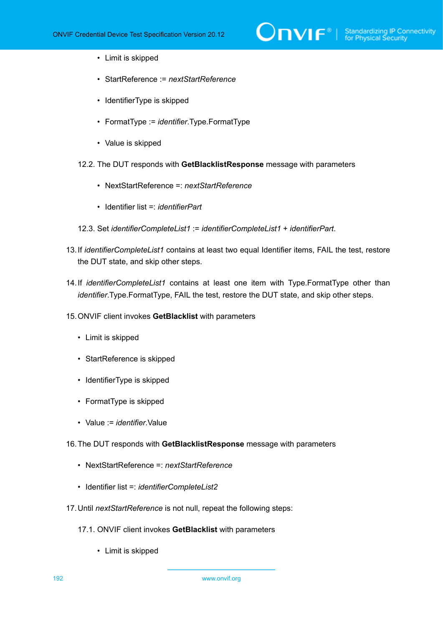- Limit is skipped
- StartReference := *nextStartReference*
- IdentifierType is skipped
- FormatType := *identifier*.Type.FormatType
- Value is skipped
- 12.2. The DUT responds with **GetBlacklistResponse** message with parameters
	- NextStartReference =: *nextStartReference*
	- Identifier list =: *identifierPart*
- 12.3. Set *identifierCompleteList1* := *identifierCompleteList1* + *identifierPart*.
- 13.If *identifierCompleteList1* contains at least two equal Identifier items, FAIL the test, restore the DUT state, and skip other steps.
- 14.If *identifierCompleteList1* contains at least one item with Type.FormatType other than *identifier*.Type.FormatType, FAIL the test, restore the DUT state, and skip other steps.
- 15.ONVIF client invokes **GetBlacklist** with parameters
	- Limit is skipped
	- StartReference is skipped
	- IdentifierType is skipped
	- FormatType is skipped
	- Value := *identifier*.Value
- 16.The DUT responds with **GetBlacklistResponse** message with parameters
	- NextStartReference =: *nextStartReference*
	- Identifier list =: *identifierCompleteList2*
- 17.Until *nextStartReference* is not null, repeat the following steps:
	- 17.1. ONVIF client invokes **GetBlacklist** with parameters
		- Limit is skipped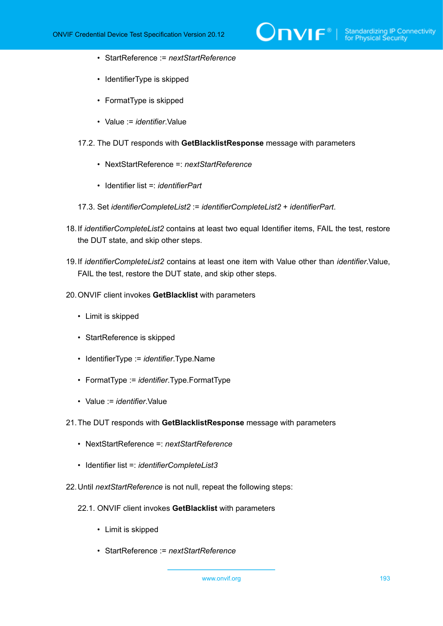- StartReference := *nextStartReference*
- IdentifierType is skipped
- FormatType is skipped
- Value := *identifier*.Value
- 17.2. The DUT responds with **GetBlacklistResponse** message with parameters
	- NextStartReference =: *nextStartReference*
	- Identifier list =: *identifierPart*
- 17.3. Set *identifierCompleteList2* := *identifierCompleteList2* + *identifierPart*.
- 18.If *identifierCompleteList2* contains at least two equal Identifier items, FAIL the test, restore the DUT state, and skip other steps.
- 19.If *identifierCompleteList2* contains at least one item with Value other than *identifier*.Value, FAIL the test, restore the DUT state, and skip other steps.
- 20.ONVIF client invokes **GetBlacklist** with parameters
	- Limit is skipped
	- StartReference is skipped
	- IdentifierType := *identifier*.Type.Name
	- FormatType := *identifier*.Type.FormatType
	- Value := *identifier*.Value
- 21.The DUT responds with **GetBlacklistResponse** message with parameters
	- NextStartReference =: *nextStartReference*
	- Identifier list =: *identifierCompleteList3*
- 22.Until *nextStartReference* is not null, repeat the following steps:
	- 22.1. ONVIF client invokes **GetBlacklist** with parameters
		- Limit is skipped
		- StartReference := *nextStartReference*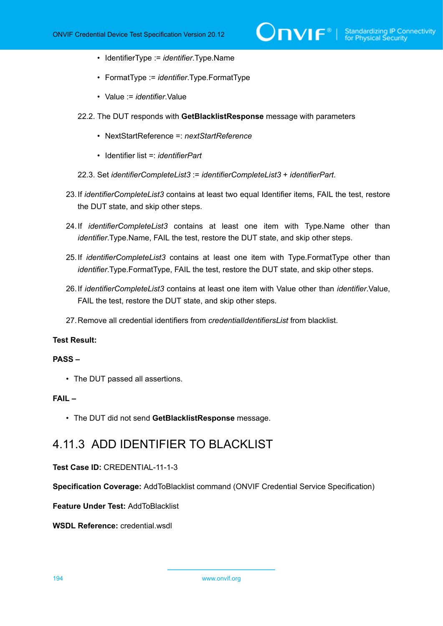- IdentifierType := *identifier*.Type.Name
- FormatType := *identifier*.Type.FormatType
- Value := *identifier*.Value
- 22.2. The DUT responds with **GetBlacklistResponse** message with parameters
	- NextStartReference =: *nextStartReference*
	- Identifier list =: *identifierPart*
- 22.3. Set *identifierCompleteList3* := *identifierCompleteList3* + *identifierPart*.
- 23.If *identifierCompleteList3* contains at least two equal Identifier items, FAIL the test, restore the DUT state, and skip other steps.
- 24.If *identifierCompleteList3* contains at least one item with Type.Name other than *identifier*.Type.Name, FAIL the test, restore the DUT state, and skip other steps.
- 25.If *identifierCompleteList3* contains at least one item with Type.FormatType other than *identifier*.Type.FormatType, FAIL the test, restore the DUT state, and skip other steps.
- 26.If *identifierCompleteList3* contains at least one item with Value other than *identifier*.Value, FAIL the test, restore the DUT state, and skip other steps.
- 27.Remove all credential identifiers from *credentialIdentifiersList* from blacklist.

#### **PASS –**

• The DUT passed all assertions.

#### **FAIL –**

• The DUT did not send **GetBlacklistResponse** message.

## 4.11.3 ADD IDENTIFIER TO BLACKLIST

#### **Test Case ID:** CREDENTIAL-11-1-3

**Specification Coverage:** AddToBlacklist command (ONVIF Credential Service Specification)

**Feature Under Test:** AddToBlacklist

**WSDL Reference:** credential.wsdl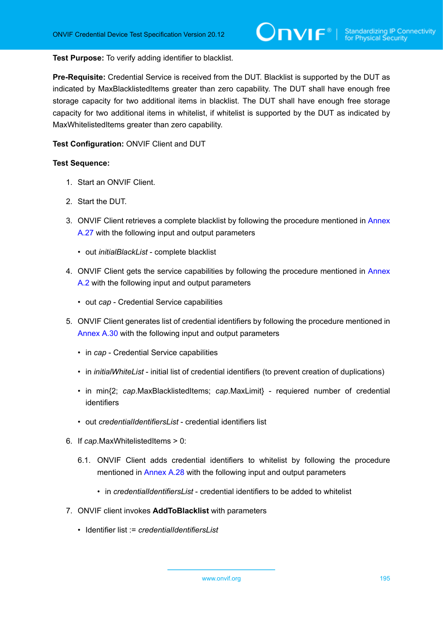#### **Test Purpose:** To verify adding identifier to blacklist.

**Pre-Requisite:** Credential Service is received from the DUT. Blacklist is supported by the DUT as indicated by MaxBlacklistedItems greater than zero capability. The DUT shall have enough free storage capacity for two additional items in blacklist. The DUT shall have enough free storage capacity for two additional items in whitelist, if whitelist is supported by the DUT as indicated by MaxWhitelistedItems greater than zero capability.

#### **Test Configuration:** ONVIF Client and DUT

- 1. Start an ONVIF Client.
- 2. Start the DUT.
- 3. ONVIF Client retrieves a complete blacklist by following the procedure mentioned in [Annex](#page-225-0) [A.27](#page-225-0) with the following input and output parameters
	- out *initialBlackList* complete blacklist
- 4. ONVIF Client gets the service capabilities by following the procedure mentioned in [Annex](#page-201-0) [A.2](#page-201-0) with the following input and output parameters
	- out *cap* Credential Service capabilities
- 5. ONVIF Client generates list of credential identifiers by following the procedure mentioned in [Annex A.30](#page-228-0) with the following input and output parameters
	- in *cap* Credential Service capabilities
	- in *initialWhiteList* initial list of credential identifiers (to prevent creation of duplications)
	- in min{2; *cap*.MaxBlacklistedItems; *cap*.MaxLimit} requiered number of credential identifiers
	- out *credentialIdentifiersList* credential identifiers list
- 6. If *cap*.MaxWhitelistedItems > 0:
	- 6.1. ONVIF Client adds credential identifiers to whitelist by following the procedure mentioned in [Annex A.28](#page-226-0) with the following input and output parameters
		- in *credentialIdentifiersList* credential identifiers to be added to whitelist
- 7. ONVIF client invokes **AddToBlacklist** with parameters
	- Identifier list := *credentialIdentifiersList*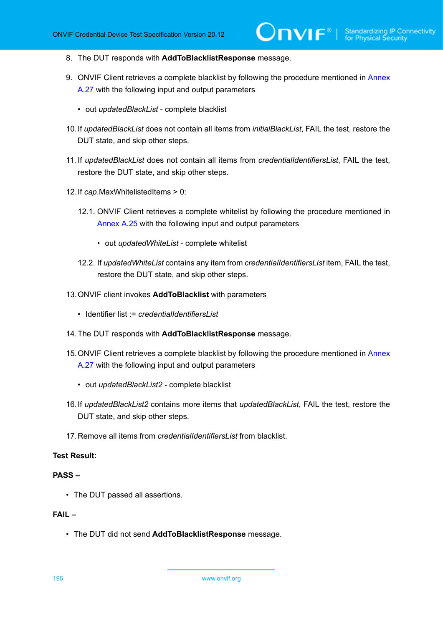- 8. The DUT responds with **AddToBlacklistResponse** message.
- 9. ONVIF Client retrieves a complete blacklist by following the procedure mentioned in [Annex](#page-225-0) [A.27](#page-225-0) with the following input and output parameters
	- out *updatedBlackList* complete blacklist
- 10.If *updatedBlackList* does not contain all items from *initialBlackList*, FAIL the test, restore the DUT state, and skip other steps.
- 11. If *updatedBlackList* does not contain all items from *credentialIdentifiersList*, FAIL the test, restore the DUT state, and skip other steps.
- 12.If *cap*.MaxWhitelistedItems > 0:
	- 12.1. ONVIF Client retrieves a complete whitelist by following the procedure mentioned in [Annex A.25](#page-223-0) with the following input and output parameters
		- out *updatedWhiteList* complete whitelist
	- 12.2. If *updatedWhiteList* contains any item from *credentialIdentifiersList* item, FAIL the test, restore the DUT state, and skip other steps.
- 13.ONVIF client invokes **AddToBlacklist** with parameters
	- Identifier list := *credentialIdentifiersList*
- 14.The DUT responds with **AddToBlacklistResponse** message.
- 15. ONVIF Client retrieves a complete blacklist by following the procedure mentioned in [Annex](#page-225-0) [A.27](#page-225-0) with the following input and output parameters
	- out *updatedBlackList2* complete blacklist
- 16.If *updatedBlackList2* contains more items that *updatedBlackList*, FAIL the test, restore the DUT state, and skip other steps.
- 17.Remove all items from *credentialIdentifiersList* from blacklist.

## **PASS –**

• The DUT passed all assertions.

## **FAIL –**

• The DUT did not send **AddToBlacklistResponse** message.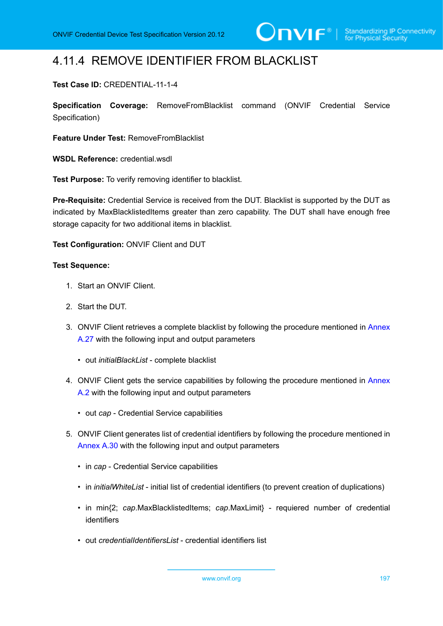## 4.11.4 REMOVE IDENTIFIER FROM BLACKLIST

## **Test Case ID:** CREDENTIAL-11-1-4

**Specification Coverage:** RemoveFromBlacklist command (ONVIF Credential Service Specification)

**Feature Under Test:** RemoveFromBlacklist

**WSDL Reference:** credential.wsdl

**Test Purpose:** To verify removing identifier to blacklist.

**Pre-Requisite:** Credential Service is received from the DUT. Blacklist is supported by the DUT as indicated by MaxBlacklistedItems greater than zero capability. The DUT shall have enough free storage capacity for two additional items in blacklist.

### **Test Configuration:** ONVIF Client and DUT

- 1. Start an ONVIF Client.
- 2. Start the DUT.
- 3. ONVIF Client retrieves a complete blacklist by following the procedure mentioned in [Annex](#page-225-0) [A.27](#page-225-0) with the following input and output parameters
	- out *initialBlackList* complete blacklist
- 4. ONVIF Client gets the service capabilities by following the procedure mentioned in [Annex](#page-201-0) [A.2](#page-201-0) with the following input and output parameters
	- out *cap* Credential Service capabilities
- 5. ONVIF Client generates list of credential identifiers by following the procedure mentioned in [Annex A.30](#page-228-0) with the following input and output parameters
	- in *cap* Credential Service capabilities
	- in *initialWhiteList* initial list of credential identifiers (to prevent creation of duplications)
	- in min{2; *cap*.MaxBlacklistedItems; *cap*.MaxLimit} requiered number of credential identifiers
	- out *credentialIdentifiersList* credential identifiers list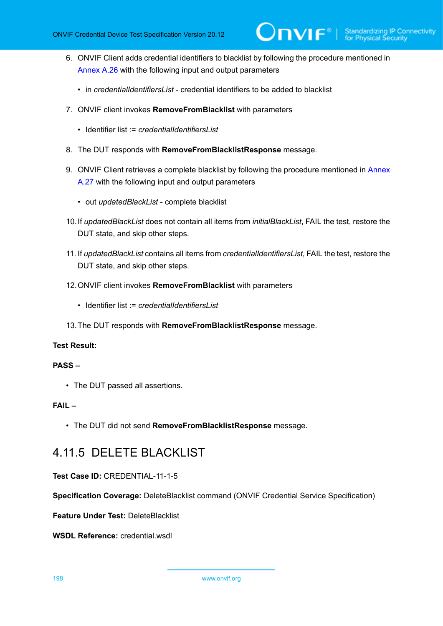- 6. ONVIF Client adds credential identifiers to blacklist by following the procedure mentioned in [Annex A.26](#page-224-0) with the following input and output parameters
	- in *credentialIdentifiersList* credential identifiers to be added to blacklist
- 7. ONVIF client invokes **RemoveFromBlacklist** with parameters
	- Identifier list := *credentialIdentifiersI ist*
- 8. The DUT responds with **RemoveFromBlacklistResponse** message.
- 9. ONVIF Client retrieves a complete blacklist by following the procedure mentioned in [Annex](#page-225-0) [A.27](#page-225-0) with the following input and output parameters
	- out *updatedBlackList* complete blacklist
- 10.If *updatedBlackList* does not contain all items from *initialBlackList*, FAIL the test, restore the DUT state, and skip other steps.
- 11. If *updatedBlackList* contains all items from *credentialIdentifiersList*, FAIL the test, restore the DUT state, and skip other steps.
- 12.ONVIF client invokes **RemoveFromBlacklist** with parameters
	- Identifier list := *credentialIdentifiersList*
- 13.The DUT responds with **RemoveFromBlacklistResponse** message.

#### **PASS –**

• The DUT passed all assertions.

### **FAIL –**

• The DUT did not send **RemoveFromBlacklistResponse** message.

## 4.11.5 DELETE BLACKLIST

#### **Test Case ID:** CREDENTIAL-11-1-5

**Specification Coverage:** DeleteBlacklist command (ONVIF Credential Service Specification)

**Feature Under Test:** DeleteBlacklist

**WSDL Reference:** credential.wsdl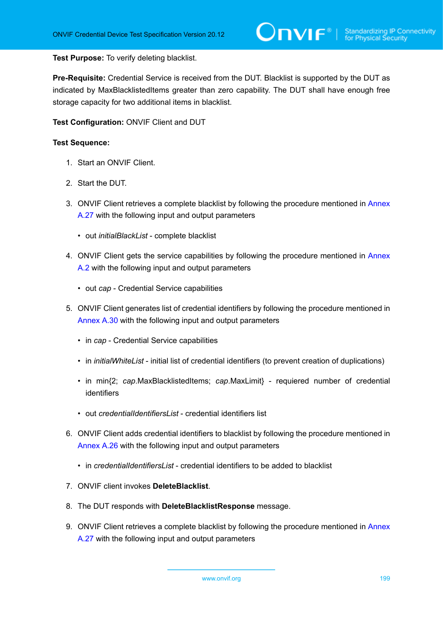#### **Test Purpose:** To verify deleting blacklist.

**Pre-Requisite:** Credential Service is received from the DUT. Blacklist is supported by the DUT as indicated by MaxBlacklistedItems greater than zero capability. The DUT shall have enough free storage capacity for two additional items in blacklist.

**Test Configuration:** ONVIF Client and DUT

- 1. Start an ONVIF Client.
- 2. Start the DUT.
- 3. ONVIF Client retrieves a complete blacklist by following the procedure mentioned in [Annex](#page-225-0) [A.27](#page-225-0) with the following input and output parameters
	- out *initialBlackList* complete blacklist
- 4. ONVIF Client gets the service capabilities by following the procedure mentioned in [Annex](#page-201-0) [A.2](#page-201-0) with the following input and output parameters
	- out *cap* Credential Service capabilities
- 5. ONVIF Client generates list of credential identifiers by following the procedure mentioned in [Annex A.30](#page-228-0) with the following input and output parameters
	- in *cap* Credential Service capabilities
	- in *initialWhiteList* initial list of credential identifiers (to prevent creation of duplications)
	- in min{2; *cap*.MaxBlacklistedItems; *cap*.MaxLimit} requiered number of credential identifiers
	- out *credentialIdentifiersList* credential identifiers list
- 6. ONVIF Client adds credential identifiers to blacklist by following the procedure mentioned in [Annex A.26](#page-224-0) with the following input and output parameters
	- in *credentialIdentifiersList* credential identifiers to be added to blacklist
- 7. ONVIF client invokes **DeleteBlacklist**.
- 8. The DUT responds with **DeleteBlacklistResponse** message.
- 9. ONVIF Client retrieves a complete blacklist by following the procedure mentioned in [Annex](#page-225-0) [A.27](#page-225-0) with the following input and output parameters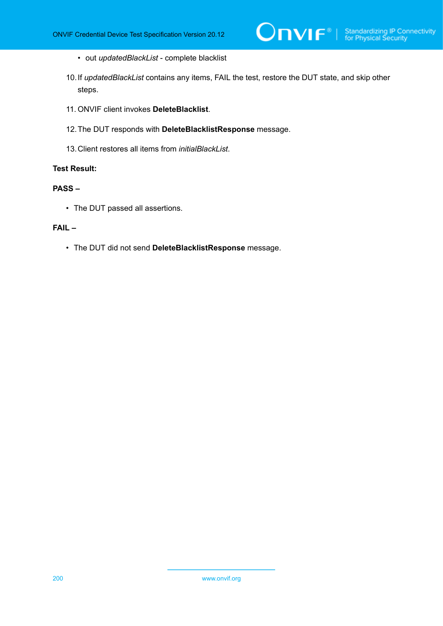- out *updatedBlackList* complete blacklist
- 10.If *updatedBlackList* contains any items, FAIL the test, restore the DUT state, and skip other steps.
- 11. ONVIF client invokes **DeleteBlacklist**.
- 12.The DUT responds with **DeleteBlacklistResponse** message.
- 13.Client restores all items from *initialBlackList*.

### **PASS –**

• The DUT passed all assertions.

#### **FAIL –**

• The DUT did not send **DeleteBlacklistResponse** message.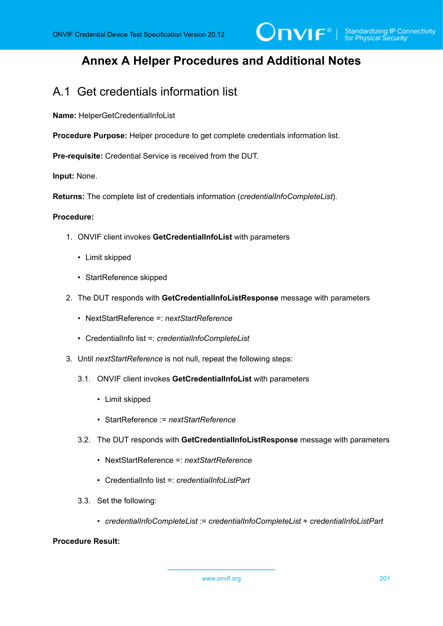## **Annex A Helper Procedures and Additional Notes**

## A.1 Get credentials information list

**Name:** HelperGetCredentialInfoList

**Procedure Purpose:** Helper procedure to get complete credentials information list.

**Pre-requisite:** Credential Service is received from the DUT.

**Input:** None.

**Returns:** The complete list of credentials information (*credentialInfoCompleteList*).

#### **Procedure:**

- 1. ONVIF client invokes **GetCredentialInfoList** with parameters
	- Limit skipped
	- StartReference skipped
- 2. The DUT responds with **GetCredentialInfoListResponse** message with parameters
	- NextStartReference =: *nextStartReference*
	- CredentialInfo list =: *credentialInfoCompleteList*
- 3. Until *nextStartReference* is not null, repeat the following steps:
	- 3.1. ONVIF client invokes **GetCredentialInfoList** with parameters
		- Limit skipped
		- StartReference := *nextStartReference*
	- 3.2. The DUT responds with **GetCredentialInfoListResponse** message with parameters
		- NextStartReference =: *nextStartReference*
		- CredentialInfo list =: *credentialInfoListPart*
	- 3.3. Set the following:
		- *credentialInfoCompleteList* := *credentialInfoCompleteList* + *credentialInfoListPart*

### **Procedure Result:**

www.onvif.org 201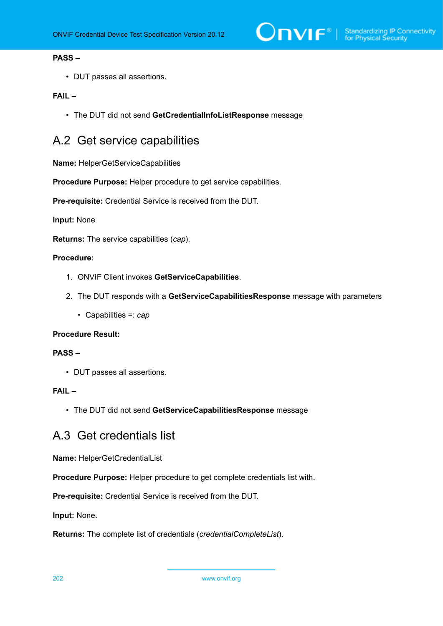## **PASS –**

• DUT passes all assertions.

### **FAIL –**

• The DUT did not send **GetCredentialInfoListResponse** message

## <span id="page-201-0"></span>A.2 Get service capabilities

**Name:** HelperGetServiceCapabilities

**Procedure Purpose:** Helper procedure to get service capabilities.

**Pre-requisite:** Credential Service is received from the DUT.

#### **Input:** None

**Returns:** The service capabilities (*cap*).

### **Procedure:**

- 1. ONVIF Client invokes **GetServiceCapabilities**.
- 2. The DUT responds with a **GetServiceCapabilitiesResponse** message with parameters
	- Capabilities =: *cap*

#### **Procedure Result:**

#### **PASS –**

• DUT passes all assertions.

#### **FAIL –**

• The DUT did not send **GetServiceCapabilitiesResponse** message

## A.3 Get credentials list

**Name:** HelperGetCredentialList

**Procedure Purpose:** Helper procedure to get complete credentials list with.

**Pre-requisite:** Credential Service is received from the DUT.

**Input:** None.

**Returns:** The complete list of credentials (*credentialCompleteList*).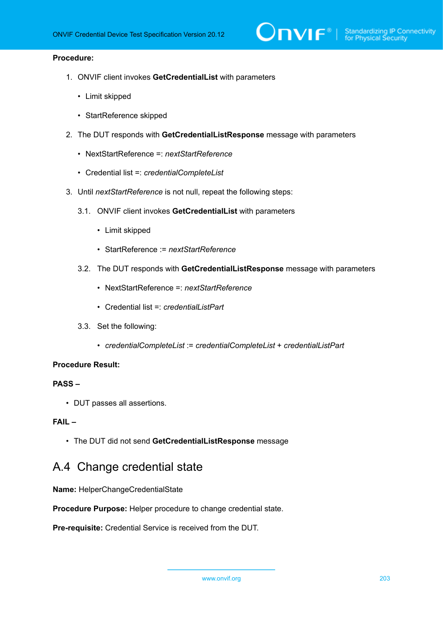#### **Procedure:**

- 1. ONVIF client invokes **GetCredentialList** with parameters
	- Limit skipped
	- StartReference skipped
- 2. The DUT responds with **GetCredentialListResponse** message with parameters
	- NextStartReference =: *nextStartReference*
	- Credential list =: *credentialCompleteList*
- 3. Until *nextStartReference* is not null, repeat the following steps:
	- 3.1. ONVIF client invokes **GetCredentialList** with parameters
		- Limit skipped
		- StartReference := *nextStartReference*
	- 3.2. The DUT responds with **GetCredentialListResponse** message with parameters
		- NextStartReference =: *nextStartReference*
		- Credential list =: *credentialListPart*
	- 3.3. Set the following:
		- *credentialCompleteList* := *credentialCompleteList* + *credentialListPart*

#### **Procedure Result:**

### **PASS –**

• DUT passes all assertions.

### **FAIL –**

• The DUT did not send **GetCredentialListResponse** message

## A.4 Change credential state

**Name:** HelperChangeCredentialState

**Procedure Purpose:** Helper procedure to change credential state.

**Pre-requisite:** Credential Service is received from the DUT.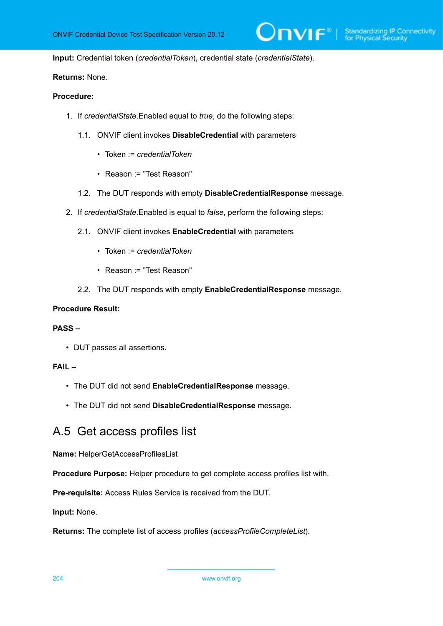**Input:** Credential token (*credentialToken*), credential state (*credentialState*).

## **Returns:** None.

## **Procedure:**

- 1. If *credentialState*.Enabled equal to *true*, do the following steps:
	- 1.1. ONVIF client invokes **DisableCredential** with parameters
		- Token := *credentialToken*
		- Reason := "Test Reason"
	- 1.2. The DUT responds with empty **DisableCredentialResponse** message.
- 2. If *credentialState*.Enabled is equal to *false*, perform the following steps:
	- 2.1. ONVIF client invokes **EnableCredential** with parameters
		- Token := *credentialToken*
		- Reason := "Test Reason"
	- 2.2. The DUT responds with empty **EnableCredentialResponse** message.

#### **Procedure Result:**

#### **PASS –**

• DUT passes all assertions.

### **FAIL –**

- The DUT did not send **EnableCredentialResponse** message.
- The DUT did not send **DisableCredentialResponse** message.

## A.5 Get access profiles list

**Name:** HelperGetAccessProfilesList

**Procedure Purpose:** Helper procedure to get complete access profiles list with.

**Pre-requisite:** Access Rules Service is received from the DUT.

**Input:** None.

**Returns:** The complete list of access profiles (*accessProfileCompleteList*).

204 www.onvif.org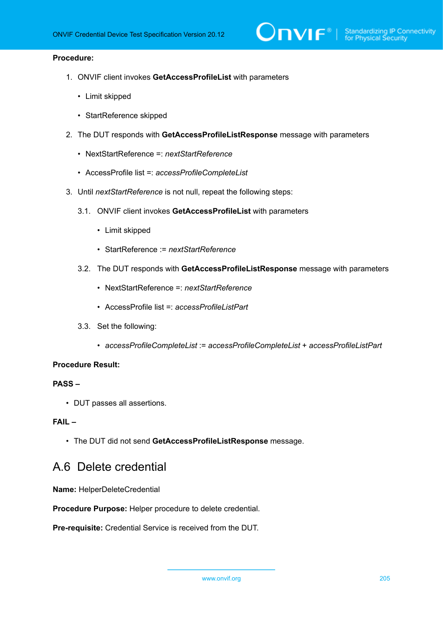#### **Procedure:**

- 1. ONVIF client invokes **GetAccessProfileList** with parameters
	- Limit skipped
	- StartReference skipped
- 2. The DUT responds with **GetAccessProfileListResponse** message with parameters
	- NextStartReference =: *nextStartReference*
	- AccessProfile list =: *accessProfileCompleteList*
- 3. Until *nextStartReference* is not null, repeat the following steps:
	- 3.1. ONVIF client invokes **GetAccessProfileList** with parameters
		- Limit skipped
		- StartReference := *nextStartReference*
	- 3.2. The DUT responds with **GetAccessProfileListResponse** message with parameters
		- NextStartReference =: *nextStartReference*
		- AccessProfile list =: *accessProfileListPart*
	- 3.3. Set the following:
		- *accessProfileCompleteList* := *accessProfileCompleteList* + *accessProfileListPart*

#### **Procedure Result:**

## **PASS –**

• DUT passes all assertions.

### **FAIL –**

• The DUT did not send **GetAccessProfileListResponse** message.

## <span id="page-204-0"></span>A.6 Delete credential

**Name:** HelperDeleteCredential

**Procedure Purpose:** Helper procedure to delete credential.

**Pre-requisite:** Credential Service is received from the DUT.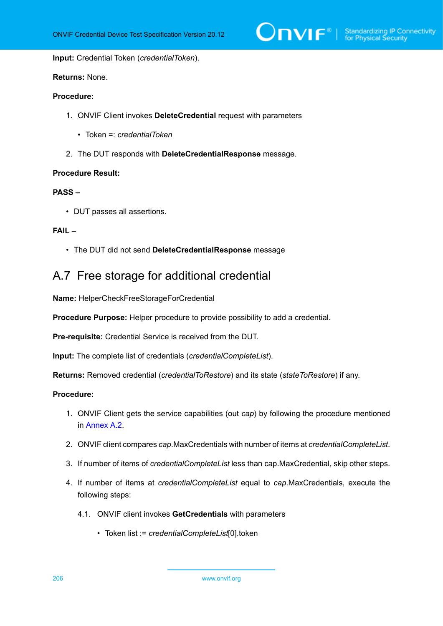$\sum_{\text{IVIF}^{\circ} | \text{Standardizing IP Connectivity}}$ 

**Input:** Credential Token (*credentialToken*).

## **Returns:** None.

## **Procedure:**

- 1. ONVIF Client invokes **DeleteCredential** request with parameters
	- Token =: *credentialToken*
- 2. The DUT responds with **DeleteCredentialResponse** message.

#### **Procedure Result:**

#### **PASS –**

• DUT passes all assertions.

#### **FAIL –**

• The DUT did not send **DeleteCredentialResponse** message

## A.7 Free storage for additional credential

**Name:** HelperCheckFreeStorageForCredential

**Procedure Purpose:** Helper procedure to provide possibility to add a credential.

**Pre-requisite:** Credential Service is received from the DUT.

**Input:** The complete list of credentials (*credentialCompleteList*).

**Returns:** Removed credential (*credentialToRestore*) and its state (*stateToRestore*) if any.

## **Procedure:**

- 1. ONVIF Client gets the service capabilities (out *cap*) by following the procedure mentioned in [Annex A.2.](#page-201-0)
- 2. ONVIF client compares *cap*.MaxCredentials with number of items at *credentialCompleteList*.
- 3. If number of items of *credentialCompleteList* less than cap.MaxCredential, skip other steps.
- 4. If number of items at *credentialCompleteList* equal to *cap*.MaxCredentials, execute the following steps:
	- 4.1. ONVIF client invokes **GetCredentials** with parameters
		- Token list := *credentialCompleteList*[0].token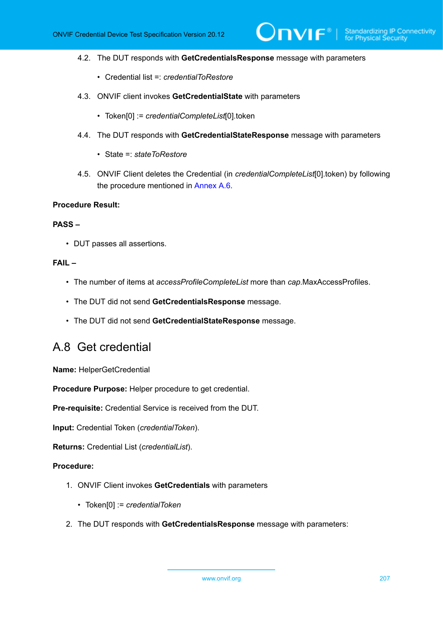- 4.2. The DUT responds with **GetCredentialsResponse** message with parameters
	- Credential list =: *credentialToRestore*
- 4.3. ONVIF client invokes **GetCredentialState** with parameters
	- Token[0] := *credentialCompleteList*[0].token
- 4.4. The DUT responds with **GetCredentialStateResponse** message with parameters
	- State =: *stateToRestore*
- 4.5. ONVIF Client deletes the Credential (in *credentialCompleteList*[0].token) by following the procedure mentioned in [Annex A.6.](#page-204-0)

#### **Procedure Result:**

#### **PASS –**

• DUT passes all assertions.

#### **FAIL –**

- The number of items at *accessProfileCompleteList* more than *cap*.MaxAccessProfiles.
- The DUT did not send **GetCredentialsResponse** message.
- The DUT did not send **GetCredentialStateResponse** message.

## A.8 Get credential

**Name:** HelperGetCredential

**Procedure Purpose:** Helper procedure to get credential.

**Pre-requisite:** Credential Service is received from the DUT.

**Input:** Credential Token (*credentialToken*).

**Returns:** Credential List (*credentialList*).

## **Procedure:**

- 1. ONVIF Client invokes **GetCredentials** with parameters
	- Token[0] := *credentialToken*
- 2. The DUT responds with **GetCredentialsResponse** message with parameters: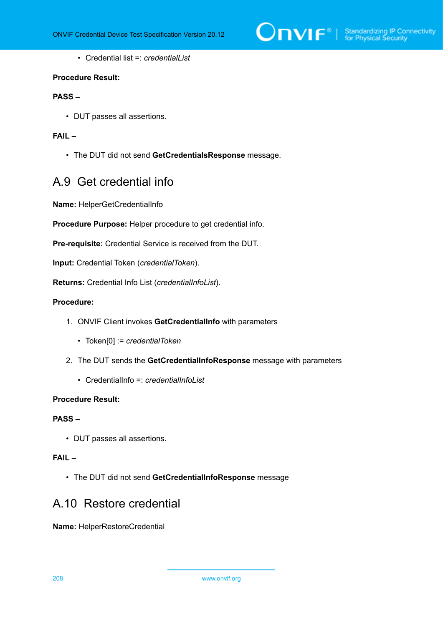

• Credential list =: *credentialList*

#### **Procedure Result:**

## **PASS –**

• DUT passes all assertions.

## **FAIL –**

• The DUT did not send **GetCredentialsResponse** message.

## A.9 Get credential info

**Name:** HelperGetCredentialInfo

**Procedure Purpose:** Helper procedure to get credential info.

**Pre-requisite:** Credential Service is received from the DUT.

**Input:** Credential Token (*credentialToken*).

**Returns:** Credential Info List (*credentialInfoList*).

### **Procedure:**

- 1. ONVIF Client invokes **GetCredentialInfo** with parameters
	- Token[0] := *credentialToken*
- 2. The DUT sends the **GetCredentialInfoResponse** message with parameters
	- CredentialInfo =: *credentialInfoList*

### **Procedure Result:**

## **PASS –**

• DUT passes all assertions.

## **FAIL –**

• The DUT did not send **GetCredentialInfoResponse** message

## A.10 Restore credential

**Name:** HelperRestoreCredential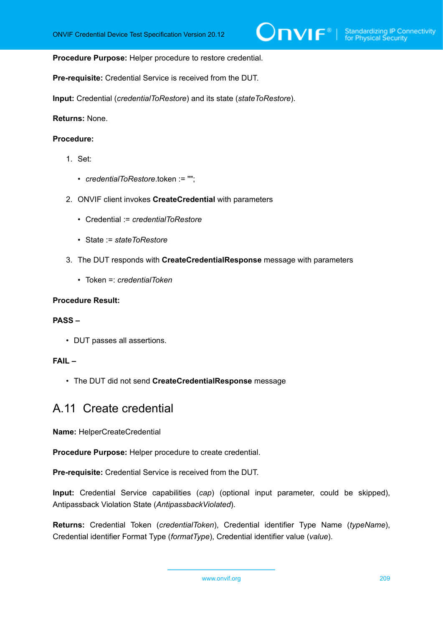#### **Procedure Purpose:** Helper procedure to restore credential.

**Pre-requisite:** Credential Service is received from the DUT.

**Input:** Credential (*credentialToRestore*) and its state (*stateToRestore*).

**Returns:** None.

### **Procedure:**

- 1. Set:
	- *credentialToRestore*.token := "";
- 2. ONVIF client invokes **CreateCredential** with parameters
	- Credential := *credentialToRestore*
	- State := *stateToRestore*
- 3. The DUT responds with **CreateCredentialResponse** message with parameters
	- Token =: *credentialToken*

#### **Procedure Result:**

#### **PASS –**

• DUT passes all assertions.

### **FAIL –**

• The DUT did not send **CreateCredentialResponse** message

## A.11 Create credential

**Name:** HelperCreateCredential

**Procedure Purpose:** Helper procedure to create credential.

**Pre-requisite:** Credential Service is received from the DUT.

**Input:** Credential Service capabilities (*cap*) (optional input parameter, could be skipped), Antipassback Violation State (*AntipassbackViolated*).

**Returns:** Credential Token (*credentialToken*), Credential identifier Type Name (*typeName*), Credential identifier Format Type (*formatType*), Credential identifier value (*value*).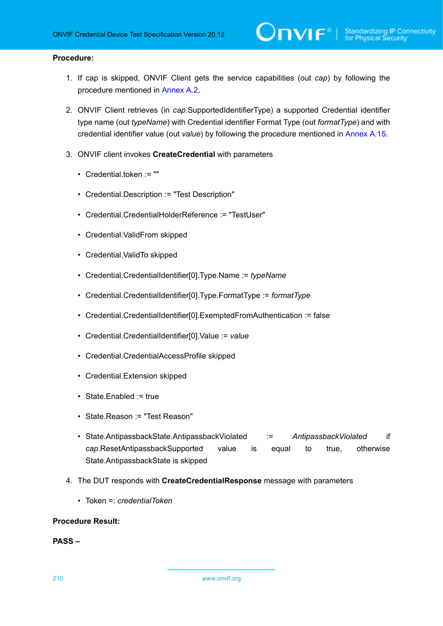#### **Procedure:**

1. If cap is skipped, ONVIF Client gets the service capabilities (out *cap*) by following the procedure mentioned in [Annex A.2](#page-201-0).

)nvıғ®

- 2. ONVIF Client retrieves (in *cap*.SupportedIdentifierType) a supported Credential identifier type name (out *typeName*) with Credential identifier Format Type (out *formatType*) and with credential identifier value (out *value*) by following the procedure mentioned in [Annex A.15.](#page-212-0)
- 3. ONVIF client invokes **CreateCredential** with parameters
	- Credential.token := ""
	- Credential.Description := "Test Description"
	- Credential.CredentialHolderReference := "TestUser"
	- Credential.ValidFrom skipped
	- Credential.ValidTo skipped
	- Credential.CredentialIdentifier[0].Type.Name := *typeName*
	- Credential.CredentialIdentifier[0].Type.FormatType := *formatType*
	- Credential.CredentialIdentifier[0].ExemptedFromAuthentication := false
	- Credential.CredentialIdentifier[0].Value := *value*
	- Credential.CredentialAccessProfile skipped
	- Credential.Extension skipped
	- State.Enabled := true
	- State.Reason := "Test Reason"
	- State.AntipassbackState.AntipassbackViolated := *AntipassbackViolated* if *cap*.ResetAntipassbackSupported value is equal to true, otherwise State.AntipassbackState is skipped
- 4. The DUT responds with **CreateCredentialResponse** message with parameters
	- Token =: *credentialToken*

#### **Procedure Result:**

#### **PASS –**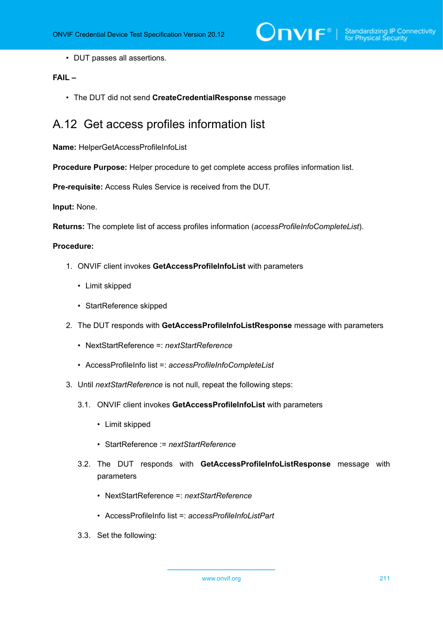• DUT passes all assertions.

## **FAIL –**

• The DUT did not send **CreateCredentialResponse** message

## A.12 Get access profiles information list

**Name:** HelperGetAccessProfileInfoList

**Procedure Purpose:** Helper procedure to get complete access profiles information list.

**Pre-requisite:** Access Rules Service is received from the DUT.

**Input:** None.

**Returns:** The complete list of access profiles information (*accessProfileInfoCompleteList*).

#### **Procedure:**

- 1. ONVIF client invokes **GetAccessProfileInfoList** with parameters
	- Limit skipped
	- StartReference skipped
- 2. The DUT responds with **GetAccessProfileInfoListResponse** message with parameters
	- NextStartReference =: *nextStartReference*
	- AccessProfileInfo list =: *accessProfileInfoCompleteList*
- 3. Until *nextStartReference* is not null, repeat the following steps:
	- 3.1. ONVIF client invokes **GetAccessProfileInfoList** with parameters
		- Limit skipped
		- StartReference := *nextStartReference*
	- 3.2. The DUT responds with **GetAccessProfileInfoListResponse** message with parameters
		- NextStartReference =: *nextStartReference*
		- AccessProfileInfo list =: *accessProfileInfoListPart*
	- 3.3. Set the following: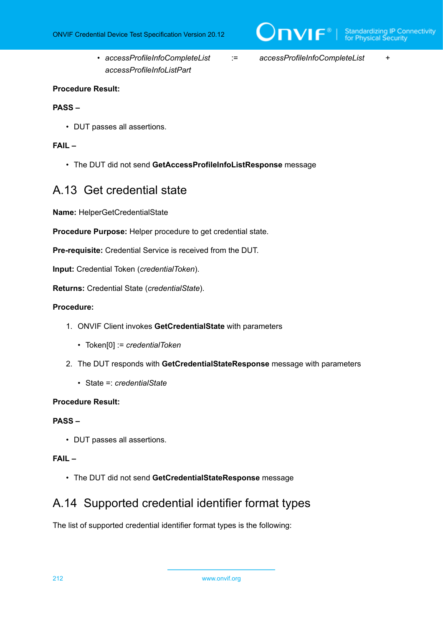- *accessProfileInfoCompleteList* := *accessProfileInfoCompleteList* + *accessProfileInfoListPart*
- 

 $\overline{C}$ NIF $^{\circ}$ 

### **Procedure Result:**

### **PASS –**

• DUT passes all assertions.

## **FAIL –**

• The DUT did not send **GetAccessProfileInfoListResponse** message

## A.13 Get credential state

**Name:** HelperGetCredentialState

**Procedure Purpose:** Helper procedure to get credential state.

**Pre-requisite:** Credential Service is received from the DUT.

**Input:** Credential Token (*credentialToken*).

**Returns:** Credential State (*credentialState*).

#### **Procedure:**

- 1. ONVIF Client invokes **GetCredentialState** with parameters
	- Token[0] := *credentialToken*
- 2. The DUT responds with **GetCredentialStateResponse** message with parameters
	- State =: *credentialState*

### **Procedure Result:**

## **PASS –**

• DUT passes all assertions.

## **FAIL –**

• The DUT did not send **GetCredentialStateResponse** message

## <span id="page-211-0"></span>A.14 Supported credential identifier format types

The list of supported credential identifier format types is the following: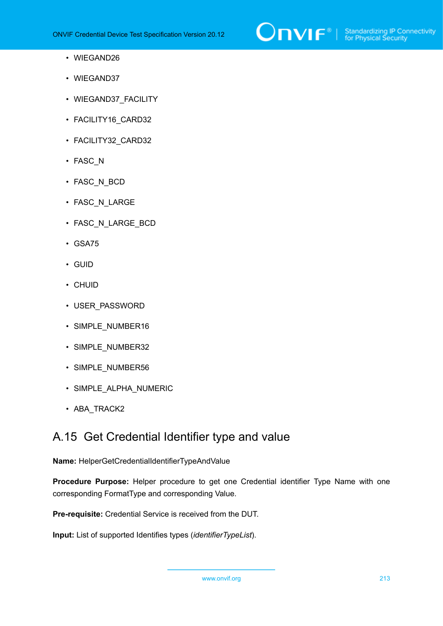

- WIEGAND26
- WIEGAND37
- WIEGAND37 FACILITY
- FACILITY16 CARD32
- FACILITY32\_CARD32
- FASC\_N
- FASC\_N\_BCD
- FASC N LARGE
- FASC\_N\_LARGE\_BCD
- GSA75
- GUID
- CHUID
- USER\_PASSWORD
- SIMPLE\_NUMBER16
- SIMPLE\_NUMBER32
- SIMPLE\_NUMBER56
- SIMPLE\_ALPHA\_NUMERIC
- ABA\_TRACK2

## <span id="page-212-0"></span>A.15 Get Credential Identifier type and value

## **Name:** HelperGetCredentialIdentifierTypeAndValue

**Procedure Purpose:** Helper procedure to get one Credential identifier Type Name with one corresponding FormatType and corresponding Value.

**Pre-requisite:** Credential Service is received from the DUT.

**Input:** List of supported Identifies types (*identifierTypeList*).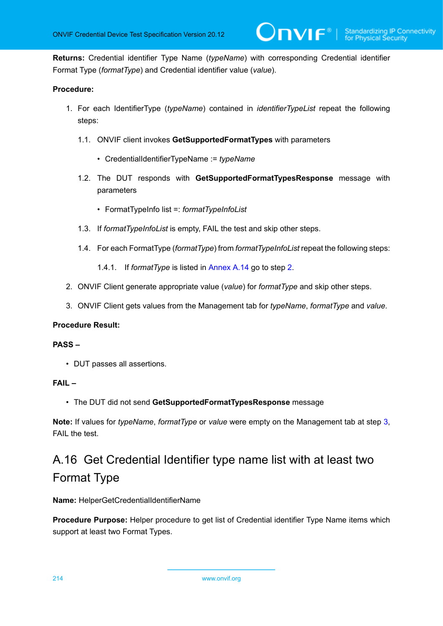**Returns:** Credential identifier Type Name (*typeName*) with corresponding Credential identifier Format Type (*formatType*) and Credential identifier value (*value*).

## **Procedure:**

- 1. For each IdentifierType (*typeName*) contained in *identifierTypeList* repeat the following steps:
	- 1.1. ONVIF client invokes **GetSupportedFormatTypes** with parameters
		- CredentialIdentifierTypeName := *typeName*
	- 1.2. The DUT responds with **GetSupportedFormatTypesResponse** message with parameters
		- FormatTypeInfo list =: *formatTypeInfoList*
	- 1.3. If *formatTypeInfoList* is empty, FAIL the test and skip other steps.
	- 1.4. For each FormatType (*formatType*) from *formatTypeInfoList* repeat the following steps:
		- 1.4.1. If *formatType* is listed in [Annex A.14](#page-211-0) go to step [2](#page-213-0).
- <span id="page-213-0"></span>2. ONVIF Client generate appropriate value (*value*) for *formatType* and skip other steps.
- <span id="page-213-1"></span>3. ONVIF Client gets values from the Management tab for *typeName*, *formatType* and *value*.

### **Procedure Result:**

### **PASS –**

• DUT passes all assertions.

### **FAIL –**

• The DUT did not send **GetSupportedFormatTypesResponse** message

**Note:** If values for *typeName*, *formatType* or *value* were empty on the Management tab at step [3](#page-213-1), FAIL the test.

# A.16 Get Credential Identifier type name list with at least two Format Type

**Name:** HelperGetCredentialIdentifierName

**Procedure Purpose:** Helper procedure to get list of Credential identifier Type Name items which support at least two Format Types.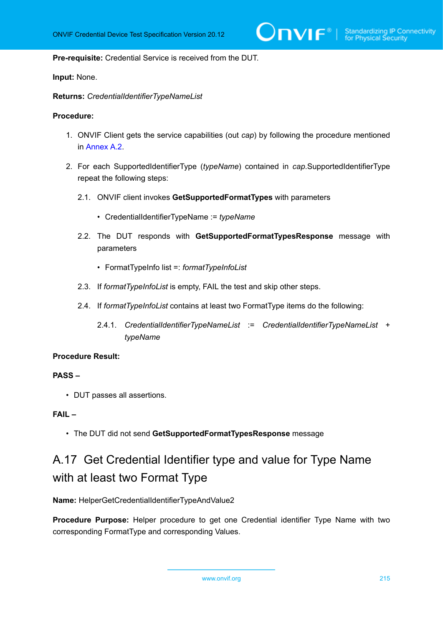**Pre-requisite:** Credential Service is received from the DUT.

**Input:** None.

**Returns:** *CredentialIdentifierTypeNameList*

#### **Procedure:**

- 1. ONVIF Client gets the service capabilities (out *cap*) by following the procedure mentioned in [Annex A.2.](#page-201-0)
- 2. For each SupportedIdentifierType (*typeName*) contained in *cap*.SupportedIdentifierType repeat the following steps:
	- 2.1. ONVIF client invokes **GetSupportedFormatTypes** with parameters
		- CredentialIdentifierTypeName := *typeName*
	- 2.2. The DUT responds with **GetSupportedFormatTypesResponse** message with parameters
		- FormatTypeInfo list =: *formatTypeInfoList*
	- 2.3. If *formatTypeInfoList* is empty, FAIL the test and skip other steps.
	- 2.4. If *formatTypeInfoList* contains at least two FormatType items do the following:
		- 2.4.1. *CredentialIdentifierTypeNameList* := *CredentialIdentifierTypeNameList* + *typeName*

#### **Procedure Result:**

### **PASS –**

• DUT passes all assertions.

## **FAIL –**

• The DUT did not send **GetSupportedFormatTypesResponse** message

# A.17 Get Credential Identifier type and value for Type Name with at least two Format Type

**Name:** HelperGetCredentialIdentifierTypeAndValue2

**Procedure Purpose:** Helper procedure to get one Credential identifier Type Name with two corresponding FormatType and corresponding Values.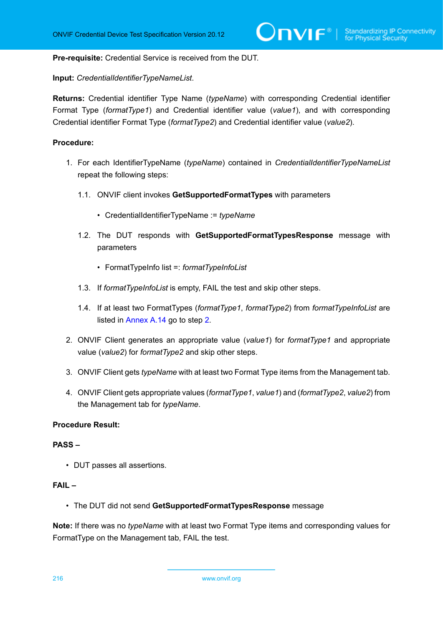**Pre-requisite:** Credential Service is received from the DUT.

**Input:** *CredentialIdentifierTypeNameList*.

**Returns:** Credential identifier Type Name (*typeName*) with corresponding Credential identifier Format Type (*formatType1*) and Credential identifier value (*value1*), and with corresponding Credential identifier Format Type (*formatType2*) and Credential identifier value (*value2*).

## **Procedure:**

- 1. For each IdentifierTypeName (*typeName*) contained in *CredentialIdentifierTypeNameList* repeat the following steps:
	- 1.1. ONVIF client invokes **GetSupportedFormatTypes** with parameters
		- CredentialIdentifierTypeName := *typeName*
	- 1.2. The DUT responds with **GetSupportedFormatTypesResponse** message with parameters
		- FormatTypeInfo list =: *formatTypeInfoList*
	- 1.3. If *formatTypeInfoList* is empty, FAIL the test and skip other steps.
	- 1.4. If at least two FormatTypes (*formatType1*, *formatType2*) from *formatTypeInfoList* are listed in [Annex A.14](#page-211-0) go to step [2](#page-215-0).
- <span id="page-215-0"></span>2. ONVIF Client generates an appropriate value (*value1*) for *formatType1* and appropriate value (*value2*) for *formatType2* and skip other steps.
- 3. ONVIF Client gets *typeName* with at least two Format Type items from the Management tab.
- 4. ONVIF Client gets appropriate values (*formatType1*, *value1*) and (*formatType2*, *value2*) from the Management tab for *typeName*.

#### **Procedure Result:**

#### **PASS –**

• DUT passes all assertions.

## **FAIL –**

• The DUT did not send **GetSupportedFormatTypesResponse** message

**Note:** If there was no *typeName* with at least two Format Type items and corresponding values for FormatType on the Management tab, FAIL the test.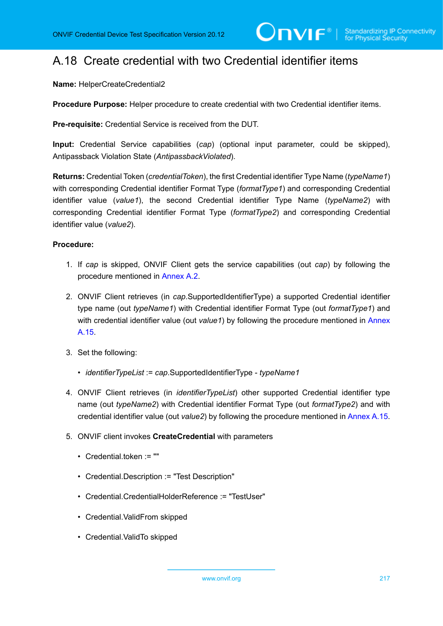# A.18 Create credential with two Credential identifier items

**Name:** HelperCreateCredential2

**Procedure Purpose:** Helper procedure to create credential with two Credential identifier items.

**Pre-requisite:** Credential Service is received from the DUT.

**Input:** Credential Service capabilities (*cap*) (optional input parameter, could be skipped), Antipassback Violation State (*AntipassbackViolated*).

**Returns:** Credential Token (*credentialToken*), the first Credential identifier Type Name (*typeName1*) with corresponding Credential identifier Format Type (*formatType1*) and corresponding Credential identifier value (*value1*), the second Credential identifier Type Name (*typeName2*) with corresponding Credential identifier Format Type (*formatType2*) and corresponding Credential identifier value (*value2*).

- 1. If *cap* is skipped, ONVIF Client gets the service capabilities (out *cap*) by following the procedure mentioned in [Annex A.2](#page-201-0).
- 2. ONVIF Client retrieves (in *cap*.SupportedIdentifierType) a supported Credential identifier type name (out *typeName1*) with Credential identifier Format Type (out *formatType1*) and with credential identifier value (out *value1*) by following the procedure mentioned in [Annex](#page-212-0) [A.15](#page-212-0).
- 3. Set the following:
	- *identifierTypeList* := *cap*.SupportedIdentifierType *typeName1*
- 4. ONVIF Client retrieves (in *identifierTypeList*) other supported Credential identifier type name (out *typeName2*) with Credential identifier Format Type (out *formatType2*) and with credential identifier value (out *value2*) by following the procedure mentioned in [Annex A.15.](#page-212-0)
- 5. ONVIF client invokes **CreateCredential** with parameters
	- Credential.token := ""
	- Credential.Description := "Test Description"
	- Credential.CredentialHolderReference := "TestUser"
	- Credential.ValidFrom skipped
	- Credential.ValidTo skipped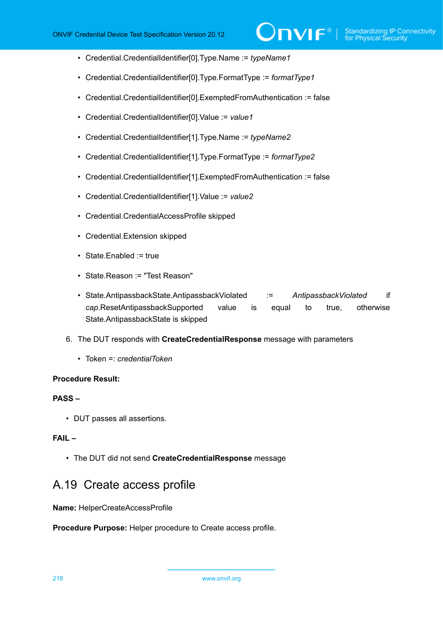- Credential.CredentialIdentifier[0].Type.Name := *typeName1*
- Credential.CredentialIdentifier[0].Type.FormatType := *formatType1*
- Credential.CredentialIdentifier[0].ExemptedFromAuthentication := false
- Credential.CredentialIdentifier[0].Value := *value1*
- Credential.CredentialIdentifier[1].Type.Name := *typeName2*
- Credential.CredentialIdentifier[1].Type.FormatType := *formatType2*
- Credential.CredentialIdentifier[1].ExemptedFromAuthentication := false
- Credential.CredentialIdentifier[1].Value := *value2*
- Credential.CredentialAccessProfile skipped
- Credential.Extension skipped
- State.Enabled := true
- State.Reason := "Test Reason"
- State.AntipassbackState.AntipassbackViolated := *AntipassbackViolated* if *cap*.ResetAntipassbackSupported value is equal to true, otherwise State.AntipassbackState is skipped
- 6. The DUT responds with **CreateCredentialResponse** message with parameters
	- Token =: *credentialToken*

#### **PASS –**

• DUT passes all assertions.

## **FAIL –**

• The DUT did not send **CreateCredentialResponse** message

## A.19 Create access profile

**Name:** HelperCreateAccessProfile

**Procedure Purpose:** Helper procedure to Create access profile.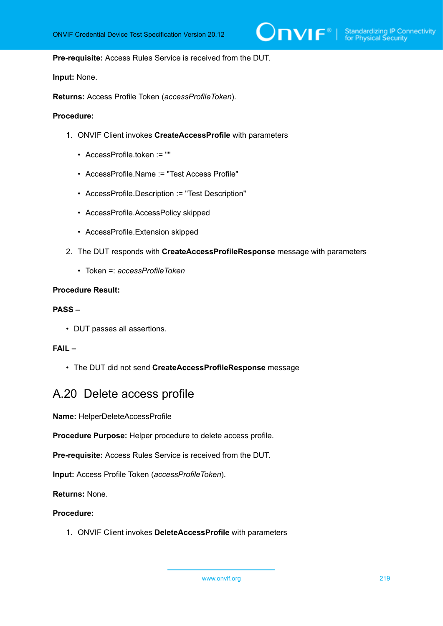#### **Pre-requisite:** Access Rules Service is received from the DUT.

**Input:** None.

**Returns:** Access Profile Token (*accessProfileToken*).

#### **Procedure:**

- 1. ONVIF Client invokes **CreateAccessProfile** with parameters
	- AccessProfile.token := ""
	- AccessProfile.Name := "Test Access Profile"
	- AccessProfile.Description := "Test Description"
	- AccessProfile.AccessPolicy skipped
	- AccessProfile.Extension skipped
- 2. The DUT responds with **CreateAccessProfileResponse** message with parameters
	- Token =: *accessProfileToken*

## **Procedure Result:**

#### **PASS –**

• DUT passes all assertions.

### **FAIL –**

• The DUT did not send **CreateAccessProfileResponse** message

## A.20 Delete access profile

**Name:** HelperDeleteAccessProfile

**Procedure Purpose:** Helper procedure to delete access profile.

**Pre-requisite:** Access Rules Service is received from the DUT.

**Input:** Access Profile Token (*accessProfileToken*).

**Returns:** None.

#### **Procedure:**

1. ONVIF Client invokes **DeleteAccessProfile** with parameters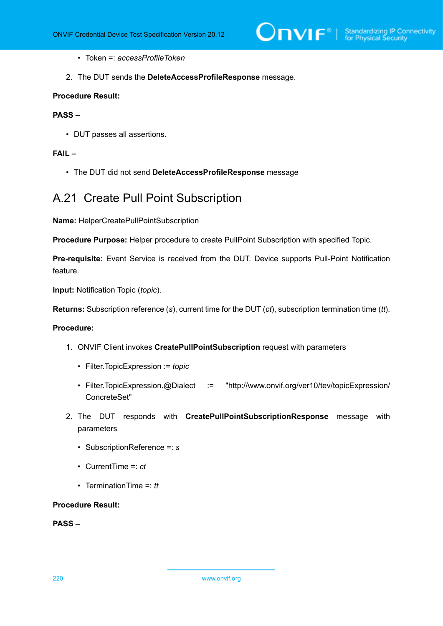- Token =: *accessProfileToken*
- 2. The DUT sends the **DeleteAccessProfileResponse** message.

## **PASS –**

• DUT passes all assertions.

#### **FAIL –**

• The DUT did not send **DeleteAccessProfileResponse** message

## A.21 Create Pull Point Subscription

**Name:** HelperCreatePullPointSubscription

**Procedure Purpose:** Helper procedure to create PullPoint Subscription with specified Topic.

**Pre-requisite:** Event Service is received from the DUT. Device supports Pull-Point Notification feature.

**Input:** Notification Topic (*topic*).

**Returns:** Subscription reference (*s*), current time for the DUT (*ct*), subscription termination time (*tt*).

#### **Procedure:**

- 1. ONVIF Client invokes **CreatePullPointSubscription** request with parameters
	- Filter.TopicExpression := *topic*
	- Filter.TopicExpression.@Dialect := "http://www.onvif.org/ver10/tev/topicExpression/ ConcreteSet"
- 2. The DUT responds with **CreatePullPointSubscriptionResponse** message with parameters
	- SubscriptionReference =: *s*
	- CurrentTime =: *ct*
	- TerminationTime =: *tt*

#### **Procedure Result:**

**PASS –**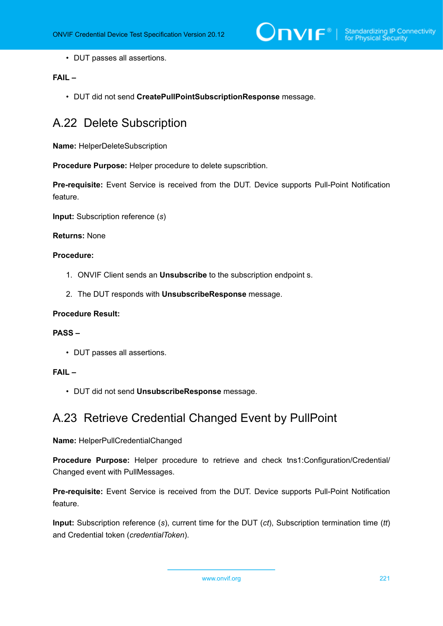• DUT passes all assertions.

## **FAIL –**

• DUT did not send **CreatePullPointSubscriptionResponse** message.

# A.22 Delete Subscription

**Name:** HelperDeleteSubscription

**Procedure Purpose:** Helper procedure to delete supscribtion.

**Pre-requisite:** Event Service is received from the DUT. Device supports Pull-Point Notification feature.

**Input:** Subscription reference (*s*)

#### **Returns:** None

## **Procedure:**

- 1. ONVIF Client sends an **Unsubscribe** to the subscription endpoint s.
- 2. The DUT responds with **UnsubscribeResponse** message.

#### **Procedure Result:**

#### **PASS –**

• DUT passes all assertions.

## **FAIL –**

• DUT did not send **UnsubscribeResponse** message.

## A.23 Retrieve Credential Changed Event by PullPoint

#### **Name:** HelperPullCredentialChanged

**Procedure Purpose:** Helper procedure to retrieve and check tns1:Configuration/Credential/ Changed event with PullMessages.

**Pre-requisite:** Event Service is received from the DUT. Device supports Pull-Point Notification feature.

**Input:** Subscription reference (*s*), current time for the DUT (*ct*), Subscription termination time (*tt*) and Credential token (*credentialToken*).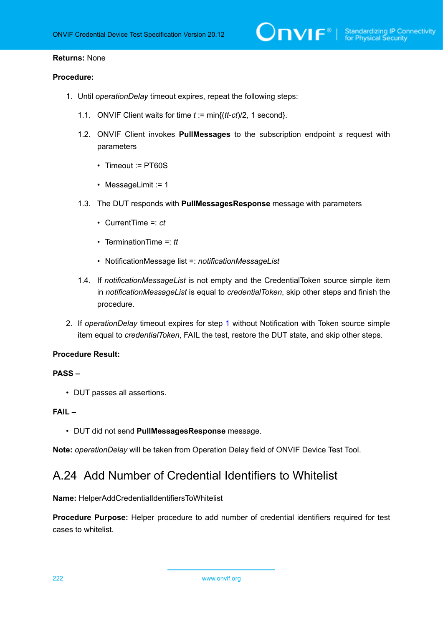## **Returns:** None

### **Procedure:**

- <span id="page-221-0"></span>1. Until *operationDelay* timeout expires, repeat the following steps:
	- 1.1. ONVIF Client waits for time *t* := min{(*tt*-*ct*)/2, 1 second}.
	- 1.2. ONVIF Client invokes **PullMessages** to the subscription endpoint *s* request with parameters
		- Timeout := PT60S
		- MessageLimit := 1
	- 1.3. The DUT responds with **PullMessagesResponse** message with parameters
		- CurrentTime =: *ct*
		- TerminationTime =: *tt*
		- NotificationMessage list =: *notificationMessageList*
	- 1.4. If *notificationMessageList* is not empty and the CredentialToken source simple item in *notificationMessageList* is equal to *credentialToken*, skip other steps and finish the procedure.
- 2. If *operationDelay* timeout expires for step [1](#page-221-0) without Notification with Token source simple item equal to *credentialToken*, FAIL the test, restore the DUT state, and skip other steps.

### **Procedure Result:**

#### **PASS –**

• DUT passes all assertions.

## **FAIL –**

• DUT did not send **PullMessagesResponse** message.

**Note:** *operationDelay* will be taken from Operation Delay field of ONVIF Device Test Tool.

## A.24 Add Number of Credential Identifiers to Whitelist

**Name:** HelperAddCredentialIdentifiersToWhitelist

**Procedure Purpose:** Helper procedure to add number of credential identifiers required for test cases to whitelist.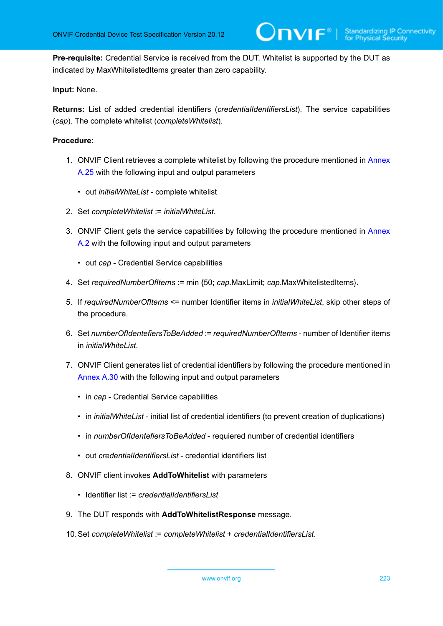**Pre-requisite:** Credential Service is received from the DUT. Whitelist is supported by the DUT as indicated by MaxWhitelistedItems greater than zero capability.

## **Input:** None.

**Returns:** List of added credential identifiers (*credentialIdentifiersList*). The service capabilities (*cap*). The complete whitelist (*completeWhitelist*).

- 1. ONVIF Client retrieves a complete whitelist by following the procedure mentioned in [Annex](#page-223-0) [A.25](#page-223-0) with the following input and output parameters
	- out *initialWhiteList* complete whitelist
- 2. Set *completeWhitelist* := *initialWhiteList*.
- 3. ONVIF Client gets the service capabilities by following the procedure mentioned in [Annex](#page-201-0) [A.2](#page-201-0) with the following input and output parameters
	- out *cap* Credential Service capabilities
- 4. Set *requiredNumberOfItems* := min {50; *cap*.MaxLimit; *cap*.MaxWhitelistedItems}.
- 5. If *requiredNumberOfItems* <= number Identifier items in *initialWhiteList*, skip other steps of the procedure.
- 6. Set *numberOfIdentefiersToBeAdded* := *requiredNumberOfItems* number of Identifier items in *initialWhiteList*.
- 7. ONVIF Client generates list of credential identifiers by following the procedure mentioned in [Annex A.30](#page-228-0) with the following input and output parameters
	- in *cap* Credential Service capabilities
	- in *initialWhiteList* initial list of credential identifiers (to prevent creation of duplications)
	- in *numberOfIdentefiersToBeAdded* requiered number of credential identifiers
	- out *credentialIdentifiersList* credential identifiers list
- 8. ONVIF client invokes **AddToWhitelist** with parameters
	- Identifier list := *credentialIdentifiersList*
- 9. The DUT responds with **AddToWhitelistResponse** message.
- 10.Set *completeWhitelist* := *completeWhitelist* + *credentialIdentifiersList*.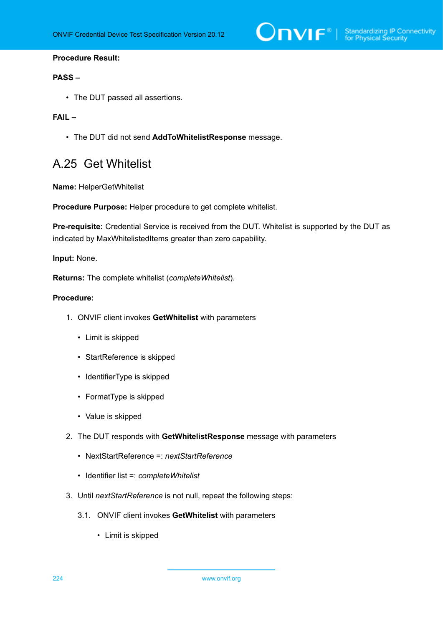$\sum_{\text{IVIF}^{\circ} | \text{Standardizing IP Connectivity}}$ 

### **Procedure Result:**

### **PASS –**

• The DUT passed all assertions.

## **FAIL –**

• The DUT did not send **AddToWhitelistResponse** message.

## <span id="page-223-0"></span>A.25 Get Whitelist

**Name:** HelperGetWhitelist

**Procedure Purpose:** Helper procedure to get complete whitelist.

**Pre-requisite:** Credential Service is received from the DUT. Whitelist is supported by the DUT as indicated by MaxWhitelistedItems greater than zero capability.

**Input:** None.

**Returns:** The complete whitelist (*completeWhitelist*).

- 1. ONVIF client invokes **GetWhitelist** with parameters
	- Limit is skipped
	- StartReference is skipped
	- IdentifierType is skipped
	- FormatType is skipped
	- Value is skipped
- 2. The DUT responds with **GetWhitelistResponse** message with parameters
	- NextStartReference =: *nextStartReference*
	- Identifier list =: *completeWhitelist*
- 3. Until *nextStartReference* is not null, repeat the following steps:
	- 3.1. ONVIF client invokes **GetWhitelist** with parameters
		- Limit is skipped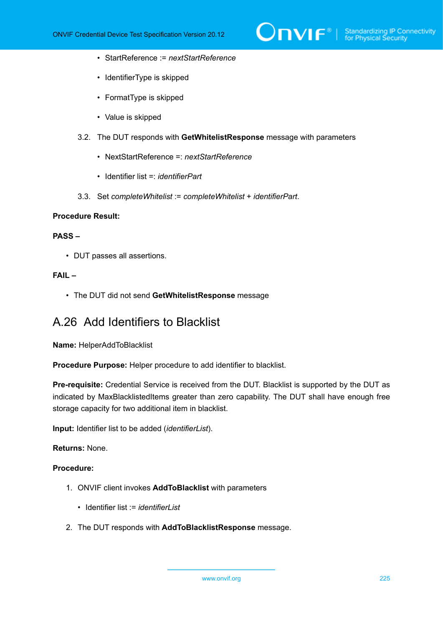

- StartReference := *nextStartReference*
- IdentifierType is skipped
- FormatType is skipped
- Value is skipped
- 3.2. The DUT responds with **GetWhitelistResponse** message with parameters
	- NextStartReference =: *nextStartReference*
	- Identifier list =: *identifierPart*
- 3.3. Set *completeWhitelist* := *completeWhitelist* + *identifierPart*.

## **PASS –**

• DUT passes all assertions.

## **FAIL –**

• The DUT did not send **GetWhitelistResponse** message

## A.26 Add Identifiers to Blacklist

**Name:** HelperAddToBlacklist

**Procedure Purpose:** Helper procedure to add identifier to blacklist.

**Pre-requisite:** Credential Service is received from the DUT. Blacklist is supported by the DUT as indicated by MaxBlacklistedItems greater than zero capability. The DUT shall have enough free storage capacity for two additional item in blacklist.

**Input:** Identifier list to be added (*identifierList*).

**Returns:** None.

- 1. ONVIF client invokes **AddToBlacklist** with parameters
	- Identifier list := *identifierList*
- 2. The DUT responds with **AddToBlacklistResponse** message.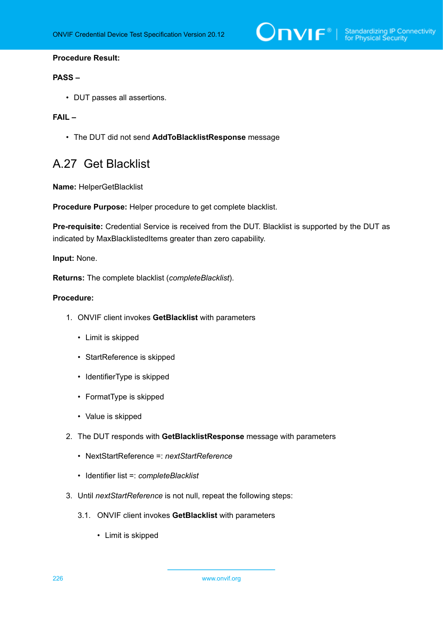$\sum_{\text{IVIF}^{\circ} | \text{Standardizing IP Connectivity}}$ 

### **Procedure Result:**

#### **PASS –**

• DUT passes all assertions.

#### **FAIL –**

• The DUT did not send **AddToBlacklistResponse** message

## <span id="page-225-0"></span>A.27 Get Blacklist

**Name:** HelperGetBlacklist

**Procedure Purpose:** Helper procedure to get complete blacklist.

**Pre-requisite:** Credential Service is received from the DUT. Blacklist is supported by the DUT as indicated by MaxBlacklistedItems greater than zero capability.

**Input:** None.

**Returns:** The complete blacklist (*completeBlacklist*).

- 1. ONVIF client invokes **GetBlacklist** with parameters
	- Limit is skipped
	- StartReference is skipped
	- IdentifierType is skipped
	- FormatType is skipped
	- Value is skipped
- 2. The DUT responds with **GetBlacklistResponse** message with parameters
	- NextStartReference =: *nextStartReference*
	- Identifier list =: *completeBlacklist*
- 3. Until *nextStartReference* is not null, repeat the following steps:
	- 3.1. ONVIF client invokes **GetBlacklist** with parameters
		- Limit is skipped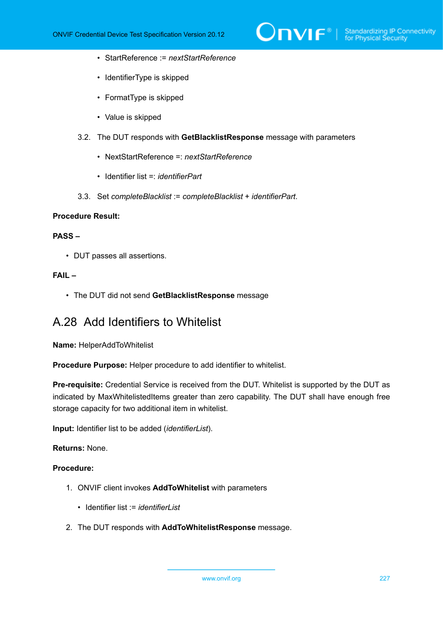

- StartReference := *nextStartReference*
- IdentifierType is skipped
- FormatType is skipped
- Value is skipped
- 3.2. The DUT responds with **GetBlacklistResponse** message with parameters
	- NextStartReference =: *nextStartReference*
	- Identifier list =: *identifierPart*
- 3.3. Set *completeBlacklist* := *completeBlacklist* + *identifierPart*.

## **PASS –**

• DUT passes all assertions.

## **FAIL –**

• The DUT did not send **GetBlacklistResponse** message

## A.28 Add Identifiers to Whitelist

**Name:** HelperAddToWhitelist

**Procedure Purpose:** Helper procedure to add identifier to whitelist.

**Pre-requisite:** Credential Service is received from the DUT. Whitelist is supported by the DUT as indicated by MaxWhitelistedItems greater than zero capability. The DUT shall have enough free storage capacity for two additional item in whitelist.

**Input:** Identifier list to be added (*identifierList*).

**Returns:** None.

- 1. ONVIF client invokes **AddToWhitelist** with parameters
	- Identifier list := *identifierList*
- 2. The DUT responds with **AddToWhitelistResponse** message.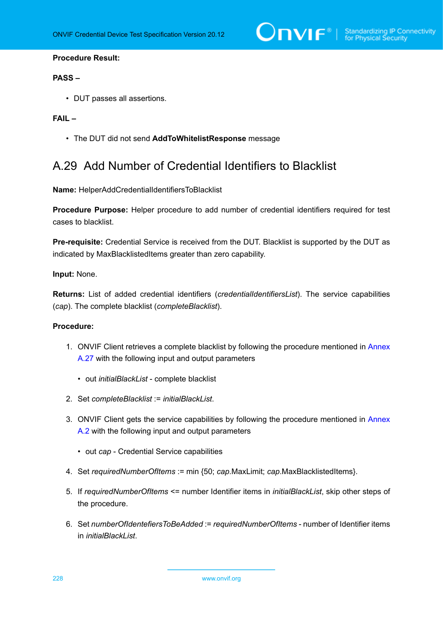$\bigcirc$   $\bigcap$   $\bigvee$   $\bigcap$   $\bigcirc$   $\bigcirc$   $\bigcirc$  Standardizing IP Connectivity

#### **Procedure Result:**

## **PASS –**

• DUT passes all assertions.

### **FAIL –**

• The DUT did not send **AddToWhitelistResponse** message

## A.29 Add Number of Credential Identifiers to Blacklist

**Name:** HelperAddCredentialIdentifiersToBlacklist

**Procedure Purpose:** Helper procedure to add number of credential identifiers required for test cases to blacklist.

**Pre-requisite:** Credential Service is received from the DUT. Blacklist is supported by the DUT as indicated by MaxBlacklistedItems greater than zero capability.

## **Input:** None.

**Returns:** List of added credential identifiers (*credentialIdentifiersList*). The service capabilities (*cap*). The complete blacklist (*completeBlacklist*).

### **Procedure:**

- 1. ONVIF Client retrieves a complete blacklist by following the procedure mentioned in [Annex](#page-225-0) [A.27](#page-225-0) with the following input and output parameters
	- out *initialBlackList* complete blacklist
- 2. Set *completeBlacklist* := *initialBlackList*.
- 3. ONVIF Client gets the service capabilities by following the procedure mentioned in [Annex](#page-201-0) [A.2](#page-201-0) with the following input and output parameters
	- out *cap* Credential Service capabilities
- 4. Set *requiredNumberOfItems* := min {50; *cap*.MaxLimit; *cap*.MaxBlacklistedItems}.
- 5. If *requiredNumberOfItems* <= number Identifier items in *initialBlackList*, skip other steps of the procedure.
- 6. Set *numberOfIdentefiersToBeAdded* := *requiredNumberOfItems* number of Identifier items in *initialBlackList*.

228 www.onvif.org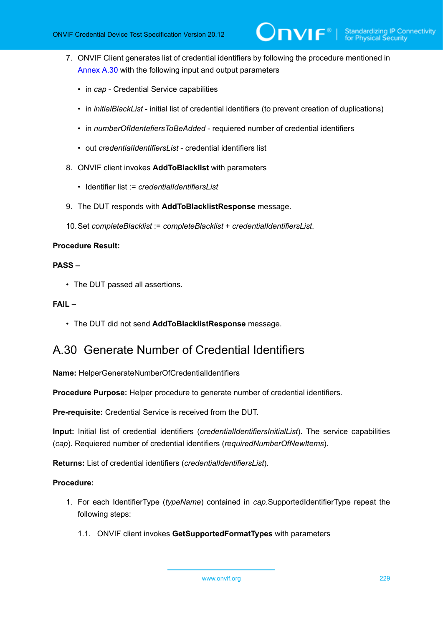- 7. ONVIF Client generates list of credential identifiers by following the procedure mentioned in [Annex A.30](#page-228-0) with the following input and output parameters
	- in *cap* Credential Service capabilities
	- in *initialBlackList* initial list of credential identifiers (to prevent creation of duplications)
	- in *numberOfIdentefiersToBeAdded* requiered number of credential identifiers
	- out *credentialIdentifiersList* credential identifiers list
- 8. ONVIF client invokes **AddToBlacklist** with parameters
	- Identifier list := *credentialIdentifiersList*
- 9. The DUT responds with **AddToBlacklistResponse** message.
- 10.Set *completeBlacklist* := *completeBlacklist* + *credentialIdentifiersList*.

## **PASS –**

• The DUT passed all assertions.

## **FAIL –**

• The DUT did not send **AddToBlacklistResponse** message.

# <span id="page-228-0"></span>A.30 Generate Number of Credential Identifiers

**Name:** HelperGenerateNumberOfCredentialIdentifiers

**Procedure Purpose:** Helper procedure to generate number of credential identifiers.

**Pre-requisite:** Credential Service is received from the DUT.

**Input:** Initial list of credential identifiers (*credentialIdentifiersInitialList*). The service capabilities (*cap*). Requiered number of credential identifiers (*requiredNumberOfNewItems*).

**Returns:** List of credential identifiers (*credentialIdentifiersList*).

- 1. For each IdentifierType (*typeName*) contained in *cap*.SupportedIdentifierType repeat the following steps:
	- 1.1. ONVIF client invokes **GetSupportedFormatTypes** with parameters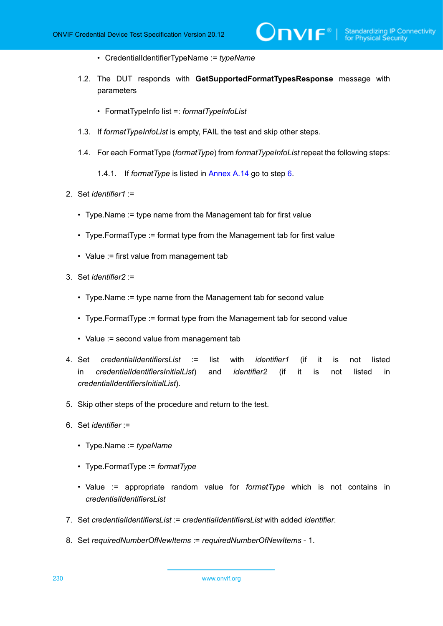- CredentialIdentifierTypeName := *typeName*
- 1.2. The DUT responds with **GetSupportedFormatTypesResponse** message with parameters

 $\mathsf{D}\mathbf{N}\mathsf{I}\mathsf{F}^\ast$ l

- FormatTypeInfo list =: *formatTypeInfoList*
- 1.3. If *formatTypeInfoList* is empty, FAIL the test and skip other steps.
- 1.4. For each FormatType (*formatType*) from *formatTypeInfoList* repeat the following steps:
	- 1.4.1. If *formatType* is listed in [Annex A.14](#page-211-0) go to step [6](#page-229-0).
- 2. Set *identifier1* :=
	- Type.Name := type name from the Management tab for first value
	- Type.FormatType := format type from the Management tab for first value
	- Value := first value from management tab
- 3. Set *identifier2* :=
	- Type.Name := type name from the Management tab for second value
	- Type.FormatType := format type from the Management tab for second value
	- Value := second value from management tab
- 4. Set *credentialIdentifiersList* := list with *identifier1* (if it is not listed in *credentialIdentifiersInitialList*) and *identifier2* (if it is not listed in *credentialIdentifiersInitialList*).
- 5. Skip other steps of the procedure and return to the test.
- <span id="page-229-0"></span>6. Set *identifier* :=
	- Type.Name := *typeName*
	- Type.FormatType := *formatType*
	- Value := appropriate random value for *formatType* which is not contains in *credentialIdentifiersList*
- 7. Set *credentialIdentifiersList* := *credentialIdentifiersList* with added *identifier*.
- 8. Set *requiredNumberOfNewItems* := *requiredNumberOfNewItems* 1.